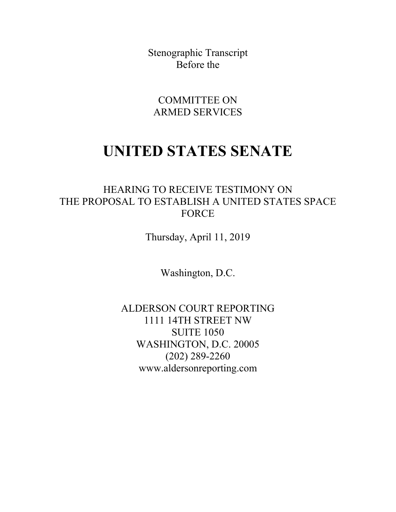Stenographic Transcript Before the

COMMITTEE ON ARMED SERVICES

# **UNITED STATES SENATE**

## HEARING TO RECEIVE TESTIMONY ON THE PROPOSAL TO ESTABLISH A UNITED STATES SPACE FORCE

Thursday, April 11, 2019

Washington, D.C.

ALDERSON COURT REPORTING 1111 14TH STREET NW SUITE 1050 WASHINGTON, D.C. 20005 (202) 289-2260 www.aldersonreporting.com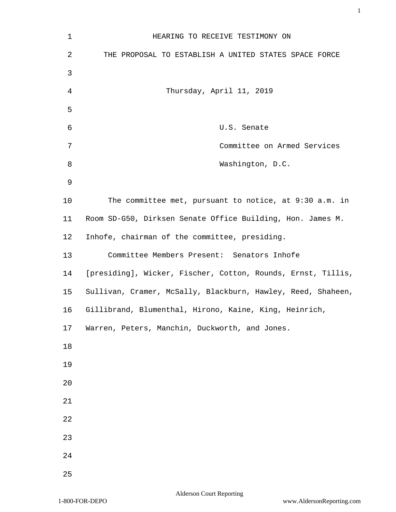| 1      | HEARING TO RECEIVE TESTIMONY ON                              |
|--------|--------------------------------------------------------------|
| 2      | THE PROPOSAL TO ESTABLISH A UNITED STATES SPACE FORCE        |
| 3      |                                                              |
| 4      | Thursday, April 11, 2019                                     |
| 5      |                                                              |
| 6      | U.S. Senate                                                  |
| 7      | Committee on Armed Services                                  |
| 8      | Washington, D.C.                                             |
| 9      |                                                              |
| 10     | The committee met, pursuant to notice, at 9:30 a.m. in       |
| 11     | Room SD-G50, Dirksen Senate Office Building, Hon. James M.   |
| 12     | Inhofe, chairman of the committee, presiding.                |
| 13     | Committee Members Present: Senators Inhofe                   |
| 14     | [presiding], Wicker, Fischer, Cotton, Rounds, Ernst, Tillis, |
| 15     | Sullivan, Cramer, McSally, Blackburn, Hawley, Reed, Shaheen, |
| 16     | Gillibrand, Blumenthal, Hirono, Kaine, King, Heinrich,       |
| 17     | Warren, Peters, Manchin, Duckworth, and Jones.               |
| $18\,$ |                                                              |
| 19     |                                                              |
| 20     |                                                              |
| 21     |                                                              |
| 22     |                                                              |
| 23     |                                                              |
| 24     |                                                              |
| 25     |                                                              |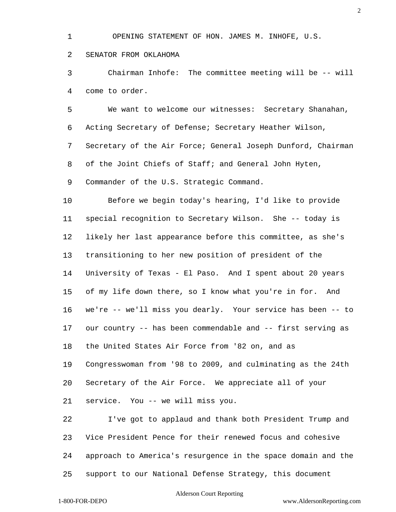OPENING STATEMENT OF HON. JAMES M. INHOFE, U.S.

### SENATOR FROM OKLAHOMA

 Chairman Inhofe: The committee meeting will be -- will come to order.

 We want to welcome our witnesses: Secretary Shanahan, Acting Secretary of Defense; Secretary Heather Wilson, Secretary of the Air Force; General Joseph Dunford, Chairman of the Joint Chiefs of Staff; and General John Hyten, Commander of the U.S. Strategic Command.

 Before we begin today's hearing, I'd like to provide special recognition to Secretary Wilson. She -- today is likely her last appearance before this committee, as she's transitioning to her new position of president of the University of Texas - El Paso. And I spent about 20 years of my life down there, so I know what you're in for. And we're -- we'll miss you dearly. Your service has been -- to our country -- has been commendable and -- first serving as the United States Air Force from '82 on, and as Congresswoman from '98 to 2009, and culminating as the 24th Secretary of the Air Force. We appreciate all of your service. You -- we will miss you.

 I've got to applaud and thank both President Trump and Vice President Pence for their renewed focus and cohesive approach to America's resurgence in the space domain and the support to our National Defense Strategy, this document

### Alderson Court Reporting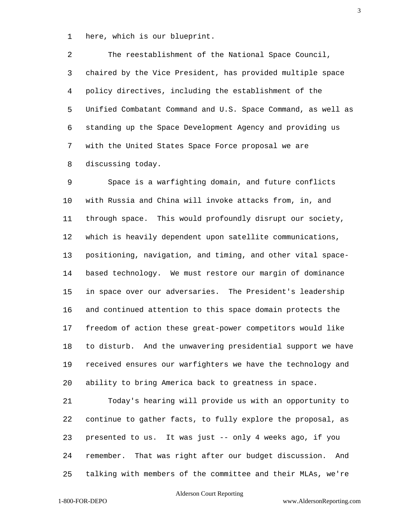here, which is our blueprint.

 The reestablishment of the National Space Council, chaired by the Vice President, has provided multiple space policy directives, including the establishment of the Unified Combatant Command and U.S. Space Command, as well as standing up the Space Development Agency and providing us with the United States Space Force proposal we are discussing today.

 Space is a warfighting domain, and future conflicts with Russia and China will invoke attacks from, in, and through space. This would profoundly disrupt our society, which is heavily dependent upon satellite communications, positioning, navigation, and timing, and other vital space- based technology. We must restore our margin of dominance in space over our adversaries. The President's leadership and continued attention to this space domain protects the freedom of action these great-power competitors would like to disturb. And the unwavering presidential support we have received ensures our warfighters we have the technology and ability to bring America back to greatness in space.

 Today's hearing will provide us with an opportunity to continue to gather facts, to fully explore the proposal, as presented to us. It was just -- only 4 weeks ago, if you remember. That was right after our budget discussion. And talking with members of the committee and their MLAs, we're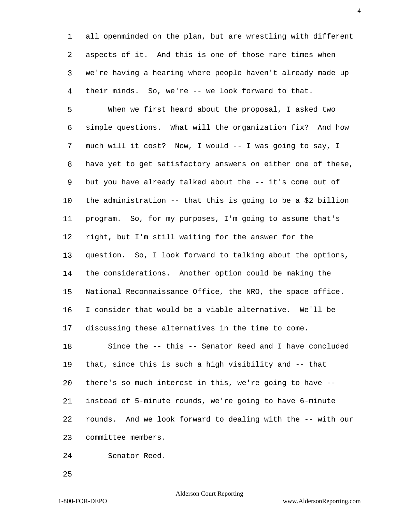all openminded on the plan, but are wrestling with different aspects of it. And this is one of those rare times when we're having a hearing where people haven't already made up their minds. So, we're -- we look forward to that.

 When we first heard about the proposal, I asked two simple questions. What will the organization fix? And how much will it cost? Now, I would -- I was going to say, I have yet to get satisfactory answers on either one of these, but you have already talked about the -- it's come out of the administration -- that this is going to be a \$2 billion program. So, for my purposes, I'm going to assume that's right, but I'm still waiting for the answer for the question. So, I look forward to talking about the options, the considerations. Another option could be making the National Reconnaissance Office, the NRO, the space office. I consider that would be a viable alternative. We'll be discussing these alternatives in the time to come. Since the -- this -- Senator Reed and I have concluded that, since this is such a high visibility and -- that there's so much interest in this, we're going to have -- instead of 5-minute rounds, we're going to have 6-minute rounds. And we look forward to dealing with the -- with our committee members.

Senator Reed.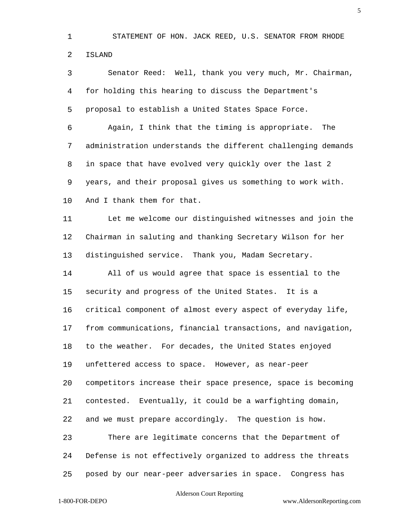STATEMENT OF HON. JACK REED, U.S. SENATOR FROM RHODE ISLAND

 Senator Reed: Well, thank you very much, Mr. Chairman, for holding this hearing to discuss the Department's proposal to establish a United States Space Force.

 Again, I think that the timing is appropriate. The administration understands the different challenging demands in space that have evolved very quickly over the last 2 years, and their proposal gives us something to work with. And I thank them for that.

 Let me welcome our distinguished witnesses and join the Chairman in saluting and thanking Secretary Wilson for her distinguished service. Thank you, Madam Secretary.

 All of us would agree that space is essential to the security and progress of the United States. It is a critical component of almost every aspect of everyday life, from communications, financial transactions, and navigation, to the weather. For decades, the United States enjoyed unfettered access to space. However, as near-peer competitors increase their space presence, space is becoming contested. Eventually, it could be a warfighting domain, and we must prepare accordingly. The question is how. There are legitimate concerns that the Department of

Defense is not effectively organized to address the threats

posed by our near-peer adversaries in space. Congress has

### Alderson Court Reporting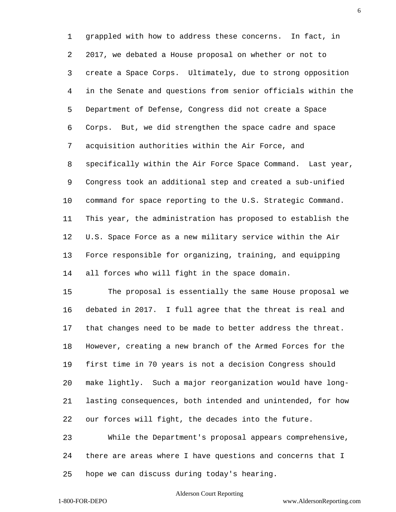grappled with how to address these concerns. In fact, in 2017, we debated a House proposal on whether or not to create a Space Corps. Ultimately, due to strong opposition in the Senate and questions from senior officials within the Department of Defense, Congress did not create a Space Corps. But, we did strengthen the space cadre and space acquisition authorities within the Air Force, and specifically within the Air Force Space Command. Last year, Congress took an additional step and created a sub-unified command for space reporting to the U.S. Strategic Command. This year, the administration has proposed to establish the U.S. Space Force as a new military service within the Air Force responsible for organizing, training, and equipping all forces who will fight in the space domain.

 The proposal is essentially the same House proposal we debated in 2017. I full agree that the threat is real and that changes need to be made to better address the threat. However, creating a new branch of the Armed Forces for the first time in 70 years is not a decision Congress should make lightly. Such a major reorganization would have long- lasting consequences, both intended and unintended, for how our forces will fight, the decades into the future.

 While the Department's proposal appears comprehensive, there are areas where I have questions and concerns that I hope we can discuss during today's hearing.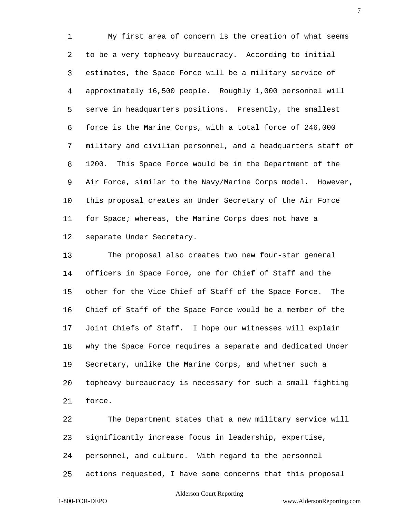My first area of concern is the creation of what seems to be a very topheavy bureaucracy. According to initial estimates, the Space Force will be a military service of approximately 16,500 people. Roughly 1,000 personnel will serve in headquarters positions. Presently, the smallest force is the Marine Corps, with a total force of 246,000 military and civilian personnel, and a headquarters staff of 1200. This Space Force would be in the Department of the Air Force, similar to the Navy/Marine Corps model. However, this proposal creates an Under Secretary of the Air Force for Space; whereas, the Marine Corps does not have a separate Under Secretary.

 The proposal also creates two new four-star general officers in Space Force, one for Chief of Staff and the other for the Vice Chief of Staff of the Space Force. The Chief of Staff of the Space Force would be a member of the Joint Chiefs of Staff. I hope our witnesses will explain why the Space Force requires a separate and dedicated Under Secretary, unlike the Marine Corps, and whether such a topheavy bureaucracy is necessary for such a small fighting force.

 The Department states that a new military service will significantly increase focus in leadership, expertise, personnel, and culture. With regard to the personnel actions requested, I have some concerns that this proposal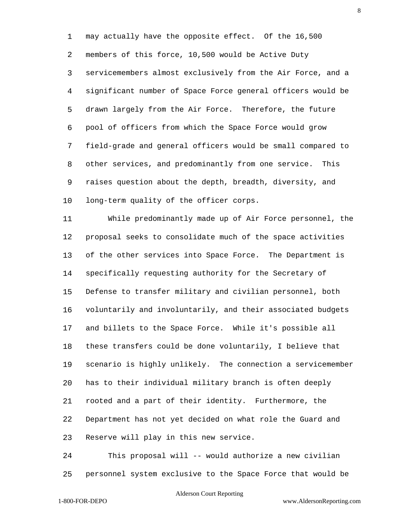may actually have the opposite effect. Of the 16,500 members of this force, 10,500 would be Active Duty servicemembers almost exclusively from the Air Force, and a significant number of Space Force general officers would be drawn largely from the Air Force. Therefore, the future pool of officers from which the Space Force would grow field-grade and general officers would be small compared to other services, and predominantly from one service. This raises question about the depth, breadth, diversity, and long-term quality of the officer corps.

 While predominantly made up of Air Force personnel, the proposal seeks to consolidate much of the space activities of the other services into Space Force. The Department is specifically requesting authority for the Secretary of Defense to transfer military and civilian personnel, both voluntarily and involuntarily, and their associated budgets and billets to the Space Force. While it's possible all these transfers could be done voluntarily, I believe that scenario is highly unlikely. The connection a servicemember has to their individual military branch is often deeply rooted and a part of their identity. Furthermore, the Department has not yet decided on what role the Guard and Reserve will play in this new service.

 This proposal will -- would authorize a new civilian personnel system exclusive to the Space Force that would be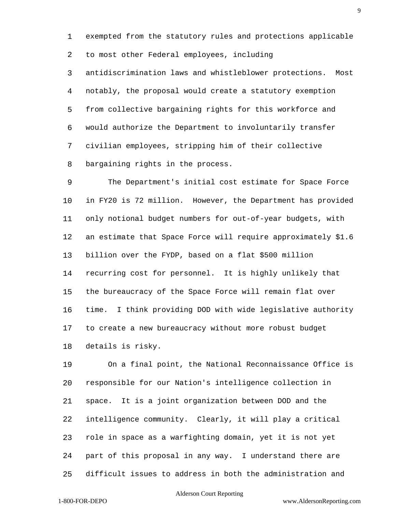exempted from the statutory rules and protections applicable

to most other Federal employees, including

 antidiscrimination laws and whistleblower protections. Most notably, the proposal would create a statutory exemption from collective bargaining rights for this workforce and would authorize the Department to involuntarily transfer civilian employees, stripping him of their collective bargaining rights in the process.

 The Department's initial cost estimate for Space Force in FY20 is 72 million. However, the Department has provided only notional budget numbers for out-of-year budgets, with an estimate that Space Force will require approximately \$1.6 billion over the FYDP, based on a flat \$500 million recurring cost for personnel. It is highly unlikely that the bureaucracy of the Space Force will remain flat over time. I think providing DOD with wide legislative authority to create a new bureaucracy without more robust budget details is risky.

 On a final point, the National Reconnaissance Office is responsible for our Nation's intelligence collection in space. It is a joint organization between DOD and the intelligence community. Clearly, it will play a critical role in space as a warfighting domain, yet it is not yet part of this proposal in any way. I understand there are difficult issues to address in both the administration and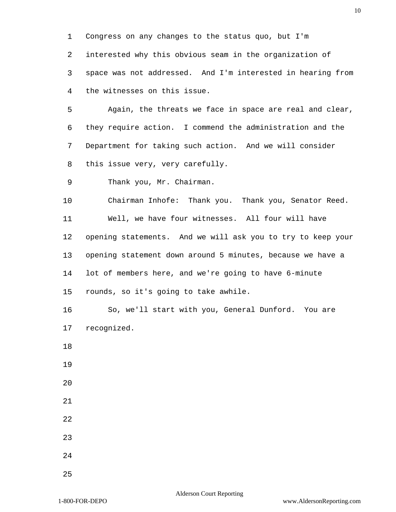Congress on any changes to the status quo, but I'm interested why this obvious seam in the organization of space was not addressed. And I'm interested in hearing from the witnesses on this issue.

 Again, the threats we face in space are real and clear, they require action. I commend the administration and the Department for taking such action. And we will consider this issue very, very carefully.

Thank you, Mr. Chairman.

 Chairman Inhofe: Thank you. Thank you, Senator Reed. Well, we have four witnesses. All four will have opening statements. And we will ask you to try to keep your opening statement down around 5 minutes, because we have a lot of members here, and we're going to have 6-minute rounds, so it's going to take awhile.

 So, we'll start with you, General Dunford. You are recognized.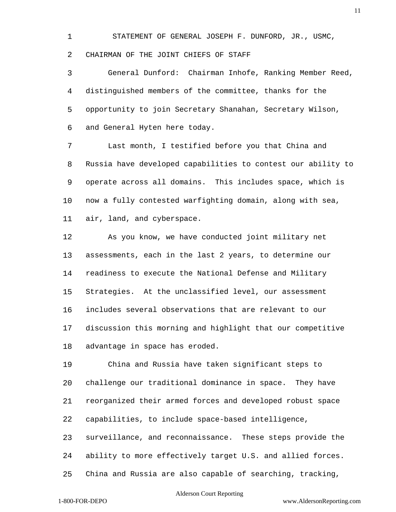STATEMENT OF GENERAL JOSEPH F. DUNFORD, JR., USMC, CHAIRMAN OF THE JOINT CHIEFS OF STAFF

 General Dunford: Chairman Inhofe, Ranking Member Reed, distinguished members of the committee, thanks for the opportunity to join Secretary Shanahan, Secretary Wilson, and General Hyten here today.

 Last month, I testified before you that China and Russia have developed capabilities to contest our ability to operate across all domains. This includes space, which is now a fully contested warfighting domain, along with sea, air, land, and cyberspace.

 As you know, we have conducted joint military net assessments, each in the last 2 years, to determine our readiness to execute the National Defense and Military Strategies. At the unclassified level, our assessment includes several observations that are relevant to our discussion this morning and highlight that our competitive advantage in space has eroded.

 China and Russia have taken significant steps to challenge our traditional dominance in space. They have reorganized their armed forces and developed robust space capabilities, to include space-based intelligence,

 surveillance, and reconnaissance. These steps provide the ability to more effectively target U.S. and allied forces.

China and Russia are also capable of searching, tracking,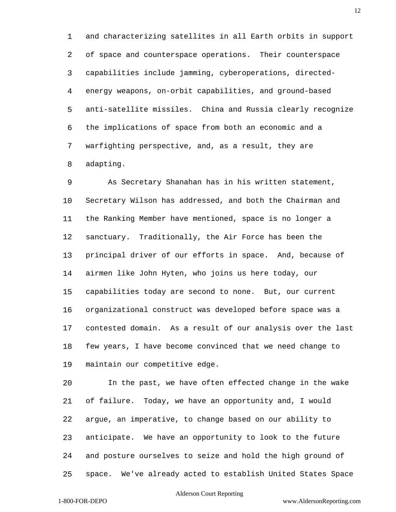and characterizing satellites in all Earth orbits in support of space and counterspace operations. Their counterspace capabilities include jamming, cyberoperations, directed- energy weapons, on-orbit capabilities, and ground-based anti-satellite missiles. China and Russia clearly recognize the implications of space from both an economic and a warfighting perspective, and, as a result, they are adapting.

 As Secretary Shanahan has in his written statement, Secretary Wilson has addressed, and both the Chairman and the Ranking Member have mentioned, space is no longer a sanctuary. Traditionally, the Air Force has been the principal driver of our efforts in space. And, because of airmen like John Hyten, who joins us here today, our capabilities today are second to none. But, our current organizational construct was developed before space was a contested domain. As a result of our analysis over the last few years, I have become convinced that we need change to maintain our competitive edge.

 In the past, we have often effected change in the wake of failure. Today, we have an opportunity and, I would argue, an imperative, to change based on our ability to anticipate. We have an opportunity to look to the future and posture ourselves to seize and hold the high ground of space. We've already acted to establish United States Space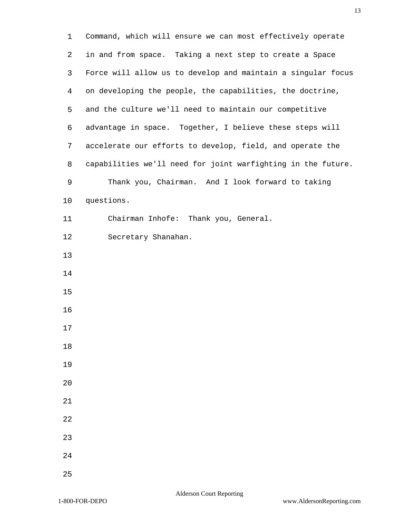Command, which will ensure we can most effectively operate in and from space. Taking a next step to create a Space Force will allow us to develop and maintain a singular focus on developing the people, the capabilities, the doctrine, and the culture we'll need to maintain our competitive advantage in space. Together, I believe these steps will accelerate our efforts to develop, field, and operate the capabilities we'll need for joint warfighting in the future. Thank you, Chairman. And I look forward to taking questions. Chairman Inhofe: Thank you, General. Secretary Shanahan.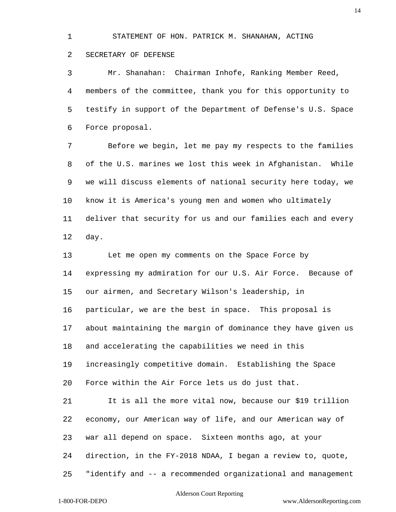STATEMENT OF HON. PATRICK M. SHANAHAN, ACTING

### SECRETARY OF DEFENSE

 Mr. Shanahan: Chairman Inhofe, Ranking Member Reed, members of the committee, thank you for this opportunity to testify in support of the Department of Defense's U.S. Space Force proposal.

 Before we begin, let me pay my respects to the families of the U.S. marines we lost this week in Afghanistan. While we will discuss elements of national security here today, we know it is America's young men and women who ultimately deliver that security for us and our families each and every day.

 Let me open my comments on the Space Force by expressing my admiration for our U.S. Air Force. Because of our airmen, and Secretary Wilson's leadership, in particular, we are the best in space. This proposal is about maintaining the margin of dominance they have given us and accelerating the capabilities we need in this increasingly competitive domain. Establishing the Space Force within the Air Force lets us do just that. It is all the more vital now, because our \$19 trillion economy, our American way of life, and our American way of war all depend on space. Sixteen months ago, at your direction, in the FY-2018 NDAA, I began a review to, quote, "identify and -- a recommended organizational and management

### Alderson Court Reporting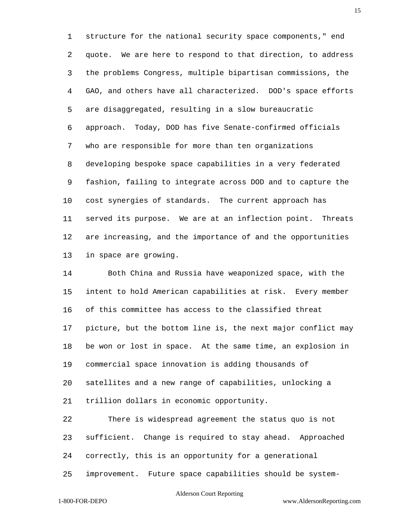structure for the national security space components," end quote. We are here to respond to that direction, to address the problems Congress, multiple bipartisan commissions, the GAO, and others have all characterized. DOD's space efforts are disaggregated, resulting in a slow bureaucratic approach. Today, DOD has five Senate-confirmed officials who are responsible for more than ten organizations developing bespoke space capabilities in a very federated fashion, failing to integrate across DOD and to capture the cost synergies of standards. The current approach has served its purpose. We are at an inflection point. Threats are increasing, and the importance of and the opportunities in space are growing.

 Both China and Russia have weaponized space, with the intent to hold American capabilities at risk. Every member of this committee has access to the classified threat picture, but the bottom line is, the next major conflict may be won or lost in space. At the same time, an explosion in commercial space innovation is adding thousands of satellites and a new range of capabilities, unlocking a trillion dollars in economic opportunity. There is widespread agreement the status quo is not

 sufficient. Change is required to stay ahead. Approached correctly, this is an opportunity for a generational improvement. Future space capabilities should be system-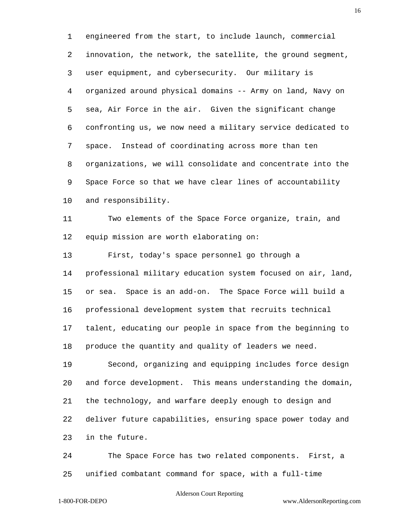engineered from the start, to include launch, commercial innovation, the network, the satellite, the ground segment, user equipment, and cybersecurity. Our military is organized around physical domains -- Army on land, Navy on sea, Air Force in the air. Given the significant change confronting us, we now need a military service dedicated to space. Instead of coordinating across more than ten organizations, we will consolidate and concentrate into the Space Force so that we have clear lines of accountability and responsibility.

 Two elements of the Space Force organize, train, and equip mission are worth elaborating on:

First, today's space personnel go through a

 professional military education system focused on air, land, or sea. Space is an add-on. The Space Force will build a professional development system that recruits technical talent, educating our people in space from the beginning to

produce the quantity and quality of leaders we need.

 Second, organizing and equipping includes force design and force development. This means understanding the domain, the technology, and warfare deeply enough to design and deliver future capabilities, ensuring space power today and in the future.

 The Space Force has two related components. First, a unified combatant command for space, with a full-time

### Alderson Court Reporting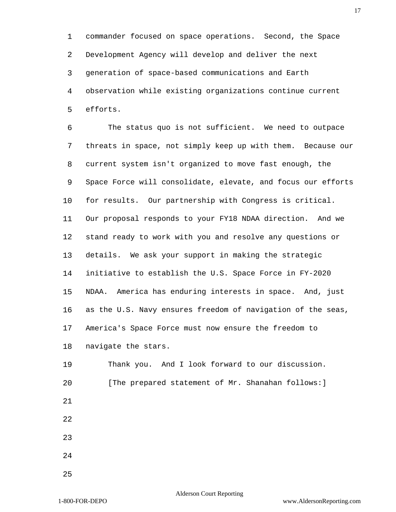commander focused on space operations. Second, the Space Development Agency will develop and deliver the next generation of space-based communications and Earth observation while existing organizations continue current efforts.

 The status quo is not sufficient. We need to outpace threats in space, not simply keep up with them. Because our current system isn't organized to move fast enough, the Space Force will consolidate, elevate, and focus our efforts for results. Our partnership with Congress is critical. Our proposal responds to your FY18 NDAA direction. And we stand ready to work with you and resolve any questions or details. We ask your support in making the strategic initiative to establish the U.S. Space Force in FY-2020 NDAA. America has enduring interests in space. And, just as the U.S. Navy ensures freedom of navigation of the seas, America's Space Force must now ensure the freedom to navigate the stars.

 Thank you. And I look forward to our discussion. [The prepared statement of Mr. Shanahan follows:]

- 
- 

- 
-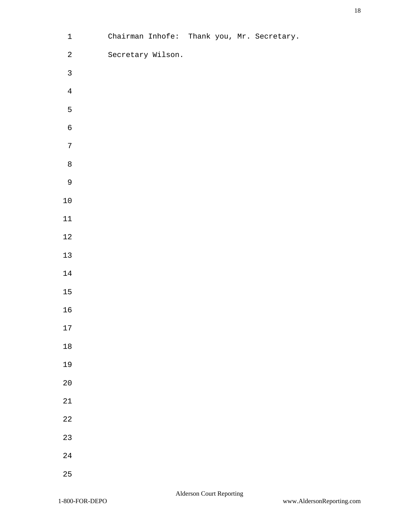| $\ensuremath{\mathbbm{1}}$ | Chairman Inhofe: Thank you, Mr. Secretary. |  |  |
|----------------------------|--------------------------------------------|--|--|
| $\overline{a}$             | Secretary Wilson.                          |  |  |
| $\mathsf{3}$               |                                            |  |  |
| $\overline{4}$             |                                            |  |  |
| $\mathsf S$                |                                            |  |  |
| $\epsilon$                 |                                            |  |  |
| $\boldsymbol{7}$           |                                            |  |  |
| $\,8\,$                    |                                            |  |  |
| $\mathsf 9$                |                                            |  |  |
| $1\,0$                     |                                            |  |  |
| $11\,$                     |                                            |  |  |
| $1\sqrt{2}$                |                                            |  |  |
| $13\,$                     |                                            |  |  |
| $14\,$                     |                                            |  |  |
| $15\,$                     |                                            |  |  |
| $16\,$                     |                                            |  |  |
| $17\,$                     |                                            |  |  |
| $1\,8$                     |                                            |  |  |
| 19                         |                                            |  |  |
| $2\,0$                     |                                            |  |  |
| $2\sqrt{1}$                |                                            |  |  |
| $2\sqrt{2}$                |                                            |  |  |
| $2\sqrt{3}$                |                                            |  |  |
| $2\sqrt{4}$                |                                            |  |  |
| 25                         |                                            |  |  |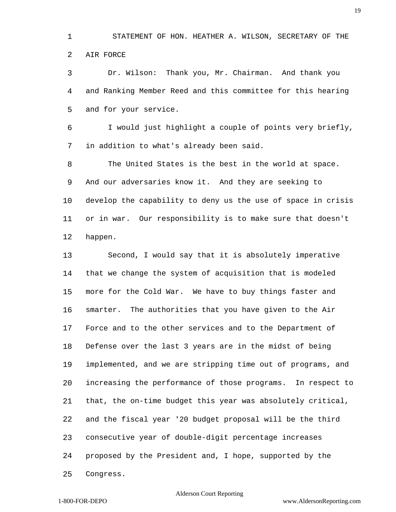STATEMENT OF HON. HEATHER A. WILSON, SECRETARY OF THE AIR FORCE

 Dr. Wilson: Thank you, Mr. Chairman. And thank you and Ranking Member Reed and this committee for this hearing and for your service.

 I would just highlight a couple of points very briefly, in addition to what's already been said.

 The United States is the best in the world at space. And our adversaries know it. And they are seeking to develop the capability to deny us the use of space in crisis or in war. Our responsibility is to make sure that doesn't happen.

 Second, I would say that it is absolutely imperative that we change the system of acquisition that is modeled more for the Cold War. We have to buy things faster and smarter. The authorities that you have given to the Air Force and to the other services and to the Department of Defense over the last 3 years are in the midst of being implemented, and we are stripping time out of programs, and increasing the performance of those programs. In respect to that, the on-time budget this year was absolutely critical, and the fiscal year '20 budget proposal will be the third consecutive year of double-digit percentage increases proposed by the President and, I hope, supported by the Congress.

### Alderson Court Reporting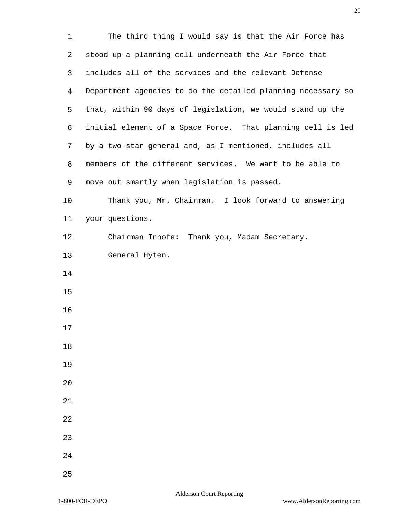| $\mathbf 1$ | The third thing I would say is that the Air Force has        |
|-------------|--------------------------------------------------------------|
| 2           | stood up a planning cell underneath the Air Force that       |
| 3           | includes all of the services and the relevant Defense        |
| 4           | Department agencies to do the detailed planning necessary so |
| 5           | that, within 90 days of legislation, we would stand up the   |
| 6           | initial element of a Space Force. That planning cell is led  |
| 7           | by a two-star general and, as I mentioned, includes all      |
| 8           | members of the different services. We want to be able to     |
| 9           | move out smartly when legislation is passed.                 |
| 10          | Thank you, Mr. Chairman. I look forward to answering         |
| 11          | your questions.                                              |
| 12          | Chairman Inhofe: Thank you, Madam Secretary.                 |
| 13          | General Hyten.                                               |
| 14          |                                                              |
| 15          |                                                              |
| 16          |                                                              |
| 17          |                                                              |
| 18          |                                                              |
| 19          |                                                              |
| 20          |                                                              |
| 21          |                                                              |
| 22          |                                                              |
| 23          |                                                              |
| 24          |                                                              |
| 25          |                                                              |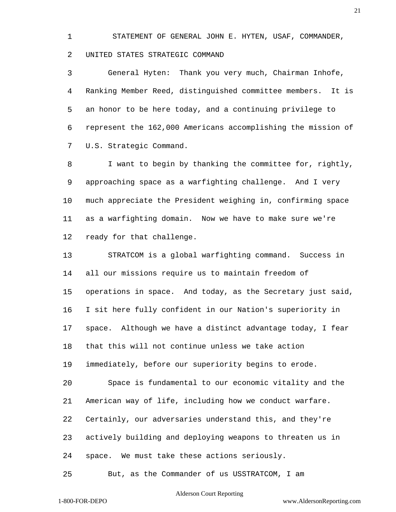STATEMENT OF GENERAL JOHN E. HYTEN, USAF, COMMANDER, UNITED STATES STRATEGIC COMMAND

 General Hyten: Thank you very much, Chairman Inhofe, Ranking Member Reed, distinguished committee members. It is an honor to be here today, and a continuing privilege to represent the 162,000 Americans accomplishing the mission of U.S. Strategic Command.

 I want to begin by thanking the committee for, rightly, approaching space as a warfighting challenge. And I very much appreciate the President weighing in, confirming space as a warfighting domain. Now we have to make sure we're ready for that challenge.

 STRATCOM is a global warfighting command. Success in all our missions require us to maintain freedom of operations in space. And today, as the Secretary just said, I sit here fully confident in our Nation's superiority in space. Although we have a distinct advantage today, I fear that this will not continue unless we take action immediately, before our superiority begins to erode. Space is fundamental to our economic vitality and the American way of life, including how we conduct warfare. Certainly, our adversaries understand this, and they're actively building and deploying weapons to threaten us in space. We must take these actions seriously. But, as the Commander of us USSTRATCOM, I am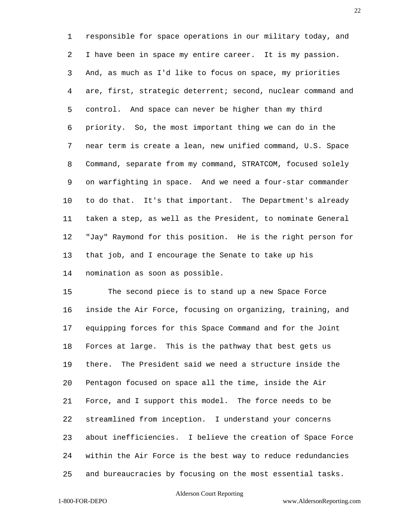responsible for space operations in our military today, and I have been in space my entire career. It is my passion. And, as much as I'd like to focus on space, my priorities are, first, strategic deterrent; second, nuclear command and control. And space can never be higher than my third priority. So, the most important thing we can do in the near term is create a lean, new unified command, U.S. Space Command, separate from my command, STRATCOM, focused solely on warfighting in space. And we need a four-star commander to do that. It's that important. The Department's already taken a step, as well as the President, to nominate General "Jay" Raymond for this position. He is the right person for that job, and I encourage the Senate to take up his nomination as soon as possible.

 The second piece is to stand up a new Space Force inside the Air Force, focusing on organizing, training, and equipping forces for this Space Command and for the Joint Forces at large. This is the pathway that best gets us there. The President said we need a structure inside the Pentagon focused on space all the time, inside the Air Force, and I support this model. The force needs to be streamlined from inception. I understand your concerns about inefficiencies. I believe the creation of Space Force within the Air Force is the best way to reduce redundancies and bureaucracies by focusing on the most essential tasks.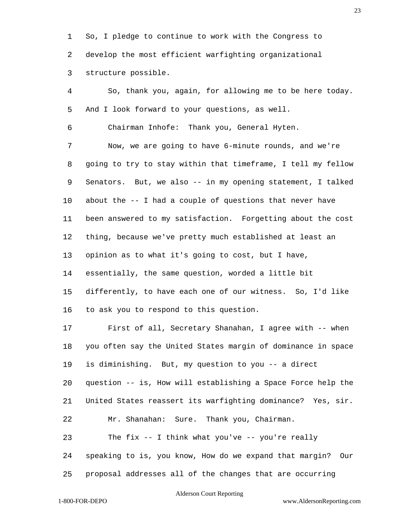So, I pledge to continue to work with the Congress to develop the most efficient warfighting organizational structure possible.

 So, thank you, again, for allowing me to be here today. And I look forward to your questions, as well. Chairman Inhofe: Thank you, General Hyten. Now, we are going to have 6-minute rounds, and we're going to try to stay within that timeframe, I tell my fellow Senators. But, we also -- in my opening statement, I talked about the -- I had a couple of questions that never have been answered to my satisfaction. Forgetting about the cost thing, because we've pretty much established at least an opinion as to what it's going to cost, but I have, essentially, the same question, worded a little bit differently, to have each one of our witness. So, I'd like to ask you to respond to this question. First of all, Secretary Shanahan, I agree with -- when you often say the United States margin of dominance in space is diminishing. But, my question to you -- a direct question -- is, How will establishing a Space Force help the United States reassert its warfighting dominance? Yes, sir. Mr. Shanahan: Sure. Thank you, Chairman. The fix -- I think what you've -- you're really speaking to is, you know, How do we expand that margin? Our proposal addresses all of the changes that are occurring

### Alderson Court Reporting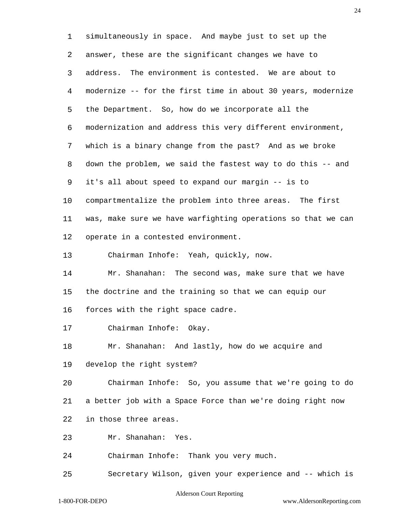simultaneously in space. And maybe just to set up the answer, these are the significant changes we have to address. The environment is contested. We are about to modernize -- for the first time in about 30 years, modernize the Department. So, how do we incorporate all the modernization and address this very different environment, which is a binary change from the past? And as we broke down the problem, we said the fastest way to do this -- and it's all about speed to expand our margin -- is to compartmentalize the problem into three areas. The first was, make sure we have warfighting operations so that we can operate in a contested environment. Chairman Inhofe: Yeah, quickly, now. Mr. Shanahan: The second was, make sure that we have the doctrine and the training so that we can equip our forces with the right space cadre. Chairman Inhofe: Okay. Mr. Shanahan: And lastly, how do we acquire and develop the right system? Chairman Inhofe: So, you assume that we're going to do a better job with a Space Force than we're doing right now in those three areas.

Mr. Shanahan: Yes.

Chairman Inhofe: Thank you very much.

Secretary Wilson, given your experience and -- which is

### Alderson Court Reporting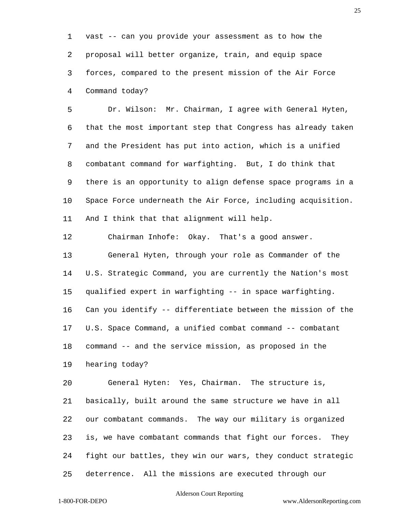vast -- can you provide your assessment as to how the proposal will better organize, train, and equip space forces, compared to the present mission of the Air Force Command today?

 Dr. Wilson: Mr. Chairman, I agree with General Hyten, that the most important step that Congress has already taken and the President has put into action, which is a unified combatant command for warfighting. But, I do think that there is an opportunity to align defense space programs in a Space Force underneath the Air Force, including acquisition. And I think that that alignment will help.

Chairman Inhofe: Okay. That's a good answer.

 General Hyten, through your role as Commander of the U.S. Strategic Command, you are currently the Nation's most qualified expert in warfighting -- in space warfighting. Can you identify -- differentiate between the mission of the U.S. Space Command, a unified combat command -- combatant command -- and the service mission, as proposed in the hearing today?

 General Hyten: Yes, Chairman. The structure is, basically, built around the same structure we have in all our combatant commands. The way our military is organized is, we have combatant commands that fight our forces. They fight our battles, they win our wars, they conduct strategic deterrence. All the missions are executed through our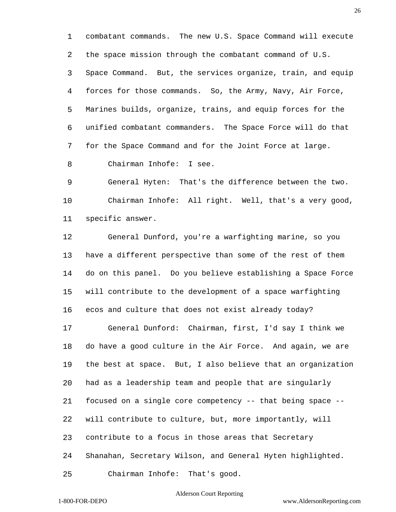combatant commands. The new U.S. Space Command will execute the space mission through the combatant command of U.S. Space Command. But, the services organize, train, and equip forces for those commands. So, the Army, Navy, Air Force, Marines builds, organize, trains, and equip forces for the unified combatant commanders. The Space Force will do that for the Space Command and for the Joint Force at large. Chairman Inhofe: I see.

 General Hyten: That's the difference between the two. Chairman Inhofe: All right. Well, that's a very good, specific answer.

 General Dunford, you're a warfighting marine, so you have a different perspective than some of the rest of them do on this panel. Do you believe establishing a Space Force will contribute to the development of a space warfighting ecos and culture that does not exist already today?

 General Dunford: Chairman, first, I'd say I think we do have a good culture in the Air Force. And again, we are the best at space. But, I also believe that an organization had as a leadership team and people that are singularly focused on a single core competency -- that being space -- will contribute to culture, but, more importantly, will contribute to a focus in those areas that Secretary Shanahan, Secretary Wilson, and General Hyten highlighted.

Chairman Inhofe: That's good.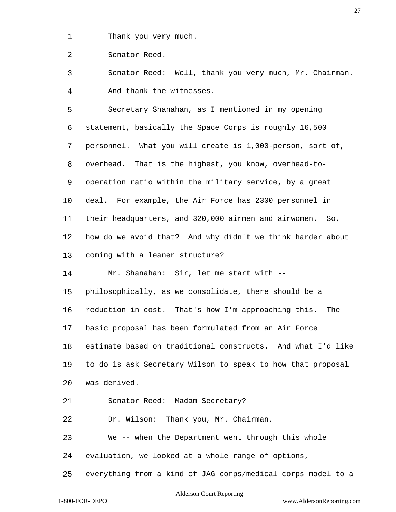Thank you very much.

Senator Reed.

 Senator Reed: Well, thank you very much, Mr. Chairman. And thank the witnesses.

 Secretary Shanahan, as I mentioned in my opening statement, basically the Space Corps is roughly 16,500 personnel. What you will create is 1,000-person, sort of, overhead. That is the highest, you know, overhead-to- operation ratio within the military service, by a great deal. For example, the Air Force has 2300 personnel in their headquarters, and 320,000 airmen and airwomen. So, how do we avoid that? And why didn't we think harder about coming with a leaner structure? Mr. Shanahan: Sir, let me start with -- philosophically, as we consolidate, there should be a

 reduction in cost. That's how I'm approaching this. The basic proposal has been formulated from an Air Force estimate based on traditional constructs. And what I'd like to do is ask Secretary Wilson to speak to how that proposal

was derived.

Senator Reed: Madam Secretary?

Dr. Wilson: Thank you, Mr. Chairman.

We -- when the Department went through this whole

evaluation, we looked at a whole range of options,

everything from a kind of JAG corps/medical corps model to a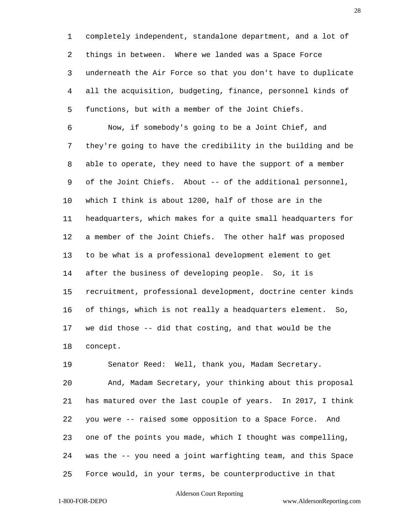completely independent, standalone department, and a lot of things in between. Where we landed was a Space Force underneath the Air Force so that you don't have to duplicate all the acquisition, budgeting, finance, personnel kinds of functions, but with a member of the Joint Chiefs.

 Now, if somebody's going to be a Joint Chief, and they're going to have the credibility in the building and be able to operate, they need to have the support of a member of the Joint Chiefs. About -- of the additional personnel, which I think is about 1200, half of those are in the headquarters, which makes for a quite small headquarters for a member of the Joint Chiefs. The other half was proposed to be what is a professional development element to get after the business of developing people. So, it is recruitment, professional development, doctrine center kinds of things, which is not really a headquarters element. So, we did those -- did that costing, and that would be the concept.

Senator Reed: Well, thank you, Madam Secretary.

 And, Madam Secretary, your thinking about this proposal has matured over the last couple of years. In 2017, I think you were -- raised some opposition to a Space Force. And one of the points you made, which I thought was compelling, was the -- you need a joint warfighting team, and this Space Force would, in your terms, be counterproductive in that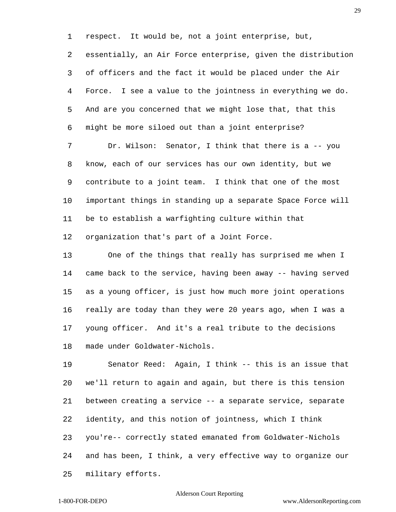respect. It would be, not a joint enterprise, but,

 essentially, an Air Force enterprise, given the distribution of officers and the fact it would be placed under the Air Force. I see a value to the jointness in everything we do. And are you concerned that we might lose that, that this might be more siloed out than a joint enterprise?

 Dr. Wilson: Senator, I think that there is a -- you know, each of our services has our own identity, but we contribute to a joint team. I think that one of the most important things in standing up a separate Space Force will be to establish a warfighting culture within that organization that's part of a Joint Force.

 One of the things that really has surprised me when I came back to the service, having been away -- having served as a young officer, is just how much more joint operations really are today than they were 20 years ago, when I was a young officer. And it's a real tribute to the decisions made under Goldwater-Nichols.

 Senator Reed: Again, I think -- this is an issue that we'll return to again and again, but there is this tension between creating a service -- a separate service, separate identity, and this notion of jointness, which I think you're-- correctly stated emanated from Goldwater-Nichols and has been, I think, a very effective way to organize our military efforts.

### Alderson Court Reporting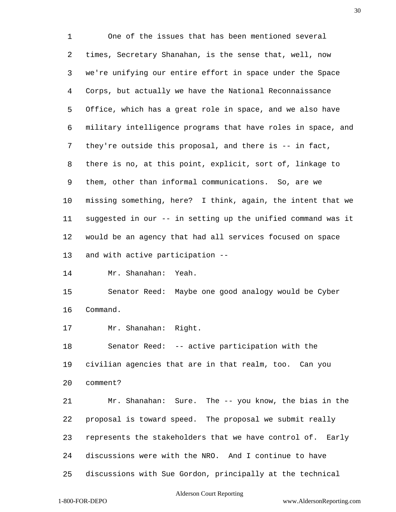One of the issues that has been mentioned several times, Secretary Shanahan, is the sense that, well, now we're unifying our entire effort in space under the Space Corps, but actually we have the National Reconnaissance Office, which has a great role in space, and we also have military intelligence programs that have roles in space, and they're outside this proposal, and there is -- in fact, there is no, at this point, explicit, sort of, linkage to them, other than informal communications. So, are we missing something, here? I think, again, the intent that we suggested in our -- in setting up the unified command was it would be an agency that had all services focused on space and with active participation -- Mr. Shanahan: Yeah. Senator Reed: Maybe one good analogy would be Cyber Command. Mr. Shanahan: Right. Senator Reed: -- active participation with the civilian agencies that are in that realm, too. Can you comment? Mr. Shanahan: Sure. The -- you know, the bias in the proposal is toward speed. The proposal we submit really represents the stakeholders that we have control of. Early discussions were with the NRO. And I continue to have

discussions with Sue Gordon, principally at the technical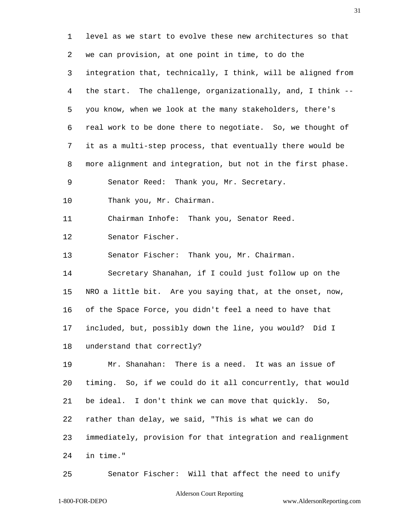level as we start to evolve these new architectures so that we can provision, at one point in time, to do the integration that, technically, I think, will be aligned from the start. The challenge, organizationally, and, I think -- you know, when we look at the many stakeholders, there's real work to be done there to negotiate. So, we thought of it as a multi-step process, that eventually there would be more alignment and integration, but not in the first phase. Senator Reed: Thank you, Mr. Secretary. Thank you, Mr. Chairman. Chairman Inhofe: Thank you, Senator Reed. Senator Fischer. Senator Fischer: Thank you, Mr. Chairman. Secretary Shanahan, if I could just follow up on the NRO a little bit. Are you saying that, at the onset, now, of the Space Force, you didn't feel a need to have that included, but, possibly down the line, you would? Did I understand that correctly? Mr. Shanahan: There is a need. It was an issue of timing. So, if we could do it all concurrently, that would be ideal. I don't think we can move that quickly. So, rather than delay, we said, "This is what we can do immediately, provision for that integration and realignment in time."

Senator Fischer: Will that affect the need to unify

### Alderson Court Reporting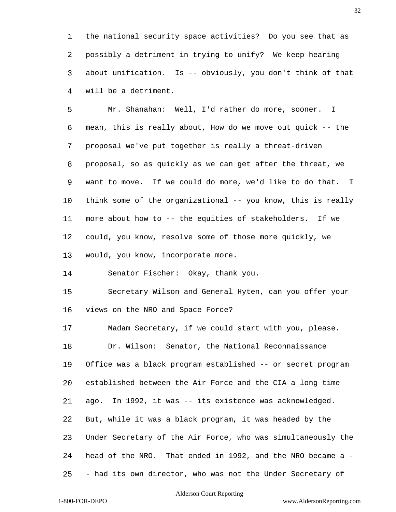the national security space activities? Do you see that as possibly a detriment in trying to unify? We keep hearing about unification. Is -- obviously, you don't think of that will be a detriment.

 Mr. Shanahan: Well, I'd rather do more, sooner. I mean, this is really about, How do we move out quick -- the proposal we've put together is really a threat-driven proposal, so as quickly as we can get after the threat, we want to move. If we could do more, we'd like to do that. I 10 think some of the organizational -- you know, this is really more about how to -- the equities of stakeholders. If we could, you know, resolve some of those more quickly, we would, you know, incorporate more.

Senator Fischer: Okay, thank you.

 Secretary Wilson and General Hyten, can you offer your views on the NRO and Space Force?

 Madam Secretary, if we could start with you, please. Dr. Wilson: Senator, the National Reconnaissance Office was a black program established -- or secret program established between the Air Force and the CIA a long time ago. In 1992, it was -- its existence was acknowledged. But, while it was a black program, it was headed by the Under Secretary of the Air Force, who was simultaneously the head of the NRO. That ended in 1992, and the NRO became a - - had its own director, who was not the Under Secretary of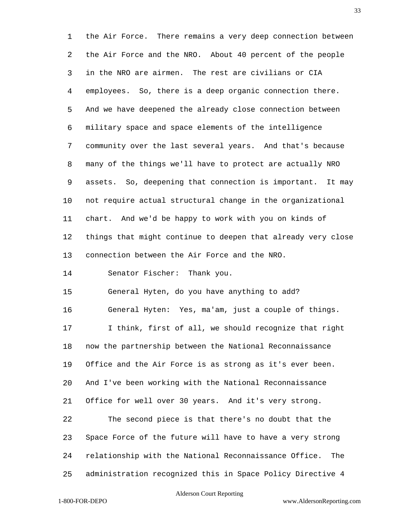the Air Force. There remains a very deep connection between the Air Force and the NRO. About 40 percent of the people in the NRO are airmen. The rest are civilians or CIA employees. So, there is a deep organic connection there. And we have deepened the already close connection between military space and space elements of the intelligence community over the last several years. And that's because many of the things we'll have to protect are actually NRO assets. So, deepening that connection is important. It may not require actual structural change in the organizational chart. And we'd be happy to work with you on kinds of things that might continue to deepen that already very close connection between the Air Force and the NRO. Senator Fischer: Thank you. General Hyten, do you have anything to add? General Hyten: Yes, ma'am, just a couple of things. I think, first of all, we should recognize that right now the partnership between the National Reconnaissance Office and the Air Force is as strong as it's ever been. And I've been working with the National Reconnaissance Office for well over 30 years. And it's very strong. The second piece is that there's no doubt that the Space Force of the future will have to have a very strong relationship with the National Reconnaissance Office. The

### Alderson Court Reporting

administration recognized this in Space Policy Directive 4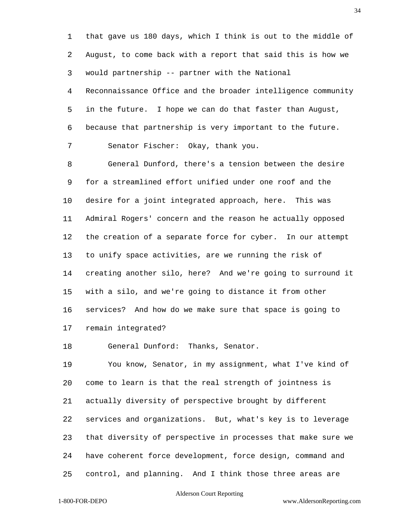that gave us 180 days, which I think is out to the middle of August, to come back with a report that said this is how we would partnership -- partner with the National Reconnaissance Office and the broader intelligence community in the future. I hope we can do that faster than August, because that partnership is very important to the future. Senator Fischer: Okay, thank you. General Dunford, there's a tension between the desire for a streamlined effort unified under one roof and the desire for a joint integrated approach, here. This was Admiral Rogers' concern and the reason he actually opposed the creation of a separate force for cyber. In our attempt to unify space activities, are we running the risk of creating another silo, here? And we're going to surround it with a silo, and we're going to distance it from other services? And how do we make sure that space is going to remain integrated?

General Dunford: Thanks, Senator.

 You know, Senator, in my assignment, what I've kind of come to learn is that the real strength of jointness is actually diversity of perspective brought by different services and organizations. But, what's key is to leverage that diversity of perspective in processes that make sure we have coherent force development, force design, command and control, and planning. And I think those three areas are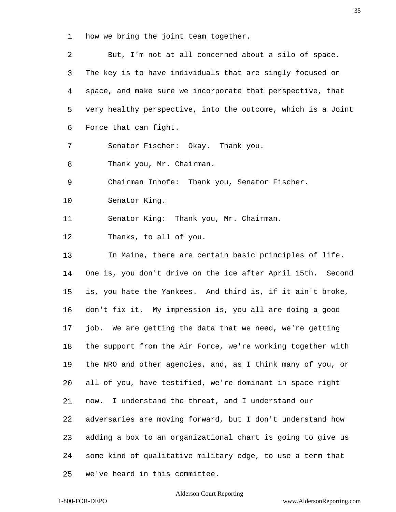how we bring the joint team together.

 But, I'm not at all concerned about a silo of space. The key is to have individuals that are singly focused on space, and make sure we incorporate that perspective, that very healthy perspective, into the outcome, which is a Joint Force that can fight. Senator Fischer: Okay. Thank you. Thank you, Mr. Chairman. Chairman Inhofe: Thank you, Senator Fischer. Senator King. Senator King: Thank you, Mr. Chairman. Thanks, to all of you. In Maine, there are certain basic principles of life. One is, you don't drive on the ice after April 15th. Second is, you hate the Yankees. And third is, if it ain't broke, don't fix it. My impression is, you all are doing a good job. We are getting the data that we need, we're getting the support from the Air Force, we're working together with the NRO and other agencies, and, as I think many of you, or all of you, have testified, we're dominant in space right now. I understand the threat, and I understand our adversaries are moving forward, but I don't understand how adding a box to an organizational chart is going to give us some kind of qualitative military edge, to use a term that we've heard in this committee.

### Alderson Court Reporting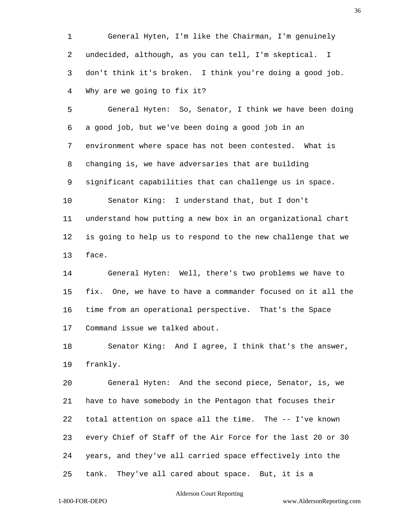General Hyten, I'm like the Chairman, I'm genuinely undecided, although, as you can tell, I'm skeptical. I don't think it's broken. I think you're doing a good job. Why are we going to fix it?

 General Hyten: So, Senator, I think we have been doing a good job, but we've been doing a good job in an environment where space has not been contested. What is changing is, we have adversaries that are building significant capabilities that can challenge us in space. Senator King: I understand that, but I don't understand how putting a new box in an organizational chart is going to help us to respond to the new challenge that we face.

 General Hyten: Well, there's two problems we have to fix. One, we have to have a commander focused on it all the time from an operational perspective. That's the Space Command issue we talked about.

 Senator King: And I agree, I think that's the answer, frankly.

 General Hyten: And the second piece, Senator, is, we have to have somebody in the Pentagon that focuses their total attention on space all the time. The -- I've known every Chief of Staff of the Air Force for the last 20 or 30 years, and they've all carried space effectively into the tank. They've all cared about space. But, it is a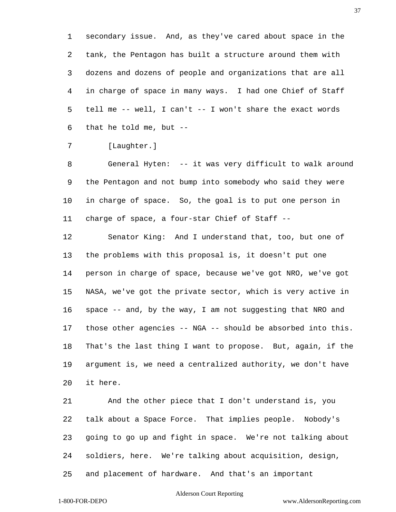secondary issue. And, as they've cared about space in the tank, the Pentagon has built a structure around them with dozens and dozens of people and organizations that are all in charge of space in many ways. I had one Chief of Staff tell me -- well, I can't -- I won't share the exact words that he told me, but --

7 [Laughter.]

 General Hyten: -- it was very difficult to walk around the Pentagon and not bump into somebody who said they were in charge of space. So, the goal is to put one person in charge of space, a four-star Chief of Staff --

 Senator King: And I understand that, too, but one of the problems with this proposal is, it doesn't put one person in charge of space, because we've got NRO, we've got NASA, we've got the private sector, which is very active in space -- and, by the way, I am not suggesting that NRO and those other agencies -- NGA -- should be absorbed into this. That's the last thing I want to propose. But, again, if the argument is, we need a centralized authority, we don't have it here.

 And the other piece that I don't understand is, you talk about a Space Force. That implies people. Nobody's going to go up and fight in space. We're not talking about soldiers, here. We're talking about acquisition, design,

and placement of hardware. And that's an important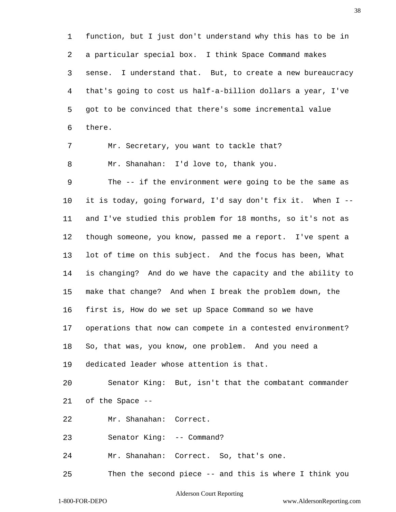function, but I just don't understand why this has to be in a particular special box. I think Space Command makes sense. I understand that. But, to create a new bureaucracy that's going to cost us half-a-billion dollars a year, I've got to be convinced that there's some incremental value there.

Mr. Secretary, you want to tackle that?

Mr. Shanahan: I'd love to, thank you.

 The -- if the environment were going to be the same as it is today, going forward, I'd say don't fix it. When I -- and I've studied this problem for 18 months, so it's not as though someone, you know, passed me a report. I've spent a lot of time on this subject. And the focus has been, What is changing? And do we have the capacity and the ability to make that change? And when I break the problem down, the first is, How do we set up Space Command so we have operations that now can compete in a contested environment? So, that was, you know, one problem. And you need a dedicated leader whose attention is that.

 Senator King: But, isn't that the combatant commander of the Space --

Mr. Shanahan: Correct.

Senator King: -- Command?

Mr. Shanahan: Correct. So, that's one.

Then the second piece -- and this is where I think you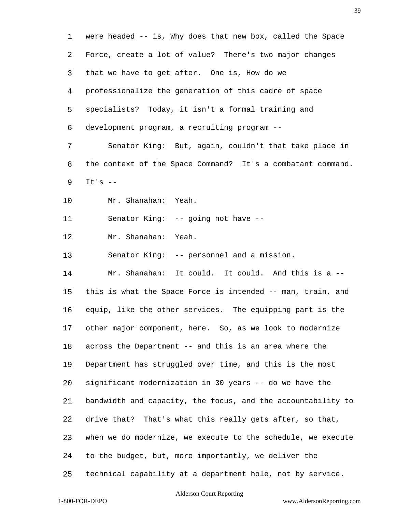were headed -- is, Why does that new box, called the Space Force, create a lot of value? There's two major changes that we have to get after. One is, How do we professionalize the generation of this cadre of space specialists? Today, it isn't a formal training and development program, a recruiting program -- Senator King: But, again, couldn't that take place in the context of the Space Command? It's a combatant command. It's -- Mr. Shanahan: Yeah. Senator King: -- going not have -- Mr. Shanahan: Yeah. Senator King: -- personnel and a mission. Mr. Shanahan: It could. It could. And this is a -- this is what the Space Force is intended -- man, train, and equip, like the other services. The equipping part is the other major component, here. So, as we look to modernize across the Department -- and this is an area where the Department has struggled over time, and this is the most significant modernization in 30 years -- do we have the bandwidth and capacity, the focus, and the accountability to drive that? That's what this really gets after, so that, when we do modernize, we execute to the schedule, we execute to the budget, but, more importantly, we deliver the technical capability at a department hole, not by service.

## Alderson Court Reporting

1-800-FOR-DEPO www.AldersonReporting.com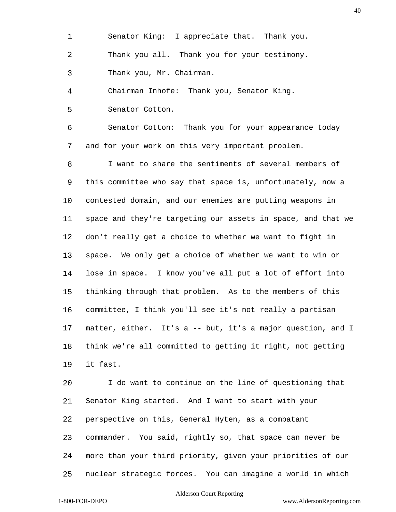Senator King: I appreciate that. Thank you. Thank you all. Thank you for your testimony. Thank you, Mr. Chairman.

 Chairman Inhofe: Thank you, Senator King. Senator Cotton.

 Senator Cotton: Thank you for your appearance today and for your work on this very important problem.

 I want to share the sentiments of several members of this committee who say that space is, unfortunately, now a contested domain, and our enemies are putting weapons in space and they're targeting our assets in space, and that we don't really get a choice to whether we want to fight in space. We only get a choice of whether we want to win or lose in space. I know you've all put a lot of effort into thinking through that problem. As to the members of this committee, I think you'll see it's not really a partisan matter, either. It's a -- but, it's a major question, and I think we're all committed to getting it right, not getting it fast.

 I do want to continue on the line of questioning that Senator King started. And I want to start with your perspective on this, General Hyten, as a combatant commander. You said, rightly so, that space can never be more than your third priority, given your priorities of our nuclear strategic forces. You can imagine a world in which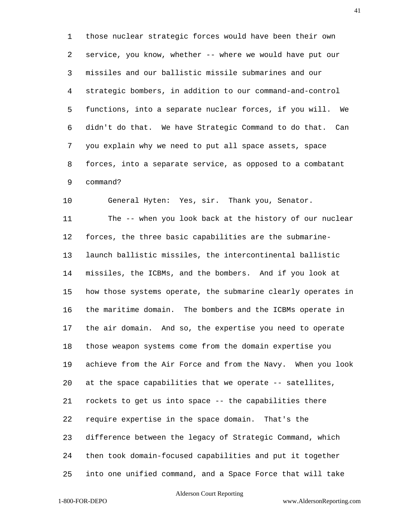those nuclear strategic forces would have been their own service, you know, whether -- where we would have put our missiles and our ballistic missile submarines and our strategic bombers, in addition to our command-and-control functions, into a separate nuclear forces, if you will. We didn't do that. We have Strategic Command to do that. Can you explain why we need to put all space assets, space forces, into a separate service, as opposed to a combatant command?

General Hyten: Yes, sir. Thank you, Senator.

 The -- when you look back at the history of our nuclear forces, the three basic capabilities are the submarine- launch ballistic missiles, the intercontinental ballistic missiles, the ICBMs, and the bombers. And if you look at how those systems operate, the submarine clearly operates in the maritime domain. The bombers and the ICBMs operate in the air domain. And so, the expertise you need to operate those weapon systems come from the domain expertise you achieve from the Air Force and from the Navy. When you look at the space capabilities that we operate -- satellites, rockets to get us into space -- the capabilities there require expertise in the space domain. That's the difference between the legacy of Strategic Command, which then took domain-focused capabilities and put it together into one unified command, and a Space Force that will take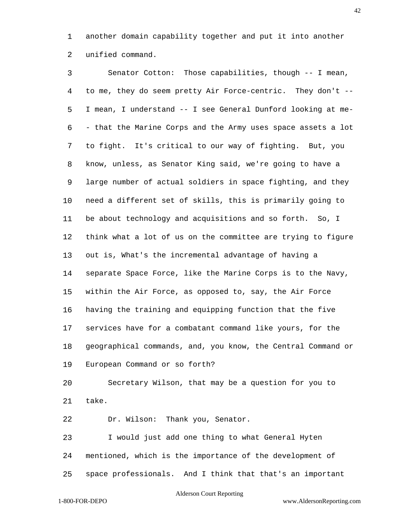another domain capability together and put it into another unified command.

 Senator Cotton: Those capabilities, though -- I mean, to me, they do seem pretty Air Force-centric. They don't -- I mean, I understand -- I see General Dunford looking at me- - that the Marine Corps and the Army uses space assets a lot to fight. It's critical to our way of fighting. But, you know, unless, as Senator King said, we're going to have a large number of actual soldiers in space fighting, and they need a different set of skills, this is primarily going to be about technology and acquisitions and so forth. So, I think what a lot of us on the committee are trying to figure out is, What's the incremental advantage of having a separate Space Force, like the Marine Corps is to the Navy, within the Air Force, as opposed to, say, the Air Force having the training and equipping function that the five services have for a combatant command like yours, for the geographical commands, and, you know, the Central Command or European Command or so forth? Secretary Wilson, that may be a question for you to

take.

Dr. Wilson: Thank you, Senator.

 I would just add one thing to what General Hyten mentioned, which is the importance of the development of space professionals. And I think that that's an important

#### Alderson Court Reporting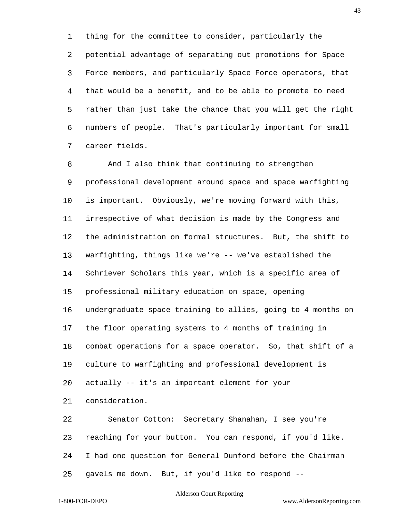thing for the committee to consider, particularly the potential advantage of separating out promotions for Space Force members, and particularly Space Force operators, that that would be a benefit, and to be able to promote to need rather than just take the chance that you will get the right numbers of people. That's particularly important for small career fields.

 And I also think that continuing to strengthen professional development around space and space warfighting is important. Obviously, we're moving forward with this, irrespective of what decision is made by the Congress and the administration on formal structures. But, the shift to warfighting, things like we're -- we've established the Schriever Scholars this year, which is a specific area of professional military education on space, opening undergraduate space training to allies, going to 4 months on the floor operating systems to 4 months of training in combat operations for a space operator. So, that shift of a culture to warfighting and professional development is actually -- it's an important element for your consideration.

 Senator Cotton: Secretary Shanahan, I see you're reaching for your button. You can respond, if you'd like. I had one question for General Dunford before the Chairman gavels me down. But, if you'd like to respond --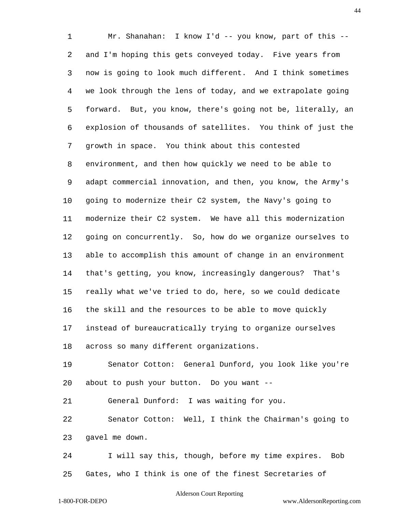Mr. Shanahan: I know I'd -- you know, part of this -- and I'm hoping this gets conveyed today. Five years from now is going to look much different. And I think sometimes we look through the lens of today, and we extrapolate going forward. But, you know, there's going not be, literally, an explosion of thousands of satellites. You think of just the growth in space. You think about this contested environment, and then how quickly we need to be able to adapt commercial innovation, and then, you know, the Army's going to modernize their C2 system, the Navy's going to modernize their C2 system. We have all this modernization going on concurrently. So, how do we organize ourselves to able to accomplish this amount of change in an environment that's getting, you know, increasingly dangerous? That's really what we've tried to do, here, so we could dedicate the skill and the resources to be able to move quickly instead of bureaucratically trying to organize ourselves across so many different organizations.

 Senator Cotton: General Dunford, you look like you're about to push your button. Do you want --

General Dunford: I was waiting for you.

 Senator Cotton: Well, I think the Chairman's going to gavel me down.

 I will say this, though, before my time expires. Bob Gates, who I think is one of the finest Secretaries of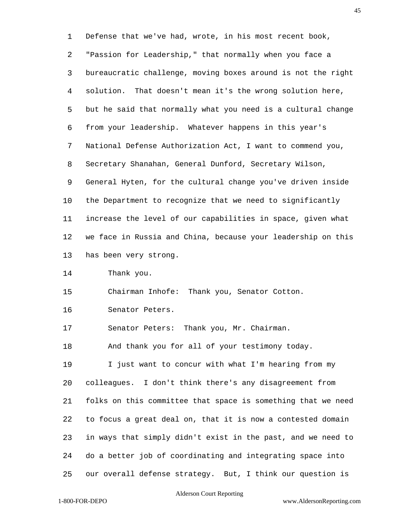Defense that we've had, wrote, in his most recent book, "Passion for Leadership," that normally when you face a bureaucratic challenge, moving boxes around is not the right solution. That doesn't mean it's the wrong solution here, but he said that normally what you need is a cultural change from your leadership. Whatever happens in this year's National Defense Authorization Act, I want to commend you, Secretary Shanahan, General Dunford, Secretary Wilson, General Hyten, for the cultural change you've driven inside the Department to recognize that we need to significantly increase the level of our capabilities in space, given what we face in Russia and China, because your leadership on this has been very strong.

Thank you.

Chairman Inhofe: Thank you, Senator Cotton.

Senator Peters.

Senator Peters: Thank you, Mr. Chairman.

And thank you for all of your testimony today.

 I just want to concur with what I'm hearing from my colleagues. I don't think there's any disagreement from folks on this committee that space is something that we need to focus a great deal on, that it is now a contested domain in ways that simply didn't exist in the past, and we need to do a better job of coordinating and integrating space into our overall defense strategy. But, I think our question is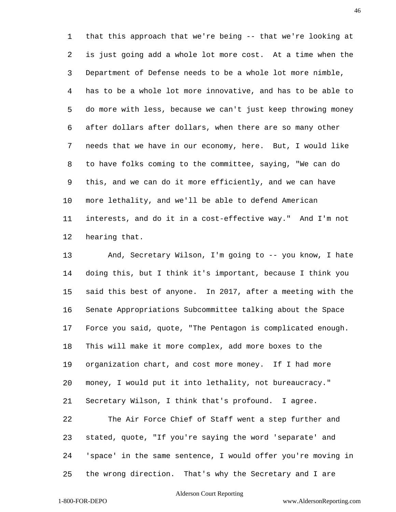that this approach that we're being -- that we're looking at is just going add a whole lot more cost. At a time when the Department of Defense needs to be a whole lot more nimble, has to be a whole lot more innovative, and has to be able to do more with less, because we can't just keep throwing money after dollars after dollars, when there are so many other needs that we have in our economy, here. But, I would like to have folks coming to the committee, saying, "We can do this, and we can do it more efficiently, and we can have more lethality, and we'll be able to defend American interests, and do it in a cost-effective way." And I'm not hearing that.

 And, Secretary Wilson, I'm going to -- you know, I hate doing this, but I think it's important, because I think you said this best of anyone. In 2017, after a meeting with the Senate Appropriations Subcommittee talking about the Space Force you said, quote, "The Pentagon is complicated enough. This will make it more complex, add more boxes to the organization chart, and cost more money. If I had more money, I would put it into lethality, not bureaucracy." Secretary Wilson, I think that's profound. I agree. The Air Force Chief of Staff went a step further and stated, quote, "If you're saying the word 'separate' and 'space' in the same sentence, I would offer you're moving in the wrong direction. That's why the Secretary and I are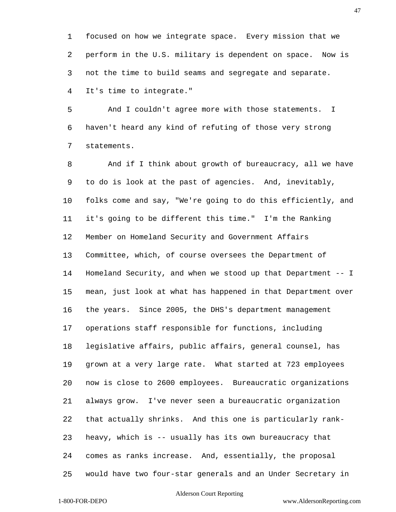focused on how we integrate space. Every mission that we perform in the U.S. military is dependent on space. Now is not the time to build seams and segregate and separate.

 And I couldn't agree more with those statements. I haven't heard any kind of refuting of those very strong statements.

It's time to integrate."

 And if I think about growth of bureaucracy, all we have to do is look at the past of agencies. And, inevitably, folks come and say, "We're going to do this efficiently, and it's going to be different this time." I'm the Ranking Member on Homeland Security and Government Affairs Committee, which, of course oversees the Department of Homeland Security, and when we stood up that Department -- I mean, just look at what has happened in that Department over the years. Since 2005, the DHS's department management operations staff responsible for functions, including legislative affairs, public affairs, general counsel, has grown at a very large rate. What started at 723 employees now is close to 2600 employees. Bureaucratic organizations always grow. I've never seen a bureaucratic organization that actually shrinks. And this one is particularly rank- heavy, which is -- usually has its own bureaucracy that comes as ranks increase. And, essentially, the proposal would have two four-star generals and an Under Secretary in

# Alderson Court Reporting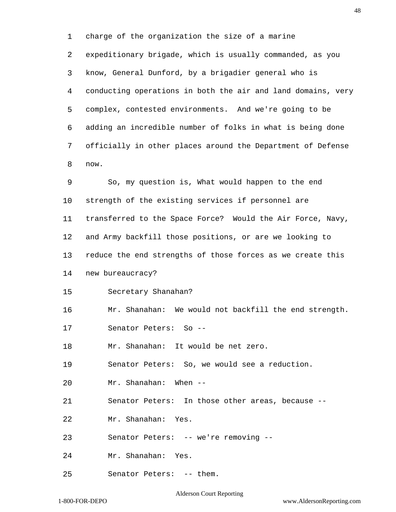charge of the organization the size of a marine expeditionary brigade, which is usually commanded, as you know, General Dunford, by a brigadier general who is conducting operations in both the air and land domains, very complex, contested environments. And we're going to be adding an incredible number of folks in what is being done officially in other places around the Department of Defense now.

 So, my question is, What would happen to the end strength of the existing services if personnel are transferred to the Space Force? Would the Air Force, Navy, and Army backfill those positions, or are we looking to reduce the end strengths of those forces as we create this new bureaucracy? Secretary Shanahan? Mr. Shanahan: We would not backfill the end strength. Senator Peters: So -- Mr. Shanahan: It would be net zero. Senator Peters: So, we would see a reduction. Mr. Shanahan: When -- Senator Peters: In those other areas, because -- Mr. Shanahan: Yes. Senator Peters: -- we're removing -- Mr. Shanahan: Yes.

Senator Peters: -- them.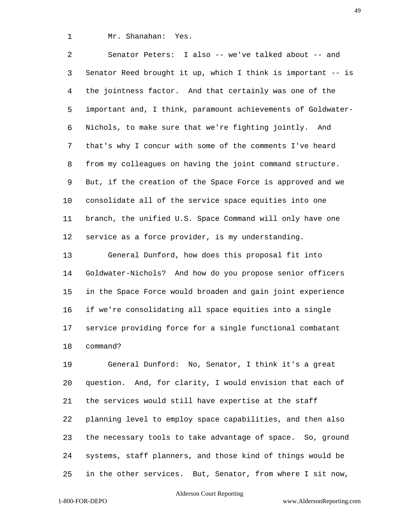Mr. Shanahan: Yes.

 Senator Peters: I also -- we've talked about -- and Senator Reed brought it up, which I think is important -- is the jointness factor. And that certainly was one of the important and, I think, paramount achievements of Goldwater- Nichols, to make sure that we're fighting jointly. And that's why I concur with some of the comments I've heard from my colleagues on having the joint command structure. But, if the creation of the Space Force is approved and we consolidate all of the service space equities into one branch, the unified U.S. Space Command will only have one service as a force provider, is my understanding.

 General Dunford, how does this proposal fit into Goldwater-Nichols? And how do you propose senior officers in the Space Force would broaden and gain joint experience if we're consolidating all space equities into a single service providing force for a single functional combatant command?

 General Dunford: No, Senator, I think it's a great question. And, for clarity, I would envision that each of the services would still have expertise at the staff planning level to employ space capabilities, and then also the necessary tools to take advantage of space. So, ground systems, staff planners, and those kind of things would be in the other services. But, Senator, from where I sit now,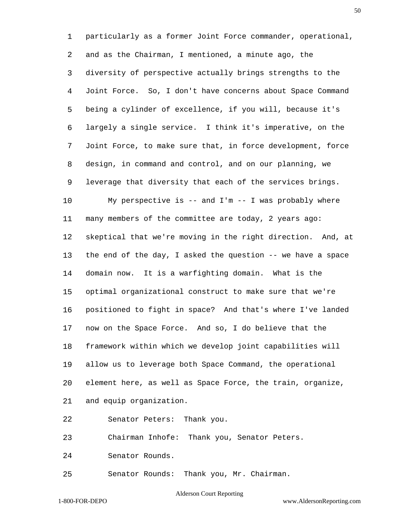particularly as a former Joint Force commander, operational, and as the Chairman, I mentioned, a minute ago, the diversity of perspective actually brings strengths to the Joint Force. So, I don't have concerns about Space Command being a cylinder of excellence, if you will, because it's largely a single service. I think it's imperative, on the Joint Force, to make sure that, in force development, force design, in command and control, and on our planning, we leverage that diversity that each of the services brings. My perspective is -- and I'm -- I was probably where many members of the committee are today, 2 years ago: skeptical that we're moving in the right direction. And, at the end of the day, I asked the question -- we have a space domain now. It is a warfighting domain. What is the optimal organizational construct to make sure that we're positioned to fight in space? And that's where I've landed now on the Space Force. And so, I do believe that the framework within which we develop joint capabilities will allow us to leverage both Space Command, the operational element here, as well as Space Force, the train, organize, and equip organization. Senator Peters: Thank you. Chairman Inhofe: Thank you, Senator Peters. Senator Rounds. Senator Rounds: Thank you, Mr. Chairman.

Alderson Court Reporting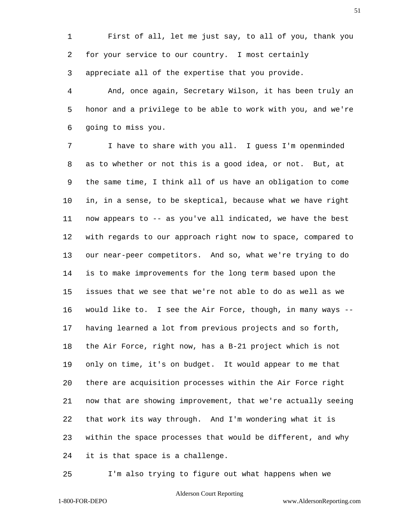First of all, let me just say, to all of you, thank you for your service to our country. I most certainly appreciate all of the expertise that you provide.

 And, once again, Secretary Wilson, it has been truly an honor and a privilege to be able to work with you, and we're going to miss you.

 I have to share with you all. I guess I'm openminded as to whether or not this is a good idea, or not. But, at the same time, I think all of us have an obligation to come in, in a sense, to be skeptical, because what we have right now appears to -- as you've all indicated, we have the best with regards to our approach right now to space, compared to our near-peer competitors. And so, what we're trying to do is to make improvements for the long term based upon the issues that we see that we're not able to do as well as we would like to. I see the Air Force, though, in many ways -- having learned a lot from previous projects and so forth, the Air Force, right now, has a B-21 project which is not only on time, it's on budget. It would appear to me that there are acquisition processes within the Air Force right now that are showing improvement, that we're actually seeing that work its way through. And I'm wondering what it is within the space processes that would be different, and why it is that space is a challenge.

I'm also trying to figure out what happens when we

# Alderson Court Reporting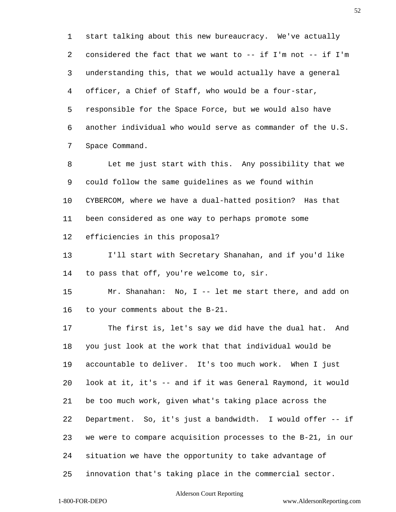start talking about this new bureaucracy. We've actually considered the fact that we want to -- if I'm not -- if I'm understanding this, that we would actually have a general officer, a Chief of Staff, who would be a four-star, responsible for the Space Force, but we would also have another individual who would serve as commander of the U.S. Space Command.

 Let me just start with this. Any possibility that we could follow the same guidelines as we found within CYBERCOM, where we have a dual-hatted position? Has that been considered as one way to perhaps promote some efficiencies in this proposal?

 I'll start with Secretary Shanahan, and if you'd like to pass that off, you're welcome to, sir.

 Mr. Shanahan: No, I -- let me start there, and add on to your comments about the B-21.

 The first is, let's say we did have the dual hat. And you just look at the work that that individual would be accountable to deliver. It's too much work. When I just look at it, it's -- and if it was General Raymond, it would be too much work, given what's taking place across the Department. So, it's just a bandwidth. I would offer -- if we were to compare acquisition processes to the B-21, in our situation we have the opportunity to take advantage of innovation that's taking place in the commercial sector.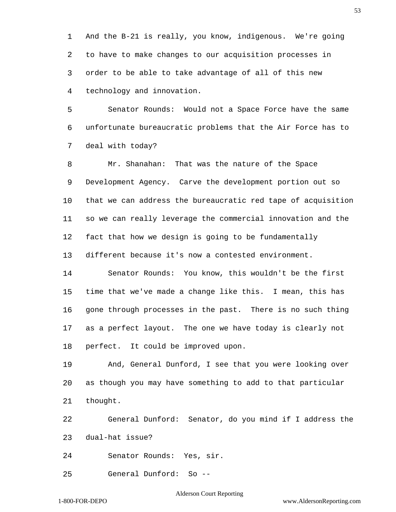And the B-21 is really, you know, indigenous. We're going to have to make changes to our acquisition processes in order to be able to take advantage of all of this new technology and innovation.

 Senator Rounds: Would not a Space Force have the same unfortunate bureaucratic problems that the Air Force has to deal with today?

 Mr. Shanahan: That was the nature of the Space Development Agency. Carve the development portion out so that we can address the bureaucratic red tape of acquisition so we can really leverage the commercial innovation and the fact that how we design is going to be fundamentally different because it's now a contested environment.

 Senator Rounds: You know, this wouldn't be the first time that we've made a change like this. I mean, this has gone through processes in the past. There is no such thing as a perfect layout. The one we have today is clearly not perfect. It could be improved upon.

 And, General Dunford, I see that you were looking over as though you may have something to add to that particular thought.

 General Dunford: Senator, do you mind if I address the dual-hat issue?

Senator Rounds: Yes, sir.

General Dunford: So --

## Alderson Court Reporting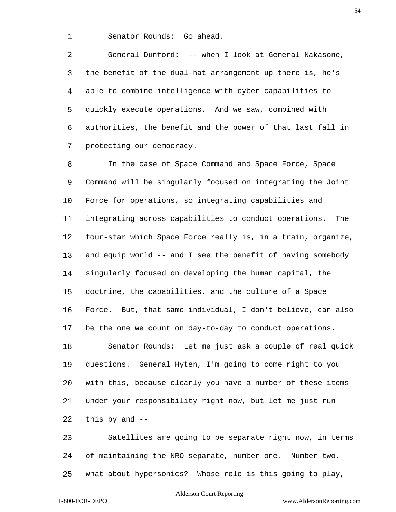Senator Rounds: Go ahead.

 General Dunford: -- when I look at General Nakasone, the benefit of the dual-hat arrangement up there is, he's able to combine intelligence with cyber capabilities to quickly execute operations. And we saw, combined with authorities, the benefit and the power of that last fall in protecting our democracy.

 In the case of Space Command and Space Force, Space Command will be singularly focused on integrating the Joint Force for operations, so integrating capabilities and integrating across capabilities to conduct operations. The four-star which Space Force really is, in a train, organize, and equip world -- and I see the benefit of having somebody singularly focused on developing the human capital, the doctrine, the capabilities, and the culture of a Space Force. But, that same individual, I don't believe, can also be the one we count on day-to-day to conduct operations. Senator Rounds: Let me just ask a couple of real quick questions. General Hyten, I'm going to come right to you with this, because clearly you have a number of these items under your responsibility right now, but let me just run this by and --

 Satellites are going to be separate right now, in terms of maintaining the NRO separate, number one. Number two, what about hypersonics? Whose role is this going to play,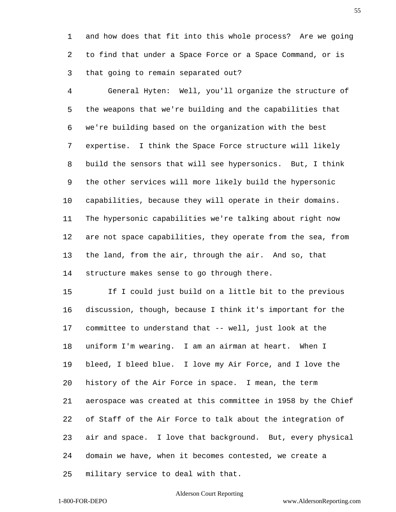and how does that fit into this whole process? Are we going to find that under a Space Force or a Space Command, or is that going to remain separated out?

 General Hyten: Well, you'll organize the structure of the weapons that we're building and the capabilities that we're building based on the organization with the best expertise. I think the Space Force structure will likely build the sensors that will see hypersonics. But, I think the other services will more likely build the hypersonic capabilities, because they will operate in their domains. The hypersonic capabilities we're talking about right now are not space capabilities, they operate from the sea, from the land, from the air, through the air. And so, that structure makes sense to go through there.

 If I could just build on a little bit to the previous discussion, though, because I think it's important for the committee to understand that -- well, just look at the uniform I'm wearing. I am an airman at heart. When I bleed, I bleed blue. I love my Air Force, and I love the history of the Air Force in space. I mean, the term aerospace was created at this committee in 1958 by the Chief of Staff of the Air Force to talk about the integration of air and space. I love that background. But, every physical domain we have, when it becomes contested, we create a military service to deal with that.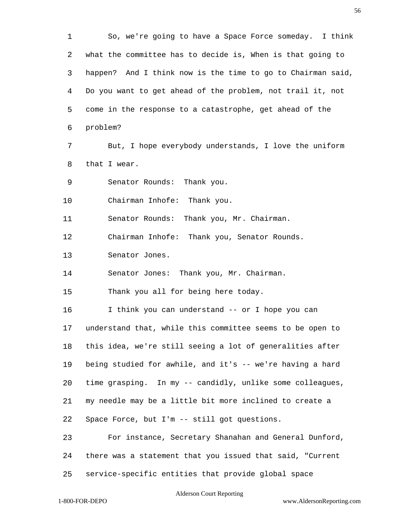So, we're going to have a Space Force someday. I think what the committee has to decide is, When is that going to happen? And I think now is the time to go to Chairman said, Do you want to get ahead of the problem, not trail it, not come in the response to a catastrophe, get ahead of the problem? But, I hope everybody understands, I love the uniform that I wear. Senator Rounds: Thank you. Chairman Inhofe: Thank you. Senator Rounds: Thank you, Mr. Chairman. Chairman Inhofe: Thank you, Senator Rounds. Senator Jones. Senator Jones: Thank you, Mr. Chairman. Thank you all for being here today. I think you can understand -- or I hope you can understand that, while this committee seems to be open to this idea, we're still seeing a lot of generalities after being studied for awhile, and it's -- we're having a hard time grasping. In my -- candidly, unlike some colleagues, my needle may be a little bit more inclined to create a Space Force, but I'm -- still got questions. For instance, Secretary Shanahan and General Dunford, there was a statement that you issued that said, "Current service-specific entities that provide global space

Alderson Court Reporting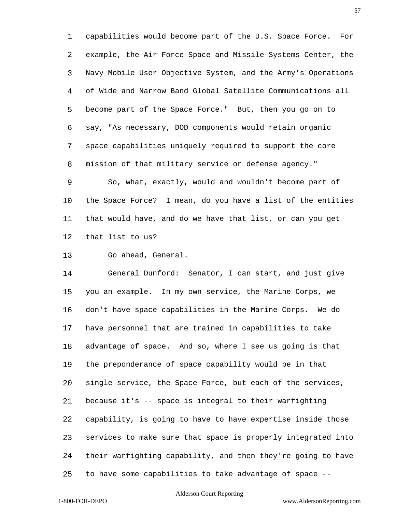capabilities would become part of the U.S. Space Force. For example, the Air Force Space and Missile Systems Center, the Navy Mobile User Objective System, and the Army's Operations of Wide and Narrow Band Global Satellite Communications all become part of the Space Force." But, then you go on to say, "As necessary, DOD components would retain organic space capabilities uniquely required to support the core mission of that military service or defense agency."

 So, what, exactly, would and wouldn't become part of the Space Force? I mean, do you have a list of the entities that would have, and do we have that list, or can you get that list to us?

Go ahead, General.

 General Dunford: Senator, I can start, and just give you an example. In my own service, the Marine Corps, we don't have space capabilities in the Marine Corps. We do have personnel that are trained in capabilities to take advantage of space. And so, where I see us going is that the preponderance of space capability would be in that single service, the Space Force, but each of the services, because it's -- space is integral to their warfighting capability, is going to have to have expertise inside those services to make sure that space is properly integrated into their warfighting capability, and then they're going to have to have some capabilities to take advantage of space --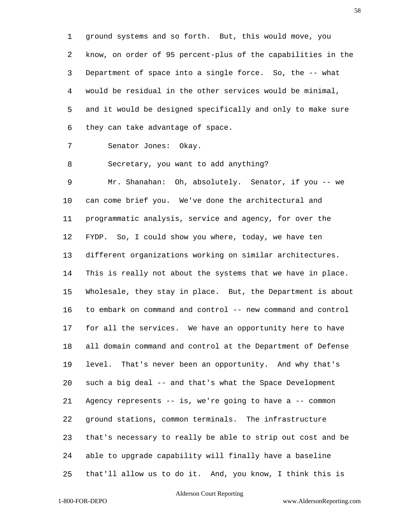ground systems and so forth. But, this would move, you know, on order of 95 percent-plus of the capabilities in the Department of space into a single force. So, the -- what would be residual in the other services would be minimal, and it would be designed specifically and only to make sure they can take advantage of space.

Senator Jones: Okay.

Secretary, you want to add anything?

 Mr. Shanahan: Oh, absolutely. Senator, if you -- we can come brief you. We've done the architectural and programmatic analysis, service and agency, for over the FYDP. So, I could show you where, today, we have ten different organizations working on similar architectures. This is really not about the systems that we have in place. Wholesale, they stay in place. But, the Department is about to embark on command and control -- new command and control for all the services. We have an opportunity here to have all domain command and control at the Department of Defense level. That's never been an opportunity. And why that's such a big deal -- and that's what the Space Development Agency represents -- is, we're going to have a -- common ground stations, common terminals. The infrastructure that's necessary to really be able to strip out cost and be able to upgrade capability will finally have a baseline that'll allow us to do it. And, you know, I think this is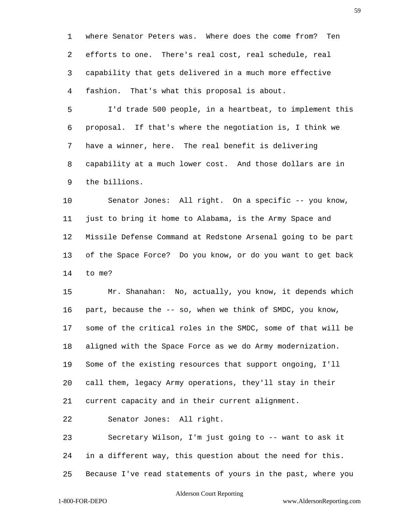where Senator Peters was. Where does the come from? Ten efforts to one. There's real cost, real schedule, real capability that gets delivered in a much more effective fashion. That's what this proposal is about.

 I'd trade 500 people, in a heartbeat, to implement this proposal. If that's where the negotiation is, I think we have a winner, here. The real benefit is delivering capability at a much lower cost. And those dollars are in the billions.

 Senator Jones: All right. On a specific -- you know, just to bring it home to Alabama, is the Army Space and Missile Defense Command at Redstone Arsenal going to be part of the Space Force? Do you know, or do you want to get back to me?

 Mr. Shanahan: No, actually, you know, it depends which part, because the -- so, when we think of SMDC, you know, some of the critical roles in the SMDC, some of that will be aligned with the Space Force as we do Army modernization. Some of the existing resources that support ongoing, I'll call them, legacy Army operations, they'll stay in their current capacity and in their current alignment.

Senator Jones: All right.

 Secretary Wilson, I'm just going to -- want to ask it in a different way, this question about the need for this. Because I've read statements of yours in the past, where you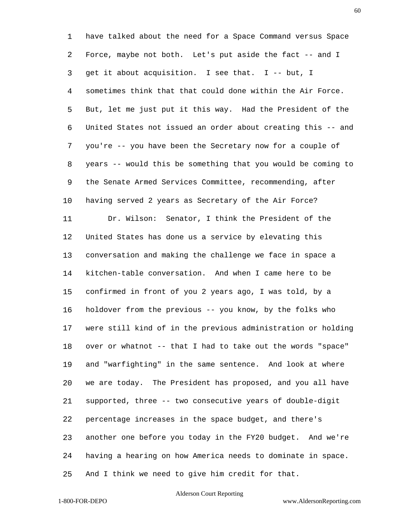have talked about the need for a Space Command versus Space Force, maybe not both. Let's put aside the fact -- and I get it about acquisition. I see that. I -- but, I sometimes think that that could done within the Air Force. But, let me just put it this way. Had the President of the United States not issued an order about creating this -- and you're -- you have been the Secretary now for a couple of years -- would this be something that you would be coming to the Senate Armed Services Committee, recommending, after having served 2 years as Secretary of the Air Force? Dr. Wilson: Senator, I think the President of the United States has done us a service by elevating this conversation and making the challenge we face in space a kitchen-table conversation. And when I came here to be confirmed in front of you 2 years ago, I was told, by a holdover from the previous -- you know, by the folks who were still kind of in the previous administration or holding over or whatnot -- that I had to take out the words "space" and "warfighting" in the same sentence. And look at where we are today. The President has proposed, and you all have supported, three -- two consecutive years of double-digit percentage increases in the space budget, and there's another one before you today in the FY20 budget. And we're having a hearing on how America needs to dominate in space. And I think we need to give him credit for that.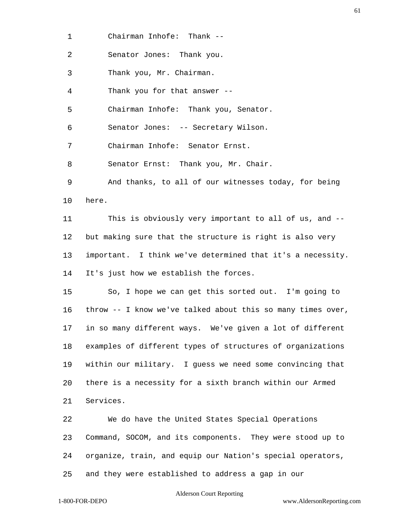Chairman Inhofe: Thank --

Senator Jones: Thank you.

Thank you, Mr. Chairman.

Thank you for that answer --

Chairman Inhofe: Thank you, Senator.

Senator Jones: -- Secretary Wilson.

Chairman Inhofe: Senator Ernst.

Senator Ernst: Thank you, Mr. Chair.

 And thanks, to all of our witnesses today, for being here.

 This is obviously very important to all of us, and -- but making sure that the structure is right is also very important. I think we've determined that it's a necessity. It's just how we establish the forces.

 So, I hope we can get this sorted out. I'm going to throw -- I know we've talked about this so many times over, in so many different ways. We've given a lot of different examples of different types of structures of organizations within our military. I guess we need some convincing that there is a necessity for a sixth branch within our Armed Services.

 We do have the United States Special Operations Command, SOCOM, and its components. They were stood up to organize, train, and equip our Nation's special operators, and they were established to address a gap in our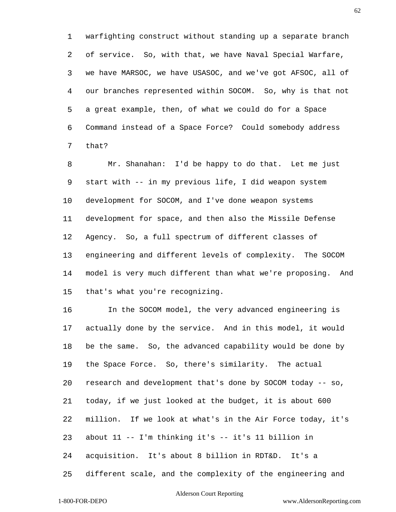warfighting construct without standing up a separate branch of service. So, with that, we have Naval Special Warfare, we have MARSOC, we have USASOC, and we've got AFSOC, all of our branches represented within SOCOM. So, why is that not a great example, then, of what we could do for a Space Command instead of a Space Force? Could somebody address that?

 Mr. Shanahan: I'd be happy to do that. Let me just start with -- in my previous life, I did weapon system development for SOCOM, and I've done weapon systems development for space, and then also the Missile Defense Agency. So, a full spectrum of different classes of engineering and different levels of complexity. The SOCOM model is very much different than what we're proposing. And that's what you're recognizing.

 In the SOCOM model, the very advanced engineering is actually done by the service. And in this model, it would be the same. So, the advanced capability would be done by the Space Force. So, there's similarity. The actual research and development that's done by SOCOM today -- so, today, if we just looked at the budget, it is about 600 million. If we look at what's in the Air Force today, it's about 11 -- I'm thinking it's -- it's 11 billion in acquisition. It's about 8 billion in RDT&D. It's a different scale, and the complexity of the engineering and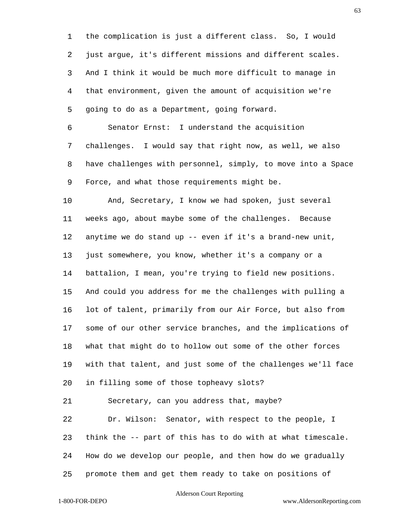the complication is just a different class. So, I would just argue, it's different missions and different scales. And I think it would be much more difficult to manage in that environment, given the amount of acquisition we're going to do as a Department, going forward.

 Senator Ernst: I understand the acquisition challenges. I would say that right now, as well, we also have challenges with personnel, simply, to move into a Space Force, and what those requirements might be.

 And, Secretary, I know we had spoken, just several weeks ago, about maybe some of the challenges. Because anytime we do stand up -- even if it's a brand-new unit, just somewhere, you know, whether it's a company or a battalion, I mean, you're trying to field new positions. And could you address for me the challenges with pulling a lot of talent, primarily from our Air Force, but also from some of our other service branches, and the implications of what that might do to hollow out some of the other forces with that talent, and just some of the challenges we'll face in filling some of those topheavy slots?

Secretary, can you address that, maybe?

 Dr. Wilson: Senator, with respect to the people, I think the -- part of this has to do with at what timescale. How do we develop our people, and then how do we gradually promote them and get them ready to take on positions of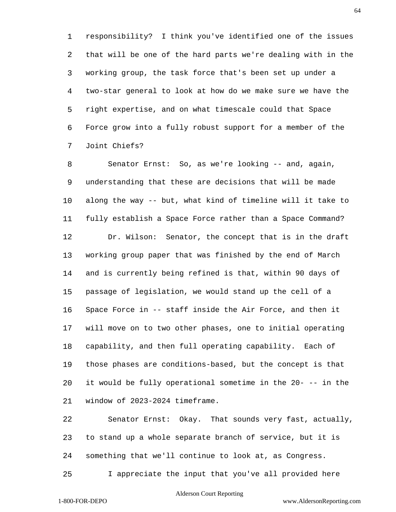responsibility? I think you've identified one of the issues that will be one of the hard parts we're dealing with in the working group, the task force that's been set up under a two-star general to look at how do we make sure we have the right expertise, and on what timescale could that Space Force grow into a fully robust support for a member of the Joint Chiefs?

 Senator Ernst: So, as we're looking -- and, again, understanding that these are decisions that will be made along the way -- but, what kind of timeline will it take to fully establish a Space Force rather than a Space Command? Dr. Wilson: Senator, the concept that is in the draft working group paper that was finished by the end of March and is currently being refined is that, within 90 days of passage of legislation, we would stand up the cell of a Space Force in -- staff inside the Air Force, and then it will move on to two other phases, one to initial operating capability, and then full operating capability. Each of those phases are conditions-based, but the concept is that it would be fully operational sometime in the 20- -- in the window of 2023-2024 timeframe.

 Senator Ernst: Okay. That sounds very fast, actually, to stand up a whole separate branch of service, but it is something that we'll continue to look at, as Congress.

I appreciate the input that you've all provided here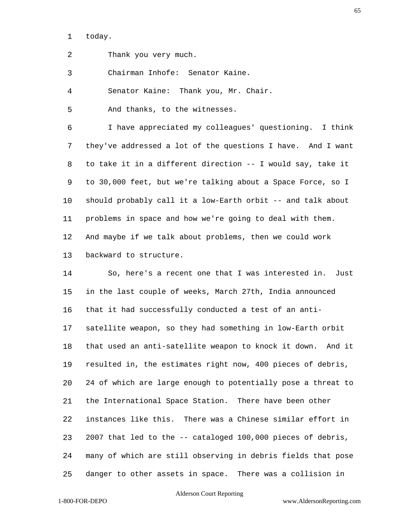today.

Thank you very much.

Chairman Inhofe: Senator Kaine.

Senator Kaine: Thank you, Mr. Chair.

And thanks, to the witnesses.

 I have appreciated my colleagues' questioning. I think they've addressed a lot of the questions I have. And I want to take it in a different direction -- I would say, take it to 30,000 feet, but we're talking about a Space Force, so I should probably call it a low-Earth orbit -- and talk about problems in space and how we're going to deal with them. And maybe if we talk about problems, then we could work backward to structure.

 So, here's a recent one that I was interested in. Just in the last couple of weeks, March 27th, India announced that it had successfully conducted a test of an anti- satellite weapon, so they had something in low-Earth orbit that used an anti-satellite weapon to knock it down. And it resulted in, the estimates right now, 400 pieces of debris, 24 of which are large enough to potentially pose a threat to the International Space Station. There have been other instances like this. There was a Chinese similar effort in 2007 that led to the -- cataloged 100,000 pieces of debris, many of which are still observing in debris fields that pose danger to other assets in space. There was a collision in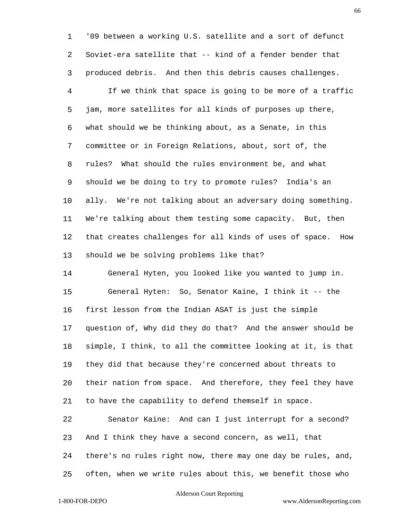'09 between a working U.S. satellite and a sort of defunct Soviet-era satellite that -- kind of a fender bender that produced debris. And then this debris causes challenges.

 If we think that space is going to be more of a traffic jam, more satellites for all kinds of purposes up there, what should we be thinking about, as a Senate, in this committee or in Foreign Relations, about, sort of, the rules? What should the rules environment be, and what should we be doing to try to promote rules? India's an ally. We're not talking about an adversary doing something. We're talking about them testing some capacity. But, then that creates challenges for all kinds of uses of space. How should we be solving problems like that?

 General Hyten, you looked like you wanted to jump in. General Hyten: So, Senator Kaine, I think it -- the first lesson from the Indian ASAT is just the simple question of, Why did they do that? And the answer should be simple, I think, to all the committee looking at it, is that they did that because they're concerned about threats to their nation from space. And therefore, they feel they have to have the capability to defend themself in space.

 Senator Kaine: And can I just interrupt for a second? And I think they have a second concern, as well, that there's no rules right now, there may one day be rules, and, often, when we write rules about this, we benefit those who

## Alderson Court Reporting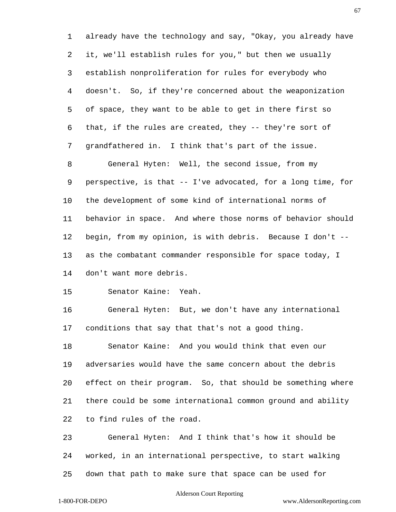already have the technology and say, "Okay, you already have it, we'll establish rules for you," but then we usually establish nonproliferation for rules for everybody who doesn't. So, if they're concerned about the weaponization of space, they want to be able to get in there first so that, if the rules are created, they -- they're sort of grandfathered in. I think that's part of the issue. General Hyten: Well, the second issue, from my perspective, is that -- I've advocated, for a long time, for the development of some kind of international norms of behavior in space. And where those norms of behavior should begin, from my opinion, is with debris. Because I don't -- as the combatant commander responsible for space today, I don't want more debris.

Senator Kaine: Yeah.

 General Hyten: But, we don't have any international conditions that say that that's not a good thing.

 Senator Kaine: And you would think that even our adversaries would have the same concern about the debris effect on their program. So, that should be something where there could be some international common ground and ability to find rules of the road.

 General Hyten: And I think that's how it should be worked, in an international perspective, to start walking down that path to make sure that space can be used for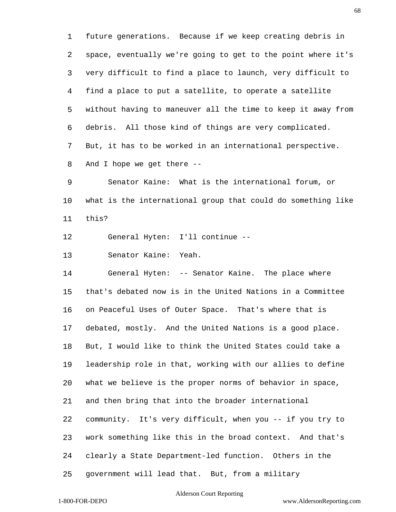future generations. Because if we keep creating debris in space, eventually we're going to get to the point where it's very difficult to find a place to launch, very difficult to find a place to put a satellite, to operate a satellite without having to maneuver all the time to keep it away from debris. All those kind of things are very complicated. But, it has to be worked in an international perspective. And I hope we get there --

 Senator Kaine: What is the international forum, or what is the international group that could do something like this?

General Hyten: I'll continue --

Senator Kaine: Yeah.

 General Hyten: -- Senator Kaine. The place where that's debated now is in the United Nations in a Committee on Peaceful Uses of Outer Space. That's where that is debated, mostly. And the United Nations is a good place. But, I would like to think the United States could take a leadership role in that, working with our allies to define what we believe is the proper norms of behavior in space, and then bring that into the broader international community. It's very difficult, when you -- if you try to work something like this in the broad context. And that's clearly a State Department-led function. Others in the government will lead that. But, from a military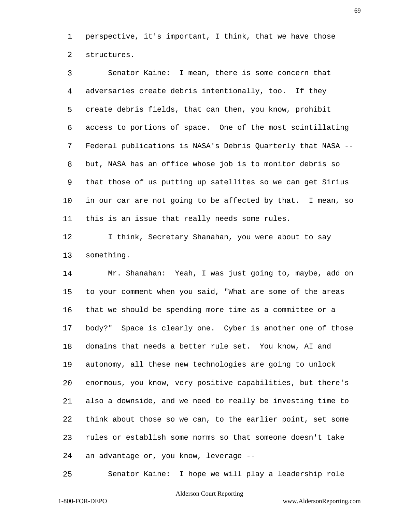perspective, it's important, I think, that we have those structures.

 Senator Kaine: I mean, there is some concern that adversaries create debris intentionally, too. If they create debris fields, that can then, you know, prohibit access to portions of space. One of the most scintillating Federal publications is NASA's Debris Quarterly that NASA -- but, NASA has an office whose job is to monitor debris so that those of us putting up satellites so we can get Sirius in our car are not going to be affected by that. I mean, so this is an issue that really needs some rules.

12 I think, Secretary Shanahan, you were about to say something.

 Mr. Shanahan: Yeah, I was just going to, maybe, add on to your comment when you said, "What are some of the areas that we should be spending more time as a committee or a body?" Space is clearly one. Cyber is another one of those domains that needs a better rule set. You know, AI and autonomy, all these new technologies are going to unlock enormous, you know, very positive capabilities, but there's also a downside, and we need to really be investing time to think about those so we can, to the earlier point, set some rules or establish some norms so that someone doesn't take an advantage or, you know, leverage --

Senator Kaine: I hope we will play a leadership role

#### Alderson Court Reporting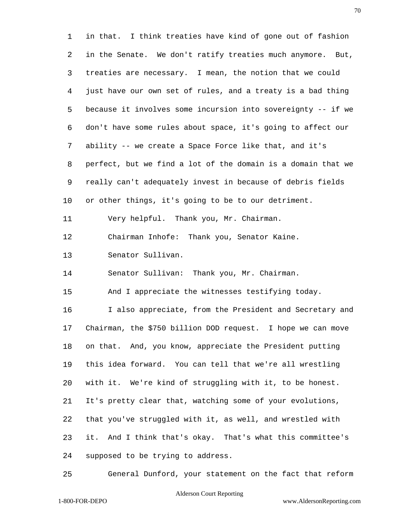in that. I think treaties have kind of gone out of fashion in the Senate. We don't ratify treaties much anymore. But, treaties are necessary. I mean, the notion that we could just have our own set of rules, and a treaty is a bad thing because it involves some incursion into sovereignty -- if we don't have some rules about space, it's going to affect our ability -- we create a Space Force like that, and it's perfect, but we find a lot of the domain is a domain that we really can't adequately invest in because of debris fields or other things, it's going to be to our detriment. Very helpful. Thank you, Mr. Chairman. Chairman Inhofe: Thank you, Senator Kaine. Senator Sullivan. Senator Sullivan: Thank you, Mr. Chairman. And I appreciate the witnesses testifying today. I also appreciate, from the President and Secretary and Chairman, the \$750 billion DOD request. I hope we can move on that. And, you know, appreciate the President putting this idea forward. You can tell that we're all wrestling with it. We're kind of struggling with it, to be honest. It's pretty clear that, watching some of your evolutions, that you've struggled with it, as well, and wrestled with it. And I think that's okay. That's what this committee's supposed to be trying to address.

General Dunford, your statement on the fact that reform

# Alderson Court Reporting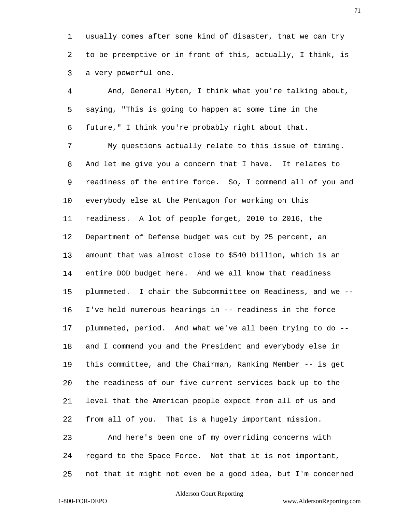usually comes after some kind of disaster, that we can try to be preemptive or in front of this, actually, I think, is a very powerful one.

 And, General Hyten, I think what you're talking about, saying, "This is going to happen at some time in the future," I think you're probably right about that. My questions actually relate to this issue of timing. And let me give you a concern that I have. It relates to readiness of the entire force. So, I commend all of you and everybody else at the Pentagon for working on this readiness. A lot of people forget, 2010 to 2016, the Department of Defense budget was cut by 25 percent, an amount that was almost close to \$540 billion, which is an entire DOD budget here. And we all know that readiness plummeted. I chair the Subcommittee on Readiness, and we -- I've held numerous hearings in -- readiness in the force plummeted, period. And what we've all been trying to do -- and I commend you and the President and everybody else in this committee, and the Chairman, Ranking Member -- is get the readiness of our five current services back up to the level that the American people expect from all of us and from all of you. That is a hugely important mission. And here's been one of my overriding concerns with regard to the Space Force. Not that it is not important,

not that it might not even be a good idea, but I'm concerned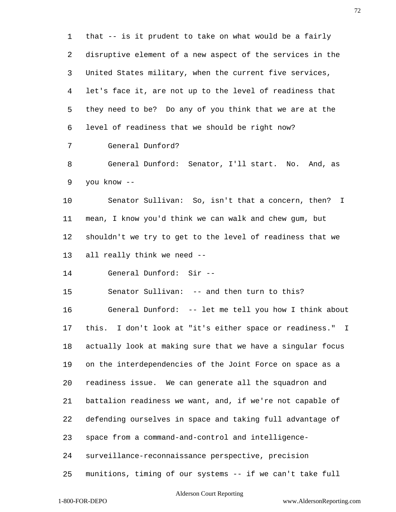that -- is it prudent to take on what would be a fairly disruptive element of a new aspect of the services in the United States military, when the current five services, let's face it, are not up to the level of readiness that they need to be? Do any of you think that we are at the level of readiness that we should be right now? General Dunford? General Dunford: Senator, I'll start. No. And, as you know -- Senator Sullivan: So, isn't that a concern, then? I mean, I know you'd think we can walk and chew gum, but shouldn't we try to get to the level of readiness that we all really think we need -- General Dunford: Sir -- Senator Sullivan: -- and then turn to this? General Dunford: -- let me tell you how I think about this. I don't look at "it's either space or readiness." I actually look at making sure that we have a singular focus on the interdependencies of the Joint Force on space as a readiness issue. We can generate all the squadron and battalion readiness we want, and, if we're not capable of defending ourselves in space and taking full advantage of space from a command-and-control and intelligence- surveillance-reconnaissance perspective, precision munitions, timing of our systems -- if we can't take full

### Alderson Court Reporting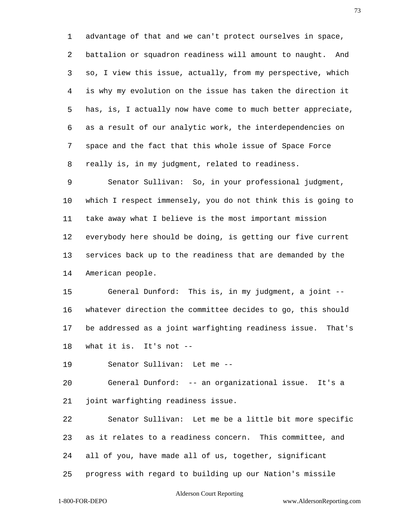advantage of that and we can't protect ourselves in space, battalion or squadron readiness will amount to naught. And so, I view this issue, actually, from my perspective, which is why my evolution on the issue has taken the direction it has, is, I actually now have come to much better appreciate, as a result of our analytic work, the interdependencies on space and the fact that this whole issue of Space Force really is, in my judgment, related to readiness.

 Senator Sullivan: So, in your professional judgment, which I respect immensely, you do not think this is going to take away what I believe is the most important mission everybody here should be doing, is getting our five current services back up to the readiness that are demanded by the American people.

 General Dunford: This is, in my judgment, a joint -- whatever direction the committee decides to go, this should be addressed as a joint warfighting readiness issue. That's what it is. It's not --

Senator Sullivan: Let me --

 General Dunford: -- an organizational issue. It's a joint warfighting readiness issue.

 Senator Sullivan: Let me be a little bit more specific as it relates to a readiness concern. This committee, and all of you, have made all of us, together, significant

progress with regard to building up our Nation's missile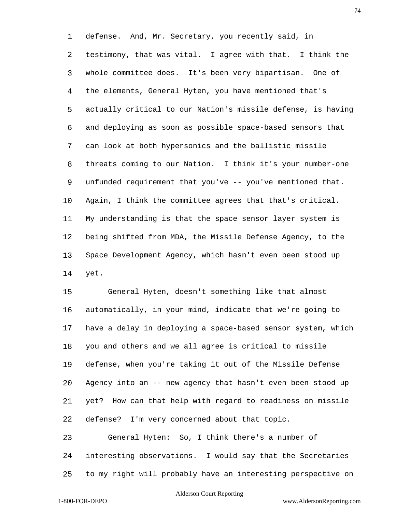defense. And, Mr. Secretary, you recently said, in testimony, that was vital. I agree with that. I think the whole committee does. It's been very bipartisan. One of the elements, General Hyten, you have mentioned that's actually critical to our Nation's missile defense, is having and deploying as soon as possible space-based sensors that can look at both hypersonics and the ballistic missile threats coming to our Nation. I think it's your number-one unfunded requirement that you've -- you've mentioned that. Again, I think the committee agrees that that's critical. My understanding is that the space sensor layer system is being shifted from MDA, the Missile Defense Agency, to the Space Development Agency, which hasn't even been stood up yet.

 General Hyten, doesn't something like that almost automatically, in your mind, indicate that we're going to have a delay in deploying a space-based sensor system, which you and others and we all agree is critical to missile defense, when you're taking it out of the Missile Defense Agency into an -- new agency that hasn't even been stood up yet? How can that help with regard to readiness on missile defense? I'm very concerned about that topic.

 General Hyten: So, I think there's a number of interesting observations. I would say that the Secretaries to my right will probably have an interesting perspective on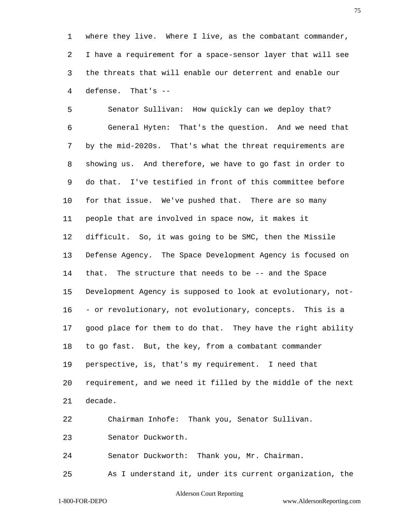where they live. Where I live, as the combatant commander, I have a requirement for a space-sensor layer that will see the threats that will enable our deterrent and enable our defense. That's --

 Senator Sullivan: How quickly can we deploy that? General Hyten: That's the question. And we need that by the mid-2020s. That's what the threat requirements are showing us. And therefore, we have to go fast in order to do that. I've testified in front of this committee before for that issue. We've pushed that. There are so many people that are involved in space now, it makes it difficult. So, it was going to be SMC, then the Missile Defense Agency. The Space Development Agency is focused on that. The structure that needs to be -- and the Space Development Agency is supposed to look at evolutionary, not- - or revolutionary, not evolutionary, concepts. This is a good place for them to do that. They have the right ability to go fast. But, the key, from a combatant commander perspective, is, that's my requirement. I need that requirement, and we need it filled by the middle of the next decade. Chairman Inhofe: Thank you, Senator Sullivan. Senator Duckworth.

Senator Duckworth: Thank you, Mr. Chairman.

As I understand it, under its current organization, the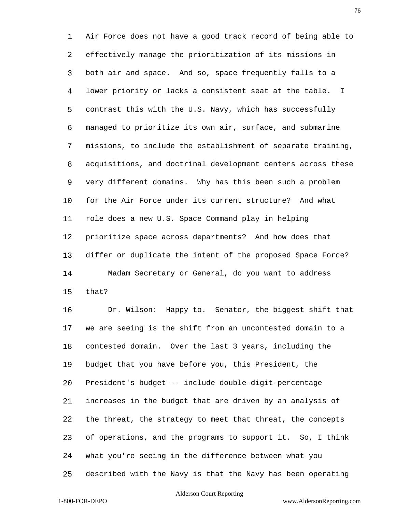Air Force does not have a good track record of being able to effectively manage the prioritization of its missions in both air and space. And so, space frequently falls to a lower priority or lacks a consistent seat at the table. I contrast this with the U.S. Navy, which has successfully managed to prioritize its own air, surface, and submarine missions, to include the establishment of separate training, acquisitions, and doctrinal development centers across these very different domains. Why has this been such a problem for the Air Force under its current structure? And what role does a new U.S. Space Command play in helping prioritize space across departments? And how does that differ or duplicate the intent of the proposed Space Force? Madam Secretary or General, do you want to address that?

 Dr. Wilson: Happy to. Senator, the biggest shift that we are seeing is the shift from an uncontested domain to a contested domain. Over the last 3 years, including the budget that you have before you, this President, the President's budget -- include double-digit-percentage increases in the budget that are driven by an analysis of the threat, the strategy to meet that threat, the concepts of operations, and the programs to support it. So, I think what you're seeing in the difference between what you described with the Navy is that the Navy has been operating

#### Alderson Court Reporting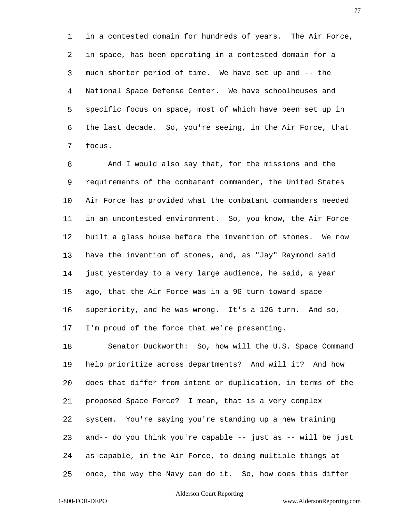in a contested domain for hundreds of years. The Air Force, in space, has been operating in a contested domain for a much shorter period of time. We have set up and -- the National Space Defense Center. We have schoolhouses and specific focus on space, most of which have been set up in the last decade. So, you're seeing, in the Air Force, that focus.

 And I would also say that, for the missions and the requirements of the combatant commander, the United States Air Force has provided what the combatant commanders needed in an uncontested environment. So, you know, the Air Force built a glass house before the invention of stones. We now have the invention of stones, and, as "Jay" Raymond said just yesterday to a very large audience, he said, a year ago, that the Air Force was in a 9G turn toward space superiority, and he was wrong. It's a 12G turn. And so, I'm proud of the force that we're presenting.

 Senator Duckworth: So, how will the U.S. Space Command help prioritize across departments? And will it? And how does that differ from intent or duplication, in terms of the proposed Space Force? I mean, that is a very complex system. You're saying you're standing up a new training and-- do you think you're capable -- just as -- will be just as capable, in the Air Force, to doing multiple things at once, the way the Navy can do it. So, how does this differ

# Alderson Court Reporting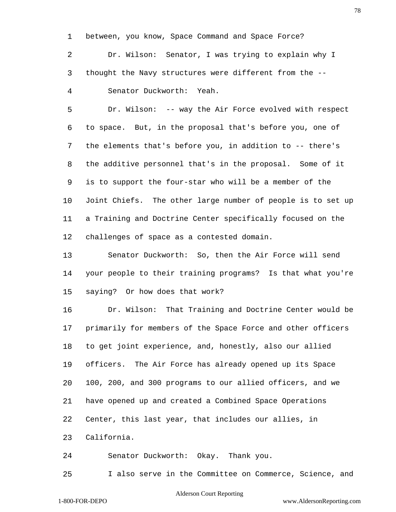between, you know, Space Command and Space Force?

 Dr. Wilson: Senator, I was trying to explain why I thought the Navy structures were different from the -- Senator Duckworth: Yeah.

 Dr. Wilson: -- way the Air Force evolved with respect to space. But, in the proposal that's before you, one of the elements that's before you, in addition to -- there's the additive personnel that's in the proposal. Some of it is to support the four-star who will be a member of the Joint Chiefs. The other large number of people is to set up a Training and Doctrine Center specifically focused on the challenges of space as a contested domain.

 Senator Duckworth: So, then the Air Force will send your people to their training programs? Is that what you're saying? Or how does that work?

 Dr. Wilson: That Training and Doctrine Center would be primarily for members of the Space Force and other officers to get joint experience, and, honestly, also our allied officers. The Air Force has already opened up its Space 100, 200, and 300 programs to our allied officers, and we have opened up and created a Combined Space Operations Center, this last year, that includes our allies, in California.

Senator Duckworth: Okay. Thank you.

I also serve in the Committee on Commerce, Science, and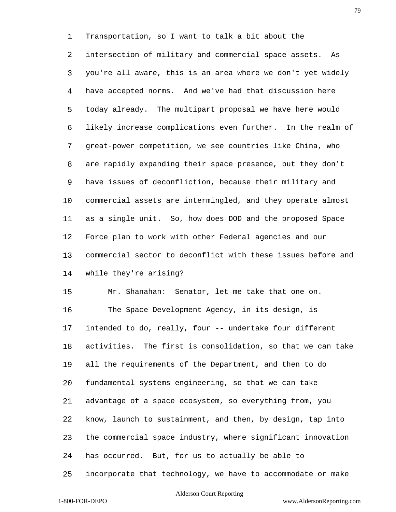Transportation, so I want to talk a bit about the

 intersection of military and commercial space assets. As you're all aware, this is an area where we don't yet widely have accepted norms. And we've had that discussion here today already. The multipart proposal we have here would likely increase complications even further. In the realm of great-power competition, we see countries like China, who are rapidly expanding their space presence, but they don't have issues of deconfliction, because their military and commercial assets are intermingled, and they operate almost as a single unit. So, how does DOD and the proposed Space Force plan to work with other Federal agencies and our commercial sector to deconflict with these issues before and while they're arising?

 Mr. Shanahan: Senator, let me take that one on. The Space Development Agency, in its design, is intended to do, really, four -- undertake four different activities. The first is consolidation, so that we can take all the requirements of the Department, and then to do fundamental systems engineering, so that we can take advantage of a space ecosystem, so everything from, you know, launch to sustainment, and then, by design, tap into the commercial space industry, where significant innovation has occurred. But, for us to actually be able to incorporate that technology, we have to accommodate or make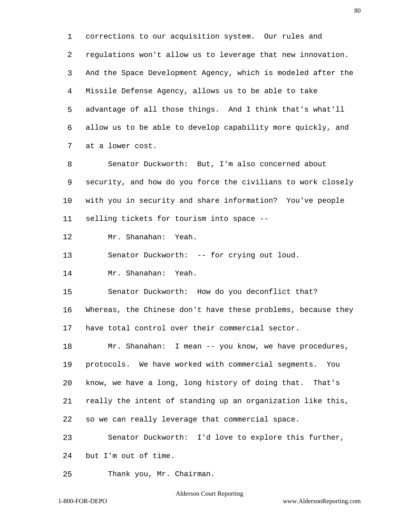corrections to our acquisition system. Our rules and regulations won't allow us to leverage that new innovation. And the Space Development Agency, which is modeled after the Missile Defense Agency, allows us to be able to take advantage of all those things. And I think that's what'll allow us to be able to develop capability more quickly, and at a lower cost.

 Senator Duckworth: But, I'm also concerned about security, and how do you force the civilians to work closely with you in security and share information? You've people selling tickets for tourism into space --

Mr. Shanahan: Yeah.

Senator Duckworth: -- for crying out loud.

Mr. Shanahan: Yeah.

Senator Duckworth: How do you deconflict that?

 Whereas, the Chinese don't have these problems, because they have total control over their commercial sector.

 Mr. Shanahan: I mean -- you know, we have procedures, protocols. We have worked with commercial segments. You know, we have a long, long history of doing that. That's really the intent of standing up an organization like this, so we can really leverage that commercial space.

 Senator Duckworth: I'd love to explore this further, but I'm out of time.

Thank you, Mr. Chairman.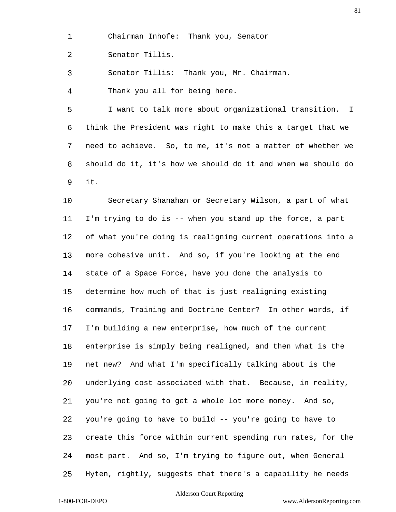Chairman Inhofe: Thank you, Senator

Senator Tillis.

Senator Tillis: Thank you, Mr. Chairman.

Thank you all for being here.

 I want to talk more about organizational transition. I think the President was right to make this a target that we need to achieve. So, to me, it's not a matter of whether we should do it, it's how we should do it and when we should do it.

 Secretary Shanahan or Secretary Wilson, a part of what I'm trying to do is -- when you stand up the force, a part of what you're doing is realigning current operations into a more cohesive unit. And so, if you're looking at the end state of a Space Force, have you done the analysis to determine how much of that is just realigning existing commands, Training and Doctrine Center? In other words, if I'm building a new enterprise, how much of the current enterprise is simply being realigned, and then what is the net new? And what I'm specifically talking about is the underlying cost associated with that. Because, in reality, you're not going to get a whole lot more money. And so, you're going to have to build -- you're going to have to create this force within current spending run rates, for the most part. And so, I'm trying to figure out, when General Hyten, rightly, suggests that there's a capability he needs

# Alderson Court Reporting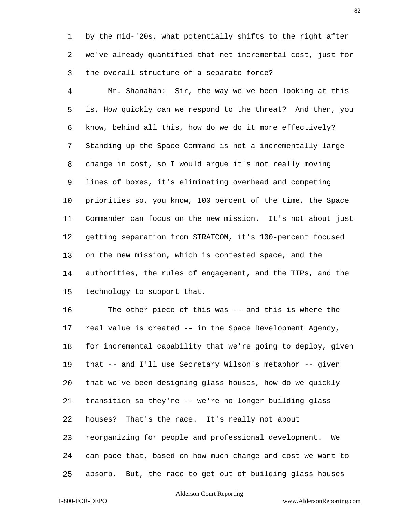by the mid-'20s, what potentially shifts to the right after we've already quantified that net incremental cost, just for the overall structure of a separate force?

 Mr. Shanahan: Sir, the way we've been looking at this is, How quickly can we respond to the threat? And then, you know, behind all this, how do we do it more effectively? Standing up the Space Command is not a incrementally large change in cost, so I would argue it's not really moving lines of boxes, it's eliminating overhead and competing priorities so, you know, 100 percent of the time, the Space Commander can focus on the new mission. It's not about just getting separation from STRATCOM, it's 100-percent focused on the new mission, which is contested space, and the authorities, the rules of engagement, and the TTPs, and the technology to support that.

 The other piece of this was -- and this is where the real value is created -- in the Space Development Agency, for incremental capability that we're going to deploy, given that -- and I'll use Secretary Wilson's metaphor -- given that we've been designing glass houses, how do we quickly transition so they're -- we're no longer building glass houses? That's the race. It's really not about reorganizing for people and professional development. We can pace that, based on how much change and cost we want to

absorb. But, the race to get out of building glass houses

# Alderson Court Reporting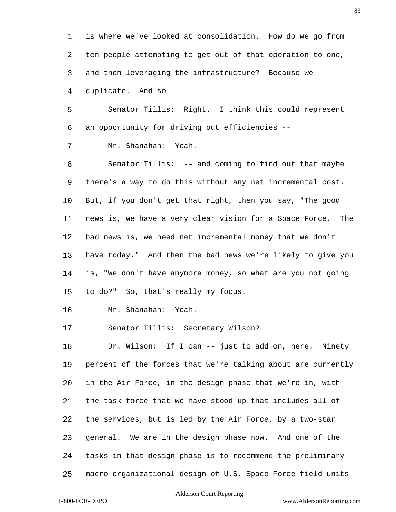is where we've looked at consolidation. How do we go from ten people attempting to get out of that operation to one, and then leveraging the infrastructure? Because we duplicate. And so --

 Senator Tillis: Right. I think this could represent an opportunity for driving out efficiencies --

Mr. Shanahan: Yeah.

 Senator Tillis: -- and coming to find out that maybe there's a way to do this without any net incremental cost. But, if you don't get that right, then you say, "The good news is, we have a very clear vision for a Space Force. The bad news is, we need net incremental money that we don't have today." And then the bad news we're likely to give you is, "We don't have anymore money, so what are you not going to do?" So, that's really my focus.

Mr. Shanahan: Yeah.

Senator Tillis: Secretary Wilson?

 Dr. Wilson: If I can -- just to add on, here. Ninety percent of the forces that we're talking about are currently in the Air Force, in the design phase that we're in, with the task force that we have stood up that includes all of the services, but is led by the Air Force, by a two-star general. We are in the design phase now. And one of the tasks in that design phase is to recommend the preliminary macro-organizational design of U.S. Space Force field units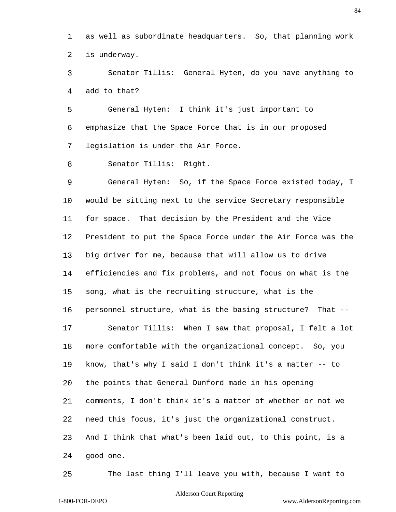as well as subordinate headquarters. So, that planning work is underway.

 Senator Tillis: General Hyten, do you have anything to add to that?

 General Hyten: I think it's just important to emphasize that the Space Force that is in our proposed legislation is under the Air Force.

Senator Tillis: Right.

 General Hyten: So, if the Space Force existed today, I would be sitting next to the service Secretary responsible for space. That decision by the President and the Vice President to put the Space Force under the Air Force was the big driver for me, because that will allow us to drive efficiencies and fix problems, and not focus on what is the song, what is the recruiting structure, what is the personnel structure, what is the basing structure? That -- Senator Tillis: When I saw that proposal, I felt a lot more comfortable with the organizational concept. So, you know, that's why I said I don't think it's a matter -- to the points that General Dunford made in his opening comments, I don't think it's a matter of whether or not we need this focus, it's just the organizational construct. And I think that what's been laid out, to this point, is a good one.

The last thing I'll leave you with, because I want to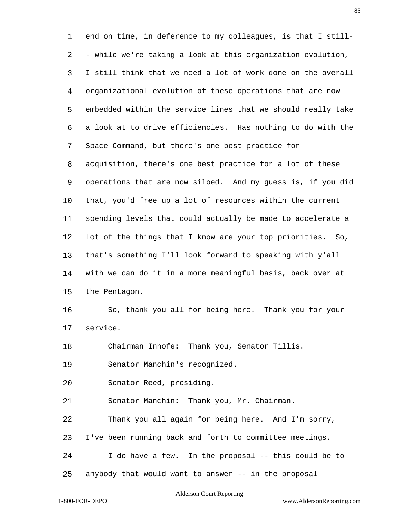end on time, in deference to my colleagues, is that I still- - while we're taking a look at this organization evolution, I still think that we need a lot of work done on the overall organizational evolution of these operations that are now embedded within the service lines that we should really take a look at to drive efficiencies. Has nothing to do with the Space Command, but there's one best practice for acquisition, there's one best practice for a lot of these operations that are now siloed. And my guess is, if you did that, you'd free up a lot of resources within the current spending levels that could actually be made to accelerate a lot of the things that I know are your top priorities. So, that's something I'll look forward to speaking with y'all with we can do it in a more meaningful basis, back over at the Pentagon. So, thank you all for being here. Thank you for your service. Chairman Inhofe: Thank you, Senator Tillis. Senator Manchin's recognized. Senator Reed, presiding. Senator Manchin: Thank you, Mr. Chairman. Thank you all again for being here. And I'm sorry, I've been running back and forth to committee meetings. I do have a few. In the proposal -- this could be to anybody that would want to answer -- in the proposal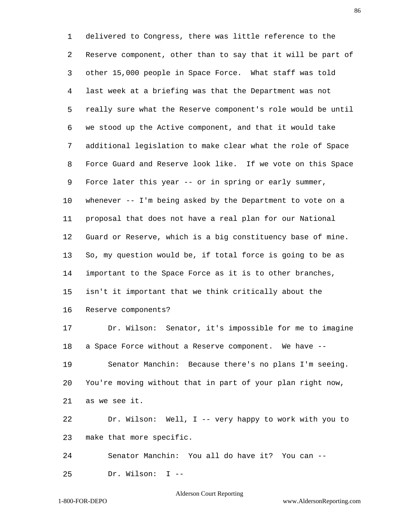delivered to Congress, there was little reference to the Reserve component, other than to say that it will be part of other 15,000 people in Space Force. What staff was told last week at a briefing was that the Department was not really sure what the Reserve component's role would be until we stood up the Active component, and that it would take additional legislation to make clear what the role of Space Force Guard and Reserve look like. If we vote on this Space Force later this year -- or in spring or early summer, whenever -- I'm being asked by the Department to vote on a proposal that does not have a real plan for our National Guard or Reserve, which is a big constituency base of mine. So, my question would be, if total force is going to be as important to the Space Force as it is to other branches, isn't it important that we think critically about the Reserve components? Dr. Wilson: Senator, it's impossible for me to imagine a Space Force without a Reserve component. We have -- Senator Manchin: Because there's no plans I'm seeing. You're moving without that in part of your plan right now, as we see it. Dr. Wilson: Well, I -- very happy to work with you to make that more specific. Senator Manchin: You all do have it? You can -- Dr. Wilson: I --

#### Alderson Court Reporting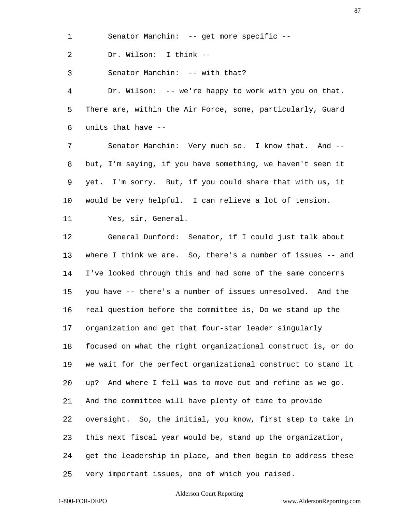Senator Manchin: -- get more specific --

Dr. Wilson: I think --

Senator Manchin: -- with that?

 Dr. Wilson: -- we're happy to work with you on that. There are, within the Air Force, some, particularly, Guard units that have --

 Senator Manchin: Very much so. I know that. And -- but, I'm saying, if you have something, we haven't seen it yet. I'm sorry. But, if you could share that with us, it would be very helpful. I can relieve a lot of tension.

Yes, sir, General.

 General Dunford: Senator, if I could just talk about where I think we are. So, there's a number of issues -- and I've looked through this and had some of the same concerns you have -- there's a number of issues unresolved. And the real question before the committee is, Do we stand up the organization and get that four-star leader singularly focused on what the right organizational construct is, or do we wait for the perfect organizational construct to stand it up? And where I fell was to move out and refine as we go. And the committee will have plenty of time to provide oversight. So, the initial, you know, first step to take in this next fiscal year would be, stand up the organization, get the leadership in place, and then begin to address these very important issues, one of which you raised.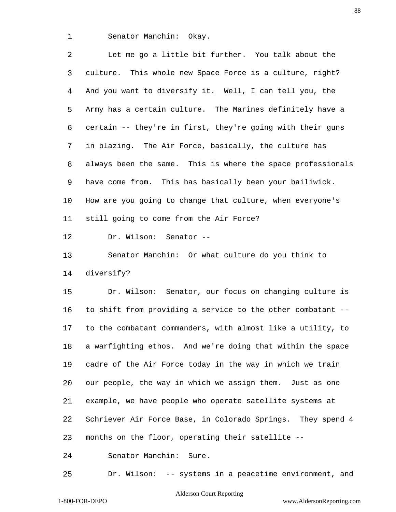Senator Manchin: Okay.

 Let me go a little bit further. You talk about the culture. This whole new Space Force is a culture, right? And you want to diversify it. Well, I can tell you, the Army has a certain culture. The Marines definitely have a certain -- they're in first, they're going with their guns in blazing. The Air Force, basically, the culture has always been the same. This is where the space professionals have come from. This has basically been your bailiwick. How are you going to change that culture, when everyone's still going to come from the Air Force?

Dr. Wilson: Senator --

 Senator Manchin: Or what culture do you think to diversify?

 Dr. Wilson: Senator, our focus on changing culture is to shift from providing a service to the other combatant -- to the combatant commanders, with almost like a utility, to a warfighting ethos. And we're doing that within the space cadre of the Air Force today in the way in which we train our people, the way in which we assign them. Just as one example, we have people who operate satellite systems at Schriever Air Force Base, in Colorado Springs. They spend 4 months on the floor, operating their satellite --

Senator Manchin: Sure.

Dr. Wilson: -- systems in a peacetime environment, and

# Alderson Court Reporting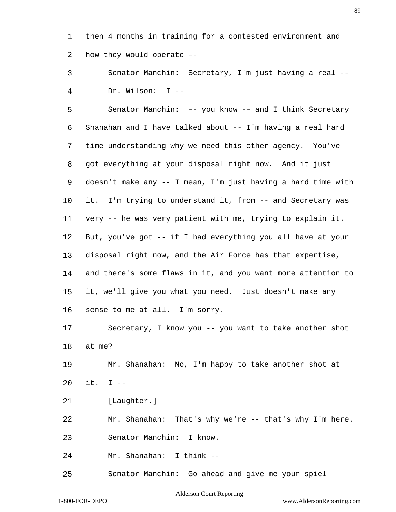then 4 months in training for a contested environment and how they would operate --

 Senator Manchin: Secretary, I'm just having a real -- Dr. Wilson: I --

 Senator Manchin: -- you know -- and I think Secretary Shanahan and I have talked about -- I'm having a real hard time understanding why we need this other agency. You've got everything at your disposal right now. And it just doesn't make any -- I mean, I'm just having a hard time with it. I'm trying to understand it, from -- and Secretary was very -- he was very patient with me, trying to explain it. But, you've got -- if I had everything you all have at your disposal right now, and the Air Force has that expertise, and there's some flaws in it, and you want more attention to it, we'll give you what you need. Just doesn't make any sense to me at all. I'm sorry.

 Secretary, I know you -- you want to take another shot at me?

 Mr. Shanahan: No, I'm happy to take another shot at it. I --

[Laughter.]

Mr. Shanahan: That's why we're -- that's why I'm here.

Senator Manchin: I know.

Mr. Shanahan: I think --

Senator Manchin: Go ahead and give me your spiel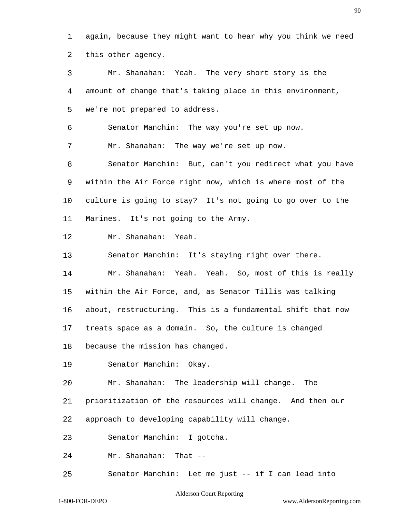again, because they might want to hear why you think we need this other agency.

 Mr. Shanahan: Yeah. The very short story is the amount of change that's taking place in this environment, we're not prepared to address.

Senator Manchin: The way you're set up now.

Mr. Shanahan: The way we're set up now.

 Senator Manchin: But, can't you redirect what you have within the Air Force right now, which is where most of the culture is going to stay? It's not going to go over to the Marines. It's not going to the Army.

Mr. Shanahan: Yeah.

Senator Manchin: It's staying right over there.

Mr. Shanahan: Yeah. Yeah. So, most of this is really

within the Air Force, and, as Senator Tillis was talking

about, restructuring. This is a fundamental shift that now

treats space as a domain. So, the culture is changed

because the mission has changed.

Senator Manchin: Okay.

Mr. Shanahan: The leadership will change. The

prioritization of the resources will change. And then our

approach to developing capability will change.

Senator Manchin: I gotcha.

Mr. Shanahan: That --

Senator Manchin: Let me just -- if I can lead into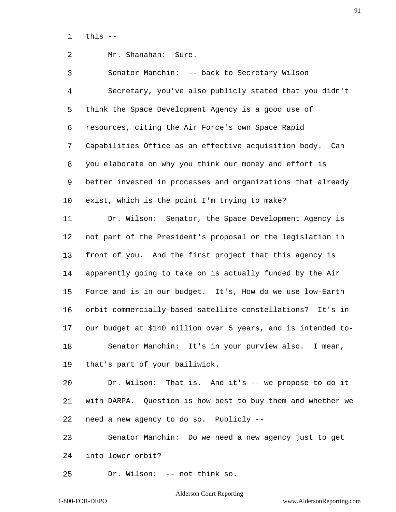this  $-$ 

# Mr. Shanahan: Sure.

 Senator Manchin: -- back to Secretary Wilson Secretary, you've also publicly stated that you didn't think the Space Development Agency is a good use of resources, citing the Air Force's own Space Rapid Capabilities Office as an effective acquisition body. Can you elaborate on why you think our money and effort is better invested in processes and organizations that already exist, which is the point I'm trying to make?

 Dr. Wilson: Senator, the Space Development Agency is not part of the President's proposal or the legislation in front of you. And the first project that this agency is apparently going to take on is actually funded by the Air Force and is in our budget. It's, How do we use low-Earth orbit commercially-based satellite constellations? It's in our budget at \$140 million over 5 years, and is intended to- Senator Manchin: It's in your purview also. I mean, that's part of your bailiwick.

 Dr. Wilson: That is. And it's -- we propose to do it with DARPA. Question is how best to buy them and whether we need a new agency to do so. Publicly --

 Senator Manchin: Do we need a new agency just to get into lower orbit?

Dr. Wilson: -- not think so.

# Alderson Court Reporting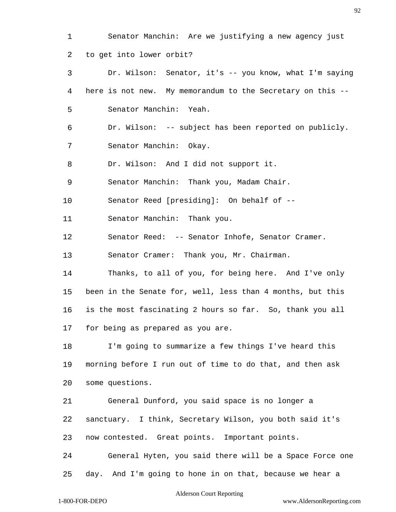Alderson Court Reporting 1-800-FOR-DEPO www.AldersonReporting.com Senator Manchin: Are we justifying a new agency just to get into lower orbit? Dr. Wilson: Senator, it's -- you know, what I'm saying here is not new. My memorandum to the Secretary on this -- Senator Manchin: Yeah. Dr. Wilson: -- subject has been reported on publicly. Senator Manchin: Okay. Dr. Wilson: And I did not support it. Senator Manchin: Thank you, Madam Chair. Senator Reed [presiding]: On behalf of -- Senator Manchin: Thank you. Senator Reed: -- Senator Inhofe, Senator Cramer. Senator Cramer: Thank you, Mr. Chairman. Thanks, to all of you, for being here. And I've only been in the Senate for, well, less than 4 months, but this is the most fascinating 2 hours so far. So, thank you all for being as prepared as you are. I'm going to summarize a few things I've heard this morning before I run out of time to do that, and then ask some questions. General Dunford, you said space is no longer a sanctuary. I think, Secretary Wilson, you both said it's now contested. Great points. Important points. General Hyten, you said there will be a Space Force one day. And I'm going to hone in on that, because we hear a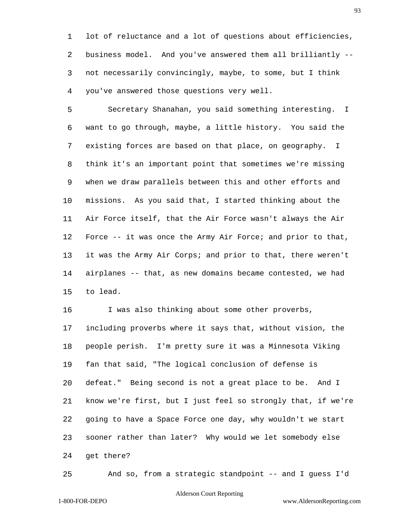lot of reluctance and a lot of questions about efficiencies, business model. And you've answered them all brilliantly -- not necessarily convincingly, maybe, to some, but I think you've answered those questions very well.

 Secretary Shanahan, you said something interesting. I want to go through, maybe, a little history. You said the existing forces are based on that place, on geography. I think it's an important point that sometimes we're missing when we draw parallels between this and other efforts and missions. As you said that, I started thinking about the Air Force itself, that the Air Force wasn't always the Air Force -- it was once the Army Air Force; and prior to that, it was the Army Air Corps; and prior to that, there weren't airplanes -- that, as new domains became contested, we had to lead.

 I was also thinking about some other proverbs, including proverbs where it says that, without vision, the people perish. I'm pretty sure it was a Minnesota Viking fan that said, "The logical conclusion of defense is defeat." Being second is not a great place to be. And I know we're first, but I just feel so strongly that, if we're going to have a Space Force one day, why wouldn't we start sooner rather than later? Why would we let somebody else get there?

And so, from a strategic standpoint -- and I guess I'd

# Alderson Court Reporting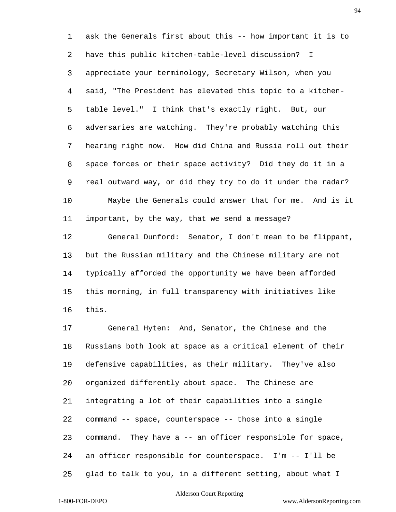ask the Generals first about this -- how important it is to have this public kitchen-table-level discussion? I appreciate your terminology, Secretary Wilson, when you said, "The President has elevated this topic to a kitchen- table level." I think that's exactly right. But, our adversaries are watching. They're probably watching this hearing right now. How did China and Russia roll out their space forces or their space activity? Did they do it in a real outward way, or did they try to do it under the radar? Maybe the Generals could answer that for me. And is it important, by the way, that we send a message?

 General Dunford: Senator, I don't mean to be flippant, but the Russian military and the Chinese military are not typically afforded the opportunity we have been afforded this morning, in full transparency with initiatives like this.

 General Hyten: And, Senator, the Chinese and the Russians both look at space as a critical element of their defensive capabilities, as their military. They've also organized differently about space. The Chinese are integrating a lot of their capabilities into a single command -- space, counterspace -- those into a single command. They have a -- an officer responsible for space, an officer responsible for counterspace. I'm -- I'll be glad to talk to you, in a different setting, about what I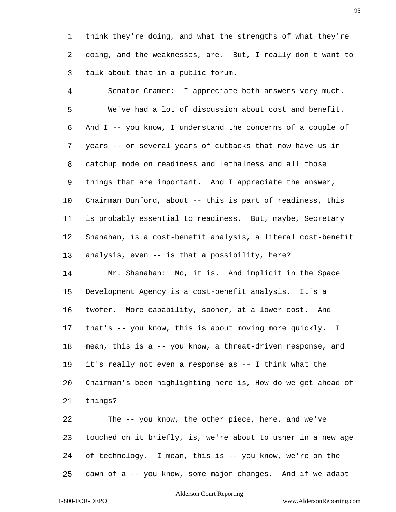think they're doing, and what the strengths of what they're doing, and the weaknesses, are. But, I really don't want to talk about that in a public forum.

 Senator Cramer: I appreciate both answers very much. We've had a lot of discussion about cost and benefit. And I -- you know, I understand the concerns of a couple of years -- or several years of cutbacks that now have us in catchup mode on readiness and lethalness and all those things that are important. And I appreciate the answer, Chairman Dunford, about -- this is part of readiness, this is probably essential to readiness. But, maybe, Secretary Shanahan, is a cost-benefit analysis, a literal cost-benefit analysis, even -- is that a possibility, here? Mr. Shanahan: No, it is. And implicit in the Space Development Agency is a cost-benefit analysis. It's a

 twofer. More capability, sooner, at a lower cost. And that's -- you know, this is about moving more quickly. I mean, this is a -- you know, a threat-driven response, and it's really not even a response as -- I think what the Chairman's been highlighting here is, How do we get ahead of things?

 The -- you know, the other piece, here, and we've touched on it briefly, is, we're about to usher in a new age of technology. I mean, this is -- you know, we're on the dawn of a -- you know, some major changes. And if we adapt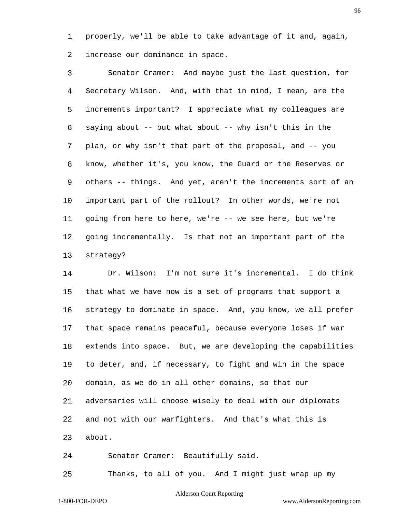properly, we'll be able to take advantage of it and, again, increase our dominance in space.

 Senator Cramer: And maybe just the last question, for Secretary Wilson. And, with that in mind, I mean, are the increments important? I appreciate what my colleagues are saying about -- but what about -- why isn't this in the plan, or why isn't that part of the proposal, and -- you know, whether it's, you know, the Guard or the Reserves or others -- things. And yet, aren't the increments sort of an important part of the rollout? In other words, we're not going from here to here, we're -- we see here, but we're going incrementally. Is that not an important part of the strategy?

 Dr. Wilson: I'm not sure it's incremental. I do think that what we have now is a set of programs that support a strategy to dominate in space. And, you know, we all prefer that space remains peaceful, because everyone loses if war extends into space. But, we are developing the capabilities to deter, and, if necessary, to fight and win in the space domain, as we do in all other domains, so that our adversaries will choose wisely to deal with our diplomats and not with our warfighters. And that's what this is about.

Senator Cramer: Beautifully said.

Thanks, to all of you. And I might just wrap up my

# Alderson Court Reporting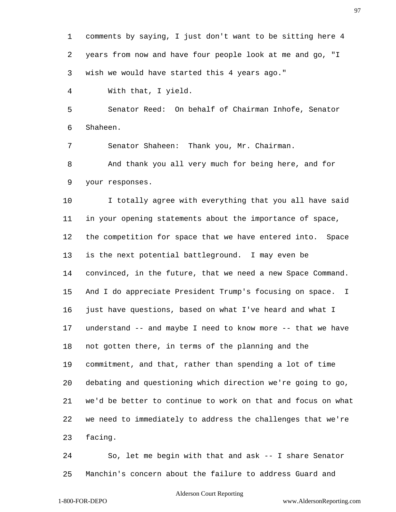comments by saying, I just don't want to be sitting here 4 years from now and have four people look at me and go, "I wish we would have started this 4 years ago."

With that, I yield.

 Senator Reed: On behalf of Chairman Inhofe, Senator Shaheen.

Senator Shaheen: Thank you, Mr. Chairman.

 And thank you all very much for being here, and for your responses.

10 I totally agree with everything that you all have said in your opening statements about the importance of space, the competition for space that we have entered into. Space is the next potential battleground. I may even be convinced, in the future, that we need a new Space Command. And I do appreciate President Trump's focusing on space. I just have questions, based on what I've heard and what I understand -- and maybe I need to know more -- that we have not gotten there, in terms of the planning and the commitment, and that, rather than spending a lot of time debating and questioning which direction we're going to go, we'd be better to continue to work on that and focus on what we need to immediately to address the challenges that we're facing.

 So, let me begin with that and ask -- I share Senator Manchin's concern about the failure to address Guard and

# Alderson Court Reporting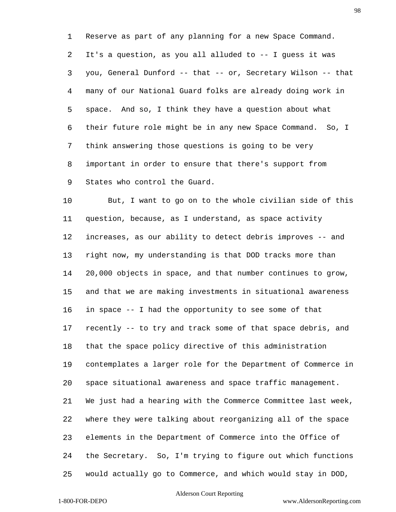Reserve as part of any planning for a new Space Command. It's a question, as you all alluded to -- I guess it was you, General Dunford -- that -- or, Secretary Wilson -- that many of our National Guard folks are already doing work in space. And so, I think they have a question about what their future role might be in any new Space Command. So, I think answering those questions is going to be very important in order to ensure that there's support from States who control the Guard.

 But, I want to go on to the whole civilian side of this question, because, as I understand, as space activity increases, as our ability to detect debris improves -- and right now, my understanding is that DOD tracks more than 20,000 objects in space, and that number continues to grow, and that we are making investments in situational awareness in space -- I had the opportunity to see some of that recently -- to try and track some of that space debris, and that the space policy directive of this administration contemplates a larger role for the Department of Commerce in space situational awareness and space traffic management. We just had a hearing with the Commerce Committee last week, where they were talking about reorganizing all of the space elements in the Department of Commerce into the Office of the Secretary. So, I'm trying to figure out which functions would actually go to Commerce, and which would stay in DOD,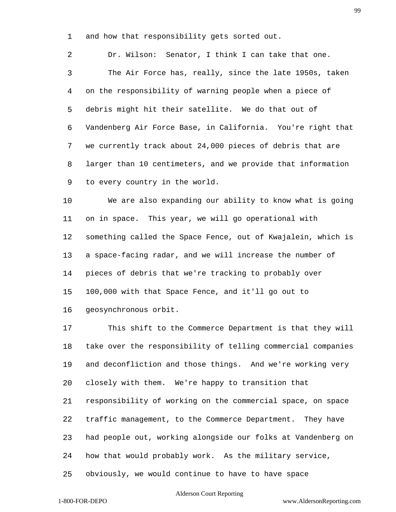and how that responsibility gets sorted out.

 Dr. Wilson: Senator, I think I can take that one. The Air Force has, really, since the late 1950s, taken on the responsibility of warning people when a piece of debris might hit their satellite. We do that out of Vandenberg Air Force Base, in California. You're right that we currently track about 24,000 pieces of debris that are larger than 10 centimeters, and we provide that information to every country in the world.

 We are also expanding our ability to know what is going on in space. This year, we will go operational with something called the Space Fence, out of Kwajalein, which is a space-facing radar, and we will increase the number of pieces of debris that we're tracking to probably over 100,000 with that Space Fence, and it'll go out to geosynchronous orbit.

 This shift to the Commerce Department is that they will take over the responsibility of telling commercial companies and deconfliction and those things. And we're working very closely with them. We're happy to transition that responsibility of working on the commercial space, on space traffic management, to the Commerce Department. They have had people out, working alongside our folks at Vandenberg on how that would probably work. As the military service, obviously, we would continue to have to have space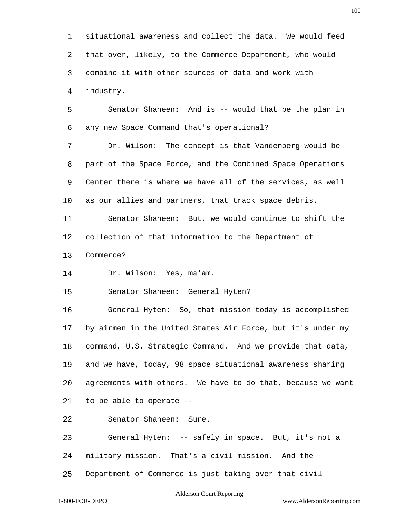situational awareness and collect the data. We would feed that over, likely, to the Commerce Department, who would combine it with other sources of data and work with industry. Senator Shaheen: And is -- would that be the plan in any new Space Command that's operational? Dr. Wilson: The concept is that Vandenberg would be part of the Space Force, and the Combined Space Operations Center there is where we have all of the services, as well as our allies and partners, that track space debris. Senator Shaheen: But, we would continue to shift the collection of that information to the Department of Commerce? Dr. Wilson: Yes, ma'am. Senator Shaheen: General Hyten? General Hyten: So, that mission today is accomplished by airmen in the United States Air Force, but it's under my command, U.S. Strategic Command. And we provide that data, and we have, today, 98 space situational awareness sharing agreements with others. We have to do that, because we want to be able to operate -- Senator Shaheen: Sure. General Hyten: -- safely in space. But, it's not a military mission. That's a civil mission. And the Department of Commerce is just taking over that civil

#### Alderson Court Reporting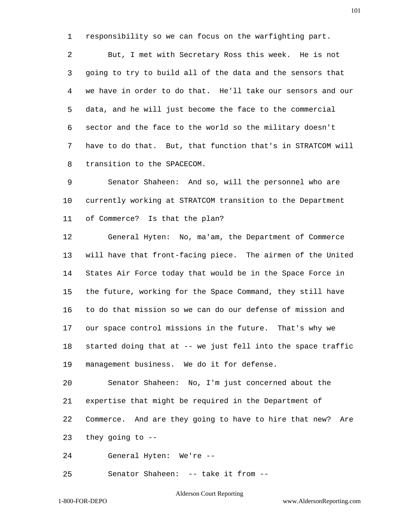responsibility so we can focus on the warfighting part.

 But, I met with Secretary Ross this week. He is not going to try to build all of the data and the sensors that we have in order to do that. He'll take our sensors and our data, and he will just become the face to the commercial sector and the face to the world so the military doesn't have to do that. But, that function that's in STRATCOM will transition to the SPACECOM.

 Senator Shaheen: And so, will the personnel who are currently working at STRATCOM transition to the Department of Commerce? Is that the plan?

 General Hyten: No, ma'am, the Department of Commerce will have that front-facing piece. The airmen of the United States Air Force today that would be in the Space Force in the future, working for the Space Command, they still have to do that mission so we can do our defense of mission and our space control missions in the future. That's why we started doing that at -- we just fell into the space traffic management business. We do it for defense.

 Senator Shaheen: No, I'm just concerned about the expertise that might be required in the Department of Commerce. And are they going to have to hire that new? Are they going to --

General Hyten: We're --

Senator Shaheen: -- take it from --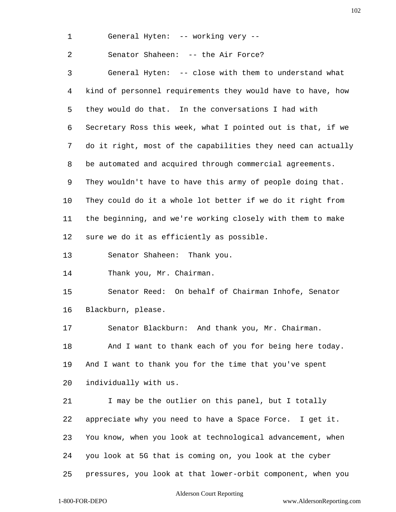General Hyten: -- working very --

Senator Shaheen: -- the Air Force?

 General Hyten: -- close with them to understand what kind of personnel requirements they would have to have, how they would do that. In the conversations I had with Secretary Ross this week, what I pointed out is that, if we do it right, most of the capabilities they need can actually be automated and acquired through commercial agreements. They wouldn't have to have this army of people doing that. They could do it a whole lot better if we do it right from the beginning, and we're working closely with them to make sure we do it as efficiently as possible.

Senator Shaheen: Thank you.

Thank you, Mr. Chairman.

 Senator Reed: On behalf of Chairman Inhofe, Senator Blackburn, please.

Senator Blackburn: And thank you, Mr. Chairman.

18 And I want to thank each of you for being here today. And I want to thank you for the time that you've spent individually with us.

21 I may be the outlier on this panel, but I totally appreciate why you need to have a Space Force. I get it. You know, when you look at technological advancement, when you look at 5G that is coming on, you look at the cyber pressures, you look at that lower-orbit component, when you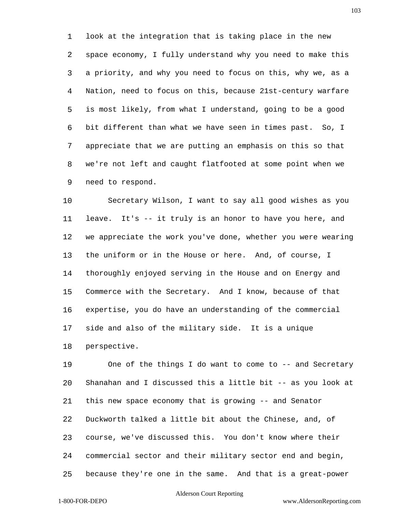look at the integration that is taking place in the new space economy, I fully understand why you need to make this a priority, and why you need to focus on this, why we, as a Nation, need to focus on this, because 21st-century warfare is most likely, from what I understand, going to be a good bit different than what we have seen in times past. So, I appreciate that we are putting an emphasis on this so that we're not left and caught flatfooted at some point when we need to respond.

 Secretary Wilson, I want to say all good wishes as you leave. It's -- it truly is an honor to have you here, and we appreciate the work you've done, whether you were wearing the uniform or in the House or here. And, of course, I thoroughly enjoyed serving in the House and on Energy and Commerce with the Secretary. And I know, because of that expertise, you do have an understanding of the commercial side and also of the military side. It is a unique perspective.

 One of the things I do want to come to -- and Secretary Shanahan and I discussed this a little bit -- as you look at this new space economy that is growing -- and Senator Duckworth talked a little bit about the Chinese, and, of course, we've discussed this. You don't know where their commercial sector and their military sector end and begin, because they're one in the same. And that is a great-power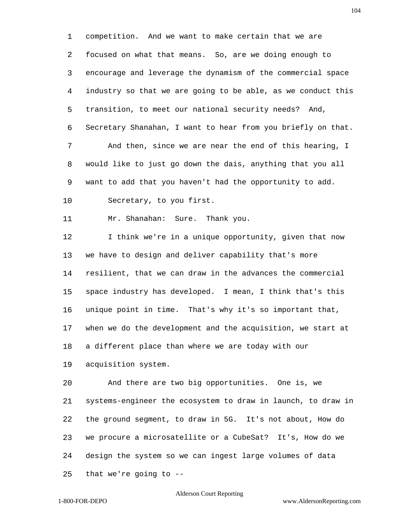competition. And we want to make certain that we are focused on what that means. So, are we doing enough to encourage and leverage the dynamism of the commercial space industry so that we are going to be able, as we conduct this transition, to meet our national security needs? And, Secretary Shanahan, I want to hear from you briefly on that. And then, since we are near the end of this hearing, I would like to just go down the dais, anything that you all want to add that you haven't had the opportunity to add. Secretary, to you first.

Mr. Shanahan: Sure. Thank you.

 I think we're in a unique opportunity, given that now we have to design and deliver capability that's more resilient, that we can draw in the advances the commercial space industry has developed. I mean, I think that's this unique point in time. That's why it's so important that, when we do the development and the acquisition, we start at a different place than where we are today with our

acquisition system.

 And there are two big opportunities. One is, we systems-engineer the ecosystem to draw in launch, to draw in the ground segment, to draw in 5G. It's not about, How do we procure a microsatellite or a CubeSat? It's, How do we design the system so we can ingest large volumes of data that we're going to --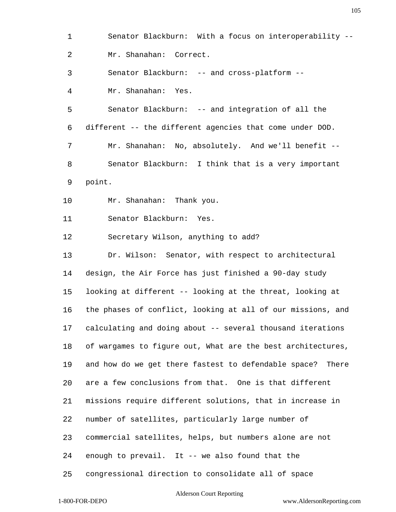Senator Blackburn: With a focus on interoperability -- Mr. Shanahan: Correct. Senator Blackburn: -- and cross-platform -- Mr. Shanahan: Yes. Senator Blackburn: -- and integration of all the different -- the different agencies that come under DOD. Mr. Shanahan: No, absolutely. And we'll benefit -- Senator Blackburn: I think that is a very important point. Mr. Shanahan: Thank you. Senator Blackburn: Yes. Secretary Wilson, anything to add? Dr. Wilson: Senator, with respect to architectural design, the Air Force has just finished a 90-day study looking at different -- looking at the threat, looking at the phases of conflict, looking at all of our missions, and calculating and doing about -- several thousand iterations of wargames to figure out, What are the best architectures, and how do we get there fastest to defendable space? There are a few conclusions from that. One is that different missions require different solutions, that in increase in number of satellites, particularly large number of commercial satellites, helps, but numbers alone are not enough to prevail. It -- we also found that the congressional direction to consolidate all of space

### Alderson Court Reporting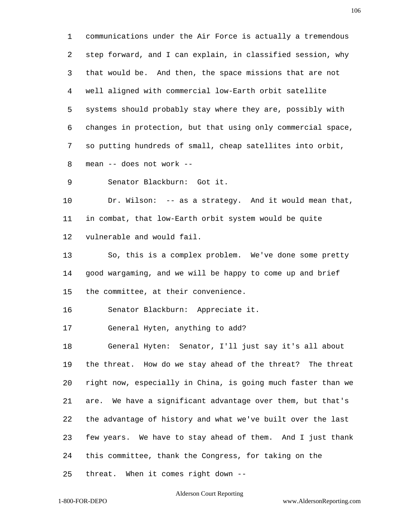communications under the Air Force is actually a tremendous step forward, and I can explain, in classified session, why that would be. And then, the space missions that are not well aligned with commercial low-Earth orbit satellite systems should probably stay where they are, possibly with changes in protection, but that using only commercial space, so putting hundreds of small, cheap satellites into orbit, mean -- does not work --

Senator Blackburn: Got it.

 Dr. Wilson: -- as a strategy. And it would mean that, in combat, that low-Earth orbit system would be quite vulnerable and would fail.

 So, this is a complex problem. We've done some pretty good wargaming, and we will be happy to come up and brief the committee, at their convenience.

Senator Blackburn: Appreciate it.

General Hyten, anything to add?

 General Hyten: Senator, I'll just say it's all about the threat. How do we stay ahead of the threat? The threat right now, especially in China, is going much faster than we are. We have a significant advantage over them, but that's the advantage of history and what we've built over the last few years. We have to stay ahead of them. And I just thank this committee, thank the Congress, for taking on the

threat. When it comes right down --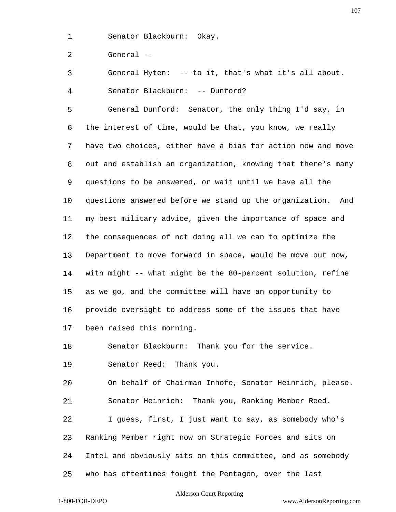Senator Blackburn: Okay.

General --

General Hyten: -- to it, that's what it's all about.

Senator Blackburn: -- Dunford?

 General Dunford: Senator, the only thing I'd say, in the interest of time, would be that, you know, we really have two choices, either have a bias for action now and move out and establish an organization, knowing that there's many questions to be answered, or wait until we have all the questions answered before we stand up the organization. And my best military advice, given the importance of space and the consequences of not doing all we can to optimize the Department to move forward in space, would be move out now, with might -- what might be the 80-percent solution, refine as we go, and the committee will have an opportunity to provide oversight to address some of the issues that have been raised this morning.

Senator Blackburn: Thank you for the service.

Senator Reed: Thank you.

 On behalf of Chairman Inhofe, Senator Heinrich, please. Senator Heinrich: Thank you, Ranking Member Reed.

 I guess, first, I just want to say, as somebody who's Ranking Member right now on Strategic Forces and sits on Intel and obviously sits on this committee, and as somebody

who has oftentimes fought the Pentagon, over the last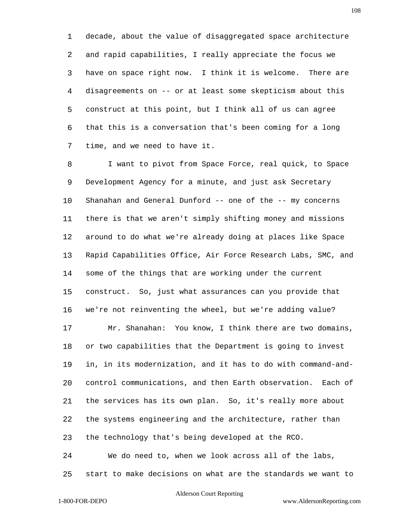decade, about the value of disaggregated space architecture and rapid capabilities, I really appreciate the focus we have on space right now. I think it is welcome. There are disagreements on -- or at least some skepticism about this construct at this point, but I think all of us can agree that this is a conversation that's been coming for a long time, and we need to have it.

 I want to pivot from Space Force, real quick, to Space Development Agency for a minute, and just ask Secretary Shanahan and General Dunford -- one of the -- my concerns there is that we aren't simply shifting money and missions around to do what we're already doing at places like Space Rapid Capabilities Office, Air Force Research Labs, SMC, and some of the things that are working under the current construct. So, just what assurances can you provide that we're not reinventing the wheel, but we're adding value? Mr. Shanahan: You know, I think there are two domains, or two capabilities that the Department is going to invest in, in its modernization, and it has to do with command-and- control communications, and then Earth observation. Each of the services has its own plan. So, it's really more about the systems engineering and the architecture, rather than the technology that's being developed at the RCO. We do need to, when we look across all of the labs,

start to make decisions on what are the standards we want to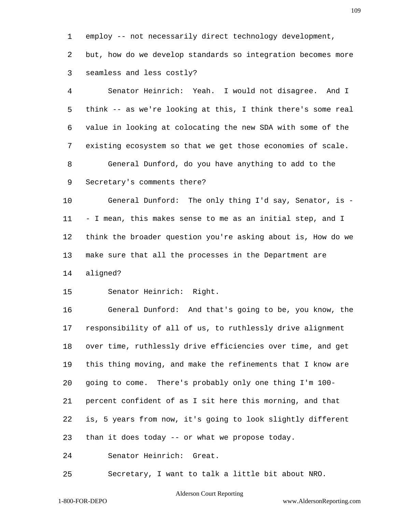employ -- not necessarily direct technology development,

 but, how do we develop standards so integration becomes more seamless and less costly?

 Senator Heinrich: Yeah. I would not disagree. And I think -- as we're looking at this, I think there's some real value in looking at colocating the new SDA with some of the existing ecosystem so that we get those economies of scale. General Dunford, do you have anything to add to the Secretary's comments there?

 General Dunford: The only thing I'd say, Senator, is - - I mean, this makes sense to me as an initial step, and I think the broader question you're asking about is, How do we make sure that all the processes in the Department are aligned?

Senator Heinrich: Right.

 General Dunford: And that's going to be, you know, the responsibility of all of us, to ruthlessly drive alignment over time, ruthlessly drive efficiencies over time, and get this thing moving, and make the refinements that I know are going to come. There's probably only one thing I'm 100- percent confident of as I sit here this morning, and that is, 5 years from now, it's going to look slightly different than it does today -- or what we propose today.

Senator Heinrich: Great.

Secretary, I want to talk a little bit about NRO.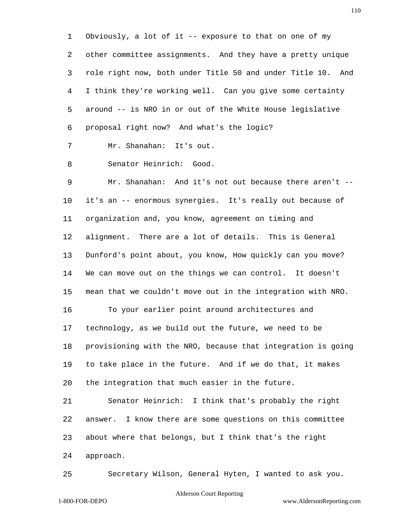Obviously, a lot of it -- exposure to that on one of my other committee assignments. And they have a pretty unique role right now, both under Title 50 and under Title 10. And I think they're working well. Can you give some certainty around -- is NRO in or out of the White House legislative proposal right now? And what's the logic?

Mr. Shanahan: It's out.

Senator Heinrich: Good.

 Mr. Shanahan: And it's not out because there aren't -- it's an -- enormous synergies. It's really out because of organization and, you know, agreement on timing and alignment. There are a lot of details. This is General Dunford's point about, you know, How quickly can you move? We can move out on the things we can control. It doesn't mean that we couldn't move out in the integration with NRO. To your earlier point around architectures and technology, as we build out the future, we need to be provisioning with the NRO, because that integration is going to take place in the future. And if we do that, it makes the integration that much easier in the future. Senator Heinrich: I think that's probably the right

 answer. I know there are some questions on this committee about where that belongs, but I think that's the right approach.

Secretary Wilson, General Hyten, I wanted to ask you.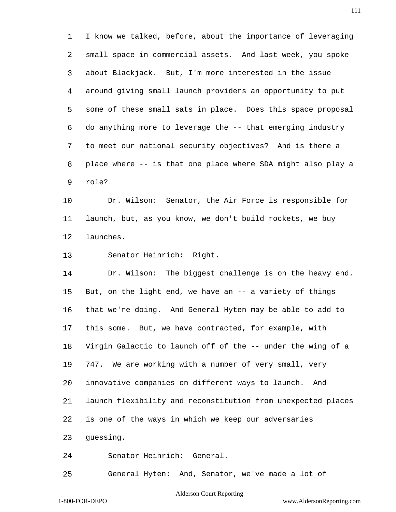I know we talked, before, about the importance of leveraging small space in commercial assets. And last week, you spoke about Blackjack. But, I'm more interested in the issue around giving small launch providers an opportunity to put some of these small sats in place. Does this space proposal do anything more to leverage the -- that emerging industry to meet our national security objectives? And is there a place where -- is that one place where SDA might also play a role?

 Dr. Wilson: Senator, the Air Force is responsible for launch, but, as you know, we don't build rockets, we buy launches.

Senator Heinrich: Right.

 Dr. Wilson: The biggest challenge is on the heavy end. But, on the light end, we have an -- a variety of things that we're doing. And General Hyten may be able to add to this some. But, we have contracted, for example, with Virgin Galactic to launch off of the -- under the wing of a 747. We are working with a number of very small, very innovative companies on different ways to launch. And launch flexibility and reconstitution from unexpected places is one of the ways in which we keep our adversaries guessing.

Senator Heinrich: General.

General Hyten: And, Senator, we've made a lot of

#### Alderson Court Reporting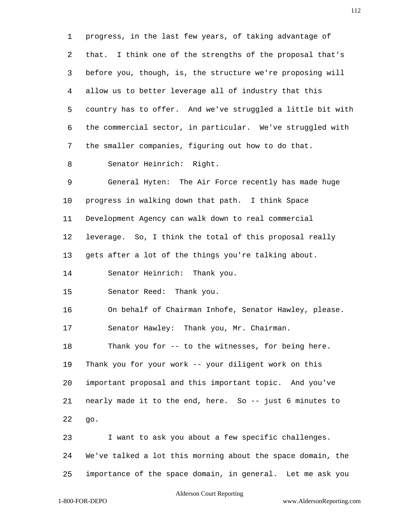progress, in the last few years, of taking advantage of that. I think one of the strengths of the proposal that's before you, though, is, the structure we're proposing will allow us to better leverage all of industry that this country has to offer. And we've struggled a little bit with the commercial sector, in particular. We've struggled with the smaller companies, figuring out how to do that. Senator Heinrich: Right. General Hyten: The Air Force recently has made huge progress in walking down that path. I think Space Development Agency can walk down to real commercial leverage. So, I think the total of this proposal really gets after a lot of the things you're talking about. Senator Heinrich: Thank you. Senator Reed: Thank you. On behalf of Chairman Inhofe, Senator Hawley, please. Senator Hawley: Thank you, Mr. Chairman. Thank you for -- to the witnesses, for being here. Thank you for your work -- your diligent work on this important proposal and this important topic. And you've nearly made it to the end, here. So -- just 6 minutes to go. I want to ask you about a few specific challenges. We've talked a lot this morning about the space domain, the

importance of the space domain, in general. Let me ask you

Alderson Court Reporting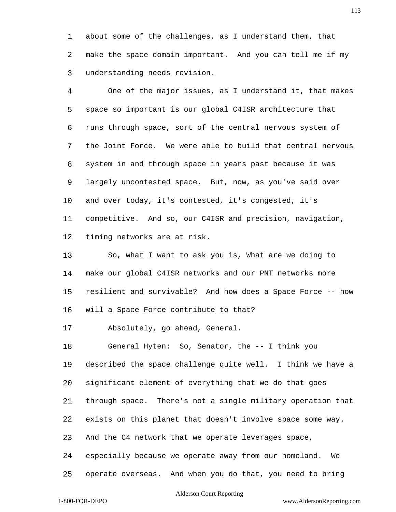about some of the challenges, as I understand them, that make the space domain important. And you can tell me if my understanding needs revision.

 One of the major issues, as I understand it, that makes space so important is our global C4ISR architecture that runs through space, sort of the central nervous system of the Joint Force. We were able to build that central nervous system in and through space in years past because it was largely uncontested space. But, now, as you've said over and over today, it's contested, it's congested, it's competitive. And so, our C4ISR and precision, navigation, timing networks are at risk.

 So, what I want to ask you is, What are we doing to make our global C4ISR networks and our PNT networks more resilient and survivable? And how does a Space Force -- how will a Space Force contribute to that?

Absolutely, go ahead, General.

 General Hyten: So, Senator, the -- I think you described the space challenge quite well. I think we have a significant element of everything that we do that goes through space. There's not a single military operation that exists on this planet that doesn't involve space some way. And the C4 network that we operate leverages space, especially because we operate away from our homeland. We

## Alderson Court Reporting

operate overseas. And when you do that, you need to bring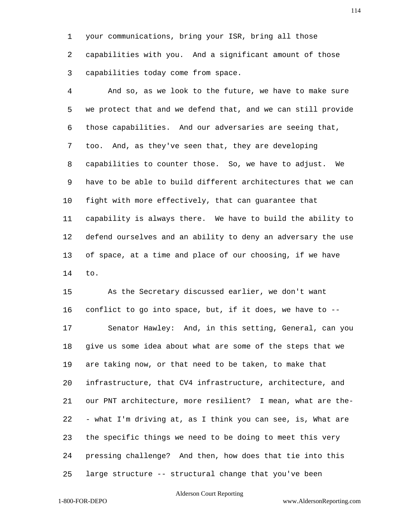your communications, bring your ISR, bring all those

 capabilities with you. And a significant amount of those capabilities today come from space.

 And so, as we look to the future, we have to make sure we protect that and we defend that, and we can still provide those capabilities. And our adversaries are seeing that, too. And, as they've seen that, they are developing capabilities to counter those. So, we have to adjust. We have to be able to build different architectures that we can fight with more effectively, that can guarantee that capability is always there. We have to build the ability to defend ourselves and an ability to deny an adversary the use of space, at a time and place of our choosing, if we have to.

 As the Secretary discussed earlier, we don't want conflict to go into space, but, if it does, we have to -- Senator Hawley: And, in this setting, General, can you give us some idea about what are some of the steps that we are taking now, or that need to be taken, to make that infrastructure, that CV4 infrastructure, architecture, and our PNT architecture, more resilient? I mean, what are the- - what I'm driving at, as I think you can see, is, What are the specific things we need to be doing to meet this very pressing challenge? And then, how does that tie into this large structure -- structural change that you've been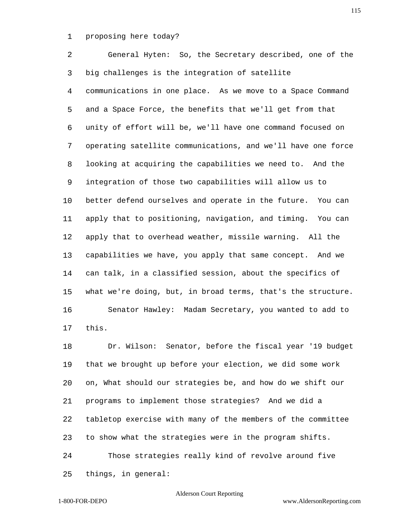proposing here today?

 General Hyten: So, the Secretary described, one of the big challenges is the integration of satellite communications in one place. As we move to a Space Command and a Space Force, the benefits that we'll get from that unity of effort will be, we'll have one command focused on operating satellite communications, and we'll have one force looking at acquiring the capabilities we need to. And the integration of those two capabilities will allow us to better defend ourselves and operate in the future. You can apply that to positioning, navigation, and timing. You can apply that to overhead weather, missile warning. All the capabilities we have, you apply that same concept. And we can talk, in a classified session, about the specifics of what we're doing, but, in broad terms, that's the structure. Senator Hawley: Madam Secretary, you wanted to add to this.

 Dr. Wilson: Senator, before the fiscal year '19 budget that we brought up before your election, we did some work on, What should our strategies be, and how do we shift our programs to implement those strategies? And we did a tabletop exercise with many of the members of the committee to show what the strategies were in the program shifts. Those strategies really kind of revolve around five things, in general:

# Alderson Court Reporting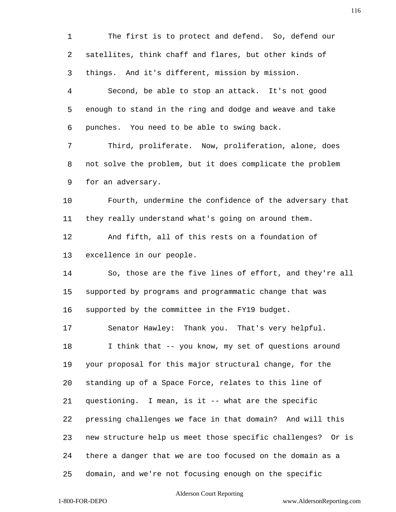The first is to protect and defend. So, defend our satellites, think chaff and flares, but other kinds of things. And it's different, mission by mission. Second, be able to stop an attack. It's not good enough to stand in the ring and dodge and weave and take punches. You need to be able to swing back. Third, proliferate. Now, proliferation, alone, does not solve the problem, but it does complicate the problem for an adversary. Fourth, undermine the confidence of the adversary that they really understand what's going on around them. And fifth, all of this rests on a foundation of excellence in our people. So, those are the five lines of effort, and they're all supported by programs and programmatic change that was supported by the committee in the FY19 budget. Senator Hawley: Thank you. That's very helpful. I think that -- you know, my set of questions around your proposal for this major structural change, for the standing up of a Space Force, relates to this line of questioning. I mean, is it -- what are the specific pressing challenges we face in that domain? And will this new structure help us meet those specific challenges? Or is there a danger that we are too focused on the domain as a domain, and we're not focusing enough on the specific

## Alderson Court Reporting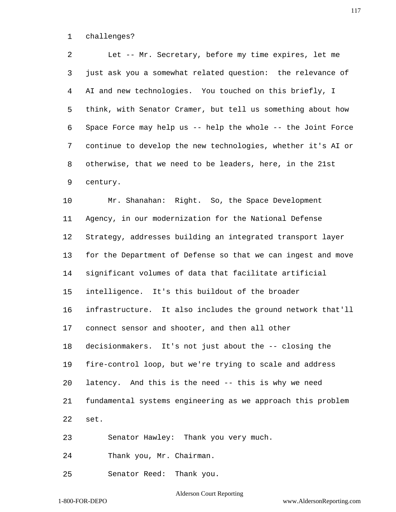challenges?

 Let -- Mr. Secretary, before my time expires, let me just ask you a somewhat related question: the relevance of AI and new technologies. You touched on this briefly, I think, with Senator Cramer, but tell us something about how Space Force may help us -- help the whole -- the Joint Force continue to develop the new technologies, whether it's AI or otherwise, that we need to be leaders, here, in the 21st century. Mr. Shanahan: Right. So, the Space Development Agency, in our modernization for the National Defense Strategy, addresses building an integrated transport layer for the Department of Defense so that we can ingest and move significant volumes of data that facilitate artificial intelligence. It's this buildout of the broader infrastructure. It also includes the ground network that'll connect sensor and shooter, and then all other decisionmakers. It's not just about the -- closing the fire-control loop, but we're trying to scale and address latency. And this is the need -- this is why we need fundamental systems engineering as we approach this problem set. Senator Hawley: Thank you very much. Thank you, Mr. Chairman.

Senator Reed: Thank you.

Alderson Court Reporting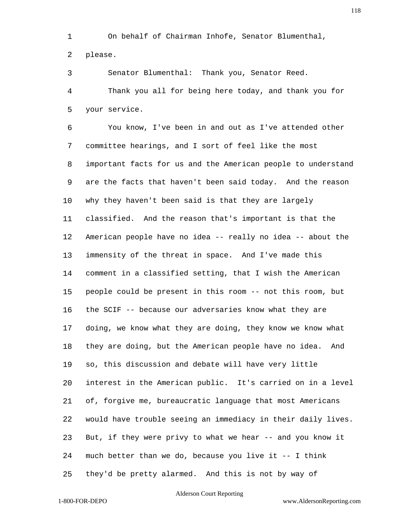On behalf of Chairman Inhofe, Senator Blumenthal,

please.

Senator Blumenthal: Thank you, Senator Reed.

 Thank you all for being here today, and thank you for your service.

 You know, I've been in and out as I've attended other committee hearings, and I sort of feel like the most important facts for us and the American people to understand are the facts that haven't been said today. And the reason why they haven't been said is that they are largely classified. And the reason that's important is that the American people have no idea -- really no idea -- about the immensity of the threat in space. And I've made this comment in a classified setting, that I wish the American people could be present in this room -- not this room, but the SCIF -- because our adversaries know what they are doing, we know what they are doing, they know we know what they are doing, but the American people have no idea. And so, this discussion and debate will have very little interest in the American public. It's carried on in a level of, forgive me, bureaucratic language that most Americans would have trouble seeing an immediacy in their daily lives. But, if they were privy to what we hear -- and you know it much better than we do, because you live it -- I think they'd be pretty alarmed. And this is not by way of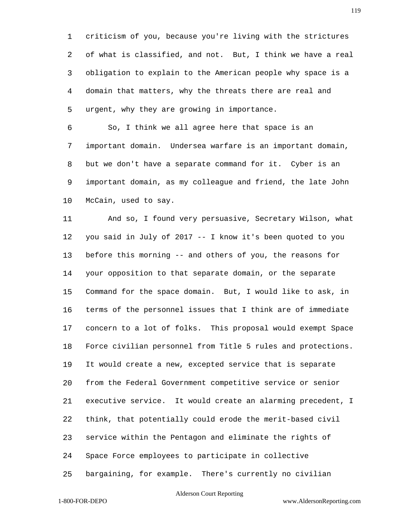criticism of you, because you're living with the strictures of what is classified, and not. But, I think we have a real obligation to explain to the American people why space is a domain that matters, why the threats there are real and urgent, why they are growing in importance.

 So, I think we all agree here that space is an important domain. Undersea warfare is an important domain, but we don't have a separate command for it. Cyber is an important domain, as my colleague and friend, the late John McCain, used to say.

 And so, I found very persuasive, Secretary Wilson, what you said in July of 2017 -- I know it's been quoted to you before this morning -- and others of you, the reasons for your opposition to that separate domain, or the separate Command for the space domain. But, I would like to ask, in terms of the personnel issues that I think are of immediate concern to a lot of folks. This proposal would exempt Space Force civilian personnel from Title 5 rules and protections. It would create a new, excepted service that is separate from the Federal Government competitive service or senior executive service. It would create an alarming precedent, I think, that potentially could erode the merit-based civil service within the Pentagon and eliminate the rights of Space Force employees to participate in collective bargaining, for example. There's currently no civilian

## Alderson Court Reporting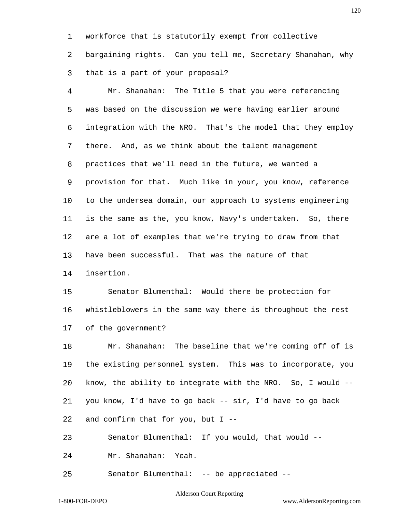workforce that is statutorily exempt from collective

 bargaining rights. Can you tell me, Secretary Shanahan, why that is a part of your proposal?

 Mr. Shanahan: The Title 5 that you were referencing was based on the discussion we were having earlier around integration with the NRO. That's the model that they employ there. And, as we think about the talent management practices that we'll need in the future, we wanted a provision for that. Much like in your, you know, reference to the undersea domain, our approach to systems engineering is the same as the, you know, Navy's undertaken. So, there are a lot of examples that we're trying to draw from that have been successful. That was the nature of that insertion.

 Senator Blumenthal: Would there be protection for whistleblowers in the same way there is throughout the rest of the government?

 Mr. Shanahan: The baseline that we're coming off of is the existing personnel system. This was to incorporate, you know, the ability to integrate with the NRO. So, I would -- you know, I'd have to go back -- sir, I'd have to go back and confirm that for you, but I --

Senator Blumenthal: If you would, that would --

Mr. Shanahan: Yeah.

Senator Blumenthal: -- be appreciated --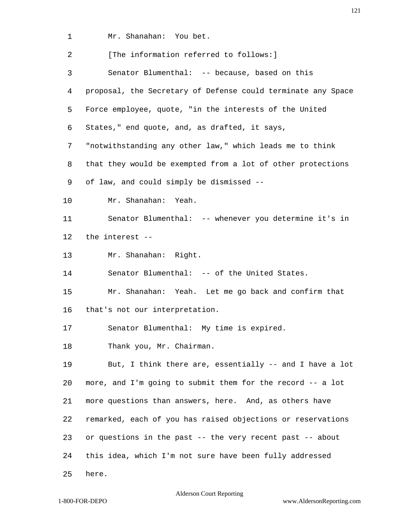Mr. Shanahan: You bet.

| 2  | [The information referred to follows:]                       |
|----|--------------------------------------------------------------|
| 3  | Senator Blumenthal: -- because, based on this                |
| 4  | proposal, the Secretary of Defense could terminate any Space |
| 5  | Force employee, quote, "in the interests of the United       |
| 6  | States," end quote, and, as drafted, it says,                |
| 7  | "notwithstanding any other law," which leads me to think     |
| 8  | that they would be exempted from a lot of other protections  |
| 9  | of law, and could simply be dismissed --                     |
| 10 | Mr. Shanahan: Yeah.                                          |
| 11 | Senator Blumenthal: -- whenever you determine it's in        |
| 12 | the interest --                                              |
| 13 | Mr. Shanahan: Right.                                         |
| 14 | Senator Blumenthal: -- of the United States.                 |
| 15 | Mr. Shanahan: Yeah. Let me go back and confirm that          |
| 16 | that's not our interpretation.                               |
| 17 | Senator Blumenthal: My time is expired.                      |
| 18 | Thank you, Mr. Chairman.                                     |
| 19 | But, I think there are, essentially -- and I have a lot      |
| 20 | more, and I'm going to submit them for the record -- a lot   |
| 21 | more questions than answers, here. And, as others have       |
| 22 | remarked, each of you has raised objections or reservations  |
| 23 | or questions in the past -- the very recent past -- about    |
| 24 | this idea, which I'm not sure have been fully addressed      |
| 25 | here.                                                        |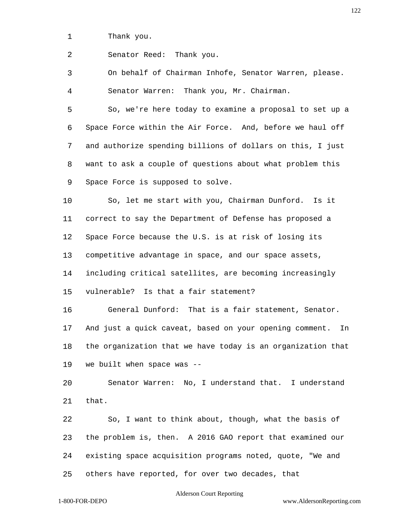Thank you.

Senator Reed: Thank you.

 On behalf of Chairman Inhofe, Senator Warren, please. Senator Warren: Thank you, Mr. Chairman.

 So, we're here today to examine a proposal to set up a Space Force within the Air Force. And, before we haul off and authorize spending billions of dollars on this, I just want to ask a couple of questions about what problem this Space Force is supposed to solve.

 So, let me start with you, Chairman Dunford. Is it correct to say the Department of Defense has proposed a Space Force because the U.S. is at risk of losing its competitive advantage in space, and our space assets, including critical satellites, are becoming increasingly vulnerable? Is that a fair statement?

 General Dunford: That is a fair statement, Senator. And just a quick caveat, based on your opening comment. In the organization that we have today is an organization that we built when space was --

 Senator Warren: No, I understand that. I understand that.

 So, I want to think about, though, what the basis of the problem is, then. A 2016 GAO report that examined our existing space acquisition programs noted, quote, "We and others have reported, for over two decades, that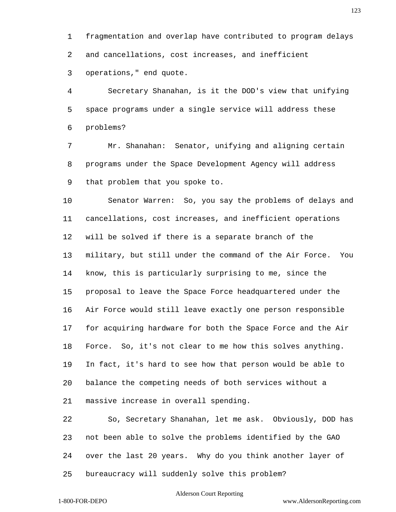fragmentation and overlap have contributed to program delays and cancellations, cost increases, and inefficient operations," end quote.

 Secretary Shanahan, is it the DOD's view that unifying space programs under a single service will address these problems?

 Mr. Shanahan: Senator, unifying and aligning certain programs under the Space Development Agency will address that problem that you spoke to.

 Senator Warren: So, you say the problems of delays and cancellations, cost increases, and inefficient operations will be solved if there is a separate branch of the military, but still under the command of the Air Force. You know, this is particularly surprising to me, since the proposal to leave the Space Force headquartered under the Air Force would still leave exactly one person responsible for acquiring hardware for both the Space Force and the Air Force. So, it's not clear to me how this solves anything. In fact, it's hard to see how that person would be able to balance the competing needs of both services without a massive increase in overall spending.

 So, Secretary Shanahan, let me ask. Obviously, DOD has not been able to solve the problems identified by the GAO over the last 20 years. Why do you think another layer of bureaucracy will suddenly solve this problem?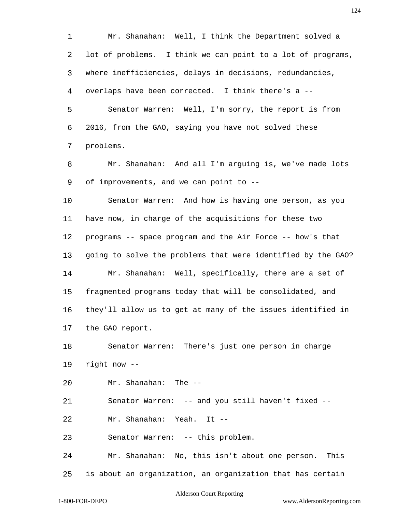Mr. Shanahan: Well, I think the Department solved a lot of problems. I think we can point to a lot of programs, where inefficiencies, delays in decisions, redundancies, overlaps have been corrected. I think there's a -- Senator Warren: Well, I'm sorry, the report is from 2016, from the GAO, saying you have not solved these problems. Mr. Shanahan: And all I'm arguing is, we've made lots of improvements, and we can point to -- Senator Warren: And how is having one person, as you have now, in charge of the acquisitions for these two programs -- space program and the Air Force -- how's that going to solve the problems that were identified by the GAO? Mr. Shanahan: Well, specifically, there are a set of fragmented programs today that will be consolidated, and they'll allow us to get at many of the issues identified in the GAO report. Senator Warren: There's just one person in charge right now -- Mr. Shanahan: The -- Senator Warren: -- and you still haven't fixed -- Mr. Shanahan: Yeah. It -- Senator Warren: -- this problem. Mr. Shanahan: No, this isn't about one person. This is about an organization, an organization that has certain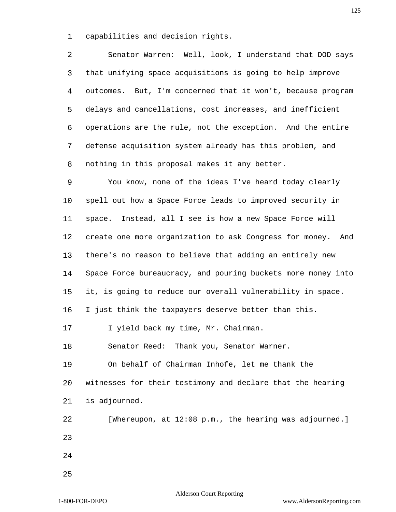capabilities and decision rights.

 Senator Warren: Well, look, I understand that DOD says that unifying space acquisitions is going to help improve outcomes. But, I'm concerned that it won't, because program delays and cancellations, cost increases, and inefficient operations are the rule, not the exception. And the entire defense acquisition system already has this problem, and nothing in this proposal makes it any better.

 You know, none of the ideas I've heard today clearly spell out how a Space Force leads to improved security in space. Instead, all I see is how a new Space Force will create one more organization to ask Congress for money. And there's no reason to believe that adding an entirely new Space Force bureaucracy, and pouring buckets more money into it, is going to reduce our overall vulnerability in space. I just think the taxpayers deserve better than this. 17 I yield back my time, Mr. Chairman. Senator Reed: Thank you, Senator Warner. On behalf of Chairman Inhofe, let me thank the witnesses for their testimony and declare that the hearing is adjourned. [Whereupon, at 12:08 p.m., the hearing was adjourned.]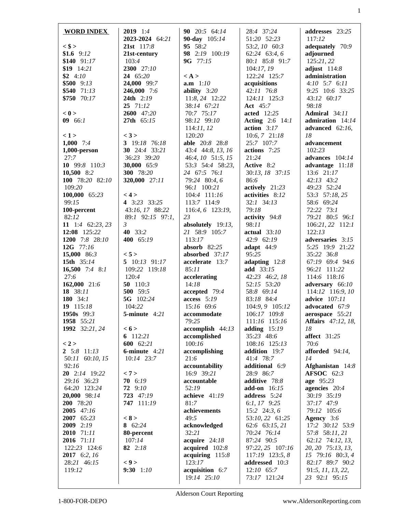| <b>WORD INDEX</b>                | <b>2019</b> 1:4              | 90 20:5 64:14            | 28:4 37:24                      | addresses $23:25$            |
|----------------------------------|------------------------------|--------------------------|---------------------------------|------------------------------|
| $<$ \$ >                         | 2023-2024 64:21              | 90-day 105:14<br>95 58:2 | 51:20 52:23                     | 117:12                       |
| \$1.6 $9:12$                     | 21st 117:8                   | 98 2:19 100:19           | 53:2, 10 60:3                   | adequately 70:9<br>adjourned |
| $$140$ $91:17$                   | 21st-century<br>103:4        | 9G 77:15                 | 62:24 63:4, 6<br>80:1 85:8 91:7 | 125:21,22                    |
| $$19$ 14:21                      | <b>2300</b> 27:10            |                          | 104:17, 19                      | adjust $114:8$               |
| $$2 \t4:10$                      | 24 65:20                     | $\langle A \rangle$      | 122:24 125:7                    | administration               |
| $$500$ 9:13                      | 24,000 99:7                  | <b>a.m</b> $1:10$        | acquisitions                    | $4:10$ 5:7 6:11              |
| $$540$ 71:13                     | 246,000 7:6                  | ability $3:20$           | 42:11 76:8                      | 9:25 10:6 33:25              |
| \$750 70:17                      | <b>24th</b> $2:19$           | 11:8, 24 12:22           | 124:11 125:3                    | 43:12 60:17                  |
|                                  | $25 \t 71:12$                | 38:14 67:21              | <b>Act</b> 45:7                 | 98:18                        |
| < 0                              | 2600 47:20                   | 70:7 75:17               | <b>acted</b> 12:25              | <b>Admiral</b> 34:11         |
| $09 \t 66:1$                     | 27th 65:15                   | 98:12 99:10              | <b>Acting</b> 2:6 14:1          | admiration 14:14             |
|                                  |                              | 114:11,12                | action $3:17$                   | advanced $62:16$ ,           |
| < 1>                             | < 3 >                        | 120:20                   | 10:6, 7 21:18                   | 18                           |
| 1,000 $7:4$                      | 3 19:18 76:18                | able 20:8 28:8           | 25:7 107:7                      | advancement                  |
| $1,000$ -person                  | 30 24:4 33:21                | 43:4 44:8, 13, 16        | actions 7:25                    | 102:23                       |
| 27:7                             | 36:23 39:20                  | 46:4, 10 51:5, 15        | 21:24                           | advances $104:14$            |
| 10 $99:8$ 110:3                  | 30,000 65:9                  | 53:3 54:4 58:23,         | Active 8:2                      | advantage 11:18              |
| $10,500$ 8:2                     | <b>300</b> 78:20             | 24 67:5 76:1             | 30:13, 18 37:15                 | 13:6 21:17                   |
| 100 78:20 82:10                  | <b>320,000</b> 27:11         | 79:24 80:4, 6            | 86:6                            | $42:13$ $43:2$               |
| 109:20                           |                              | 96:1 100:21              | actively 21:23                  | 49:23 52:24                  |
| 100,000 65:23                    | < 4 >                        | 104:4 111:16             | activities 8:12                 | 53:3 57:18, 25               |
| 99:15                            | 4 3:23 33:25                 | 113:7 114:9              | 32:1 34:13                      | 58:6 69:24                   |
| 100-percent                      | 43:16, 17 88:22              | 116:4, 6 123:19,         | 79:18                           | $72:22$ $73:1$               |
| 82:12                            | 89:1 92:15 97:1,             | 23                       | activity 94:8                   | 79:21 80:5 96:1              |
| 11 1:4 62:23, 23                 | $\mathfrak{Z}$               | absolutely $19:13$ ,     | 98:11                           | 106:21, 22 112:1             |
| 12:08 125:22                     | 40 33:2                      | 21 58:9 105:7            | actual 33:10                    | 122:13                       |
| 1200 7:8 28:10                   | 400 65:19                    | 113:17                   | 42:9 62:19                      | adversaries 3:15             |
| 12G $77:16$                      |                              | absorb $82:25$           | adapt $44:9$                    | 5:25 19:9 21:22              |
| 15,000 86:3                      | < 5 >                        | absorbed 37:17           | 95:25                           | 35:22 36:8                   |
| <b>15th</b> 35:14                | 5 10:13 91:17                | accelerate 13:7          | adapting $12:8$                 | 67:19 69:4 94:6              |
| 16,500 7:4 8:1                   | 109:22 119:18                | 85:11                    | add 33:15                       | 96:21 111:22                 |
| 27:6                             | 120:4                        | accelerating             | 42:23 46:2, 18                  | 114:6 118:16                 |
| 162,000 21:6                     | 50 $110:3$                   | 14:18                    | 52:15 53:20                     | adversary 66:10              |
| 18 38:11                         | 500 59:5                     | accepted 79:4            | 58:8 69:14                      | 114:12 116:9, 10             |
| 180 34:1                         | 5G 102:24                    | $access$ 5:19            | 83:18 84:4                      | <b>advice</b> 107:11         |
| $19$ 115:18                      | 104:22                       | 15:16 69:6               | 104:9, 9 105:12                 | advocated 67:9               |
| 1950s 99:3                       | <b>5-minute</b> 4:21         | accommodate              | 106:17 109:8                    | aerospace 55:21              |
| 1958 55:21                       |                              | 79:25                    | 111:16 115:16                   | <b>Affairs</b> 47:12, 18,    |
| 1992 32:21, 24                   | < 6 >                        | accomplish 44:13         | adding $15:19$                  | 18                           |
|                                  | 6 $112:21$                   | accomplished             | 35:23 48:6                      | <b>affect</b> 31:25          |
| < 2 ><br>$2\quad 5:8\quad 11:13$ | 600 62:21<br>6-minute $4:21$ | 100:16                   | 108:16 125:13<br>addition 19:7  | 70:6<br>afforded 94:14,      |
| 50:11 60:10, 15                  | $10:14$ 23:7                 | accomplishing<br>21:6    | 41:4 78:7                       | 14                           |
| 92:16                            |                              | accountability           | additional 6:9                  | Afghanistan 14:8             |
| 20 2:14 19:22                    | < 7 >                        | 16:9 39:21               | 28:9 86:7                       | <b>AFSOC</b> 62:3            |
| 29:16 36:23                      | 70 6:19                      | accountable              | additive 78:8                   | age 95:23                    |
| 64:20 123:24                     | 72 9:10                      | 52:19                    | <b>add-on</b> 16:15             | agencies 20:4                |
| 20,000 98:14                     | 723 47:19                    | achieve 41:19            | address 5:24                    | 30:19 35:19                  |
| 200 78:20                        | 747 111:19                   | 81:7                     | 6:1, 17 $9:25$                  | 37:17 47:9                   |
| 2005 47:16                       |                              | achievements             | 15:2 $24:3,6$                   | 79:12 105:6                  |
| 2007 65:23                       | < 8 >                        | 49:5                     | 53:10, 22 61:25                 | Agency 3:6                   |
| 2009 2:19                        | 8 62:24                      | acknowledged             | 62:6 63:15, 21                  | 17:2 30:12 53:9              |
| 2010 71:11                       | 80-percent                   | 32:21                    | 70:24 76:14                     | 57:8 58:11, 21               |
| 2016 71:11                       | 107:14                       | acquire $24:18$          | 87:24 90:5                      | 62:12 74:12, 13,             |
| 122:23 124:6                     | 82 $2:18$                    | acquired 102:8           | 97:22, 25 107:16                | 20, 20 75:13, 13,            |
| 2017 6:2, 16                     |                              | acquiring $115:8$        | 117:19 123:5, 8                 | 15 79:16 80:3, 4             |
| 28:21 46:15                      | < 9 >                        | 123:17                   | addressed 10:3                  | 82:17 89:7 90:2              |
| 119:12                           | $9:30$ 1:10                  | acquisition 6:7          | 12:10 65:7                      | 91:5, 11, 13, 22,            |
|                                  |                              | 19:14 25:10              | 73:17 121:24                    | 23 92:1 95:15                |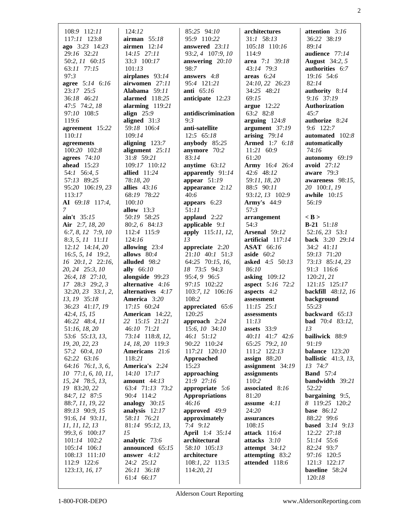| 108:9 112:11<br>117:11 123:8<br>ago 3:23 14:23<br>29:16 32:21<br>50:2, 11 60:15<br>$63:11$ $77:15$<br>97:3<br>agree 5:14 6:16<br>23:17 25:5<br>36:18 46:21<br>47:5 74:2, 18<br>97:10 108:5<br>119:6<br>agreement 15:22<br>110:11<br>agreements<br>100:20 102:8<br>agrees $74:10$<br>ahead $15:23$<br>54:1 56:4, 5<br>57:13 89:25<br>95:20 106:19, 23<br>113:17<br>AI 69:18 117:4,<br>$\mathcal{I}$<br>ain't 35:15<br>Air 2:7, 18, 20<br>6:7, 8, 12 7:9, 10<br>$8:3, 5, 11$ 11:11<br>$12:12$ 14:14, 20<br>$16:5, 5, 14$ 19:2,<br>16 20:1, 2 22:16,<br>20, 24 25:3, 10<br>26:4, 18 27:10,<br>17 28:3 29:2, 3<br>$32:20, 23$ $33:1, 2,$<br>13, 19 35:18<br>36:23 41:17, 19<br>42:4, 15, 15<br>46:22 48:4, 11<br>51:16, 18, 20<br>53:6 55:13, 13,<br>19, 20, 22, 23<br>57:2 60:4, 10 | 124:12<br>airman $55:18$<br>airmen $12:14$<br>$14:15$ $27:11$<br>33:3 100:17<br>101:13<br>airplanes 93:14<br>airwomen 27:11<br>Alabama 59:11<br>alarmed 118:25<br>alarming $119:21$<br>align $25:9$<br>aligned $31:3$<br>59:18 106:4<br>109:14<br>aligning $123:7$<br>alignment 25:11<br>31:8 59:21<br>109:17 110:12<br>allied $11:24$<br>78:18, 20<br>allies $43:16$<br>68:19 78:22<br>100:10<br>allow $13:3$<br>50:19 58:25<br>80:2, 6 84:13<br>112:4 115:9<br>124:16<br>allowing $23:4$<br>allows $80:4$<br>alluded 98:2<br>ally 66:10<br>alongside 99:23<br>alternative 4:16<br>alternatives 4:17<br><b>America</b> 3:20<br>17:15 60:24<br>American 14:22,<br>22 15:15 21:21<br>46:10 71:21<br>73:14 118:8, 12,<br>14, 18, 20 119:3<br>Americans 21:6 | 85:25 94:10<br>95:9 110:22<br>answered 23:11<br>93:2, 4 107:9, 10<br>answering $20:10$<br>98:7<br>answers $4:8$<br>95:4 121:21<br>anti $65:16$<br>anticipate 12:23<br>antidiscrimination<br>9:3<br>anti-satellite<br>$12:5$ 65:18<br>anybody $85:25$<br>anymore 70:2<br>83:14<br>anytime $63:12$<br>apparently 91:14<br>appear $51:19$<br>appearance $2:12$<br>40:6<br>appears $6:23$<br>51:11<br>applaud 2:22<br>applicable $9:1$<br>apply 115:11, 12,<br>13<br>appreciate $2:20$<br>$21:10$ 40:1 51:3<br>64:25 70:15, 16,<br>18 73:5 94:3<br>95:4, 9 96:5<br>97:15 102:22<br>103:7, 12 106:16<br>108:2<br>appreciated 65:6<br>120:25<br>approach $2:24$<br>15:6, 10 34:10<br>46:1 51:12<br>90:22 110:24<br>117:21 120:10 | architectures<br>31:1 58:13<br>105:18 110:16<br>114:9<br>area 7:1 39:18<br>43:14 79:3<br>areas $6:24$<br>24:10, 22 26:23<br>34:25 48:21<br>69:15<br>$argue$ 12:22<br>63:2 82:8<br>arguing $124:8$<br>argument 37:19<br>arising $79:14$<br>Armed 1:7 6:18<br>11:21 60:9<br>61:20<br>Army 16:4 26:4<br>42:6 48:12<br>59:11, 18, 20<br>88:5 90:11<br>93:12, 13 102:9<br><b>Army's</b> 44:9<br>57:3<br>arrangement<br>54:3<br>Arsenal 59:12<br>artificial 117:14<br><b>ASAT</b> 66:16<br>aside $60:2$<br>asked 4:5 50:13<br>86:10<br>asking 109:12<br><b>aspect</b> 5:16 72:2<br>aspects 4:2<br>assessment<br>$11:15$ $25:1$<br>assessments<br>11:13<br>assets 33:9<br>40:11 41:7 42:6<br>65:25 79:2, 10<br>111:2 122:13 | attention 3:16<br>36:22 38:19<br>89:14<br>audience 77:14<br><b>August</b> 34:2, 5<br>authorities 6:7<br>19:16 54:6<br>82:14<br>authority 8:14<br>9:16 37:19<br>Authorization<br>45:7<br>authorize 8:24<br>9:6 122:7<br>automated 102:8<br>automatically<br>74:16<br>autonomy 69:19<br>avoid $27:12$<br>aware $79:3$<br>awareness 98:15,<br>20 100:1, 19<br>awhile $10:15$<br>56:19<br>$<$ B $>$<br><b>B-21</b> $51:18$<br>52:16, 23 53:1<br><b>back</b> $3:20$ 29:14<br>34:2 41:11<br>59:13 71:20<br>73:13 85:14, 23<br>91:3 116:6<br>120:21, 21<br>121:15 125:17<br>backfill $48:12, 16$<br>background<br>55:23<br>backward $65:13$<br><b>bad</b> $70:4$ 83:12,<br>13<br>bailiwick 88:9<br>91:19<br><b>balance</b> 123:20 |
|----------------------------------------------------------------------------------------------------------------------------------------------------------------------------------------------------------------------------------------------------------------------------------------------------------------------------------------------------------------------------------------------------------------------------------------------------------------------------------------------------------------------------------------------------------------------------------------------------------------------------------------------------------------------------------------------------------------------------------------------------------------------------------|-----------------------------------------------------------------------------------------------------------------------------------------------------------------------------------------------------------------------------------------------------------------------------------------------------------------------------------------------------------------------------------------------------------------------------------------------------------------------------------------------------------------------------------------------------------------------------------------------------------------------------------------------------------------------------------------------------------------------------------------------------------|----------------------------------------------------------------------------------------------------------------------------------------------------------------------------------------------------------------------------------------------------------------------------------------------------------------------------------------------------------------------------------------------------------------------------------------------------------------------------------------------------------------------------------------------------------------------------------------------------------------------------------------------------------------------------------------------------------------------------|----------------------------------------------------------------------------------------------------------------------------------------------------------------------------------------------------------------------------------------------------------------------------------------------------------------------------------------------------------------------------------------------------------------------------------------------------------------------------------------------------------------------------------------------------------------------------------------------------------------------------------------------------------------------------------------------------------------------|----------------------------------------------------------------------------------------------------------------------------------------------------------------------------------------------------------------------------------------------------------------------------------------------------------------------------------------------------------------------------------------------------------------------------------------------------------------------------------------------------------------------------------------------------------------------------------------------------------------------------------------------------------------------------------------------------------------------------|
|                                                                                                                                                                                                                                                                                                                                                                                                                                                                                                                                                                                                                                                                                                                                                                                  |                                                                                                                                                                                                                                                                                                                                                                                                                                                                                                                                                                                                                                                                                                                                                           |                                                                                                                                                                                                                                                                                                                                                                                                                                                                                                                                                                                                                                                                                                                            |                                                                                                                                                                                                                                                                                                                                                                                                                                                                                                                                                                                                                                                                                                                      |                                                                                                                                                                                                                                                                                                                                                                                                                                                                                                                                                                                                                                                                                                                            |
|                                                                                                                                                                                                                                                                                                                                                                                                                                                                                                                                                                                                                                                                                                                                                                                  |                                                                                                                                                                                                                                                                                                                                                                                                                                                                                                                                                                                                                                                                                                                                                           |                                                                                                                                                                                                                                                                                                                                                                                                                                                                                                                                                                                                                                                                                                                            |                                                                                                                                                                                                                                                                                                                                                                                                                                                                                                                                                                                                                                                                                                                      |                                                                                                                                                                                                                                                                                                                                                                                                                                                                                                                                                                                                                                                                                                                            |
|                                                                                                                                                                                                                                                                                                                                                                                                                                                                                                                                                                                                                                                                                                                                                                                  |                                                                                                                                                                                                                                                                                                                                                                                                                                                                                                                                                                                                                                                                                                                                                           |                                                                                                                                                                                                                                                                                                                                                                                                                                                                                                                                                                                                                                                                                                                            |                                                                                                                                                                                                                                                                                                                                                                                                                                                                                                                                                                                                                                                                                                                      |                                                                                                                                                                                                                                                                                                                                                                                                                                                                                                                                                                                                                                                                                                                            |
|                                                                                                                                                                                                                                                                                                                                                                                                                                                                                                                                                                                                                                                                                                                                                                                  |                                                                                                                                                                                                                                                                                                                                                                                                                                                                                                                                                                                                                                                                                                                                                           |                                                                                                                                                                                                                                                                                                                                                                                                                                                                                                                                                                                                                                                                                                                            |                                                                                                                                                                                                                                                                                                                                                                                                                                                                                                                                                                                                                                                                                                                      |                                                                                                                                                                                                                                                                                                                                                                                                                                                                                                                                                                                                                                                                                                                            |
|                                                                                                                                                                                                                                                                                                                                                                                                                                                                                                                                                                                                                                                                                                                                                                                  |                                                                                                                                                                                                                                                                                                                                                                                                                                                                                                                                                                                                                                                                                                                                                           |                                                                                                                                                                                                                                                                                                                                                                                                                                                                                                                                                                                                                                                                                                                            |                                                                                                                                                                                                                                                                                                                                                                                                                                                                                                                                                                                                                                                                                                                      |                                                                                                                                                                                                                                                                                                                                                                                                                                                                                                                                                                                                                                                                                                                            |
|                                                                                                                                                                                                                                                                                                                                                                                                                                                                                                                                                                                                                                                                                                                                                                                  |                                                                                                                                                                                                                                                                                                                                                                                                                                                                                                                                                                                                                                                                                                                                                           |                                                                                                                                                                                                                                                                                                                                                                                                                                                                                                                                                                                                                                                                                                                            |                                                                                                                                                                                                                                                                                                                                                                                                                                                                                                                                                                                                                                                                                                                      |                                                                                                                                                                                                                                                                                                                                                                                                                                                                                                                                                                                                                                                                                                                            |
|                                                                                                                                                                                                                                                                                                                                                                                                                                                                                                                                                                                                                                                                                                                                                                                  |                                                                                                                                                                                                                                                                                                                                                                                                                                                                                                                                                                                                                                                                                                                                                           |                                                                                                                                                                                                                                                                                                                                                                                                                                                                                                                                                                                                                                                                                                                            |                                                                                                                                                                                                                                                                                                                                                                                                                                                                                                                                                                                                                                                                                                                      |                                                                                                                                                                                                                                                                                                                                                                                                                                                                                                                                                                                                                                                                                                                            |
|                                                                                                                                                                                                                                                                                                                                                                                                                                                                                                                                                                                                                                                                                                                                                                                  |                                                                                                                                                                                                                                                                                                                                                                                                                                                                                                                                                                                                                                                                                                                                                           |                                                                                                                                                                                                                                                                                                                                                                                                                                                                                                                                                                                                                                                                                                                            |                                                                                                                                                                                                                                                                                                                                                                                                                                                                                                                                                                                                                                                                                                                      |                                                                                                                                                                                                                                                                                                                                                                                                                                                                                                                                                                                                                                                                                                                            |
|                                                                                                                                                                                                                                                                                                                                                                                                                                                                                                                                                                                                                                                                                                                                                                                  |                                                                                                                                                                                                                                                                                                                                                                                                                                                                                                                                                                                                                                                                                                                                                           |                                                                                                                                                                                                                                                                                                                                                                                                                                                                                                                                                                                                                                                                                                                            |                                                                                                                                                                                                                                                                                                                                                                                                                                                                                                                                                                                                                                                                                                                      |                                                                                                                                                                                                                                                                                                                                                                                                                                                                                                                                                                                                                                                                                                                            |
|                                                                                                                                                                                                                                                                                                                                                                                                                                                                                                                                                                                                                                                                                                                                                                                  |                                                                                                                                                                                                                                                                                                                                                                                                                                                                                                                                                                                                                                                                                                                                                           |                                                                                                                                                                                                                                                                                                                                                                                                                                                                                                                                                                                                                                                                                                                            |                                                                                                                                                                                                                                                                                                                                                                                                                                                                                                                                                                                                                                                                                                                      |                                                                                                                                                                                                                                                                                                                                                                                                                                                                                                                                                                                                                                                                                                                            |
|                                                                                                                                                                                                                                                                                                                                                                                                                                                                                                                                                                                                                                                                                                                                                                                  |                                                                                                                                                                                                                                                                                                                                                                                                                                                                                                                                                                                                                                                                                                                                                           |                                                                                                                                                                                                                                                                                                                                                                                                                                                                                                                                                                                                                                                                                                                            |                                                                                                                                                                                                                                                                                                                                                                                                                                                                                                                                                                                                                                                                                                                      |                                                                                                                                                                                                                                                                                                                                                                                                                                                                                                                                                                                                                                                                                                                            |
| 62:22 63:16<br>64:16 76:1, 3, 6,                                                                                                                                                                                                                                                                                                                                                                                                                                                                                                                                                                                                                                                                                                                                                 | 118:21<br>America's 2:24                                                                                                                                                                                                                                                                                                                                                                                                                                                                                                                                                                                                                                                                                                                                  | <b>Approached</b><br>15:23                                                                                                                                                                                                                                                                                                                                                                                                                                                                                                                                                                                                                                                                                                 | assign $88:20$<br>assignment 34:19                                                                                                                                                                                                                                                                                                                                                                                                                                                                                                                                                                                                                                                                                   | <b>ballistic</b> $41:3, 13$ ,<br>13 74:7                                                                                                                                                                                                                                                                                                                                                                                                                                                                                                                                                                                                                                                                                   |
| $10$ 77:1, 6, 10, 11,                                                                                                                                                                                                                                                                                                                                                                                                                                                                                                                                                                                                                                                                                                                                                            | 14:10 17:17                                                                                                                                                                                                                                                                                                                                                                                                                                                                                                                                                                                                                                                                                                                                               | approaching                                                                                                                                                                                                                                                                                                                                                                                                                                                                                                                                                                                                                                                                                                                | assignments                                                                                                                                                                                                                                                                                                                                                                                                                                                                                                                                                                                                                                                                                                          | <b>Band</b> 57:4                                                                                                                                                                                                                                                                                                                                                                                                                                                                                                                                                                                                                                                                                                           |
| 15, 24 78:5, 13,                                                                                                                                                                                                                                                                                                                                                                                                                                                                                                                                                                                                                                                                                                                                                                 | amount $44:13$                                                                                                                                                                                                                                                                                                                                                                                                                                                                                                                                                                                                                                                                                                                                            | 21:9 27:16                                                                                                                                                                                                                                                                                                                                                                                                                                                                                                                                                                                                                                                                                                                 | 110:2                                                                                                                                                                                                                                                                                                                                                                                                                                                                                                                                                                                                                                                                                                                | bandwidth 39:21                                                                                                                                                                                                                                                                                                                                                                                                                                                                                                                                                                                                                                                                                                            |
| 19 83:20, 22                                                                                                                                                                                                                                                                                                                                                                                                                                                                                                                                                                                                                                                                                                                                                                     | 63:4 71:13 73:2                                                                                                                                                                                                                                                                                                                                                                                                                                                                                                                                                                                                                                                                                                                                           | appropriate 5:6                                                                                                                                                                                                                                                                                                                                                                                                                                                                                                                                                                                                                                                                                                            | associated 8:16                                                                                                                                                                                                                                                                                                                                                                                                                                                                                                                                                                                                                                                                                                      | 52:22                                                                                                                                                                                                                                                                                                                                                                                                                                                                                                                                                                                                                                                                                                                      |
| 84:7, 12 87:5<br>88:7, 11, 19, 22                                                                                                                                                                                                                                                                                                                                                                                                                                                                                                                                                                                                                                                                                                                                                | 90:4 114:2<br>analogy $30:15$                                                                                                                                                                                                                                                                                                                                                                                                                                                                                                                                                                                                                                                                                                                             | <b>Appropriations</b><br>46:16                                                                                                                                                                                                                                                                                                                                                                                                                                                                                                                                                                                                                                                                                             | 81:20<br>assume 4:11                                                                                                                                                                                                                                                                                                                                                                                                                                                                                                                                                                                                                                                                                                 | bargaining $9:5$ ,<br>8 119:25 120:2                                                                                                                                                                                                                                                                                                                                                                                                                                                                                                                                                                                                                                                                                       |
| 89:13 90:9, 15                                                                                                                                                                                                                                                                                                                                                                                                                                                                                                                                                                                                                                                                                                                                                                   | analysis $12:17$                                                                                                                                                                                                                                                                                                                                                                                                                                                                                                                                                                                                                                                                                                                                          | approved 49:9                                                                                                                                                                                                                                                                                                                                                                                                                                                                                                                                                                                                                                                                                                              | 24:20                                                                                                                                                                                                                                                                                                                                                                                                                                                                                                                                                                                                                                                                                                                | <b>base</b> 86:12                                                                                                                                                                                                                                                                                                                                                                                                                                                                                                                                                                                                                                                                                                          |
| 91:6, 14 93:11,                                                                                                                                                                                                                                                                                                                                                                                                                                                                                                                                                                                                                                                                                                                                                                  | 58:11 76:21                                                                                                                                                                                                                                                                                                                                                                                                                                                                                                                                                                                                                                                                                                                                               | approximately                                                                                                                                                                                                                                                                                                                                                                                                                                                                                                                                                                                                                                                                                                              | assurances                                                                                                                                                                                                                                                                                                                                                                                                                                                                                                                                                                                                                                                                                                           | 88:22 99:6                                                                                                                                                                                                                                                                                                                                                                                                                                                                                                                                                                                                                                                                                                                 |
| 11, 11, 12, 13                                                                                                                                                                                                                                                                                                                                                                                                                                                                                                                                                                                                                                                                                                                                                                   | 81:14 95:12, 13,                                                                                                                                                                                                                                                                                                                                                                                                                                                                                                                                                                                                                                                                                                                                          | $7:4$ 9:12                                                                                                                                                                                                                                                                                                                                                                                                                                                                                                                                                                                                                                                                                                                 | 108:15                                                                                                                                                                                                                                                                                                                                                                                                                                                                                                                                                                                                                                                                                                               | <b>based</b> 3:14 9:13                                                                                                                                                                                                                                                                                                                                                                                                                                                                                                                                                                                                                                                                                                     |
| 99:3, 6 100:17<br>101:14 102:2                                                                                                                                                                                                                                                                                                                                                                                                                                                                                                                                                                                                                                                                                                                                                   | 15<br>analytic 73:6                                                                                                                                                                                                                                                                                                                                                                                                                                                                                                                                                                                                                                                                                                                                       | April 1:4 35:14<br>architectural                                                                                                                                                                                                                                                                                                                                                                                                                                                                                                                                                                                                                                                                                           | <b>attack</b> 116:4<br>attacks $3:10$                                                                                                                                                                                                                                                                                                                                                                                                                                                                                                                                                                                                                                                                                | 12:22 27:18<br>51:14 55:6                                                                                                                                                                                                                                                                                                                                                                                                                                                                                                                                                                                                                                                                                                  |
| 105:14 106:1                                                                                                                                                                                                                                                                                                                                                                                                                                                                                                                                                                                                                                                                                                                                                                     | announced 65:15                                                                                                                                                                                                                                                                                                                                                                                                                                                                                                                                                                                                                                                                                                                                           | 58:10 105:13                                                                                                                                                                                                                                                                                                                                                                                                                                                                                                                                                                                                                                                                                                               | attempt 34:12                                                                                                                                                                                                                                                                                                                                                                                                                                                                                                                                                                                                                                                                                                        | 82:24 93:7                                                                                                                                                                                                                                                                                                                                                                                                                                                                                                                                                                                                                                                                                                                 |
| 108:13 111:10                                                                                                                                                                                                                                                                                                                                                                                                                                                                                                                                                                                                                                                                                                                                                                    | answer 4:12                                                                                                                                                                                                                                                                                                                                                                                                                                                                                                                                                                                                                                                                                                                                               | architecture                                                                                                                                                                                                                                                                                                                                                                                                                                                                                                                                                                                                                                                                                                               | attempting 83:2                                                                                                                                                                                                                                                                                                                                                                                                                                                                                                                                                                                                                                                                                                      | 97:16 120:5                                                                                                                                                                                                                                                                                                                                                                                                                                                                                                                                                                                                                                                                                                                |
| 112:9 122:6                                                                                                                                                                                                                                                                                                                                                                                                                                                                                                                                                                                                                                                                                                                                                                      | 24:2 25:12                                                                                                                                                                                                                                                                                                                                                                                                                                                                                                                                                                                                                                                                                                                                                | 108:1, 22 113:5                                                                                                                                                                                                                                                                                                                                                                                                                                                                                                                                                                                                                                                                                                            | attended 118:6                                                                                                                                                                                                                                                                                                                                                                                                                                                                                                                                                                                                                                                                                                       | 121:3 122:17                                                                                                                                                                                                                                                                                                                                                                                                                                                                                                                                                                                                                                                                                                               |
| 123:13, 16, 17                                                                                                                                                                                                                                                                                                                                                                                                                                                                                                                                                                                                                                                                                                                                                                   | 26:11 36:18                                                                                                                                                                                                                                                                                                                                                                                                                                                                                                                                                                                                                                                                                                                                               | 114:20, 21                                                                                                                                                                                                                                                                                                                                                                                                                                                                                                                                                                                                                                                                                                                 |                                                                                                                                                                                                                                                                                                                                                                                                                                                                                                                                                                                                                                                                                                                      | baseline 58:24                                                                                                                                                                                                                                                                                                                                                                                                                                                                                                                                                                                                                                                                                                             |
|                                                                                                                                                                                                                                                                                                                                                                                                                                                                                                                                                                                                                                                                                                                                                                                  | 61:4 66:17                                                                                                                                                                                                                                                                                                                                                                                                                                                                                                                                                                                                                                                                                                                                                |                                                                                                                                                                                                                                                                                                                                                                                                                                                                                                                                                                                                                                                                                                                            |                                                                                                                                                                                                                                                                                                                                                                                                                                                                                                                                                                                                                                                                                                                      | 120:18                                                                                                                                                                                                                                                                                                                                                                                                                                                                                                                                                                                                                                                                                                                     |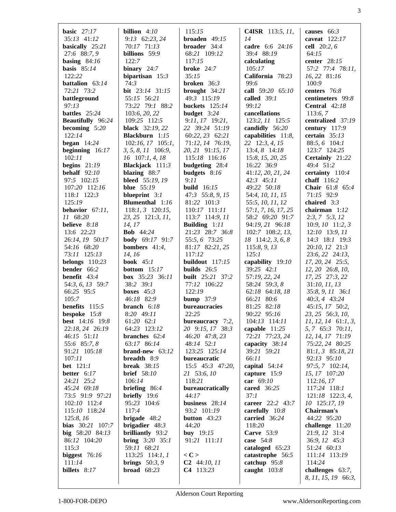| basic $27:17$                   | billion $4:10$                           | 115:15                  | <b>C4ISR</b> 113:5, $11$ , | causes $66:3$                    |
|---------------------------------|------------------------------------------|-------------------------|----------------------------|----------------------------------|
| 35:13 41:12                     | 9:13 62:23, 24                           | broaden $49:15$         | 14                         | caveat $122:17$                  |
| basically 25:21                 | 70:17 71:13                              | <b>broader</b> $34:4$   | cadre 6:6 24:16            | cell 20:2, 6                     |
| 27:6 88:7, 9                    | billions 59:9                            | 68:21 109:12            | 39:4 88:19                 | 64:15                            |
| basing $84:16$                  | 122:7                                    | 117:15                  | calculating                | center 28:15                     |
| basis $85:14$                   | binary $24:7$                            | broke 24:7              | 105:17                     | 57:2 77:4 78:11,                 |
| 122:22                          | bipartisan $15:3$                        | 35:15                   | California 78:23           | 16, 22 81:16                     |
| battalion 63:14                 | 74:3                                     | <b>broken</b> $36:3$    | 99:6                       | 100:9                            |
| 72:21 73:2                      | <b>bit</b> $23:14$ $31:15$               | brought $34:21$         | call 59:20 65:10           | centers 76:8                     |
| battleground                    | 55:15 56:21                              | 49:3 115:19             | called $39:1$              | centimeters 99:8                 |
| 97:13                           | 73:22 79:1 88:2                          | <b>buckets</b> 125:14   | 99:12                      | <b>Central</b> $42:18$           |
| battles 25:24                   | 103:6, 20, 22                            | budget 3:24             | cancellations              | 113:6,7                          |
| <b>Beautifully</b> 96:24        | 109:25 112:5                             | 9:11, 17 19:21,         | 123:2, 11 125:5            | centralized 37:19                |
|                                 |                                          | 22 39:24 51:19          |                            |                                  |
| becoming $5:20$                 | <b>black</b> 32:19, 22                   |                         | candidly 56:20             | century 117:9                    |
| 122:14                          | <b>Blackburn</b> 1:15                    | 60:22, 23 62:21         | capabilities 11:8,         | certain $35:13$                  |
| began $14:24$                   | $102:16$ , $17$ $105:1$ ,                | 71:12, 14 76:19,        | 22 12:3, 4, 15             | 88:5, 6 104:1                    |
| beginning $16:17$               | $3, 5, 8, 11$ 106:9,                     | 20, 21 91:15, 17        | 13:4, 8 14:18              | 123:7 124:25                     |
| 102:11                          | $16$ 107:1, 4, 18                        | 115:18 116:16           | 15:8, 15, 20, 25           | Certainly 21:22                  |
| begins $21:19$                  | Blackjack 111:3                          | budgeting 28:4          | 16:22 36:9                 | 49:4 51:2                        |
| behalf $92:10$                  | blazing $88:7$                           | budgets 8:16            | 41:12, 20, 21, 24          | certainty 110:4                  |
| 97:5 102:15                     | bleed 55:19, 19                          | 9:11                    | $42:3$ $45:11$             | chaff 116:2                      |
| 107:20 112:16                   | <b>blue</b> 55:19                        | <b>build</b> 16:15      | 49:22 50:18                | <b>Chair</b> $61:8$ $65:4$       |
| 118:1 122:3                     | blueprint $3:1$                          | 47:3 55:8, 9, 15        | 54:4, 10, 11, 15           | 71:15 92:9                       |
| 125:19                          | <b>Blumenthal</b> 1:16                   | 81:22 101:3             | 55:5, 10, 11, 12           | chaired $3:3$                    |
| behavior $67:11$ ,              | $118:1, 3$ 120:15,                       | 110:17 111:11           | 57:1, 7, 16, 17, 25        | chairman $1:12$                  |
| 11 68:20                        | 23, 25 121:3, 11,                        | 113:7 114:9, 11         | 58:2 69:20 91:7            | $2:3, 7 \quad 5:3, 12$           |
| believe 8:18                    | 14, 17                                   | Building $1:11$         | 94:19, 21 96:18            | $10:9, 10$ 11:2, 3               |
| 13:6 22:23                      | <b>Bob</b> 44:24                         | 21:23 28:7 36:8         | 102:7 108:2, 13,           | $12:10$ 13:9, 11                 |
| 26:14, 19 50:17                 | <b>body</b> 69:17 91:7                   | 55:5, 6 73:25           | 18 114:2, 3, 6, 8          | 14:3 18:1 19:3                   |
|                                 |                                          |                         |                            |                                  |
| 54:16 68:20                     | bombers $41:4$ ,                         | 81:17 82:21, 25         | 115:8, 9, 13               | 20:10, 12 21:3                   |
| 73:11 125:13                    | 14, 16                                   | 117:12                  | 125:1                      | 23:6, 22 24:13,                  |
| belongs $110:23$                | <b>book</b> 45:1                         | buildout 117:15         | capability 19:10           | 17, 20, 24 25:5,                 |
| bender 66:2                     | <b>bottom</b> $15:17$                    | builds $26:5$           | $39:25$ 42:1               | 12, 20 26:8, 10,                 |
| benefit $43:4$                  | <b>box</b> $35:23$ $36:11$               | <b>built</b> 25:21 37:2 | 57:19, 22, 24              | 17, 25 27:3, 22                  |
| 54:3, 6, 13 59:7                | 38:2 39:1                                | 77:12 106:22            | 58:24 59:3, 8              | 31:10, 11, 13                    |
| 66:25 95:5                      | boxes $45:3$                             | 122:19                  | 62:18 64:18, 18            | 35:8, 9, 11 36:1                 |
| 105:7                           | 46:18 82:9                               | bump $37:9$             | 66:21 80:6                 | 40:3, 4 43:24                    |
| <b>benefits</b> $115:5$         | branch $6:18$                            | bureaucracies           | 81:25 82:18                | 45:15, 17 50:2,                  |
| bespoke 15:8                    | 8:20 49:11                               | 22:25                   | 90:22 95:16                | 23, 25 56:3, 10,                 |
| <b>best</b> 14:16 19:8          | $61:20$ $62:1$                           | bureaucracy 7:2,        | 104:13 114:11              | $11, 12, 14$ 61:1, 3,            |
| 22:18, 24 26:19                 | 64:23 123:12                             | 20 9:15, 17 38:3        | capable $11:25$            | 5, 7 65:3 70:11,                 |
| 46:15 51:11                     | branches 62:4                            | 46:20 47:8, 23          | 72:21 77:23, 24            | 12, 14, 17 71:19                 |
| 55:6 85:7, 8                    | 63:17 86:14                              | 48:14 52:1              | capacity 38:14             | 75:22, 24 80:25                  |
| 91:21 105:18                    | brand-new $63:12$                        | 123:25 125:14           | 39:21 59:21                | $81:1, 3$ $85:18, 21$            |
| 107:11                          | breadth 8:9                              | bureaucratic            | 66:11                      | 92:13 95:10                      |
|                                 |                                          |                         |                            |                                  |
| <b>bet</b> 121:1<br>better 6:17 | <b>break</b> 38:15<br><b>brief</b> 58:10 | 15:5 45:3 47:20,        | capital 54:14              | 97:5, 7 102:14,<br>15, 17 107:20 |
|                                 |                                          | 21 53:6, 10             | capture 15:9               |                                  |
| 24:21 25:2                      | 106:14                                   | 118:21                  | car 69:10                  | 112:16, 17                       |
| 45:24 69:18                     | briefing $86:4$                          | bureaucratically        | cared 36:25                | 117:24 118:1                     |
| 73:5 91:9 97:21                 | briefly $19:6$                           | 44:17                   | 37:1                       | $121:18$ 122:3, 4,               |
| 102:10 112:4                    | 95:23 104:6                              | business $28:14$        | career 22:2 43:7           | 10 125:17, 19                    |
| 115:10 118:24                   | 117:4                                    | 93:2 101:19             | carefully $10:8$           | Chairman's                       |
| 125:8, 16                       | brigade 48:2                             | button $43:23$          | carried 36:24              | 44:22 95:20                      |
| bias 30:21 107:7                | brigadier $48:3$                         | 44:20                   | 118:20                     | challenge 11:20                  |
| big 58:20 84:13                 | brilliantly 93:2                         | buy $19:15$             | Carve 53:9                 | 21:9, 12 31:4                    |
| 86:12 104:20                    | <b>bring</b> $3:20$ $35:1$               | 91:21 111:11            | case $54:8$                | 36:9, 12 45:3                    |
| 115:3                           | 59:11 68:21                              |                         | cataloged $65:23$          | 51:24 60:13                      |
| biggest $76:16$                 | $113:25$ 114:1, 1                        | $\langle C \rangle$     | catastrophe 56:5           | 111:14 113:19                    |
| 111:14                          | brings $50:3, 9$                         | $C2$ 44:10, 11          | catchup $95:8$             | 114:24                           |
| billets 8:17                    | broad $68:23$                            | C4 113:23               | caught $103:8$             | challenges 63:7,                 |
|                                 |                                          |                         |                            | 8, 11, 15, 19 66:3,              |
|                                 |                                          |                         |                            |                                  |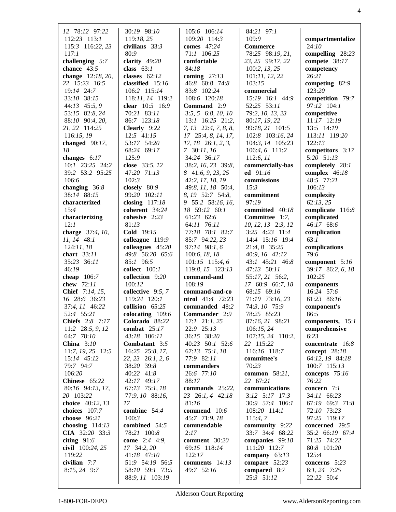| 12 78:12 97:22                      | 30:19 98:10                      | 105:6 106:14                      | 84:21 97:1                    |                                    |
|-------------------------------------|----------------------------------|-----------------------------------|-------------------------------|------------------------------------|
| 112:23 113:1                        | 119:18, 25                       | 109:20 114:3                      | 109:9                         | compartmentalize                   |
| 115:3 116:22, 23                    | civilians $33:3$                 | comes $47:24$                     | <b>Commerce</b>               | 24:10                              |
| 117:1                               | 80:9                             | 71:1 106:25                       | 78:25 98:19, 21,              | compelling $28:23$                 |
| challenging $5:7$                   | clarity $49:20$                  | comfortable                       | 23, 25 99:17, 22              | compete 38:17                      |
| chance $43:5$                       | class $63:1$                     | 84:18                             | 100:2, 13, 25                 | competency                         |
| change 12:18, 20,                   | classes $62:12$                  | coming $27:13$                    | 101:11, 12, 22                | 26:21                              |
| 22 15:23 16:5                       | classified $15:16$               | 46:8 60:8 74:8                    | 103:15                        | competing 82:9                     |
| 19:14 24:7                          | 106:2 115:14                     | 83:8 102:24                       | commercial                    | 123:20                             |
| 33:10 38:15                         | 118:11, 14 119:2                 | 108:6 120:18                      | 15:19 16:1 44:9               | competition 79:7                   |
| 44:13 45:5, 9                       | clear 10:5 16:9                  | <b>Command</b> 2:9                | 52:25 53:11                   | 97:12 104:1                        |
| 53:15 82:8, 24                      | 70:21 83:11                      | $3:5, 5 \quad 6:8, 10, 10$        | 79:2, 10, 13, 23              | competitive                        |
| 88:10 90:4, 20,                     | 86:7 123:18                      | $13:1$ $16:25$ $21:2$ ,           | 80:17, 19, 22                 | 11:17 12:19                        |
| 21, 22 114:25                       | Clearly 9:22                     | $7, 13$ 22:4, $7, 8, 8,$          | 99:18, 21 101:5               | 13:5 14:19                         |
| 116:15, 19                          | $12:5$ 41:15                     | 17 25:4, 8, 14, 17,               | 102:8 103:16, 24              | 113:11 119:20                      |
| changed $90:17$ ,                   | 53:17 54:20                      | $17, 18$ $26:1, 2, 3$ ,           | 104:3, 14 105:23              | 122:13                             |
| 18                                  | 68:24 69:17<br>125:9             | 7 30:11, 16<br>34:24 36:17        | 106:4, 6 111:2                | competitors 3:17<br>5:20 51:13     |
| changes $6:17$<br>10:1 23:25 24:2   | close 33:5, 12                   | 38:2, 16, 23 39:8,                | 112:6, 11<br>commercially-bas |                                    |
| 39:2 53:2 95:25                     | 47:20 71:13                      | 8 41:6, 9, 23, 25                 | ed $91:16$                    | completely 28:1<br>complex $46:18$ |
| 106:6                               | 102:3                            | 42:2, 17, 18, 19                  | commissions                   | 48:5 77:21                         |
| changing $36:8$                     | closely 80:9                     | 49:8, 11, 18 50:4,                | 15:3                          | 106:13                             |
| 38:14 88:15                         | 99:20 102:11                     | 8, 19 52:7 54:8,                  | commitment                    | complexity                         |
| characterized                       | closing $117:18$                 | 9 55:2 58:16, 16,                 | 97:19                         | 62:13,25                           |
| 15:4                                | coherent 34:24                   | 18 59:12 60:1                     | committed 40:18               | complicate 116:8                   |
| characterizing                      | cohesive 2:23                    | 61:23 62:6                        | <b>Committee</b> $1:7$ ,      | complicated                        |
| 12:1                                | 81:13                            | 64:11 76:11                       | 10, 12, 13 2:3, 12            | 46:17 68:6                         |
| charge 37:4, 10,                    | Cold 19:15                       | 77:18 78:1 82:7                   | 3:25 4:23 11:4                | complication                       |
| 11, 14 48:1                         | colleague 119:9                  | 85:7 94:22, 23                    | 14:4 15:16 19:4               | 63:1                               |
| 124:11,18                           | colleagues $45:20$               | 97:14 98:1, 6                     | 21:4, 8 35:25                 | complications                      |
| chart $33:11$                       | 49:8 56:20 65:6                  | 100:6, 18, 18                     | 40:9, 16 42:12                | 79:6                               |
| 35:23 36:11                         | 85:1 96:5                        | 101:15 115:4, 6                   | 43:1 45:21 46:8               | component 5:16                     |
| 46:19                               | collect 100:1                    | 119:8, 15 123:13                  | 47:13 50:11                   | 39:17 86:2, 6, 18                  |
| cheap $106:7$                       | collection 9:20                  | command-and                       | 55:17, 21 56:2,               | 102:25                             |
| chew 72:11                          | 100:12                           | 108:19                            | 17 60:9 66:7, 18              | components                         |
| Chief 7:14, 15,                     | collective 9:5, 7                | command-and-co                    | 68:15 69:16                   | 16:24 57:6                         |
| 16 28:6 36:23                       | 119:24 120:1                     | <b>ntrol</b> $41:4$ 72:23         | 71:19 73:16, 23               | 61:23 86:16                        |
| 37:4, 11 46:22                      | collision 65:25                  | commanded 48:2                    | 74:3, 10 75:9                 | component's                        |
| 52:4 55:21                          | colocating 109:6                 | Commander 2:9                     | 78:25 85:23                   | 86:5                               |
| Chiefs 2:8 7:17                     | Colorado 88:22                   | $17:1$ $21:1, 25$                 | 87:16, 21 98:21               | components, 15:1                   |
| 11:2 28:5, 9, 12                    | combat $25:17$                   | 22:9 25:13                        | 106:15, 24                    | comprehensive                      |
| 64:7 78:10                          | 43:18 106:11                     | 36:15 38:20                       | 107:15, 24 110:2,             | 6:23                               |
| China $3:10$<br>$11:7, 19, 25$ 12:5 | Combatant 3:5<br>16:25 25:8, 17, | 40:23 50:1 52:6<br>67:13 75:1, 18 | 22 115:22<br>116:16 118:7     | concentrate 16:8<br>concept 28:18  |
| 15:14 45:12                         | 22, 23 26:1, 2, 6                | 77:9 82:11                        | committee's                   | 64:12, 19 84:18                    |
| 79:7 94:7                           | 38:20 39:8                       | commanders                        | 70:23                         | 100:7 115:13                       |
| 106:20                              | 40:22 41:8                       | 26:6 77:10                        | common 58:21,                 | concepts $75:16$                   |
| Chinese 65:22                       | 42:17 49:17                      | 88:17                             | 22 67:21                      | 76:22                              |
| 80:16 94:13, 17,                    | 67:13 75:1, 18                   | commands $25:22$ ,                | communications                | concern $7:1$                      |
| 20 103:22                           | 77:9, 10 88:16,                  | 23 26:1, 4 42:18                  | $3:12$ $5:17$ $17:3$          | 34:11 66:23                        |
| choice 40:12, 13                    | 17                               | 81:16                             | 30:9 57:4 106:1               | 67:19 69:3 71:8                    |
| choices 107:7                       | combine 54:4                     | commend $10:6$                    | 108:20 114:1                  | 72:10 73:23                        |
| choose 96:21                        | 100:3                            | 45:7 71:9, 18                     | 115:4,7                       | 97:25 119:17                       |
| choosing $114:13$                   | combined 54:5                    | commendable                       | community 9:22                | concerned 29:5                     |
| CIA 32:20 33:3                      | 78:21 100:8                      | 2:17                              | 33:7 34:4 68:22               | 35:2 66:19 67:4                    |
| citing $91:6$                       | come 2:4 4:9,                    | comment 30:20                     | companies 99:18               | 71:25 74:22                        |
| civil 100:24, 25                    | 17 34:2, 20                      | 69:15 118:14                      | 111:20 112:7                  | 80:8 101:20                        |
| 119:22                              | 41:18 47:10                      | 122:17                            | company $63:13$               | 125:4                              |
| civilian 7:7                        | 51:9 54:19 56:5                  | comments $14:13$                  | compare $52:23$               | concerns 5:23                      |
| $8:15, 24$ 9:7                      | 58:10 59:1 73:5                  | 49:7 52:16                        | compared 8:7                  | 6:1, 24 $7:25$                     |
|                                     | 88:9, 11 103:19                  |                                   | 25:3 51:12                    | 22:22 50:4                         |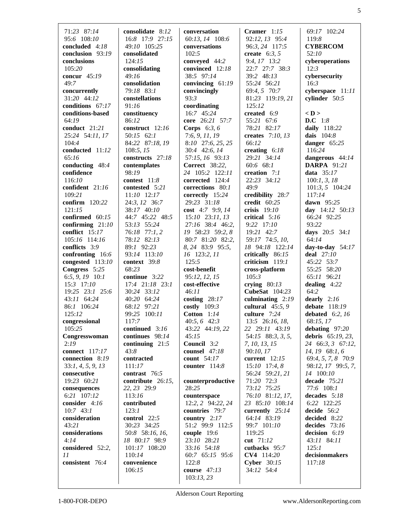| 71:23 87:14                   | consolidate 8:12             | conversation                       | Cramer $1:15$              | 69:17 102:24           |
|-------------------------------|------------------------------|------------------------------------|----------------------------|------------------------|
| 95:6 108:10                   | 16:8 17:9 27:15              | 60:13, 14 108:6                    | 92:12, 13 95:4             | 119:8                  |
| concluded $4:18$              | 49:10 105:25                 | conversations                      | 96:3, 24 117:5             | <b>CYBERCOM</b>        |
| conclusion 93:19              |                              | 102:5                              | create $6:3, 5$            | 52:10                  |
| conclusions                   | consolidated<br>124:15       | conveyed 44:2                      | 9:4, 17 13:2               | cyberoperations        |
| 105:20                        | consolidating                | convinced 12:18                    | 22:7 27:7 38:3             | 12:3                   |
|                               |                              |                                    |                            |                        |
| concur 45:19<br>49:7          | 49:16<br>consolidation       | 38:5 97:14                         | 39:2 48:13                 | cybersecurity<br>16:3  |
|                               |                              | convincing 61:19                   | 55:24 56:21                | cyberspace 11:11       |
| concurrently<br>31:20 44:12   | 79:18 83:1<br>constellations | convincingly<br>93:3               | 69:4, 5 70:7               |                        |
| conditions 67:17              | 91:16                        | coordinating                       | 81:23 119:19, 21<br>125:12 | cylinder 50:5          |
| conditions-based              | constituency                 | 16:7 45:24                         |                            | $<$ D $>$              |
| 64:19                         | 86:12                        | core 26:21 57:7                    | created 6:9<br>55:21 67:6  | D.C 1:8                |
| conduct 21:21                 | construct 12:16              |                                    | 78:21 82:17                | daily 118:22           |
| 25:24 54:11, 17               | 50:15 62:1                   | Corps $6:3, 6$<br>7:6, 9, 11, 19   | creates 7:10, 13           | dais 104:8             |
| 104:4                         |                              |                                    | 66:12                      |                        |
| conducted 11:12               | 84:22 87:18, 19<br>108:5, 15 | 8:10 27:6, 25, 25<br>30:4 42:6, 14 | creating $6:18$            | danger 65:25<br>116:24 |
| 65:16                         |                              |                                    |                            |                        |
|                               | constructs 27:18             | 57:15, 16 93:13                    | 29:21 34:14                | dangerous 44:14        |
| conducting 48:4<br>confidence | contemplates<br>98:19        | <b>Correct</b> 38:22,              | 60:6 68:1                  | <b>DARPA</b> 91:21     |
|                               |                              | 24 105:2 122:11                    | creation $7:1$             | data $35:17$           |
| 116:10                        | contest $11:8$               | corrected 124:4                    | 22:23 34:12<br>49:9        | 100:1, 3, 18           |
| confident 21:16               | contested 5:21               | corrections 80:1                   |                            | 101:3, 5 104:24        |
| 109:21<br>confirm 120:22      | 11:10 12:17                  | correctly 15:24                    | credibility 28:7           | 117:14                 |
|                               | 24:3, 12 36:7                | 29:23 31:18                        | credit 60:25               | dawn 95:25             |
| 121:15                        | 38:17 40:10                  | cost 4:7 9:9, 14                   | crisis 19:10               | day $14:12$ 50:13      |
| confirmed $60:15$             | 44:7 45:22 48:5              | $15:10$ $23:11, 13$                | critical 5:16              | 66:24 92:25            |
| confirming $21:10$            | 53:13 55:24                  | 27:16 38:4 46:2,                   | 9:22 17:10                 | 93:22                  |
| conflict $15:17$              | 76:18 77:1, 2                | 19 58:23 59:2, 8                   | 19:21 42:7                 | days 20:5 34:1         |
| 105:16 114:16                 | 78:12 82:13                  | 80:7 81:20 82:2,                   | 59:17 74:5, 10,            | 64:14                  |
| conflicts 3:9                 | 89:1 92:23                   | 8, 24 83:9 95:5,                   | 18 94:18 122:14            | day-to-day $54:17$     |
| confronting 16:6              | 93:14 113:10                 | 16 123:2, 11                       | critically 86:15           | deal $27:10$           |
| congested 113:10              | context 39:8<br>68:23        | 125:5                              | criticism 119:1            | 45:22 53:7             |
| Congress 5:25                 |                              | cost-benefit                       | cross-platform             | 55:25 58:20            |
| 6:5, 9, 19 $10:1$             | continue 3:22                | 95:12, 12, 15<br>cost-effective    | 105:3                      | 65:11 96:21            |
| 15:3 17:10                    | 17:4 21:18 23:1              | 46:11                              | crying $80:13$             | dealing $4:22$         |
| 19:25 23:1 25:6               | 30:24 33:12                  |                                    | CubeSat 104:23             | 64:2                   |
| 43:11 64:24<br>86:1 106:24    | 40:20 64:24<br>68:12 97:21   | costing $28:17$<br>costly $109:3$  | culminating $2:19$         | dearly $2:16$          |
| 125:12                        |                              |                                    | cultural $45:5, 9$         | debate 118:19          |
|                               | 99:25 100:11                 | Cotton $1:14$                      | culture 7:24               | debated $6:2, 16$      |
| congressional<br>105:25       | 117:7                        | 40:5, 6 42:3                       | 13:5 26:16, 18,            | 68:15, 17              |
|                               | continued 3:16               | 43:22 44:19, 22                    | 22 29:11 43:19             | debating $97:20$       |
| Congresswoman                 | continues 98:14              | 45:15<br>Council 3:2               | 54:15 88:3, 3, 5,          | debris $65:19, 23$ ,   |
| 2:19<br><b>connect</b> 117:17 | continuing $21:5$            |                                    |                            |                        |
|                               |                              |                                    | 7, 10, 13, 15              | 24 66:3, 3 67:12,      |
|                               | 43:8                         | counsel 47:18                      | 90:10, 17                  | 14, 19 68:1, 6         |
| connection 8:19               | contracted                   | count 54:17                        | current $12:15$            | 69:4, 5, 7, 8 70:9     |
| 33:1, 4, 5, 9, 13             | 111:17                       | counter 114:8                      | $15:10$ 17:4, 8            | 98:12, 17 99:5, 7,     |
| consecutive                   | contrast 76:5                |                                    | 56:24 59:21, 21            | 14 100:10              |
| 19:23 60:21                   | contribute 26:15,            | counterproductive                  | 71:20 72:3                 | decade 75:21           |
| consequences                  | 22, 23 29:9                  | 28:25                              | 73:12 75:25                | 77:6 108:1             |
| 6:21 107:12                   | 113:16                       | counterspace                       | 76:10 81:12, 17,           | decades 5:18           |
| consider 4:16                 | contributed                  | 12:2, 2 94:22, 24                  | 23 85:10 108:14            | 6:22 122:25            |
| $10:7$ 43:1                   | 123:1                        | countries 79:7                     | currently 25:14            | decide 56:2            |
| consideration                 | control 22:5                 | country $2:17$                     | 64:14 83:19                | decided 8:22           |
| 43:21                         | 30:23 34:25                  | 51:2 99:9 112:5                    | 99:7 101:10                | decides $73:16$        |
| considerations                | 50:8 58:16, 16,              | couple 19:6                        | 119:25                     | decision 6:19          |
| 4:14                          | 18 80:17 98:9                | 23:10 28:21                        | cut 71:12                  | 43:11 84:11            |
| considered 52:2,              | 101:17 108:20                | 33:16 54:18                        | cutbacks 95:7              | 125:1                  |
| 11                            | 110:14                       | 60:7 65:15 95:6                    | CV4 114:20                 | decisionmakers         |
| consistent 76:4               | convenience                  | 122:8                              | Cyber $30:15$              | 117:18                 |
|                               | 106:15                       | course $47:13$<br>103:13,23        | 34:12 54:4                 |                        |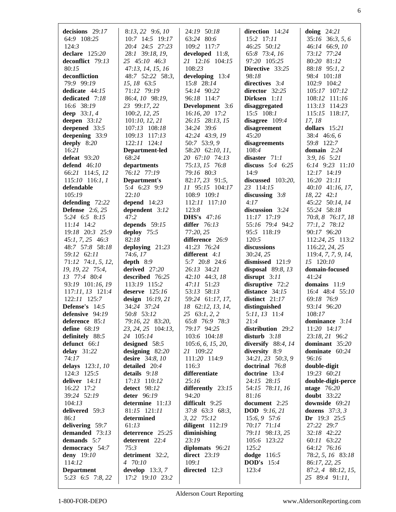| decisions $29:17$      | $8:13, 22$ 9:6, 10 | 24:19 50:18           | direction $14:24$     | doing $24:21$        |
|------------------------|--------------------|-----------------------|-----------------------|----------------------|
|                        |                    |                       |                       |                      |
| 64:9 108:25            | 10:7 14:5 19:17    | 63:24 80:6            | 15:2 17:11            | $35:16$ $36:3, 5, 6$ |
| 124:3                  | 20:4 24:5 27:23    | 109:2 117:7           | 46:25 50:12           | 46:14 66:9, 10       |
| declare $125:20$       | 28:1 39:18, 19,    | developed $11:8$ ,    | 65:8 73:4, 16         | 73:12 77:24          |
| deconflict 79:13       | 25 45:10 46:3      | 21 12:16 104:15       | 97:20 105:25          | 80:20 81:12          |
| 80:15                  | 47:13, 14, 15, 16  | 108:23                | Directive 33:25       | 88:18 95:1, 2        |
|                        |                    |                       |                       |                      |
| deconfliction          | 48:7 52:22 58:3,   | developing 13:4       | 98:18                 | 98:4 101:18          |
| 79:9 99:19             | 15, 18 63:5        | 15:8 28:14            | directives 3:4        | 102:9 104:2          |
| dedicate 44:15         | 71:12 79:19        | 54:14 90:22           | director 32:25        | 105:17 107:12        |
| dedicated 7:18         | 86:4, 10 98:19,    | 96:18 114:7           | Dirksen 1:11          | 108:12 111:16        |
| 16:6 38:19             | 23 99:17, 22       | Development 3:6       | disaggregated         | 113:13 114:23        |
|                        |                    |                       |                       |                      |
| deep $33:1, 4$         | 100:2, 12, 25      | 16:16, 20 17:2        | 15:5 108:1            | 115:15 118:17,       |
| deepen $33:12$         | 101:10, 12, 21     | 26:15 28:13, 15       | disagree $109:4$      | 17, 18               |
| deepened 33:5          | 107:13 108:18      | 34:24 39:6            | disagreement          | dollars $15:21$      |
| deepening 33:9         | 109:13 117:13      | 42:24 43:9, 19        | 45:20                 | 38:4 46:6, 6         |
| deeply 8:20            | 122:11 124:1       | 50:7 53:9, 9          | disagreements         | 59:8 122:7           |
| 16:21                  | Department-led     | 58:20 62:10, 11,      | 108:4                 | domain $2:24$        |
|                        |                    |                       |                       |                      |
| defeat $93:20$         | 68:24              | 20 67:10 74:13        | disaster $71:1$       | $3:9, 16$ $5:21$     |
| defend $46:10$         | departments        | 75:13, 15 76:8        | discuss $5:4$ 6:25    | 6:14 $9:23$ 11:10    |
| 66:21 114:5, 12        | 76:12 77:19        | 79:16 80:3            | 14:9                  | 12:17 14:19          |
| $115:10$ 116:1, 1      | Department's       | 82:17, 23 91:5,       | discussed 103:20,     | 16:20 21:11          |
| defendable             | 5:4 6:23 9:9       | 11 95:15 104:17       | 23 114:15             | 40:10 41:16, 17,     |
|                        |                    |                       |                       |                      |
| 105:19                 | 22:10              | 108:9 109:1           | discussing $3:8$      | 18, 22 42:1          |
| defending $72:22$      | depend $14:23$     | 112:11 117:10         | 4:17                  | 45:22 50:14, 14      |
| <b>Defense</b> 2:6, 25 | dependent 3:12     | 123:8                 | discussion 3:24       | 55:24 58:18          |
| 5:24 6:5 8:15          | 47:2               | <b>DHS's</b> 47:16    | 11:17 17:19           | 70:8, 8 76:17, 18    |
| $11:14$ 14:2           | depends $59:15$    | differ 76:13          | 55:16 79:4 94:2       | $77:1, 2$ $78:12$    |
| 19:18 20:3 25:9        |                    | 77:20, 25             | 95:5 118:19           |                      |
|                        | deploy 75:5        |                       |                       | 90:17 96:20          |
| $45:1, 7, 25$ $46:3$   | 82:18              | difference 26:9       | 120:5                 | 112:24, 25 113:2     |
| 48:7 57:8 58:18        | deploying $21:23$  | 41:23 76:24           | discussions           | 116:22, 24, 25       |
| 59:12 62:11            | 74:6, 17           | different 4:1         | 30:24, 25             | 119:4, 7, 7, 9, 14,  |
|                        |                    |                       |                       |                      |
|                        |                    |                       |                       |                      |
| 71:12 74:1, 5, 12,     | depth $8:9$        | 5:7 20:8 24:6         | dismissed 121:9       | 15 120:10            |
| 19, 19, 22 75:4,       | derived 27:20      | 26:13 34:21           | disposal 89:8, 13     | domain-focused       |
| 13 77:4 80:4           | described 76:25    | 42:10 44:3, 18        | disrupt $3:11$        | 41:24                |
| 93:19 101:16, 19       | 113:19 115:2       | 47:11 51:23           | disruptive 72:2       | domains 11:9         |
| 117:11, 13 121:4       | deserve $125:16$   | 53:13 58:13           | distance $34:15$      | 16:4 48:4 55:10      |
| 122:11 125:7           | design $16:19, 21$ | 59:24 61:17, 17,      | distinct $21:17$      | 69:18 76:9           |
|                        |                    |                       |                       |                      |
| <b>Defense's</b> 14:5  | 34:24 37:24        | 18 62:12, 13, 14,     | distinguished         | 93:14 96:20          |
| defensive 94:19        | 50:8 53:12         | $25 \quad 63:1, 2, 2$ | 5:11, 13 11:4         | 108:17               |
| deference 85:1         | 79:16, 22 83:20,   | 65:8 76:9 78:3        | 21:4                  | dominance 3:14       |
| define 68:19           | 23, 24, 25 104:13, | 79:17 94:25           | distribution 29:2     | 11:20 14:17          |
| definitely 88:5        | 24 105:14          | 103:6 104:18          | disturb $3:18$        | 23:18, 21 96:2       |
| defunct 66:1           |                    | 105:6, 6, 15, 20,     | diversify $88:4, 14$  | dominant 35:20       |
|                        | designed 58:5      |                       |                       |                      |
| delay $31:22$          | designing $82:20$  | 21 109:22             | diversity 8:9         | dominate 60:24       |
| 74:17                  | desire 34:8, 10    | 111:20 114:9          | 34:21, 23 50:3, 9     | 96:16                |
| delays 123:1, 10       | detailed 20:4      | 116:3                 | doctrinal 76:8        | double-digit         |
| 124:3 125:5            | details 9:18       | differentiate         | doctrine 13:4         | 19:23 60:21          |
| deliver 14:11          | 17:13 110:12       | 25:16                 | 24:15 28:15           | double-digit-perce   |
| 16:22 17:2             | detect 98:12       | differently 23:15     | 54:15 78:11, 16       | ntage $76:20$        |
| 39:24 52:19            |                    | 94:20                 | 81:16                 |                      |
|                        | deter 96:19        |                       |                       | <b>doubt</b> 33:22   |
| 104:13                 | determine 11:13    | difficult 9:25        | document 2:25         | downside 69:21       |
| delivered 59:3         | 81:15 121:11       | 37:8 63:3 68:3,       | <b>DOD</b> $9:16, 21$ | dozens $37:3, 3$     |
| 86:1                   | determined         | 3, 22 75:12           | 15:6, 9 57:6          | Dr $19:3$ 25:5       |
| delivering 59:7        | 61:13              | diligent $112:19$     | 70:17 71:14           | 27:22 29:7           |
| demanded 73:13         | deterrence 25:25   | diminishing           | 79:11 98:13, 25       | 32:18 42:22          |
| demands 5:7            |                    | 23:19                 | 105:6 123:22          | 60:11 63:22          |
|                        | deterrent 22:4     |                       |                       |                      |
| democracy 54:7         | 75:3               | diplomats 96:21       | 125:2                 | 64:12 76:16          |
| deny 19:10             | detriment 32:2,    | <b>direct</b> 23:19   | dodge 116:5           | 78:2, 5, 16 83:18    |
| 114:12                 | 4 70:10            | 109:1                 | <b>DOD's</b> 15:4     | 86:17, 22, 25        |
| <b>Department</b>      | develop $13:3,7$   | directed $12:3$       | 123:4                 | 87:2, 4 88:12, 15,   |
| 5:23 6:5 7:8, 22       | 17:2 19:10 23:2    |                       |                       | 25 89:4 91:11,       |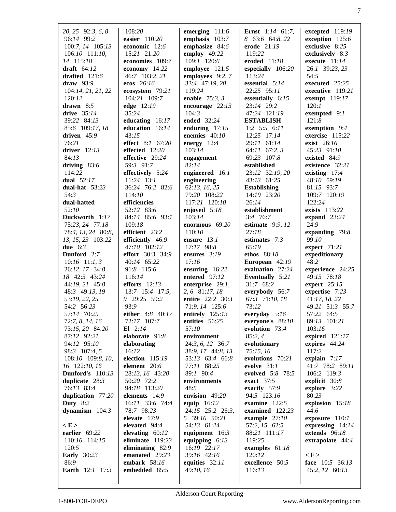| 20, 25 92:3, 6, 8<br>96:14 99:2<br>100:7, 14 105:13<br>106:10 111:10,<br>14 115:18<br>draft $64:12$<br>drafted 121:6<br>draw $93:9$<br>104:14, 21, 21, 22<br>120:12<br>drawn $8:5$<br>drive 35:14<br>39:22 84:13<br>85:6 109:17, 18<br>driven 45:9<br>76:21<br>driver $12:13$<br>84:13<br>driving $83:6$<br>114:22<br>dual $52:17$<br>dual-hat $53:23$<br>54:3<br>dual-hatted<br>52:10<br>Duckworth 1:17<br>75:23, 24 77:18<br>78:4, 13, 24 80:8,<br>13, 15, 23 103:22<br>due $6:3$<br>Dunford 2:7<br>$10:16$ 11:1, 3<br>26:12, 17 34:8,<br>18 42:5 43:24<br>44:19, 21 45:8<br>48:3 49:13, 19<br>53:19, 22, 25<br>54:2 56:23<br>57:14 70:25<br>72:7, 8, 14, 16<br>73:15, 20 84:20<br>87:12 92:21<br>94:12 95:10<br>98:3 107:4, 5<br>108:10 109:8, 10,<br>16 122:10, 16<br>Dunford's 110:13<br>duplicate $28:3$<br>76:13 83:4<br>duplication 77:20<br>Duty $8:2$<br>dynamism $104:3$ | 108:20<br>easier 110:20<br>economic 12:6<br>15:21 21:20<br>economies 109:7<br>economy 14:22<br>46:7 103:2, 21<br>ecos 26:16<br>ecosystem 79:21<br>104:21 109:7<br>edge 12:19<br>35:24<br>educating 16:17<br>education 16:14<br>43:15<br>effect 8:1 67:20<br>effected 12:20<br>effective 29:24<br>59:3 91:7<br>effectively 5:24<br>$11:24$ 13:1<br>36:24 76:2 82:6<br>114:10<br>efficiencies<br>52:12 83:6<br>84:14 85:6 93:1<br>109:18<br>efficient 23:2<br>efficiently 46:9<br>47:10 102:12<br>effort 30:3 34:9<br>40:14 65:22<br>91:8 115:6<br>116:14<br>efforts $12:13$<br>13:7 15:4 17:5,<br>9 29:25 59:2<br>93:9<br>either 4:8 40:17<br>72:17 107:7<br>$E1 \t2:14$<br>elaborate 91:8<br>elaborating<br>16:12<br>election 115:19<br>element 20:6<br>28:13, 16 43:20<br>50:20 72:2<br>94:18 113:20<br>elements 14:9<br>16:11 33:6 74:4<br>78:7 98:23<br>elevate 17:9 | emerging 111:6<br>emphasis 103:7<br>emphasize 84:6<br>employ 49:22<br>109:1 120:6<br>employee 121:5<br>employees 9:2, 7<br>33:4 47:19, 20<br>119:24<br>enable $75:3,3$<br>encourage $22:13$<br>104:3<br>ended 32:24<br>enduring $17:15$<br>enemies $40:10$<br>energy $12:4$<br>103:14<br>engagement<br>82:14<br>engineered 16:1<br>engineering<br>62:13, 16, 25<br>79:20 108:22<br>117:21 120:10<br>enjoyed 5:18<br>103:14<br>enormous $69:20$<br>110:10<br>ensure $13:1$<br>17:17 98:8<br>ensures $3:19$<br>17:16<br>ensuring $16:22$<br>entered 97:12<br>enterprise $29:1$ ,<br>2, 6 81:17, 18<br>entire $22:2 \ 30:3$<br>71:9, 14 125:6<br>entirely 125:13<br>entities 56:25<br>57:10<br>environment<br>24:3, 6, 12 36:7<br>38:9, 17 44:8, 13<br>53:13 63:4 66:8<br>77:11 88:25<br>89:1 90:4<br>environments<br>48:5<br>envision 49:20<br>equip 16:12<br>24:15 25:2 26:3,<br>5 39:16 50:21 | <b>Ernst</b> $1:14$ 61:7,<br>8 63:6 64:8, 22<br>erode 21:19<br>119:22<br>eroded $11:18$<br>especially 106:20<br>113:24<br>essential 5:14<br>$22:25$ 95:11<br>essentially $6:15$<br>23:14 29:2<br>47:24 121:19<br><b>ESTABLISH</b><br>1:2 $5:5$ 6:11<br>12:25 17:14<br>29:11 61:14<br>64:11 67:2, 3<br>69:23 107:8<br>established<br>23:12 32:19, 20<br>43:13 61:25<br><b>Establishing</b><br>14:19 23:20<br>26:14<br>establishment<br>$3:4$ 76:7<br>estimate $9:9,12$<br>27:18<br>estimates $7:3$<br>65:19<br>ethos 88:18<br>European $42:19$<br>evaluation 27:24<br>Eventually 5:21<br>31:7 68:2<br>everybody 56:7<br>67:3 71:10, 18<br>73:12<br>everyday $5:16$<br>everyone's 88:10<br>evolution 73:4<br>85:2,4<br>evolutionary<br>75:15,16<br>evolutions 70:21<br>evolve $31:1$<br>evolved 5:8 78:5<br>exact $37:5$<br>exactly 57:9<br>94:5 123:16<br>examine $122:5$<br>examined $122:23$<br>example $27:10$ | excepted 119:19<br>exception 125:6<br>exclusive 8:25<br>exclusively $8:3$<br>execute $11:14$<br>26:1 39:23, 23<br>54:5<br>executed 25:25<br>executive 119:21<br>exempt 119:17<br>120:1<br>exempted $9:1$<br>121:8<br>exemption 9:4<br>exercise 115:22<br>exist $26:16$<br>45:23 91:10<br>existed 84:9<br>existence 32:21<br>existing $17:4$<br>48:10 59:19<br>81:15 93:7<br>109:7 120:19<br>122:24<br>exists 113:22<br>expand 23:24<br>24:9<br>expanding $79:8$<br>99:10<br>expect $71:21$<br>expeditionary<br>48:2<br>experience 24:25<br>49:15 78:18<br>expert $25:15$<br>expertise 7:23<br>41:17, 18, 22<br>49:21 51:3 55:7<br>57:22 64:5<br>89:13 101:21<br>103:16<br>expired $121:17$<br>expires $44:24$<br>117:2<br>explain $7:17$<br>41:7 78:2 89:11<br>106:2 119:3<br>explicit 30:8<br>explore 3:22<br>80:23<br>explosion 15:18<br>44:6<br>exposure 110:1 |
|-------------------------------------------------------------------------------------------------------------------------------------------------------------------------------------------------------------------------------------------------------------------------------------------------------------------------------------------------------------------------------------------------------------------------------------------------------------------------------------------------------------------------------------------------------------------------------------------------------------------------------------------------------------------------------------------------------------------------------------------------------------------------------------------------------------------------------------------------------------------------------------|-------------------------------------------------------------------------------------------------------------------------------------------------------------------------------------------------------------------------------------------------------------------------------------------------------------------------------------------------------------------------------------------------------------------------------------------------------------------------------------------------------------------------------------------------------------------------------------------------------------------------------------------------------------------------------------------------------------------------------------------------------------------------------------------------------------------------------------------------------------------------|-----------------------------------------------------------------------------------------------------------------------------------------------------------------------------------------------------------------------------------------------------------------------------------------------------------------------------------------------------------------------------------------------------------------------------------------------------------------------------------------------------------------------------------------------------------------------------------------------------------------------------------------------------------------------------------------------------------------------------------------------------------------------------------------------------------------------------------------------------------------------------------------------|------------------------------------------------------------------------------------------------------------------------------------------------------------------------------------------------------------------------------------------------------------------------------------------------------------------------------------------------------------------------------------------------------------------------------------------------------------------------------------------------------------------------------------------------------------------------------------------------------------------------------------------------------------------------------------------------------------------------------------------------------------------------------------------------------------------------------------------------------------------------------------------------------------------|-------------------------------------------------------------------------------------------------------------------------------------------------------------------------------------------------------------------------------------------------------------------------------------------------------------------------------------------------------------------------------------------------------------------------------------------------------------------------------------------------------------------------------------------------------------------------------------------------------------------------------------------------------------------------------------------------------------------------------------------------------------------------------------------------------------------------------------------------------------------|
| E ><br>earlier 69:22<br>110:16 114:15                                                                                                                                                                                                                                                                                                                                                                                                                                                                                                                                                                                                                                                                                                                                                                                                                                               | elevated 94:4<br>elevating $60:12$<br>eliminate 119:23                                                                                                                                                                                                                                                                                                                                                                                                                                                                                                                                                                                                                                                                                                                                                                                                                  | 54:13 61:24<br>equipment 16:3<br>equipping $6:13$                                                                                                                                                                                                                                                                                                                                                                                                                                                                                                                                                                                                                                                                                                                                                                                                                                             | 57:2, 15 62:5<br>88:21 111:17<br>119:25                                                                                                                                                                                                                                                                                                                                                                                                                                                                                                                                                                                                                                                                                                                                                                                                                                                                          | expressing 14:14<br>extends $96:18$<br>extrapolate 44:4                                                                                                                                                                                                                                                                                                                                                                                                                                                                                                                                                                                                                                                                                                                                                                                                           |
| 120:5<br><b>Early</b> 30:23<br>86:9                                                                                                                                                                                                                                                                                                                                                                                                                                                                                                                                                                                                                                                                                                                                                                                                                                                 | eliminating 82:9<br>emanated 29:23<br>embark $58:16$                                                                                                                                                                                                                                                                                                                                                                                                                                                                                                                                                                                                                                                                                                                                                                                                                    | 16:19 22:17<br>39:16 42:16<br>equities $32:11$                                                                                                                                                                                                                                                                                                                                                                                                                                                                                                                                                                                                                                                                                                                                                                                                                                                | examples $61:18$<br>120:12<br>excellence 50:5                                                                                                                                                                                                                                                                                                                                                                                                                                                                                                                                                                                                                                                                                                                                                                                                                                                                    | $\langle F \rangle$<br>face 10:5 36:13                                                                                                                                                                                                                                                                                                                                                                                                                                                                                                                                                                                                                                                                                                                                                                                                                            |
| <b>Earth</b> 12:1 17:3                                                                                                                                                                                                                                                                                                                                                                                                                                                                                                                                                                                                                                                                                                                                                                                                                                                              | embedded 85:5                                                                                                                                                                                                                                                                                                                                                                                                                                                                                                                                                                                                                                                                                                                                                                                                                                                           | 49:10, 16                                                                                                                                                                                                                                                                                                                                                                                                                                                                                                                                                                                                                                                                                                                                                                                                                                                                                     | 116:13                                                                                                                                                                                                                                                                                                                                                                                                                                                                                                                                                                                                                                                                                                                                                                                                                                                                                                           | 45:2, 12 60:13                                                                                                                                                                                                                                                                                                                                                                                                                                                                                                                                                                                                                                                                                                                                                                                                                                                    |

7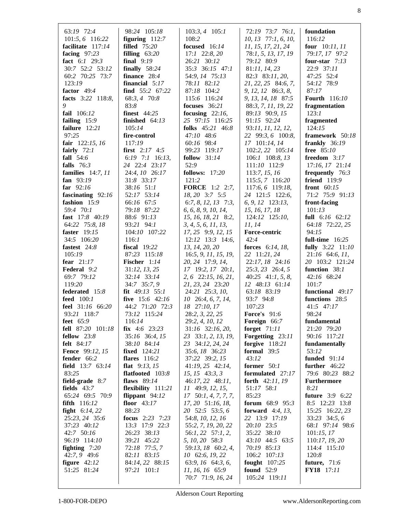| 63:19 72:4<br>101:5, 6 116:22<br>facilitate 117:14<br>facing $97:23$<br>fact 6:1 29:3<br>30:7 52:2 53:12<br>60:2 70:25 73:7<br>123:19<br>factor 49:4<br>facts 3:22 118:8,<br>9 | 98:24 105:18<br>figuring $112:7$<br><b>filled</b> 75:20<br>filling $63:20$<br>final $9:19$<br>finally $58:24$<br>finance 28:4<br>financial $5:17$<br>find 55:2 67:22<br>68:3, 4 70:8<br>83:8 | $103:3, 4$ 105:1<br>108:2<br>focused 16:14<br>$17:1$ 22:8, 20<br>26:21 30:12<br>35:3 36:15 47:1<br>54:9, 14 75:13<br>78:11 82:12<br>87:18 104:2<br>115:6 116:24<br>focuses $36:21$ | 72:19 73:7 76:1,<br>10, 13 77:1, 6, 10,<br>11, 15, 17, 21, 24<br>78:1, 5, 13, 17, 19<br>79:12 80:9<br>81:11, 14, 23<br>82:3 83:11, 20,<br>21, 22, 25 84:6, 7,<br>$9, 12, 12$ 86:3, 8,<br>9, 13, 14, 18 87:5<br>88:3, 7, 11, 19, 22 | foundation<br>116:12<br><b>four</b> $10:11,11$<br>79:17, 17 97:2<br>four-star $7:13$<br>22:9 37:11<br>47:25 52:4<br>54:12 78:9<br>87:17<br><b>Fourth</b> 116:10<br>fragmentation |
|--------------------------------------------------------------------------------------------------------------------------------------------------------------------------------|----------------------------------------------------------------------------------------------------------------------------------------------------------------------------------------------|------------------------------------------------------------------------------------------------------------------------------------------------------------------------------------|------------------------------------------------------------------------------------------------------------------------------------------------------------------------------------------------------------------------------------|----------------------------------------------------------------------------------------------------------------------------------------------------------------------------------|
| fail 106:12                                                                                                                                                                    | <b>finest</b> 44:25                                                                                                                                                                          | focusing $22:16$ ,                                                                                                                                                                 | 89:13 90:9, 15                                                                                                                                                                                                                     | 123:1                                                                                                                                                                            |
| failing 15:9                                                                                                                                                                   | finished $64:13$                                                                                                                                                                             | 25 97:15 116:25                                                                                                                                                                    | 91:15 92:24                                                                                                                                                                                                                        | fragmented                                                                                                                                                                       |
| failure 12:21                                                                                                                                                                  | 105:14                                                                                                                                                                                       | folks 45:21 46:8                                                                                                                                                                   | 93:11, 11, 12, 12,                                                                                                                                                                                                                 | 124:15                                                                                                                                                                           |
| 97:25                                                                                                                                                                          | fire-control                                                                                                                                                                                 | 47:10 48:6                                                                                                                                                                         | 22 99:3, 6 100:8,                                                                                                                                                                                                                  | framework 50:18                                                                                                                                                                  |
| fair $122:15, 16$                                                                                                                                                              | 117:19                                                                                                                                                                                       | 60:16 98:4                                                                                                                                                                         | 17 101:14, 14                                                                                                                                                                                                                      | frankly 36:19                                                                                                                                                                    |
| fairly $72:1$<br>fall $54:6$                                                                                                                                                   | <b>first</b> $2:17$ 4:5<br>6:19 7:1 16:13,                                                                                                                                                   | 99:23 119:17<br>follow $31:14$                                                                                                                                                     | 102:2, 22 105:14<br>106:1 108:8, 13                                                                                                                                                                                                | free 85:10<br>freedom $3:17$                                                                                                                                                     |
| falls $76:3$                                                                                                                                                                   | 24 22:4 23:17                                                                                                                                                                                | 52:9                                                                                                                                                                               | 111:10 112:9                                                                                                                                                                                                                       | 17:16, 17 21:14                                                                                                                                                                  |
| families $14:7, 11$                                                                                                                                                            | 24:4, 10 26:17                                                                                                                                                                               | <b>follows:</b> 17:20                                                                                                                                                              | 113:7, 15, 16                                                                                                                                                                                                                      | frequently 76:3                                                                                                                                                                  |
| fan 93:19                                                                                                                                                                      | 31:8 33:17                                                                                                                                                                                   | 121:2                                                                                                                                                                              | 115:5, 7 116:20                                                                                                                                                                                                                    | friend 119:9                                                                                                                                                                     |
| far $92:16$                                                                                                                                                                    | 38:16 51:1                                                                                                                                                                                   | <b>FORCE</b> 1:2 2:7,                                                                                                                                                              | 117:6, 6 119:18,                                                                                                                                                                                                                   | front $60:15$                                                                                                                                                                    |
| fascinating 92:16                                                                                                                                                              | 52:17 53:14                                                                                                                                                                                  | 18, 20 3:7 5:5                                                                                                                                                                     | 24 121:5 122:6,                                                                                                                                                                                                                    | 71:2 75:9 91:13                                                                                                                                                                  |
| fashion 15:9                                                                                                                                                                   | 66:16 67:5                                                                                                                                                                                   | 6:7, 8, 12, 13 7:3,                                                                                                                                                                | 6, 9, 12 123:13,                                                                                                                                                                                                                   | front-facing                                                                                                                                                                     |
| 59:4 70:1                                                                                                                                                                      | 79:18 87:22                                                                                                                                                                                  | 6, 6, 8, 9, 10, 14,                                                                                                                                                                | 15, 16, 17, 18                                                                                                                                                                                                                     | 101:13                                                                                                                                                                           |
| fast 17:8 40:19                                                                                                                                                                | 88:6 91:13                                                                                                                                                                                   | 15, 16, 18, 21 8:2,                                                                                                                                                                | 124:12 125:10,                                                                                                                                                                                                                     | full 6:16 62:12                                                                                                                                                                  |
| 64:22 75:8, 18                                                                                                                                                                 | 93:21 94:1                                                                                                                                                                                   | 3, 4, 5, 6, 11, 13,                                                                                                                                                                | 11, 14                                                                                                                                                                                                                             | 64:18 72:22, 25                                                                                                                                                                  |
| faster 19:15                                                                                                                                                                   | 104:10 107:22                                                                                                                                                                                | 17, 25 9:9, 12, 15                                                                                                                                                                 | Force-centric                                                                                                                                                                                                                      | 94:15                                                                                                                                                                            |
| 34:5 106:20<br>fastest 24:8                                                                                                                                                    | 116:1<br><b>fiscal</b> 19:22                                                                                                                                                                 | $12:12$ $13:3$ $14:6$ ,<br>13, 14, 20, 20                                                                                                                                          | 42:4<br>forces 6:14, 18,                                                                                                                                                                                                           | full-time $16:25$                                                                                                                                                                |
| 105:19                                                                                                                                                                         | 87:23 115:18                                                                                                                                                                                 | 16:5, 9, 11, 15, 19,                                                                                                                                                               | 22 11:21, 24                                                                                                                                                                                                                       | fully $3:22$ 11:10<br>$21:16$ 64:6, 11,                                                                                                                                          |
| fear $21:17$                                                                                                                                                                   | Fischer 1:14                                                                                                                                                                                 | 20, 24 17:9, 14,                                                                                                                                                                   | 22:17, 18 24:16                                                                                                                                                                                                                    | 20 103:2 121:24                                                                                                                                                                  |
| Federal 9:2                                                                                                                                                                    | 31:12, 13, 25                                                                                                                                                                                | 17 19:2, 17 20:1,                                                                                                                                                                  | $25:3, 23$ $26:4, 5$                                                                                                                                                                                                               | function 38:1                                                                                                                                                                    |
| 69:7 79:12                                                                                                                                                                     | 32:14 33:14                                                                                                                                                                                  | 2, 6 22:15, 16, 21,                                                                                                                                                                | $40:25$ $41:1, 5, 8,$                                                                                                                                                                                                              | 42:16 68:24                                                                                                                                                                      |
| 119:20                                                                                                                                                                         | 34:7 35:7, 9                                                                                                                                                                                 | 21, 23, 24 23:20                                                                                                                                                                   | 12 48:13 61:14                                                                                                                                                                                                                     | 101:7                                                                                                                                                                            |
| federated 15:8                                                                                                                                                                 | fit $49:13$ 55:1                                                                                                                                                                             | $24:21$ $25:3, 10,$                                                                                                                                                                | 63:18 83:19                                                                                                                                                                                                                        | functional 49:17                                                                                                                                                                 |
| feed 100:1                                                                                                                                                                     | five $15:6$ 42:16                                                                                                                                                                            | $10\quad 26:4, 6, 7, 14,$                                                                                                                                                          | 93:7 94:8                                                                                                                                                                                                                          | functions 28:5                                                                                                                                                                   |
| feel 31:16 66:20                                                                                                                                                               | 44:2 71:20 72:3                                                                                                                                                                              | 18 27:10, 17                                                                                                                                                                       | 107:23                                                                                                                                                                                                                             | 41:5 47:17                                                                                                                                                                       |
| 93:21 118:7                                                                                                                                                                    | 73:12 115:24                                                                                                                                                                                 | 28:2, 3, 22, 25                                                                                                                                                                    | <b>Force's</b> 91:6                                                                                                                                                                                                                | 98:24                                                                                                                                                                            |
| feet $65:9$                                                                                                                                                                    | 116:14                                                                                                                                                                                       | 29:2, 4, 10, 12                                                                                                                                                                    | Foreign 66:7                                                                                                                                                                                                                       | fundamental                                                                                                                                                                      |
| fell 87:20 101:18                                                                                                                                                              | <b>fix</b> $4:6$ 23:23                                                                                                                                                                       | $31:16$ $32:16$ , $20$ ,                                                                                                                                                           | forget $71:11$                                                                                                                                                                                                                     | 21:20 79:20                                                                                                                                                                      |
| fellow 23:8                                                                                                                                                                    | 35:16 36:4, 15                                                                                                                                                                               | 23 33:1, 2, 13, 19,                                                                                                                                                                | Forgetting 23:11                                                                                                                                                                                                                   | 90:16 117:21                                                                                                                                                                     |
| felt 84:17<br><b>Fence</b> 99:12, 15                                                                                                                                           | 38:10 84:14<br><b>fixed</b> 124:21                                                                                                                                                           | 23 34:12, 24, 24                                                                                                                                                                   | forgive $118:21$<br>formal $39:5$                                                                                                                                                                                                  | fundamentally<br>53:12                                                                                                                                                           |
| fender 66:2                                                                                                                                                                    | flares $116:2$                                                                                                                                                                               | 35:6, 18 36:23<br>37:22 39:2, 15                                                                                                                                                   | 43:12                                                                                                                                                                                                                              | funded 91:14                                                                                                                                                                     |
| field 13:7 63:14                                                                                                                                                               | flat $9:13, 15$                                                                                                                                                                              | 41:19, 25 42:14,                                                                                                                                                                   | former $50:1$                                                                                                                                                                                                                      | further 46:22                                                                                                                                                                    |
| 83:25                                                                                                                                                                          | flatfooted 103:8                                                                                                                                                                             | 15, 15 43:3, 3                                                                                                                                                                     | formulated 27:17                                                                                                                                                                                                                   | 79:6 80:23 88:2                                                                                                                                                                  |
| field-grade 8:7                                                                                                                                                                | flaws $89:14$                                                                                                                                                                                | 46:17, 22 48:11,                                                                                                                                                                   | forth $42:11, 19$                                                                                                                                                                                                                  | <b>Furthermore</b>                                                                                                                                                               |
| fields $43:7$                                                                                                                                                                  | flexibility 111:21                                                                                                                                                                           | 11 49:9, 12, 15,                                                                                                                                                                   | 51:17 58:1                                                                                                                                                                                                                         | 8:21                                                                                                                                                                             |
| 65:24 69:5 70:9                                                                                                                                                                | flippant $94:12$                                                                                                                                                                             | $17 \quad 50:1, 4, 7, 7, 7,$                                                                                                                                                       | 85:23                                                                                                                                                                                                                              | <b>future</b> 3:9 6:22                                                                                                                                                           |
| fifth 116:12                                                                                                                                                                   | floor $43:17$                                                                                                                                                                                | 17, 20 51:16, 18,                                                                                                                                                                  | forum 68:9 95:3                                                                                                                                                                                                                    | 8:5 12:23 13:8                                                                                                                                                                   |
| <b>fight</b> $6:14,22$                                                                                                                                                         | 88:23                                                                                                                                                                                        | 20 52:5 53:5, 6                                                                                                                                                                    | forward $4:4, 13,$                                                                                                                                                                                                                 | 15:25 16:22, 23                                                                                                                                                                  |
| 25:23, 24 35:6                                                                                                                                                                 | <b>focus</b> $2:23$ 7:23                                                                                                                                                                     | 54:8, 10, 12, 16                                                                                                                                                                   | 22 13:9 17:19                                                                                                                                                                                                                      | 33:23 34:5, 6                                                                                                                                                                    |
| 37:23 40:12                                                                                                                                                                    | 13:3 17:9 22:3                                                                                                                                                                               | 55:2, 7, 19, 20, 22                                                                                                                                                                | 20:10 23:5                                                                                                                                                                                                                         | 68:1 97:14 98:6                                                                                                                                                                  |
| 42:7 50:16                                                                                                                                                                     | 26:23 38:13                                                                                                                                                                                  | 56:1, 22 57:1, 2,                                                                                                                                                                  | 35:22 38:10                                                                                                                                                                                                                        | 101:15,17                                                                                                                                                                        |
| 96:19 114:10                                                                                                                                                                   | 39:21 45:22                                                                                                                                                                                  | 5, 10, 20 58:3<br>59:13, 18 60:2, 4,                                                                                                                                               | 43:10 44:5 63:5<br>70:19 85:13                                                                                                                                                                                                     | 110:17, 19, 20                                                                                                                                                                   |
| fighting $7:20$<br>42:7, 9 49:6                                                                                                                                                | 72:18 77:5, 7<br>82:11 83:15                                                                                                                                                                 | 10 62:6, 19, 22                                                                                                                                                                    | 106:2 107:13                                                                                                                                                                                                                       | 114:4 115:10<br>120:8                                                                                                                                                            |
| figure $42:12$                                                                                                                                                                 | 84:14, 22 88:15                                                                                                                                                                              | 63:9, 16 64:3, 6,                                                                                                                                                                  | fought $107:25$                                                                                                                                                                                                                    | <b>future</b> , 71:6                                                                                                                                                             |
| 51:25 81:24                                                                                                                                                                    | 97:21 101:1                                                                                                                                                                                  | 11, 16, 16 65:9                                                                                                                                                                    | <b>found</b> 52:9                                                                                                                                                                                                                  | FY18 17:11                                                                                                                                                                       |
|                                                                                                                                                                                |                                                                                                                                                                                              | 70:7 71:9, 16, 24                                                                                                                                                                  | 105:24 119:11                                                                                                                                                                                                                      |                                                                                                                                                                                  |
|                                                                                                                                                                                |                                                                                                                                                                                              |                                                                                                                                                                                    |                                                                                                                                                                                                                                    |                                                                                                                                                                                  |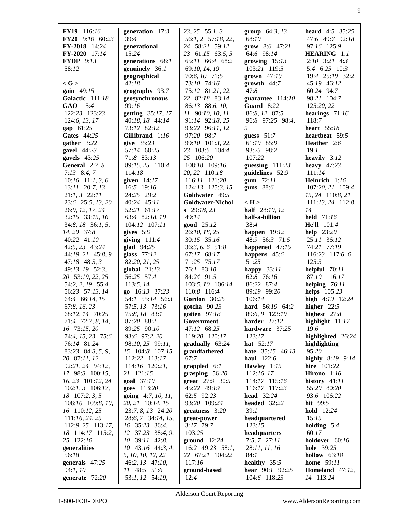| FY19 116:16             | generation $17:3$    | $23, 25$ 55:1, 3        | <b>group</b> $64:3, 13$    | <b>heard</b> $4:5$ 35:25  |
|-------------------------|----------------------|-------------------------|----------------------------|---------------------------|
| FY20 9:10 60:23         | 39:4                 |                         | 68:10                      | 47:6 49:7 92:18           |
|                         |                      | 56:1, 2 57:18, 22,      |                            | 97:16 125:9               |
| FY-2018 14:24           | generational         | 24 58:21 59:12,         | <b>grow</b> 8:6 $47:21$    |                           |
| FY-2020 17:14           | 15:24                | 23 61:15 63:5, 5        | 64:6 98:14                 | HEARING 1:1               |
| <b>FYDP</b> 9:13        | generations 68:1     | 65:11 66:4 68:2         | growing $15:13$            | $2:10$ $3:21$ $4:3$       |
| 58:12                   | genuinely 36:1       | 69:10, 14, 19           | 103:21 119:5               | 5:4 6:25 10:3             |
|                         | geographical         | 70:6, 10 71:5           | grown $47:19$              | 19:4 25:19 32:2           |
| $\langle G \rangle$     | 42:18                | 73:10 74:16             | growth $44:7$              | 45:19 46:12               |
| gain $49:15$            | geography 93:7       | 75:12 81:21, 22,        | 47:8                       | 60:24 94:7                |
| Galactic 111:18         | geosynchronous       | 22 82:18 83:14          | guarantee 114:10           | 98:21 104:7               |
| GAO 15:4                | 99:16                | 86:13 88:6, 10,         | Guard 8:22                 | 125:20, 22                |
| 122:23 123:23           | getting 35:17, 17    | 11 90:10, 10, 11        | 86:8, 12 87:5              | hearings $71:16$          |
| 124:6, 13, 17           | 40:18, 18 44:14      | 91:14 92:18, 25         | 96:8 97:25 98:4,           | 118:7                     |
| gap 61:25               | 73:12 82:12          | 93:22 96:11, 12         | 9                          | heart 55:18               |
| Gates 44:25             | Gillibrand 1:16      | 97:20 98:7              | guess $51:7$               | heartbeat 59:5            |
| gather $3:22$           | give 35:23           | 99:10 101:3, 22,        | 61:19 85:9                 | Heather 2:6               |
|                         |                      |                         |                            |                           |
| gavel 44:23             | 57:14 60:25          | 23 103:5 104:4,         | 93:25 98:2                 | 19:1                      |
| gavels $43:25$          | 71:8 83:13           | 25 106:20               | 107:22                     | heavily $3:12$            |
| <b>General</b> $2:7, 8$ | 89:15, 25 110:4      | 108:18 109:16,          | guessing $111:23$          | heavy $47:23$             |
| $7:13$ 8:4, 7           | 114:18               | 20, 22 110:18           | guidelines 52:9            | 111:14                    |
| $10:16$ 11:1, 3, 6      | given $14:17$        | 116:11 121:20           | gum $72:11$                | Heinrich 1:16             |
| $13:11$ $20:7, 13$      | 16:5 19:16           | 124:13 125:3, 15        | guns $88:6$                | 107:20, 21 109:4,         |
| $21:1, 3$ $22:11$       | 24:25 29:2           | Goldwater 49:5          |                            | 15, 24 110:8, 21          |
| 23:6 25:5, 13, 20       | 40:24 45:11          | <b>Goldwater-Nichol</b> | $\langle H \rangle$        | $111:13$ , $24$ $112:8$ , |
| 26:9, 12, 17, 24        | 52:21 61:17          | $\, 29:18,23$           | half 28:10, 12             | 14                        |
| 32:15 33:15, 16         | 63:4 82:18, 19       | 49:14                   | half-a-billion             | held $71:16$              |
| 34:8, 18 36:1, 5,       | 104:12 107:11        | good 25:12              | 38:4                       | <b>He'll</b> $101:4$      |
| 14, 20 37:8             | gives $5:9$          | 26:10, 18, 25           | happen $19:12$             | help $23:20$              |
| 40:22 41:10             | giving $111:4$       | 30:15 35:16             | 48:9 56:3 71:5             | 25:11 36:12               |
|                         |                      |                         |                            |                           |
| 42:5, 23 43:24          | glad $94:25$         | 36:3, 6, 6 51:8         | happened 47:15             | 74:21 77:19               |
| 44:19, 21 45:8, 9       | glass $77:12$        | 67:17 68:17             | happens 45:6               | 116:23 117:6, 6           |
| $47:18$ $48:3,3$        | 82:20, 21, 25        | 71:25 75:17             | 51:25                      | 125:3                     |
| 49:13, 19 52:3,         | global $21:13$       | 76:1 83:10              | happy $33:11$              | helpful $70:11$           |
| 20 53:19, 22, 25        | 56:25 57:4           | 84:24 91:5              | 62:8 76:16                 | 87:10 116:17              |
| 54:2, 2, 19 55:4        | 113:5, 14            | 103:5, 10 106:14        | 86:22 87:4                 | helping 76:11             |
| 56:23 57:13, 14         | go 16:13 37:23       | 110:8 116:4             | 89:19 99:20                | helps $105:23$            |
| 64:4 66:14, 15          | 54:1 55:14 56:3      | <b>Gordon</b> 30:25     | 106:14                     | high 4:19 12:24           |
| 67:8, 16, 23            | 57:5, 13 73:16       | gotcha $90:23$          | hard 56:19 64:2            | higher $22:5$             |
| 68:12, 14 70:25         | 75:8, 18 83:1        | gotten 97:18            | 89:6, 9 123:19             | highest 27:8              |
| 71:4 72:7, 8, 14,       | 87:20 88:2           | Government              | harder $27:12$             | highlight $11:17$         |
| 16 73:15, 20            | 89:25 90:10          | 47:12 68:25             | hardware 37:25             | 19:6                      |
| 74:4, 15, 23 75:6       | 93:6 97:2, 20        | 119:20 120:17           | 123:17                     | highlighted 26:24         |
| 76:14 81:24             | 98:10, 25 99:11,     | gradually 63:24         | <b>hat</b> $52:17$         | highlighting              |
| 83:23 84:3, 5, 9,       | 15 104:8 107:15      | grandfathered           | hate 35:15 46:13           | 95:20                     |
| 20 87:11, 12            | 112:22 113:17        | 67:7                    | haul 122:6                 |                           |
|                         |                      |                         |                            | highly $8:19$ $9:14$      |
| 92:21, 24 94:12,        | 114:16 120:21,       | $graphled 6:1$          | Hawley 1:15                | <b>hire</b> 101:22        |
| 17 98:3 100:15,         | 21 121:15            | grasping $56:20$        | 112:16,17                  | Hirono $1:16$             |
| 16, 23 101:12, 24       | goal 37:10           | great 27:9 30:5         | 114:17 115:16              | history $41:11$           |
| $102:1, 3$ 106:17,      | goes 113:20          | 45:22 49:19             | 116:17 117:23              | 55:20 80:20               |
| 18 107:2, 3, 5          | going $4:7, 10, 11,$ | 62:5 92:23              | <b>head</b> 32:24          | 93:6 106:22               |
| 108:10 109:8, 10,       | 20, 21 10:14, 15     | 93:20 109:24            | headed 32:22               | hit $99:5$                |
| 16 110:12, 25           | 23:7, 8, 13 24:20    | greatness $3:20$        | 39:1                       | hold 12:24                |
| 111:16, 24, 25          | 28:6, 7 34:14, 15,   | great-power             | headquartered              | 15:15                     |
| 112:9, 25 113:17,       | 16 35:23 36:4,       | 3:17 79:7               | 123:15                     | holding $5:4$             |
| 18 114:17 115:2,        | 12 37:23 38:4, 9,    | 103:25                  | headquarters               | 60:17                     |
| 25 122:16               | 10 39:11 42:8,       | ground $12:24$          | $7:5, 7$ 27:11             | holdover 60:16            |
| generalities            | $10$ 43:16 44:3, 4,  | 16:2 49:23 58:1,        | 28:11, 11, 16              | <b>hole</b> 39:25         |
| 56:18                   | 5, 10, 10, 12, 22    | 22 67:21 104:22         | 84:1                       | hollow $63:18$            |
| generals 47:25          | 46:2, 13 47:10,      | 117:16                  | healthy 35:5               | <b>home</b> 59:11         |
| 94:1,10                 | 11 48:5 51:6         | ground-based            | <b>hear</b> $90:1$ $92:25$ | Homeland 47:12,           |
|                         |                      | 12:4                    |                            |                           |
| generate 72:20          | 53:1, 12 54:19,      |                         | 104:6 118:23               | 14 113:24                 |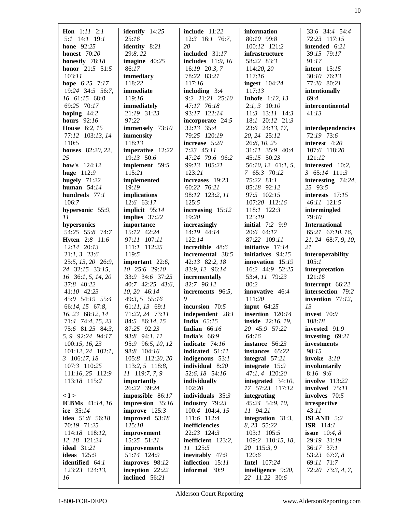| <b>Hon</b> $1:11$ $2:1$   | identify $14:25$   | include $11:22$          | information            | 33:6 34:4 54:4            |
|---------------------------|--------------------|--------------------------|------------------------|---------------------------|
| $5:1$ 14:1 19:1           | 25:16              | $12:3$ 16:1 76:7,        | 80:10 99:8             | 72:23 117:15              |
| <b>hone</b> 92:25         | identity 8:21      | 20                       | 100:12 121:2           | intended 6:21             |
| <b>honest</b> 70:20       | 29:8, 22           | included $31:17$         | infrastructure         | 39:15 79:17               |
| honestly 78:18            | imagine $40:25$    | <b>includes</b> 11:9, 16 | 58:22 83:3             | 91:17                     |
| honor 21:5 51:5           | 86:17              | 16:19 20:3, 7            | 114:20, 20             | <b>intent</b> 15:15       |
| 103:11                    | immediacy          | 78:22 83:21              | 117:16                 | 30:10 76:13               |
| hope 6:25 7:17            | 118:22             | 117:16                   | ingest $104:24$        | 77:20 80:21               |
| 19:24 34:5 56:7,          | immediate          | including $3:4$          | 117:13                 | intentionally             |
| 16 61:15 68:8             | 119:16             | 9:2 21:21 25:10          | <b>Inhofe</b> 1:12, 13 | 69:4                      |
| 69:25 70:17               | immediately        | 47:17 76:18              | $2:1, 3$ 10:10         | intercontinental          |
| hoping $44:2$             | 21:19 31:23        | 93:17 122:14             | $11:3$ $13:11$ $14:3$  | 41:13                     |
| <b>hours</b> 92:16        | 97:22              | incorporate 24:5         | 18:1 20:12 21:3        |                           |
| <b>House</b> 6:2, 15      | immensely 73:10    | 32:13 35:4               | 23:6 24:13, 17,        | interdependencies         |
| 77:12 103:13, 14          | immensity          | 79:25 120:19             | 20, 24 25:12           | 72:19 73:6                |
| 110:5                     | 118:13             | increase $5:20$          | 26:8, 10, 25           | interest 4:20             |
| <b>houses</b> 82:20, 22,  | imperative 12:22   | $7:23$ 45:11             | 31:11 35:9 40:4        | 107:6 118:20              |
| 25                        | 19:13 50:6         | 47:24 79:6 96:2          | 45:15 50:23            | 121:12                    |
| <b>how's</b> $124:12$     | implement 59:5     | 99:13 105:21             | 56:10, 12 61:1, 5,     | interested 10:2,          |
| huge 112:9                | 115:21             | 123:21                   | 7 65:3 70:12           | $3\quad 65:14\quad 111:3$ |
| hugely $71:22$            | implemented        | increases 19:23          | 75:22 81:1             | interesting $74:24$ ,     |
| human $54:14$             | 19:19              | 60:22 76:21              | 85:18 92:12            | 25 93:5                   |
| hundreds $77:1$           |                    |                          |                        | interests $17:15$         |
|                           | implications       | 98:12 123:2, 11          | 97:5 102:15            |                           |
| 106:7                     | $12:6$ 63:17       | 125:5                    | 107:20 112:16          | 46:11 121:5               |
| hypersonic 55:9,          | implicit $95:14$   | increasing 15:12         | 118:1 122:3            | intermingled              |
| 11                        | implies 37:22      | 19:20                    | 125:19                 | 79:10                     |
| hypersonics               | importance         | increasingly             | initial $7:2$ 9:9      | <b>International</b>      |
| 54:25 55:8 74:7           | 15:12 42:24        | 14:19 44:14              | 20:6 64:17             | 65:21 67:10, 16,          |
| <b>Hyten</b> 2:8 11:6     | 97:11 107:11       | 122:14                   | 87:22 109:11           | 21, 24 68:7, 9, 10,       |
| 12:14 20:13               | 111:1 112:25       | incredible 48:6          | initiative $17:14$     | 21                        |
| $21:1, 3$ 23:6            | 119:5              | incremental 38:5         | initiatives 94:15      | interoperability          |
| 25:5, 13, 20 26:9,        | important 22:6,    | 42:13 82:2, 18           | innovation $15:19$     | 105:1                     |
| 24 32:15 33:15,           | 10 25:6 29:10      | 83:9, 12 96:14           | 16:2 44:9 52:25        | interpretation            |
| 16 36:1, 5, 14, 20        | 33:9 34:6 37:25    | incrementally            | 53:4, 11 79:23         | 121:16                    |
| 37:8 40:22                | 40:7 42:25 43:6,   | 82:7 96:12               | 80:2                   | interrupt 66:22           |
| 41:10 42:23               | 10, 20 46:14       | increments 96:5,         | innovative 46:4        | intersection 79:2         |
| 45:9 54:19 55:4           | 49:3, 5 55:16      | 9                        | 111:20                 | invention 77:12,          |
| 66:14, 15 67:8,           | $61:11, 13$ 69:1   | incursion 70:5           | input $64:25$          | 13                        |
| 16, 23 68:12, 14          | 71:22, 24 73:11    | independent 28:1         | insertion $120:14$     | invest 70:9               |
| 71:4 74:4, 15, 23         | 84:5 86:14, 15     | <b>India</b> $65:15$     | inside 22:16, 19,      | 108:18                    |
| 75:6 81:25 84:3,          | 87:25 92:23        | <b>Indian</b> $66:16$    | 20 45:9 57:22          | invested 91:9             |
| 5, 9 92:24 94:17          | 93:8 94:1, 11      | <b>India's</b> $66:9$    | 64:16                  | investing $69:21$         |
| 100:15, 16, 23            | 95:9 96:5, 10, 12  | indicate 74:16           | instance 56:23         | investments               |
| $101:12$ , $24$ $102:1$ , | 98:8 104:16        | indicated 51:11          | instances 65:22        | 98:15                     |
| $3\quad 106:17,18$        | 105:8 112:20, 20   | indigenous 53:1          | integral $57:21$       | invoke $3:10$             |
| 107:3 110:25              | 113:2, 5 118:8,    | individual 8:20          | integrate $15:9$       | involuntarily             |
| 111:16, 25 112:9          | 11 119:7, 7, 9     | 52:6, 18 54:16           | 47:1, 4 120:20         | $8:16$ 9:6                |
| 113:18 115:2              | importantly        | individually             | integrated 34:10,      | <b>involve</b> 113:22     |
|                           | 26:22 39:24        | 102:20                   | 17 57:23 117:12        | involved 75:11            |
| < I >                     | impossible 86:17   | individuals $35:3$       | integrating            | involves 70:5             |
| <b>ICBMs</b> 41:14, 16    | impression $35:16$ | industry $79:23$         | 45:24 54:9, 10,        | irrespective              |
| ice 35:14                 | improve $125:3$    | 100:4 104:4, 15          | 11 94:21               | 43:11                     |
| idea 51:8 56:18           | improved 53:18     | 111:6 112:4              | integration $31:3$ ,   | <b>ISLAND</b> 5:2         |
| 70:19 71:25               | 125:10             | inefficiencies           | 8, 23 55:22            | ISR $114:1$               |
| 114:18 118:12,            | improvement        | 22:23 124:3              | $103:1$ 105:5          | <b>issue</b> $10:4, 8$    |
| 12, 18 121:24             | 15:25 51:21        | inefficient 123:2,       | 109:2 110:15, 18,      | 29:19 31:19               |
| <b>ideal</b> 31:21        | improvements       | 11 125:5                 | 20 115:3, 9            | 36:17 37:1                |
| <b>ideas</b> 125:9        | 51:14 124:9        | inevitably 47:9          | 120:6                  | 53:23 67:7, 8             |
| identified 64:1           | improves 98:12     | inflection 15:11         | <b>Intel</b> 107:24    | 69:11 71:7                |
| 123:23 124:13,            | inception 22:22    | informal 30:9            | intelligence 9:20,     | 72:20 73:3, 4, 7,         |
| 16                        | inclined $56:21$   |                          | 22 11:22 30:6          |                           |
|                           |                    |                          |                        |                           |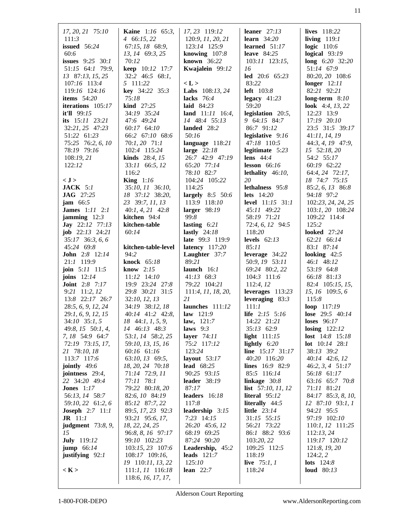| 17, 20, 21 75:10                             | <b>Kaine</b> 1:16 65:3,                   | 17, 23 119:12                     | leaner $27:13$                   | lives 118:22                                  |
|----------------------------------------------|-------------------------------------------|-----------------------------------|----------------------------------|-----------------------------------------------|
| 111:3                                        | 4 66:15, 22                               | 120:9, 11, 20, 21                 | learn $34:20$                    | living $119:1$                                |
| <b>issued</b> 56:24                          | 67:15, 18 68:9,                           | 123:14 125:9                      | learned $51:17$                  | logic $110:6$                                 |
| 60:6                                         | 13, 14 69:3, 25                           | knowing $107:8$                   | leave $84:25$                    | logical $93:19$                               |
| <b>issues</b> $9:25 \ 30:1$                  | 70:12                                     | known $36:22$                     | 103:11 123:15,                   | long $6:20$ 32:20                             |
| 51:15 64:1 79:9,                             | keep 10:12 17:7                           | Kwajalein 99:12                   | 16                               | 51:14 67:9                                    |
| 13 87:13, 15, 25<br>107:16 113:4             | 32:2 46:5 68:1,<br>5 111:22               | < L >                             | led $20:6$ 65:23<br>83:22        | 80:20, 20 108:6<br>longer $12:11$             |
| 119:16 124:16                                | key 34:22 35:3                            | Labs 108:13, 24                   | <b>left</b> 103:8                | 82:21 92:21                                   |
| items $54:20$                                | 75:18                                     | lacks $76:4$                      | legacy $41:23$                   | long-term $8:10$                              |
| iterations 105:17                            | kind 27:25                                | laid $84:23$                      | 59:20                            | look $4:4, 13, 22$                            |
| it'll 99:15                                  | 34:19 35:24                               | land $11:11$ 16:4,                | legislation $20:5$ ,             | 12:23 13:9                                    |
| its 15:11 23:21                              | 47:6 49:24                                | 14 48:4 55:13                     | 9 64:15 84:7                     | 17:19 20:10                                   |
| 32:21, 25 47:23                              | 60:17 64:10                               | landed 28:2                       | 86:7 91:12                       | 23:5 31:5 39:17                               |
| 51:22 61:23                                  | 66:2 67:10 68:6                           | 50:16                             | legislative $9:16$               | 41:11, 14, 19                                 |
| 75:25 76:2, 6, 10                            | $70:1, 20$ $71:1$                         | language 118:21                   | 47:18 110:5                      | 44:3, 4, 19 47:9,                             |
| 78:19 79:16                                  | 102:4 115:24                              | large $22:18$                     | legitimate $5:23$                | 15 52:18, 20                                  |
| 108:19, 21<br>122:12                         | <b>kinds</b> $28:4, 15$<br>33:11 66:5, 12 | 26:7 42:9 47:19<br>65:20 77:14    | lens $44:4$<br>lesson $66:16$    | 54:2 55:17<br>60:19 62:22                     |
|                                              | 116:2                                     | 78:10 82:7                        | lethality $46:10$ ,              | 64:4, 24 72:17,                               |
| < J >                                        | <b>King</b> $1:16$                        | 104:24 105:22                     | 20                               | 18 74:7 75:15                                 |
| <b>JACK</b> $5:1$                            | 35:10, 11 36:10,                          | 114:25                            | lethalness 95:8                  | 85:2, 6, 13 86:8                              |
| <b>JAG</b> 27:25                             | 18 37:12 38:20,                           | largely $8:5$ 50:6                | lets $14:20$                     | 94:18 97:2                                    |
| $\textbf{jam}$ 66:5                          | 23 39:7, 11, 13                           | 113:9 118:10                      | <b>level</b> $11:15$ $31:1$      | 102:23, 24, 24, 25                            |
| <b>James</b> 1:11 2:1                        | $40:1, 4, 21$ $42:8$                      | larger $98:19$                    | 45:11 49:22                      | 103:1, 20 108:24                              |
| jamming $12:3$                               | kitchen $94:4$                            | 99:8                              | 58:19 71:21                      | 109:22 114:4                                  |
| Jay 22:12 77:13                              | kitchen-table                             | lasting $6:21$                    | 72:4, 6, 12 94:5                 | 125:2                                         |
| <b>job</b> $22:13$ $24:21$                   | 60:14                                     | lastly $24:18$                    | 118:20                           | looked $27:24$                                |
| 35:17 36:3, 6, 6                             |                                           | late 99:3 119:9                   | levels $62:13$                   | 62:21 66:14                                   |
| 45:24 69:8<br><b>John</b> 2:8 12:14          | kitchen-table-level<br>94:2               | latency $117:20$<br>Laughter 37:7 | 85:11<br>leverage 34:22          | 83:1 87:14<br>looking $42:5$                  |
| 21:1 119:9                                   | knock 65:18                               | 89:21                             | 50:9, 19 53:11                   | 46:1 48:12                                    |
| <b>join</b> $5:11 \quad 11:5$                | know $2:15$                               | launch $16:1$                     | 69:24 80:2, 22                   | 53:19 64:8                                    |
| joins $12:14$                                | $11:12$ $14:10$                           | $41:13$ 68:3                      | 104:3 111:6                      | 66:18 81:13                                   |
| <b>Joint</b> 2:8 7:17                        | 19:9 23:24 27:8                           | 79:22 104:21                      | 112:4, 12                        | 82:4 105:15, 15,                              |
| 9:21 11:2, 12                                | 29:8 30:21 31:5                           | 111:4, 11, 18, 20,                | leverages $113:23$               | 15, 16 109:5, 6                               |
| 13:8 22:17 26:7                              | 32:10, 12, 13                             | 21                                | leveraging $83:3$                | 115:8                                         |
| 28:5, 6, 9, 12, 24                           | 34:19 38:12, 18                           | launches 111:12                   | 111:1                            | loop 117:19                                   |
| 29:1, 6, 9, 12, 15                           | 40:14 41:2 42:8,                          | law $121:9$                       | <b>life</b> $2:15$ 5:16          | <b>lose</b> $29:5$ 40:14                      |
| $34:10$ $35:1, 5$                            | $18$ 44:1, 1, 5, 9,                       | law, $121:7$                      | 14:22 21:21                      | loses $96:17$                                 |
| 49:8, 15 50:1, 4,<br>7, 18 54:9 64:7         | 14 46:13 48:3<br>53:1, 14 58:2, 25        | laws $9:3$<br>layer $74:11$       | $35:13$ 62:9<br>light $111:15$   | losing $122:12$<br><b>lost</b> $14:8$ $15:18$ |
| 72:19 73:15, 17,                             | 59:10, 13, 15, 16                         | 75:2 117:12                       | lightly $6:20$                   | lot 10:14 28:1                                |
| 21 78:10, 18                                 | 60:16 61:16                               | 123:24                            | line $15:17$ 31:17               | 38:13 39:2                                    |
| 113:7 117:6                                  | 63:10, 13 69:5,                           | layout $53:17$                    | 40:20 116:20                     | 40:14 42:6, 12                                |
| jointly 49:6                                 | 18, 20, 24 70:18                          | <b>lead</b> 68:25                 | lines 16:9 82:9                  | $46:2, 3, 4$ 51:17                            |
| jointness $29:4$ ,                           | 71:14 72:9, 11                            | 90:25 93:15                       | 85:5 116:14                      | 56:18 61:17                                   |
| 22 34:20 49:4                                | 77:11 78:1                                | leader 38:19                      | linkage $30:8$                   | 63:16 65:7 70:8                               |
| <b>Jones</b> $1:17$                          | 79:22 80:18, 20                           | 87:17                             | list $57:10, 11, 12$             | 71:11 81:21                                   |
| 56:13, 14 58:7                               | 82:6, 10 84:19                            | leaders 16:18                     | literal 95:12                    | 84:17 85:3, 8, 10,                            |
| 59:10, 22 61:2, 6                            | 85:12 87:7, 22                            | 117:8                             | literally 44:5<br>little $23:14$ | 12 87:10 93:1, 1<br>94:21 95:5                |
| <b>Joseph</b> 2:7 11:1<br>$J\mathbf{R}$ 11:1 | 89:5, 17, 23 92:3<br>93:21 95:6, 17,      | leadership 3:15<br>7:23 14:15     | 31:15 55:15                      | 97:19 102:10                                  |
| <b>judgment</b> 73:8, 9,                     | 18, 22, 24, 25                            | 26:20 45:6, 12                    | 56:21 73:22                      | 110:1, 12 111:25                              |
| 15                                           | 96:8, 8, 16 97:17                         | 68:19 69:25                       | 86:1 88:2 93:6                   | 112:13,24                                     |
| <b>July</b> 119:12                           | 99:10 102:23                              | 87:24 90:20                       | 103:20, 22                       | 119:17 120:12                                 |
| jump $66:14$                                 | 103:15, 23 107:6                          | Leadership, 45:2                  | 109:25 112:5                     | 121:8, 19, 20                                 |
| justifying $92:1$                            | 108:17 109:16,                            | leads $121:7$                     | 118:19                           | 124:2, 2                                      |
|                                              | 19 110:11, 13, 22                         | 125:10                            | <b>live</b> $75:1, 1$            | lots $124:8$                                  |
| $<$ K $>$                                    | 111:1, 11 116:18                          | lean $22:7$                       | 118:24                           | loud $80:13$                                  |
|                                              | 118:6, 16, 17, 17,                        |                                   |                                  |                                               |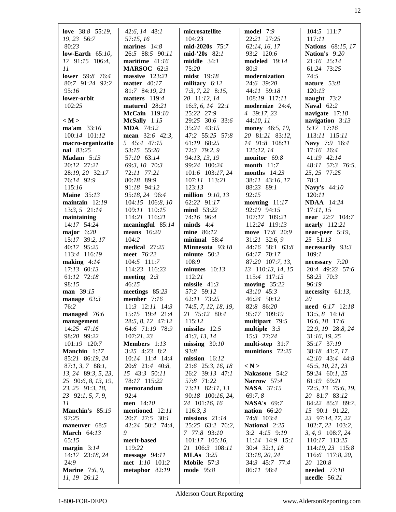| love $38:8$ 55:19,    | $42:6, 14$ $48:1$     | microsatellite       | model 7:9          | 104:5 111:7              |
|-----------------------|-----------------------|----------------------|--------------------|--------------------------|
| 19, 23 56:7           | 57:15, 16             | 104:23               | 22:21 27:25        | 117:11                   |
| 80:23                 | marines $14:8$        | $mid-2020s$ 75:7     | 62:14, 16, 17      | <b>Nations</b> 68:15, 17 |
| low-Earth $65:10$ ,   | 26:5 88:5 90:11       | $mid-20s$ 82:1       | 93:2 120:6         | Nation's 9:20            |
| 17 91:15 106:4,       | maritime $41:16$      | middle $34:1$        | modeled 19:14      | 21:16 25:14              |
| 11                    | MARSOC 62:3           | 75:20                | 80:3               | 61:24 73:25              |
| lower 59:8 76:4       | massive 123:21        | midst 19:18          | modernization      | 74:5                     |
| 80:7 91:24 92:2       | matter $40:17$        | military 6:12        | 24:6 39:20         | nature 53:8              |
| 95:16                 | 81:7 84:19, 21        | $7:3, 7, 22$ 8:15,   | 44:11 59:18        | 120:13                   |
| lower-orbit           | matters $119:4$       | 20 11:12, 14         | 108:19 117:11      | naught 73:2              |
| 102:25                | matured 28:21         | $16:3, 6, 14$ 22:1   | modernize 24:4,    | <b>Naval</b> 62:2        |
|                       | McCain 119:10         | 25:22 27:9           | 4 39:17, 23        | navigate $17:18$         |
| < M >                 | McSally 1:15          | 29:25 30:6 33:6      | 44:10, 11          | navigation $3:13$        |
| ma'am 33:16           | <b>MDA</b> 74:12      | 35:24 43:15          | money 46:5, 19,    | 5:17 17:16               |
| 100:14 101:12         | mean 32:6 42:3,       | 47:2 55:25 57:8      | 20 81:21 83:12,    | 113:11 115:11            |
| macro-organizatio     | 5 45:4 47:15          | 61:19 68:25          | 14 91:8 108:11     | Navy 7:9 16:4            |
| nal 83:25             | 53:15 55:20           | 72:3 79:2, 9         | 125:12, 14         | 17:16 26:4               |
| Madam $5:13$          | 57:10 63:14           | 94:13, 13, 19        | monitor 69:8       | 41:19 42:14              |
| 20:12 27:21           | 69:3, 10 70:3         | 99:24 100:24         | month $11:7$       | 48:11 57:3 76:5,         |
| 28:19, 20 32:17       | 72:11 77:21           | 101:6 103:17, 24     | months $14:23$     | 25, 25 77:25             |
| 76:14 92:9            | 80:18 89:9            | 107:11 113:21        | 38:11 43:16, 17    | 78:3                     |
| 115:16                | 91:18 94:12           | 123:13               | 88:23 89:1         | Navy's 44:10             |
| <b>Maine</b> 35:13    | 95:18, 24 96:4        | million $9:10, 13$   | 92:15              | 120:11                   |
| maintain $12:19$      | 104:15 106:8, 10      | 62:22 91:17          | morning $11:17$    | <b>NDAA</b> 14:24        |
| $13:3, 5$ 21:14       | 109:11 110:15         | mind 53:22           | 92:19 94:15        | 17:11, 15                |
| maintaining           | 114:21 116:21         | 74:16 96:4           | 107:17 109:21      | near 22:7 104:7          |
| 14:17 54:24           | meaningful $85:14$    | minds $4:4$          | 112:24 119:13      | nearly $112:21$          |
| major $6:20$          | means $16:20$         | mine 86:12           | move 17:8 20:9     | near-peer $5:19$ ,       |
| 15:17 39:2, 17        | 104:2                 | minimal $58:4$       | 31:21 32:6, 9      | 25 51:13                 |
| 40:17 95:25           | medical 27:25         | Minnesota 93:18      | 44:16 58:1 63:8    | necessarily 93:3         |
| 113:4 116:19          | meet 76:22            | minute 50:2          | 64:17 70:17        | 109:1                    |
| making $4:14$         | 104:5 111:7           | 108:9                | 87:20 107:7, 13,   | necessary 7:20           |
| 17:13 60:13           | 114:23 116:23         | minutes $10:13$      | 13 110:13, 14, 15  | 20:4 49:23 57:6          |
| 61:12 72:18           | meeting $2:3$         | 112:21               | 115:4 117:13       | 58:23 70:3               |
| 98:15                 | 46:15                 | missile $41:3$       | moving $35:22$     | 96:19                    |
| man 39:15             | meetings $85:23$      | 57:2 59:12           | 43:10 45:3         | necessity $61:13$ ,      |
| manage $63:3$         | member $7:16$         | 62:11 73:25          | 46:24 50:12        | 20                       |
| 76:2                  | $11:3$ $12:11$ $14:3$ | 74:5, 7, 12, 18, 19, | 82:8 86:20         | need 6:17 12:18          |
| managed 76:6          | 15:15 19:4 21:4       | 21 75:12 80:4        | 95:17 109:19       | 13:5, 8 14:18            |
| management            | 28:5, 8, 12 47:12     | 115:12               | multipart 79:5     | 16:6, 18 17:6            |
| 14:25 47:16           | 64:6 71:19 78:9       | $missiles 12:5$      | multiple $3:3$     | 22:9, 19 28:8, 24        |
| 98:20 99:22           | 107:21,23             | 41:3, 13, 14         | 15:3 77:24         | 31:16, 19, 25            |
| 101:19 120:7          | Members 1:13          | missing $30:10$      | multi-step 31:7    | 35:17 37:19              |
| Manchin 1:17          | $3:25$ $4:23$ $8:2$   | 93:8                 | munitions 72:25    | 38:18 41:7, 17           |
| 85:21 86:19, 24       | 10:14 11:4 14:4       | mission $16:12$      |                    | 42:10 43:4 44:8          |
| $87:1, 3, 7$ $88:1,$  | 20:8 21:4 40:8,       | 21:6 25:3, 16, 18    | < N >              | 45:5, 10, 21, 23         |
| 13, 24 89:3, 5, 23,   | 15 43:3 50:11         | 26:2 39:13 47:1      | Nakasone 54:2      | 59:24 60:1, 25           |
| 25 90:6, 8, 13, 19,   | 78:17 115:22          | 57:8 71:22           | Narrow 57:4        | 61:19 69:21              |
| 23, 25 91:3, 18,      | memorandum            | 73:11 82:11, 13      | <b>NASA</b> 37:15  | 72:5, 13 75:6, 19,       |
| 23 92:1, 5, 7, 9,     | 92:4                  | 90:18 100:16, 24,    | 69:7,8             | 20 81:7 83:12            |
| 11                    | men 14:10             | 24 101:16, 16        | <b>NASA's</b> 69:7 | 84:22 85:3 89:7,         |
| Manchin's 85:19       | mentioned 12:11       | 116:3, 3             | nation $66:20$     | 15 90:1 91:22,           |
| 97:25                 | 20:7 27:5 30:1        | missions $21:14$     | 74:8 103:4         | 23 97:14, 17, 22         |
| maneuver 68:5         | 42:24 50:2 74:4,      | 25:25 63:2 76:2,     | National 2:25      | 102:7, 22 103:2,         |
| <b>March</b> 64:13    | 9                     | 7 77:8 93:10         | $3:2$ 4:15 9:19    | 3, 4, 9 108:7, 24        |
| 65:15                 | merit-based           | 101:17 105:16,       | 11:14 14:9 15:1    | 110:17 113:25            |
| margin $3:14$         | 119:22                | 21 106:3 108:11      | 30:4 32:1, 18      | 114:19, 23 115:8         |
| 14:17 23:18, 24       | message $94:11$       | <b>MLAs</b> 3:25     | 33:18, 20, 24      | 116:6 117:8, 20,         |
| 24:9                  | met 1:10 101:2        | Mobile $57:3$        | 34:3 45:7 77:4     | 20 120:8                 |
| <b>Marine</b> 7:6, 9, | metaphor $82:19$      | <b>mode</b> 95:8     | 86:11 98:4         | needed 77:10             |
| 11, 19 26:12          |                       |                      |                    | <b>needle</b> 56:21      |
|                       |                       |                      |                    |                          |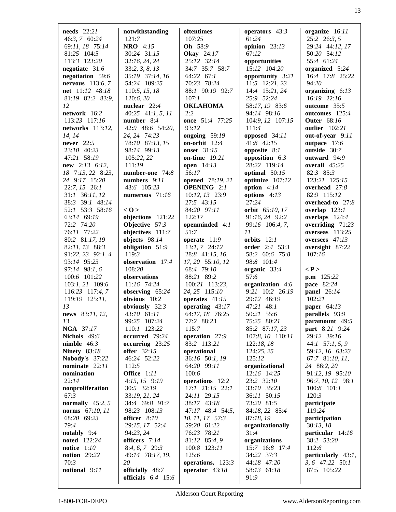| needs $22:21$             | notwithstanding          |                                | operators 43:3               | organize 16:11                   |
|---------------------------|--------------------------|--------------------------------|------------------------------|----------------------------------|
| 46:3, 7 60:24             | 121:7                    | oftentimes<br>107:25           | 61:24                        | 25:2 26:3, 5                     |
| 69:11, 18 75:14           | <b>NRO</b> 4:15          | Oh 58:9                        |                              |                                  |
|                           |                          |                                | opinion $23:13$              | 29:24 44:12, 17                  |
| 81:25 104:5               | 30:24 31:15              | <b>Okay</b> 24:17              | 67:12                        | 50:20 54:12<br>55:4 61:24        |
| 113:3 123:20              | 32:16, 24, 24            | 25:12 32:14                    | opportunities                |                                  |
| negotiate 31:6            | 33:2, 3, 8, 13           | 34:7 35:7 58:7                 | 15:12 104:20                 | organized 5:24                   |
| negotiation 59:6          | 35:19 37:14, 16          | 64:22 67:1                     | opportunity 3:21             | 16:4 17:8 25:22<br>94:20         |
| <b>nervous</b> $113:6, 7$ | 54:24 109:25             | 70:23 78:24<br>88:1 90:19 92:7 | 11:5 12:21, 23               |                                  |
| net 11:12 48:18           | 110:5, 15, 18            | 107:1                          | 14:4 15:21, 24               | organizing $6:13$<br>16:19 22:16 |
| 81:19 82:2 83:9,<br>12    | 120:6,20<br>nuclear 22:4 | <b>OKLAHOMA</b>                | 25:9 52:24<br>58:17, 19 83:6 | outcome 35:5                     |
| network 16:2              | $40:25$ $41:1, 5, 11$    | 2:2                            | 94:14 98:16                  | outcomes 125:4                   |
| 113:23 117:16             | number $8:4$             | once 51:4 77:25                |                              | <b>Outer</b> 68:16               |
| networks $113:12$ ,       | 42:9 48:6 54:20,         | 93:12                          | 104:9, 12 107:15<br>111:4    | <b>outlier</b> 102:21            |
| 14, 14                    | 24, 24 74:23             | ongoing $59:19$                | opposed 34:11                | out-of-year 9:11                 |
| <b>never</b> 22:5         | 78:10 87:13, 15          | on-orbit $12:4$                | 41:8 42:15                   | outpace 17:6                     |
| 23:10 40:23               | 98:14 99:13              | <b>onset</b> 31:15             | opposite $8:1$               | outside 30:7                     |
| 47:21 58:19               | 105:22, 22               | on-time 19:21                  | opposition $6:3$             | outward 94:9                     |
| $new$ 2:13 6:12,          | 111:19                   | open $14:13$                   | 28:22 119:14                 | overall $45:25$                  |
| 18 7:13, 22 8:23,         | number-one 74:8          | 56:17                          | optimal $50:15$              | $82:3$ $85:3$                    |
| 24 9:17 15:20             | numbers $9:11$           | opened 78:19, 21               | optimize 107:12              | 123:21 125:15                    |
| $22:7, 15$ 26:1           | 43:6 105:23              | <b>OPENING</b> 2:1             | option $4:14$                | overhead $27:8$                  |
| 31:1 36:11, 12            | numerous 71:16           | 10:12, 13 23:9                 | options $4:13$               | 82:9 115:12                      |
| 38:3 39:1 48:14           |                          | 27:5 43:15                     | 27:24                        | overhead-to $27:8$               |
| 52:1 53:3 58:16           | < 0>                     | 84:20 97:11                    | orbit 65:10, 17              | overlap $123:1$                  |
| 63:14 69:19               | objections 121:22        | 122:17                         | 91:16, 24 92:2               | overlaps 124:4                   |
| 72:2 74:20                | Objective 57:3           | openminded 4:1                 | 99:16 106:4, 7,              | overriding $71:23$               |
| 76:11 77:22               | objectives 111:7         | 51:7                           | 11                           | overseas $113:25$                |
| 80:2 81:17, 19            | objects $98:14$          | operate $11:9$                 | orbits $12:1$                | oversees $47:13$                 |
| 82:11, 13 88:3            | obligation 51:9          | $13:1, 7$ 24:12                | <b>order</b> 2:4 53:3        | oversight 87:22                  |
| 91:22, 23 92:1, 4         | 119:3                    | $28:8$ 41:15, 16,              | 58:2 60:6 75:8               | 107:16                           |
| 93:14 95:23               | observation 17:4         | 17, 20 55:10, 12               | 98:8 101:4                   |                                  |
| 97:14 98:1, 6             | 108:20                   | 68:4 79:10                     | organic 33:4                 | $\langle P \rangle$              |
| 100:6 101:22              | observations             | 88:21 89:2                     | 57:6                         | $p.m$ 125:22                     |
| 103:1, 21 109:6           | 11:16 74:24              | 100:21 113:23,                 | organization 4:6             | pace 82:24                       |
| 116:23 117:4, 7           | observing $65:24$        | 24, 25 115:10                  | 9:21 10:2 26:19              | panel 26:14                      |
| 119:19 125:11,            | obvious 10:2             | operates $41:15$               | 29:12 46:19                  | 102:21                           |
| 13                        | obviously 32:3           | operating $43:17$              | 47:21 48:1                   | paper $64:13$                    |
| news 83:11, 12,           | 43:10 61:11              | 64:17, 18 76:25                | 50:21 55:6                   | parallels 93:9                   |
| 13                        | 99:25 107:24             | 77:2 88:23                     | 75:25 80:21                  | paramount 49:5                   |
| <b>NGA</b> 37:17          | 110:1 123:22             | 115:7                          | 85:2 87:17, 23               | <b>part</b> 8:21 9:24            |
| Nichols 49:6              | occurred 79:24           | operation 27:9                 | 107:8, 10 110:11             | 29:12 39:16                      |
| nimble $46:3$             | occurring $23:25$        | 83:2 113:21                    | 122:18,18                    | 44:1 $57:1, 5, 9$                |
| <b>Ninety</b> 83:18       | <b>offer</b> 32:15       | operational                    | 124:25, 25                   | 59:12, 16 63:23                  |
| Nobody's 37:22            | 46:24 52:22              | 36:16 50:1, 19                 | 125:12                       | 67:7 81:10, 11,                  |
| nominate $22:11$          | 112:5                    | 64:20 99:11                    | organizational               | 24 86:2, 20                      |
| nomination                | Office 1:11              | 100:6                          | 12:16 14:25                  | 91:12, 19 95:10                  |
| 22:14                     | $4:15, 15$ 9:19          | operations 12:2                | 23:2 32:10                   | 96:7, 10, 12 98:1                |
| nonproliferation          | 30:5 32:19               | 17:1 21:15 22:1                | 33:10 35:23                  | $100:8$ $101:1$                  |
| 67:3                      | 33:19, 21, 24            | 24:11 29:15                    | 36:11 50:15                  | 120:3                            |
| normally $45:2, 5$        | 34:4 69:8 91:7           | 38:17 43:18                    | 73:20 81:5                   | participate                      |
| norms 67:10, 11           | 98:23 108:13             | 47:17 48:4 54:5,               | 84:18, 22 85:4               | 119:24                           |
| 68:20 69:23               | officer 8:10             | 10, 11, 17 57:3                | 87:18, 19                    | participation                    |
| 79:4                      | 29:15, 17 52:4           | 59:20 61:22                    | organizationally             | 30:13, 18                        |
| notably $9:4$             | 94:23, 24                | 76:23 78:21                    | 31:4                         | particular 14:16                 |
| <b>noted</b> 122:24       | officers 7:14            | 81:12 85:4, 9                  | organizations                | 38:2 53:20                       |
| notice $1:10$             | $8:4, 6, 7$ 29:3         | 100:8 123:11                   | 15:7 16:8 17:4               | 112:6                            |
| <b>notion</b> 29:22       | 49:14 78:17, 19,         | 125:6                          | 34:22 37:3                   | particularly $43:1$ ,            |
| 70:3                      | 20                       | operations, 123:3              | 44:18 47:20                  | 3, 6 47:22 50:1                  |
| notional 9:11             | officially 48:7          | operator 43:18                 | 58:13 61:18                  | 87:5 105:22                      |
|                           | officials $6:4$ 15:6     |                                | 91:9                         |                                  |
|                           |                          |                                |                              |                                  |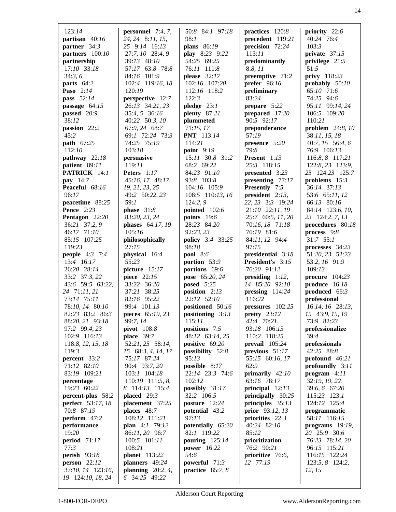| 123:14                                 |                                                 |                                      | practices $120:8$                    | priority 22:6                       |
|----------------------------------------|-------------------------------------------------|--------------------------------------|--------------------------------------|-------------------------------------|
| partisan 40:16                         | <b>personnel</b> $7:4, 7$ ,<br>24, 24 8:11, 15, | 50:8 84:1 97:18<br>98:1              | precedent 119:21                     | 40:24 76:4                          |
| partner 34:3                           |                                                 |                                      | precision $72:24$                    | 103:3                               |
|                                        | 25 9:14 16:13                                   | <b>plans</b> 86:19                   |                                      |                                     |
| partners 100:10                        | 27:7, 10 28:4, 9                                | play 8:23 9:22                       | 113:11                               | private $37:15$                     |
| partnership                            | 39:13 48:10                                     | 54:25 69:25                          | predominantly                        | privilege 21:5                      |
| 17:10 33:18                            | 57:17 63:8 78:8                                 | 76:11 111:8                          | 8:8, 11                              | 51:5                                |
| 34:3,6                                 | 84:16 101:9                                     | please $32:17$                       | preemptive 71:2                      | <b>privy</b> 118:23                 |
| parts 64:2<br>Paso 2:14                | 102:4 119:16, 18<br>120:19                      | 102:16 107:20                        | prefer $96:16$                       | probably 50:10<br>65:10 71:6        |
|                                        |                                                 | 112:16 118:2                         | preliminary                          |                                     |
| pass 52:14                             | perspective 12:7                                | 122:3                                | 83:24                                | 74:25 94:6                          |
| passage 64:15                          | 26:13 34:21, 23                                 | pledge $23:1$                        | prepare 5:22                         | 95:11 99:14, 24<br>106:5 109:20     |
| passed 20:9                            | 35:4, 5 36:16                                   | plenty $87:21$                       | prepared 17:20                       |                                     |
| 38:12                                  | 40:22 50:3, 10                                  | plummeted                            | 90:5 92:17                           | 110:21                              |
| passion 22:2<br>45:2                   | 67:9, 24 68:7<br>69:1 72:24 73:3                | 71:15,17                             | preponderance<br>57:19               | problem $24:8,10$                   |
|                                        |                                                 | <b>PNT</b> 113:14                    |                                      | 38:11, 15, 18                       |
| path 67:25<br>112:10                   | 74:25 75:19                                     | 114:21                               | presence 5:20<br>79:8                | 40:7, $15$ 56:4, 6                  |
|                                        | 103:18                                          | point $9:19$                         |                                      | 76:9 106:13                         |
| pathway 22:18                          | persuasive                                      | 15:11 30:8 31:2                      | Present 1:13                         | 116:8, 8 117:21                     |
| patient 89:11                          | 119:11                                          | 68:2 69:22                           | 25:3 118:15                          | 122:8, 23 123:9,                    |
| PATRICK 14:1                           | Peters 1:17                                     | 84:23 91:10                          | presented 3:23                       | 25 124:23 125:7                     |
| pay 14:7                               | 45:16, 17 48:17,                                | 93:8 103:8                           | presenting $77:17$                   | problems $15:3$                     |
| Peaceful 68:16                         | 19, 21, 23, 25                                  | 104:16 105:9                         | <b>Presently</b> 7:5                 | 36:14 37:13                         |
| 96:17                                  | 49:2 50:22, 23                                  | 108:5 110:13, 16                     | president $2:13$ ,                   | 53:6 65:11, 12                      |
| peacetime 88:25                        | 59:1                                            | 124:2,9                              | 22, 23 3:3 19:24                     | 66:13 80:16                         |
| <b>Pence</b> 2:23                      | phase $31:8$                                    | pointed 102:6                        | 21:10 22:11, 19                      | 84:14 123:6, 10,                    |
| Pentagon 22:20                         | 83:20, 23, 24                                   | points $19:6$                        | 25:7 60:5, 11, 20                    | 23 124:2, 7, 13                     |
| 36:21 37:2, 9                          | phases 64:17, 19                                | 28:23 84:20                          | 70:16, 18 71:18                      | procedures 80:18                    |
| 46:17 71:10                            | 105:16                                          | 92:23,23                             | 76:19 81:6                           | process $9:8$                       |
| 85:15 107:25                           | philosophically                                 | <b>policy</b> 3:4 33:25              | 84:11, 12 94:4                       | $31:7$ 55:1                         |
| 119:23                                 | 27:15                                           | 98:18                                | 97:15                                | processes 34:23                     |
| <b>people</b> $4:3$ 7:4                | physical 16:4<br>55:23                          | pool 8:6                             | presidential 3:18                    | 51:20, 23 52:23                     |
| 13:4 16:17                             |                                                 | portion 53:9                         | <b>President's</b> 3:15              | 53:2, 16 91:9                       |
| 26:20 28:14                            | picture 15:17                                   | portions 69:6                        | 76:20 91:12                          | 109:13                              |
| 33:2 37:3, 22                          | piece 22:15<br>33:22 36:20                      | pose 65:20, 24                       | presiding $1:12$ ,<br>14 85:20 92:10 | procure $104:23$<br>produce $16:18$ |
| 43:6 59:5 63:22,<br>24 71:11, 21       | 37:21 38:25                                     | <b>posed</b> 5:25<br>position $2:13$ | pressing $114:24$                    | produced 66:3                       |
| 73:14 75:11                            | 82:16 95:22                                     | 22:12 52:10                          | 116:22                               | professional                        |
| 78:10, 14 80:10                        | 99:4 101:13                                     | positioned 50:16                     | pressures 102:25                     | 16:14, 16 28:13,                    |
| 82:23 83:2 86:3                        | pieces 65:19, 23                                | positioning 3:13                     | pretty $23:12$                       | 15 43:9, 15, 19                     |
| 88:20, 21 93:18                        | 99:7, 14                                        | 115:11                               | 42:4 70:21                           | 73:9 82:23                          |
| 97:2 99:4, 23                          | pivot 108:8                                     | positions 7:5                        | 93:18 106:13                         | professionalize                     |
| 102:9 116:13                           | place $39:7$                                    | 48:12 63:14, 25                      | 110:2 118:25                         | 39:4                                |
| 118:8, 12, 15, 18                      | 52:21, 25 58:14,                                | positive 69:20                       | prevail $105:24$                     | professionals                       |
| 119:3                                  | 15 68:3, 4, 14, 17                              | possibility 52:8                     | previous $51:17$                     | 42:25 88:8                          |
| percent 33:2                           | 75:17 87:24                                     | 95:13                                | 55:15 60:16, 17                      | profound $46:21$                    |
| 71:12 82:10                            | 90:4 93:7, 20                                   | possible 8:17                        | 62:9                                 | profoundly 3:11                     |
| 83:19 109:21                           | 103:1 104:18                                    | 22:14 23:3 74:6                      | primarily $42:10$                    | program $4:11$                      |
| percentage                             | 110:19 111:5, 8,                                | 102:12                               | 63:16 78:17                          | 32:19, 19, 22                       |
| 19:23 60:22                            | 8 114:13 115:4                                  | possibly $31:17$                     | principal $12:13$                    | 39:6, 6 67:20                       |
| percent-plus 58:2                      | placed $29:3$                                   | 32:2 106:5                           | principally 30:25                    | 115:23 123:1                        |
| <b>perfect</b> 53:17, 18               | placement 37:25                                 | posture 12:24                        | principles $35:13$                   | 124:12 125:4                        |
| 70:8 87:19                             | places 48:7                                     | potential 43:2                       | prior 93:12, 13                      | programmatic                        |
| perform 47:2                           | 108:12 111:21                                   | 97:13                                | priorities 22:3                      | 58:11 116:15                        |
| performance                            | plan 4:1 79:12                                  | potentially 65:20                    | 40:24 82:10                          | programs $19:19$ ,                  |
| 19:20                                  | 86:11, 20 96:7                                  | 82:1 119:22                          | 85:12                                | 20 25:9 30:6                        |
| period $71:17$                         | 100:5 101:11                                    | pouring $125:14$                     | prioritization                       | 76:23 78:14, 20                     |
| 77:3                                   | 108:21                                          | power 16:22                          | 76:2 90:21                           | 96:15 115:21                        |
| <b>perish</b> 93:18                    |                                                 |                                      |                                      |                                     |
|                                        |                                                 |                                      |                                      |                                     |
|                                        | <b>planet</b> 113:22                            | 54:6                                 | prioritize 76:6,                     | 116:15 122:24                       |
| person $22:12$                         | planners 49:24                                  | powerful $71:3$                      | 12 77:19                             | 123:5, 8 124:2,                     |
| 37:10, 14 123:16,<br>19 124:10, 18, 24 | planning $20:2, 4$ ,<br>6 34:25 49:22           | practice $85:7,8$                    |                                      | 12, 15                              |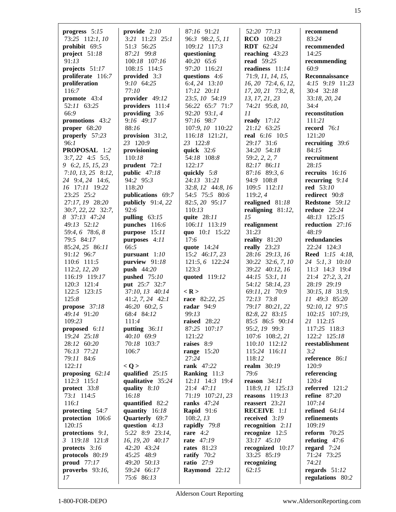| progress 5:15                         | provide $2:10$                          | 87:16 91:21                    | 52:20 77:13                       | recommend                         |
|---------------------------------------|-----------------------------------------|--------------------------------|-----------------------------------|-----------------------------------|
| 73:25 112:1, 10                       | $3:21$ $11:23$ $25:1$                   | 96:3 98:2, 5, 11               | RCO 108:23                        | 83:24                             |
| prohibit 69:5                         | 51:3 56:25                              | 109:12 117:3                   | <b>RDT</b> 62:24                  | recommended                       |
| project $51:18$                       | 87:21 99:8                              | questioning                    | reaching $43:23$                  | 14:25                             |
| 91:13                                 | 100:18 107:16                           | 40:20 65:6                     | <b>read</b> 59:25                 | recommending                      |
| projects $51:17$                      | 108:15 114:5                            | 97:20 116:21                   | readiness 11:14                   | 60:9                              |
| proliferate 116:7                     | provided $3:3$                          | questions 4:6                  | 71:9, 11, 14, 15,                 | Reconnaissance                    |
| proliferation                         | 9:10 64:25                              | 6:4, 24 13:10                  | $16, 20$ 72:4, 6, 12,             | $4:15$ $9:19$ $11:23$             |
| 116:7                                 | 77:10                                   | 17:12 20:11                    | 17, 20, 21 73:2, 8,               | 30:4 32:18                        |
| promote 43:4                          | provider 49:12                          | 23:5, 10 54:19                 | 13, 17, 21, 23                    | 33:18, 20, 24                     |
| 52:11 63:25                           | providers 111:4                         | 56:22 65:7 71:7                | 74:21 95:8, 10,                   | 34:4                              |
| 66:9                                  | providing $3:6$                         | 92:20 93:1,4                   | 11                                | reconstitution                    |
| promotions 43:2<br>proper $68:20$     | 9:16 49:17<br>88:16                     | 97:16 98:7<br>107:9, 10 110:22 | ready 17:12<br>21:12 63:25        | 111:21<br>record $76:1$           |
| properly 57:23                        | provision 31:2,                         | 116:18 121:21,                 | real 6:16 10:5                    | 121:20                            |
| 96:1                                  | 23 120:9                                | 23 122:8                       | 29:17 31:6                        | recruiting 39:6                   |
| PROPOSAL 1:2                          | provisioning                            | quick $32:6$                   | 34:20 54:18                       | 84:15                             |
| $3:7, 22$ $4:5$ $5:5,$                | 110:18                                  | 54:18 108:8                    | 59:2, 2, 2, 7                     | recruitment                       |
| 9 6:2, 15, 15, 23                     | prudent $72:1$                          | 122:17                         | 82:17 86:11                       | 28:15                             |
| $7:10, 13, 25$ 8:12,                  | public $47:18$                          | quickly $5:8$                  | 87:16 89:3,6                      | recruits $16:16$                  |
| 24 9:4, 24 14:6,                      | 94:2 95:3                               | 24:13 31:21                    | 94:9 108:8                        | recurring $9:14$                  |
| 16 17:11 19:22                        | 118:20                                  | 32:8, 12 44:8, 16              | 109:5 112:11                      | red 53:10                         |
| 23:25 25:2                            | publications 69:7                       | 54:5 75:5 80:6                 | 119:2, 4                          | redirect 90:8                     |
| 27:17, 19 28:20                       | publicly $91:4,22$                      | 82:5, 20 95:17                 | realigned 81:18                   | Redstone 59:12                    |
| 30:7, 22, 22 32:7,                    | 92:6                                    | 110:13                         | realigning $81:12$ ,              | <b>reduce</b> 22:24               |
| 8 37:13 47:24                         | pulling $63:15$                         | quite 28:11                    | 15                                | 48:13 125:15                      |
| 49:13 52:12                           | punches $116:6$                         | 106:11 113:19                  | realignment                       | reduction 27:16                   |
| 59:4, 6 78:6, 8                       | purpose 15:11                           | quo 10:1 15:22                 | 31:23                             | 48:19                             |
| 79:5 84:17                            | purposes 4:11                           | 17:6                           | reality 81:20                     | redundancies                      |
| 85:24, 25 86:11                       | 66:5                                    | quote 14:24                    | really $23:23$                    | 22:24 124:3                       |
| 91:12 96:7                            | pursuant $1:10$                         | 15:2 46:17, 23                 | 28:16 29:13, 16                   | <b>Reed</b> 1:15 4:18,            |
| 110:6 111:5                           | purview 91:18                           | 121:5, 6 122:24                | 30:22 32:6, 7, 10                 | 24 5:1, 3 10:10                   |
| 112:2, 12, 20                         | push 44:20                              | 123:3                          | 39:22 40:12, 16                   | $11:3$ 14:3 19:4                  |
| 116:19 119:17                         | pushed $75:10$                          | quoted 119:12                  | 44:15 53:1, 11                    | 21:4 27:2, 3, 21<br>28:19 29:19   |
| 120:3 121:4<br>122:5 123:15           | <b>put</b> 25:7 32:7<br>37:10, 13 40:14 | $<$ R $>$                      | 54:12 58:14, 23<br>69:11, 21 70:9 | 30:15, 18 31:9,                   |
| 125:8                                 | $41:2, 7, 24$ $42:1$                    | race 82:22, 25                 | 72:13 73:8                        | 11 49:3 85:20                     |
| propose 37:18                         | 46:20 60:2, 5                           | radar 94:9                     | 79:17 80:21, 22                   | 92:10, 12 97:5                    |
| 49:14 91:20                           | 68:4 84:12                              | 99:13                          | 82:8, 22 83:15                    | 102:15 107:19,                    |
| 109:23                                | 111:4                                   | raised 28:22                   | 85:5 86:5 90:14                   | 21 112:15                         |
| proposed $6:11$                       | putting 36:11                           | 87:25 107:17                   | 95:2, 19 99:3                     | 117:25 118:3                      |
| 19:24 25:18                           | 40:10 69:9                              | 121:22                         | 107:6 108:2, 21                   | 122:2 125:18                      |
| 28:12 60:20                           | 70:18 103:7                             | raises 8:9                     | 110:10 112:12                     | reestablishment                   |
| 76:13 77:21                           | 106:7                                   | range $15:20$                  | 115:24 116:11                     | 3:2                               |
| 79:11 84:6                            |                                         | 27:24                          | 118:12                            | reference 86:1                    |
| 122:11                                | < Q >                                   | <b>rank</b> 47:22              | realm 30:19                       | 120:9                             |
| proposing $62:14$                     | qualified $25:15$                       | Ranking $11:3$                 | 79:6                              | referencing                       |
| $112:3$ $115:1$                       | qualitative 35:24                       | $12:11$ $14:3$ $19:4$          | reason $34:11$                    | 120:4                             |
| protect 33:8                          | quality $8:10$                          | 21:4 47:11                     | 118:9, 11 125:13                  | referred 121:2                    |
| 73:1 114:5                            | 16:18                                   | 71:19 107:21, 23               | reasons $119:13$                  | refine $87:20$                    |
| 116:1                                 | quantified 82:2                         | ranks $47:24$                  | reassert $23:21$                  | 107:14                            |
| protecting 54:7                       | quantity $16:18$                        | <b>Rapid</b> 91:6              | <b>RECEIVE</b> 1:1                | refined $64:14$                   |
| protection 106:6                      | Quarterly 69:7                          | 108:2, 13                      | received 3:19                     | refinements                       |
| 120:15                                | question $4:13$                         | rapidly $79:8$                 | recognition $2:11$                | 109:19                            |
| protections $9:1$ ,<br>3 119:18 121:8 | 5:22 8:9 23:14,<br>16, 19, 20 40:17     | rare $4:2$<br>rate 47:19       | recognize $12:5$<br>33:17 45:10   | reform $70:25$<br>refuting $47:6$ |
| protects 3:16                         | 42:20 43:24                             | <b>rates</b> 81:23             | recognized 10:17                  | regard $7:24$                     |
| protocols 80:19                       | 45:25 48:9                              | ratify $70:2$                  | 33:25 85:19                       | 71:24 73:25                       |
| proud $77:17$                         | 49:20 50:13                             | <b>ratio</b> 27:9              | recognizing                       | 74:21                             |
| proverbs $93:16$ ,                    | 59:24 66:17                             | Raymond 22:12                  | 62:15                             | regards $51:12$                   |
| 17                                    | 75:6 86:13                              |                                |                                   | regulations 80:2                  |
|                                       |                                         |                                |                                   |                                   |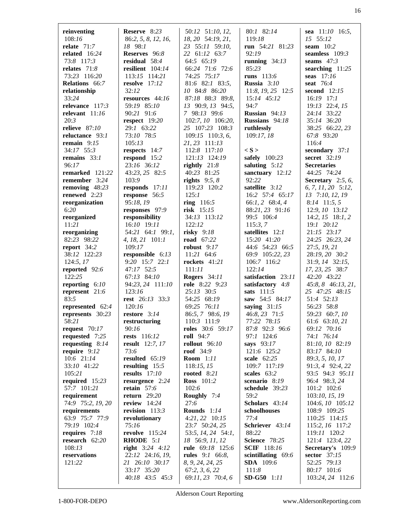| reinventing        | Reserve 8:23           | 50:12 51:10, 12,       | 80:1 82:14             | sea $11:10$ 16:5,    |
|--------------------|------------------------|------------------------|------------------------|----------------------|
| 108:16             | 86:2, 5, 8, 12, 16,    | 18, 20 54:19, 21,      | 119:18                 | 15 55:12             |
| relate $71:7$      | 18 98:1                | 23 55:11 59:10,        | run $54:21$ 81:23      | seam $10:2$          |
| related $16:24$    | Reserves 96:8          | 22 61:12 63:7          | 92:19                  | seamless $109:3$     |
| 73:8 117:3         | residual $58:4$        | 64:5 65:19             | running $34:13$        | seams $47:3$         |
| relates $71:8$     | resilient $104:14$     | 66:24 71:6 72:6        | 85:23                  | searching $11:25$    |
| 73:23 116:20       | 113:15 114:21          | 74:25 75:17            | runs 113:6             | seas $17:16$         |
| Relations 66:7     | resolve $17:12$        | 81:6 82:1 83:5,        | <b>Russia</b> $3:10$   | seat 76:4            |
| relationship       | 32:12                  | 10 84:8 86:20          | 11:8, 19, 25 12:5      | second $12:15$       |
| 33:24              | resources 44:16        | 87:18 88:3 89:8,       | 15:14 45:12            | $16:19$ 17:1         |
| relevance $117:3$  | 59:19 85:10            | 13 90:9, 13 94:5,      | 94:7                   | 19:13 22:4, 15       |
| relevant $11:16$   | 90:21 91:6             | 7 98:13 99:6           | <b>Russian</b> $94:13$ | 24:14 33:22          |
| 20:3               | respect $19:20$        | 102:7, 10 106:20,      | <b>Russians</b> 94:18  | 35:14 36:20          |
| relieve 87:10      | 29:1 63:22             | 25 107:23 108:3        | ruthlessly             | 38:25 66:22, 23      |
| reluctance 93:1    | 73:10 78:5             | $109:15$ 110:3, 6,     | 109:17, 18             | 67:8 93:20           |
| remain $9:15$      | 105:13                 | 21, 23 111:13          |                        | 116:4                |
| 34:17 55:3         | respects 14:7          | 112:8 117:10           | $\langle S \rangle$    | secondary 37:1       |
| remains $33:1$     | respond $15:2$         | 121:13 124:19          | safely $100:23$        | secret 32:19         |
| 96:17              | 23:16 36:12            | rightly $21:8$         | saluting $5:12$        | <b>Secretaries</b>   |
| remarked 121:22    | 43:23, 25 82:5         | 40:23 81:25            | sanctuary $12:12$      | 44:25 74:24          |
| remember 3:24      | 103:9                  | rights $9:5, 8$        | 92:22                  | Secretary $2:5, 6$ , |
| removing $48:23$   | responds 17:11         | 119:23 120:2           | satellite 3:12         | $6, 7, 11, 20$ 5:12, |
| renewed $2:23$     | response 56:5          | 125:1                  | 16:2 57:4 65:17        | 13 7:10, 12, 19      |
| reorganization     | 95:18, 19              | ring $116:5$           | 66:1, 2 68:4, 4        | $8:14$ 11:5, 5       |
| 6:20               | responses 97:9         | risk $15:15$           | 88:21, 23 91:16        | 12:9, 10 13:12       |
| reorganized        | responsibility         | 34:13 113:12           | 99:5 106:4             | $14:2, 15$ 18:1, 2   |
| 11:21              | 16:10 19:11            | 122:12                 | 115:3,7                | 19:1 20:12           |
| reorganizing       | 54:21 64:1 99:1,       | risky $9:18$           | satellites 12:1        | 21:15 23:17          |
| 82:23 98:22        | 4, 18, 21 101:1        | <b>road</b> 67:22      | 15:20 41:20            | 24:25 26:23, 24      |
| report $34:2$      | 109:17                 | robust $9:17$          | 44:6 54:23 66:5        | 27:5, 19, 21         |
| 38:12 122:23       | responsible 6:13       | $11:21$ 64:6           | 69:9 105:22, 23        | 28:19, 20 30:2       |
| 124:5, 17          | 9:20 15:7 22:1         | rockets $41:21$        | 106:7 116:2            | 31:9, 14 32:15,      |
| reported 92:6      | 47:17 52:5             | 111:11                 | 122:14                 | 17, 23, 25 38:7      |
| 122:25             | 67:13 84:10            | Rogers 34:11           | satisfaction 23:11     | 42:20 43:22          |
| reporting $6:10$   | 94:23, 24 111:10       | role 8:22 9:23         | satisfactory 4:8       | 45:8, 8 46:13, 21,   |
| represent 21:6     | 123:16                 | 25:13 30:5             | sats $111:5$           | 25 47:25 48:15       |
| 83:5               | rest 26:13 33:3        | 54:25 68:19            | saw 54:5 84:17         | 51:4 52:13           |
| represented $62:4$ | 120:16                 | 69:25 76:11            | saying $31:15$         | 56:23 58:8           |
| represents 30:23   | restore 3:14           | 86:5, 7 98:6, 19       | 46:8, 23 71:5          | 59:23 60:7, 10       |
| 58:21              | restructuring          | 110:3 111:9            | 77:22 78:15            | 61:6 63:10, 21       |
| request 70:17      | 90:16                  | roles 30:6 59:17       | 87:8 92:3 96:6         | 69:12 70:16          |
| requested 7:25     | rests 116:12           | <b>roll</b> 94:7       | 97:1 124:6             | 74:1 76:14           |
| requesting $8:14$  | <b>result</b> 12:7, 17 | rollout $96:10$        | says $93:17$           | 81:10, 10 82:19      |
| require $9:12$     | 73:6                   | roof 34:9              | 121:6 125:2            | 83:17 84:10          |
| 10:6 21:14         | resulted 65:19         | <b>Room</b> 1:11       | scale 62:25            | 89:3, 5, 10, 17      |
| 33:10 41:22        | resulting $15:5$       | 118:15, 15             | 109:7 117:19           | 91:3, 4 92:4, 22     |
| 105:21             | results $17:10$        | rooted $8:21$          | scales 63:2            | 93:5 94:3 95:11      |
| required $15:23$   | resurgence 2:24        | <b>Ross</b> 101:2      | scenario 8:19          | 96:4 98:3, 24        |
| 57:7 101:21        | retain $57:6$          | 102:6                  | schedule 39:23         | 101:2 102:6          |
| requirement        | return $29:20$         | Roughly 7:4            | 59:2                   | 103:10, 15, 19       |
| 74:9 75:2, 19, 20  | review $14:24$         | 27:6                   | Scholars 43:14         | 104:6, 10 105:12     |
| requirements       | revision $113:3$       | Rounds 1:14            | schoolhouses           | 108:9 109:25         |
| 63:9 75:7 77:9     | revolutionary          | $4:21, 22$ 10:15       | 77:4                   | 110:25 114:15        |
| 79:19 102:4        | 75:16                  | 23:7 50:24, 25         | Schriever 43:14        | 115:2, 16 117:2      |
| requires $7:18$    | revolve 115:24         | 53:5, 14, 24 54:1,     | 88:22                  | 119:11 120:2         |
| research $62:20$   | RHODE 5:1              | 18 56:9, 11, 12        | Science 78:25          | 121:4 123:4, 22      |
| 108:13             | right $3:24$ 4:12      | rule 69:18 125:6       | <b>SCIF</b> 118:16     | Secretary's 109:9    |
| reservations       | 22:12 24:16, 19,       | <b>rules</b> 9:1 66:8, | scintillating 69:6     | sector 37:15         |
| 121:22             | 21 26:10 30:17         | 8, 9, 24, 24, 25       | <b>SDA</b> 109:6       | 52:25 79:13          |
|                    | 33:17 35:20            | 67:2, 3, 6, 22         | 111:8                  | 80:17 101:6          |
|                    | 40:18 43:5 45:3        | 69:11, 23 70:4, 6      | <b>SD-G50</b> 1:11     | 103:24, 24 112:6     |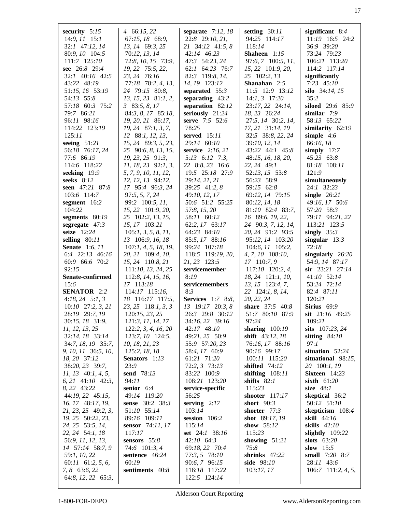| security $5:15$<br>$14:9, 11$ 15:1       | $4\quad 66:15,22$<br>67:15, 18 68:9,      | separate $7:12, 18$<br>22:8 29:10, 21,       | setting $30:11$<br>94:25 114:17      | significant $8:4$<br>11:19 16:5 24:2  |
|------------------------------------------|-------------------------------------------|----------------------------------------------|--------------------------------------|---------------------------------------|
| 32:1 47:12, 14                           | 13, 14 69:3, 25                           | 21 34:12 41:5, 8                             | 118:14                               | 36:9 39:20                            |
| 80:9, 10 104:5<br>111:7 125:10           | 70:12, 13, 14<br>72:8, 10, 15 73:9,       | 42:14 46:23<br>47:3 54:23, 24                | Shaheen 1:15<br>97:6, 7 100:5, 11,   | 73:24 79:23<br>106:21 113:20          |
| see 26:8 29:4                            | 19, 22 75:5, 22,                          | 62:1 64:23 76:7                              | 15, 22 101:9, 20,                    | 114:2 117:14                          |
| 32:1 40:16 42:5                          | 23, 24 76:16                              | 82:3 119:8, 14,                              | 25 102:2, 13                         | significantly                         |
| 43:22 48:19                              | 77:18 78:2, 4, 13,                        | 14, 19 123:12                                | Shanahan $2:5$                       | $7:23$ 45:10                          |
| 51:15, 16 53:19                          | 24 79:15 80:8,                            | separated 55:3                               | 11:5 12:9 13:12                      | silo $34:14, 15$                      |
| 54:13 55:8<br>57:18 60:3 75:2            | $13, 15, 23$ 81:1, 2,<br>$3\,83:5, 8, 17$ | separating $43:2$<br>separation 82:12        | $14:1, 3$ 17:20<br>23:17, 22 24:14,  | 35:2<br>siloed 29:6 85:9              |
| 79:7 86:21                               | 84:3, 8, 17 85:18,                        | seriously 21:24                              | 18, 23 26:24                         | similar $7:9$                         |
| 96:11 98:16                              | 19, 20, 21 86:17,                         | serve 7:5 52:6                               | 27:5, 14 30:2, 14,                   | 58:13 65:22                           |
| 114:22 123:19                            | 19, 24 87:1, 3, 7,                        | 78:25                                        | 17, 21 31:14, 19                     | similarity $62:19$                    |
| 125:11                                   | 12 88:1, 12, 13,                          | served 15:11                                 | 32:5 38:8, 22, 24                    | simple $4:6$                          |
| seeing $51:21$                           | 15, 24 89:3, 5, 23,                       | 29:14 60:10                                  | 39:10, 12, 14                        | 66:16, 18                             |
| 56:18 76:17, 24                          | 25 90:6, 8, 13, 15,                       | service $2:16, 21$                           | $43:22$ $44:1$ $45:8$                | simply $17:7$                         |
| 77:6 86:19<br>114:6 118:22               | 19, 23, 25 91:3,<br>$11, 18, 23$ 92:1, 3, | $5:13$ 6:12 7:3,<br>22 8:8, 23 16:6          | 48:15, 16, 18, 20,<br>22, 24 49:1    | 45:23 63:8<br>81:18 108:11            |
| seeking 19:9                             | 5, 7, 9, 10, 11, 12,                      | 19:5 25:18 27:9                              | 52:13, 15 53:8                       | 121:9                                 |
| seeks 8:12                               | 12, 12, 13 94:12,                         | 29:14, 21, 21                                | 56:23 58:9                           | simultaneously                        |
| seen 47:21 87:8                          | 17 95:4 96:3, 24                          | 39:25 41:2, 8                                | 59:15 62:8                           | 24:1 32:23                            |
| 103:6 114:7                              | 97:5, 5, 7, 24                            | 49:10, 12, 17                                | 69:12, 14 79:15                      | single $26:21$                        |
| segment 16:2                             | 99:2 100:5, 11,                           | 50:6 51:2 55:25                              | 80:12, 14, 18                        | 49:16, 17 50:6                        |
| 104:22<br>segments 80:19                 | 15, 22 101:9, 20,<br>25 102:2, 13, 15,    | 57:8, 15, 20<br>58:11 60:12                  | 81:10 82:4 83:7,<br>16 89:6, 19, 22, | 57:20 58:3<br>79:11 94:21, 22         |
| segregate $47:3$                         | 15, 17 103:21                             | 62:2, 17 63:17                               | 24 90:3, 7, 12, 14,                  | 113:21 123:5                          |
| seize 12:24                              | 105:1, 3, 5, 8, 11,                       | 64:23 84:10                                  | 20, 24 91:2 93:5                     | singly $35:3$                         |
| selling $80:11$                          | 13 106:9, 16, 18                          | 85:5, 17 88:16                               | 95:12, 14 103:20                     | singular $13:3$                       |
| <b>Senate</b> 1:6, 11                    | 107:1, 4, 5, 18, 19,                      | 99:24 107:18                                 | $104:6$ , $11$ $105:2$ ,             | 72:18                                 |
| 6:4 22:13 46:16<br>60:9 66:6 70:2        | 20, 21 109:4, 10,<br>15, 24 110:8, 21     | 118:5 119:19, 20,<br>21, 23 123:5            | $4, 7, 10$ 108:10,<br>17 110:7, 9    | singularly $26:20$<br>54:9, 14 87:17  |
| 92:15                                    | 111:10, 13, 24, 25                        | servicemember                                | 117:10 120:2, 4,                     | sir 23:21 27:14                       |
| Senate-confirmed                         | 112:8, 14, 15, 16,                        | 8:19                                         | 18, 24 121:1, 10,                    | 41:10 52:14                           |
| 15:6                                     | 17 113:18                                 | servicemembers                               | 13, 15 123:4, 7,                     | 53:24 72:14                           |
| <b>SENATOR</b> 2:2                       | 114:17 115:16,                            | 8:3                                          | 22 124:1, 8, 14,                     | 82:4 87:11                            |
| $4:18, 24 \quad 5:1, 3$                  | 18 116:17 117:5,                          | <b>Services</b> 1:7 8:8,<br>13 19:17 20:3, 8 | 20, 22, 24                           | 120:21                                |
| $10:10$ 27:2, 3, 21<br>28:19 29:7, 19    | 23, 25 118:1, 3, 3<br>120:15, 23, 25      | 26:3 29:8 30:12                              | share 37:5 40:8<br>51:7 80:10 87:9   | Sirius 69:9<br>sit 21:16 49:25        |
| 30:15, 18 31:9,                          | 121:3, 11, 14, 17                         | 34:16, 22 39:16                              | 97:24                                | 109:21                                |
| 11, 12, 13, 25                           | 122:2, 3, 4, 16, 20                       | 42:17 48:10                                  | sharing $100:19$                     | sits 107:23, 24                       |
| 32:14, 18 33:14                          | 123:7, 10 124:5,                          | 49:21, 25 50:9                               | <b>shift</b> 43:12, 18               | sitting $84:10$                       |
| 34:7, 18, 19 35:7,                       | 10, 18, 21, 23                            | 55:9 57:20, 23                               | 76:16, 17 88:16                      | 97:1                                  |
| 9, 10, 11 36:5, 10,<br>18, 20 37:12      | 125:2, 18, 18<br>Senators 1:13            | 58:4, 17 60:9                                | 90:16 99:17                          | situation 52:24                       |
| 38:20, 23 39:7,                          | 23:9                                      | 61:21 71:20<br>72:2, 3 73:13                 | 100:11 115:20<br>shifted $74:12$     | situational $98:15$ ,<br>20 100:1, 19 |
| $11, 13$ 40:1, 4, 5,                     | send 78:13                                | 83:22 100:9                                  | shifting $108:11$                    | Sixteen $14:23$                       |
| $6, 21$ 41:10 42:3,                      | 94:11                                     | 108:21 123:20                                | shifts $82:1$                        | sixth $61:20$                         |
| 8, 22 43:22                              | senior 6:4                                | service-specific                             | 115:23                               | size $48:1$                           |
| 44:19, 22 45:15,                         | 49:14 119:20                              | 56:25                                        | shooter $117:17$                     | skeptical 36:2                        |
| 16, 17 48:17, 19,<br>21, 23, 25 49:2, 3, | sense 30:2 38:3<br>51:10 55:14            | serving $2:17$<br>103:14                     | short $90:3$<br>shorter 77:3         | 50:12 51:10<br>skepticism 108:4       |
| 19, 25 50:22, 23,                        | 89:16 109:11                              | session 106:2                                | <b>shot</b> 89:17, 19                | skill $44:16$                         |
| 24, 25 53:5, 14,                         | sensor 74:11, 17                          | 115:14                                       | show $58:12$                         | skills $42:10$                        |
| 22, 24 54:1, 18                          | 117:17                                    | set 24:1 38:16                               | 115:23                               | slightly $109:22$                     |
| 56:9, 11, 12, 13,                        | sensors $55:8$                            | $42:10$ 64:3                                 | showing $51:21$                      | slots $63:20$                         |
| 14 57:14 58:7, 9                         | 74:6 101:3, 4                             | 69:18, 22 70:4                               | 75:8                                 | slow $15:5$                           |
| 59:1, 10, 22<br>$60:11$ $61:2, 5, 6$ ,   | sentence 46:24<br>60:19                   | 77:3, 5 78:10<br>90:6, 7 96:15               | shrinks 47:22<br>side 98:10          | small 7:20 8:7<br>28:11 43:6          |
| 7, 8 63:6, 22                            | sentiments 40:8                           | 116:18 117:22                                | 103:17, 17                           | 106:7 111:2, 4, 5,                    |
| 64:8, 12, 22 65:3,                       |                                           | 122:5 124:14                                 |                                      |                                       |
|                                          |                                           |                                              |                                      |                                       |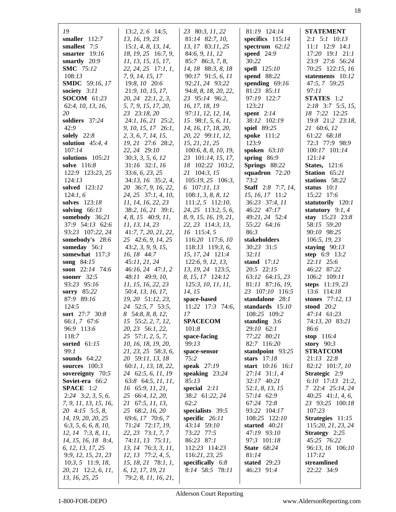| 19                                          | $13:2, 2, 6$ 14:5,                            | 23 80:3, 11, 22                    | 81:19 124:14                  | <b>STATEMENT</b>                    |
|---------------------------------------------|-----------------------------------------------|------------------------------------|-------------------------------|-------------------------------------|
| smaller $112:7$                             | 13, 16, 19, 23                                | 81:14 82:7, 10,                    | specifics 115:14              | $2:1$ 5:1 10:13                     |
| smallest 7:5                                | 15:1, 4, 8, 13, 14,                           | 13, 17 83:11, 25                   | spectrum $62:12$              | $11:1$ $12:9$ $14:1$                |
| smarter $19:16$                             | 18, 19, 25 16:7, 9,                           | 84:6, 9, 11, 12                    | speed $24:9$                  | 17:20 19:1 21:1                     |
| smartly 20:9                                | 11, 13, 15, 15, 17,                           | 85:7 86:3, 7, 8,                   | 30:22                         | 23:9 27:6 56:24                     |
| <b>SMC</b> 75:12                            | 22, 24, 25 17:1, 1,                           | 14, 18 88:3, 8, 18                 | <b>spell</b> 125:10           | 70:25 122:15, 16                    |
| 108:13                                      | 7, 9, 14, 15, 17                              | 90:17 91:5, 6, 11                  | spend 88:22                   | statements 10:12                    |
| <b>SMDC</b> 59:16, 17                       | 19:8, 10 20:6                                 | 92:21, 24 93:22                    | spending $69:16$              | 47:5, 7 59:25                       |
| society 3:11                                | 21:9, 10, 15, 17,                             | 94:8, 8, 18, 20, 22,               | 81:23 85:11                   | 97:11                               |
| <b>SOCOM</b> 61:23<br>62:4, 10, 13, 16,     | 20, 24 22:1, 2, 3,<br>5, 7, 9, 15, 17, 20,    | 23 95:14 96:2,<br>16, 17, 18, 19   | 97:19 122:7<br>123:21         | STATES 1:2<br>$2:18$ 3:7 5:5, 15,   |
| 20                                          | 23 23:18, 20                                  | 97:11, 12, 12, 14,                 | spent $2:14$                  | 18 7:22 12:25                       |
| soldiers 37:24                              | 24:1, 16, 21 25:2,                            | 15 98:1, 5, 6, 11,                 | 38:12 102:19                  | 19:8 21:2 23:18,                    |
| 42:9                                        | 9, 10, 15, 17 26:1,                           | 14, 16, 17, 18, 20,                | spiel 89:25                   | 21 60:6, 12                         |
| solely $22:8$                               | 2, 3, 6, 7, 14, 15,                           | 20, 22 99:11, 12,                  | spoke 111:2                   | 61:22 68:18                         |
| solution $45:4, 4$                          | 19, 21 27:6 28:2,                             | 15, 21, 21, 25                     | 123:9                         | 72:3 77:9 98:9                      |
| 107:14                                      | 22, 24 29:10                                  | 100:6, 8, 8, 10, 19,               | spoken 63:10                  | 100:17 101:14                       |
| solutions 105:21                            | 30:3, 3, 5, 6, 12                             | 23 101:14, 15, 17,                 | spring $86:9$                 | 121:14                              |
| solve 116:8                                 | $31:16$ $32:1$ , 16                           | 18 102:22 103:2,                   | Springs 88:22                 | <b>States</b> , 121:6               |
| 122:9 123:23, 25                            | 33:6, 6, 23, 25                               | 21 104:3, 15                       | squadron $72:20$              | Station 65:21                       |
| 124:13                                      | 34:13, 16 35:2, 4,                            | 105:19, 25 106:3,                  | 73:2                          | stations 58:22                      |
| solved 123:12                               | 20 36:7, 9, 16, 22,                           | 6 107:11, 13                       | <b>Staff</b> 2:8 7:7, 14,     | status $10:1$                       |
| 124:1, 6                                    | 24, 25 37:1, 4, 10,                           | 108:1, 3, 8, 8, 12                 | 15, 16, 17 11:2               | 15:22 17:6                          |
| solves 123:18                               | 11, 14, 16, 22, 23                            | $111:2, 5$ 112:10,                 | 36:23 37:4, 11                | statutorily 120:1                   |
| solving $66:13$                             | 38:2, 16, 21 39:1,                            | 24, 25 113:2, 5, 6,                | 46:22 47:17                   | statutory $9:1, 4$                  |
| somebody 36:21<br>37:9 54:13 62:6           | $4, 8, 15$ $40:9, 11,$<br>11, 13, 14, 23      | 8, 9, 15, 16, 19, 21,              | 49:21, 24 52:4<br>55:22 64:16 | stay 15:23 23:8<br>58:15 59:20      |
| 93:23 107:22, 24                            | 41:7, 7, 20, 21, 22,                          | 22, 23 114:3, 13,<br>$16$ 115:4, 5 | 86:3                          | 90:10 98:25                         |
| somebody's 28:6                             | 25 42:6, 9, 14, 25                            | 116:20 117:6, 10                   | stakeholders                  | 106:5, 19, 23                       |
| someday 56:1                                | 43:2, 3, 9, 9, 15,                            | 118:13 119:3, 6,                   | 30:23 31:5                    | staying $90:13$                     |
| somewhat $117:3$                            | 16, 18 44:7                                   | 15, 17, 24 121:4                   | 32:11                         | step 6:9 13:2                       |
| song $84:15$                                | 45:11, 21, 24                                 | 122:6, 9, 12, 13,                  | stand $17:12$                 | 22:11 25:6                          |
| soon 22:14 74:6                             | $46:16, 24$ $47:1, 2$                         | 13, 19, 24 123:5,                  | 20:5 22:15                    | 46:22 87:22                         |
| <b>sooner</b> 32:5                          | 48:11 49:9, 10,                               | 8, 15, 17 124:12                   | 63:12 64:15, 23               | 106:2 109:11                        |
| 93:23 95:16                                 | 11, 15, 16, 22, 23                            | 125:3, 10, 11, 11,                 | 81:11 87:16, 19,              | steps 11:19, 23                     |
| sorry 85:22                                 | 50:4, 13, 16, 17,                             | 14, 15                             | 23 107:10 116:5               | 13:6 114:18                         |
| 87:9 89:16                                  | 19, 20 51:12, 23,                             | space-based                        | standalone 28:1               | stones 77:12, 13                    |
| 124:5                                       | 24 52:5, 7 53:5,                              | 11:22 17:3 74:6,                   | standards 15:10               | stood 20:2                          |
| sort 27:7 30:8                              | 8 54:8, 8, 8, 12,                             | 17                                 | 108:25 109:2                  | 47:14 61:23                         |
| 66:1,7 67:6                                 | 15 55:2, 2, 7, 12,                            | <b>SPACECOM</b>                    | standing $3:6$                | 74:13, 20 83:21                     |
| 96:9 113:6<br>118:7                         | 20, 23 56:1, 22,<br>$25 \quad 57:1, 2, 5, 7,$ | 101:8<br>space-facing              | 29:10 62:1<br>77:22 80:21     | 86:6<br>stop $116:4$                |
| sorted $61:15$                              | 10, 16, 18, 19, 20,                           | 99:13                              | 82:7 116:20                   | story $90:3$                        |
| 99:1                                        | 21, 23, 25 58:3, 6,                           | space-sensor                       | standpoint 93:25              | <b>STRATCOM</b>                     |
| sounds $64:22$                              | 20 59:11, 13, 18                              | 75:2                               | stars $17:18$                 | 21:13 22:8                          |
| sources $100:3$                             | 60:1, 1, 13, 18, 22,                          | speak 27:19                        | start 10:16 16:1              | 82:12 101:7, 10                     |
| sovereignty 70:5                            | 24 62:5, 6, 11, 19                            | speaking $23:24$                   | 27:14 31:1, 4                 | Strategic 2:9                       |
| Soviet-era 66:2                             | 63:8 64:5, 11, 11,                            | 85:13                              | 32:17 40:21                   | 6:10 17:13 21:2,                    |
| <b>SPACE</b> $1:2$                          | 16 65:9, 11, 21,                              | special $2:11$                     | 52:1, 8, 13, 15               | 7 22:4 25:14, 24                    |
| $2:24$ 3:2, 3, 5, 6,                        | 25 66:4, 12, 20,                              | 38:2 61:22, 24                     | 57:14 62:9                    | $40:25$ $41:1, 4, 6,$               |
| 7, 9, 11, 13, 15, 16,                       | 21 67:5, 11, 13,                              | 62:2                               | 67:24 72:8                    | 23 93:25 100:18                     |
| 20 4:15 5:5, 8,                             | 25 68:2, 16, 20                               | specialists 39:5                   | 93:22 104:17                  | 107:23                              |
| 14, 19, 20, 20, 25                          | 69:6, 17 70:6, 7                              | specific 26:11                     | 108:25 122:10                 | Strategies 11:15                    |
| 6:3, 5, 6, 6, 8, 10,                        | 71:24 72:17, 19,                              | 43:14 59:10                        | started $40:21$               | 115:20, 21, 23, 24                  |
| $12, 14$ 7:3, 8, 11,<br>14, 15, 16, 18 8:4, | 22, 23 73:1, 7, 7<br>74:11, 13 75:11,         | 73:22 77:5<br>86:23 87:1           | 47:19 93:10<br>97:3 101:18    | <b>Strategy</b> 2:25<br>45:25 76:22 |
| 6, 12, 13, 17, 25                           | 13, 14 76:3, 3, 11,                           | 112:23 114:23                      | <b>State</b> 68:24            | 96:13, 16 106:10                    |
| 9:9, 12, 15, 21, 23                         | $12, 13$ $77:2, 4, 5,$                        | 116:21, 23, 25                     | 81:14                         | 117:12                              |
| $10:3, 5$ 11:9, 18,                         | $15, 18, 21$ $78:1, 1$ ,                      | specifically 6:8                   | stated $29:23$                | streamlined                         |
| 20, 21 12:2, 6, 11,                         | 6, 12, 17, 19, 21                             | 8:14 58:5 78:11                    | 46:23 91:4                    | 22:22 34:9                          |
| 13, 16, 25, 25                              | 79:2, 8, 11, 16, 21,                          |                                    |                               |                                     |
|                                             |                                               |                                    |                               |                                     |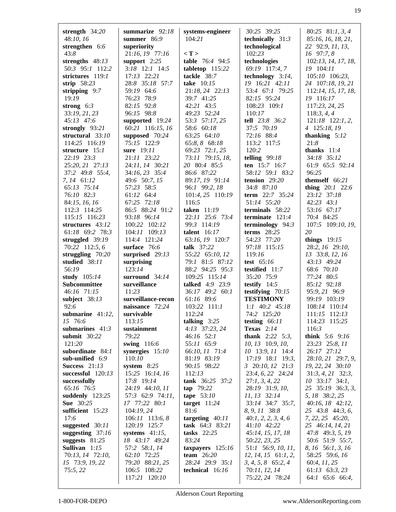| strength $34:20$                    | summarize $92:18$               | systems-engineer<br>104:21             | 30:25 39:25                            | 80:25 $81:1, 3, 4$                     |
|-------------------------------------|---------------------------------|----------------------------------------|----------------------------------------|----------------------------------------|
| 48:10, 16<br>strengthen 6:6         | summer $86:9$<br>superiority    |                                        | technically 31:3<br>technological      | 85:16, 16, 18, 21,<br>22 92:9, 11, 13, |
| 43:8                                | 21:16, 19 77:16                 | $\langle T \rangle$                    | 102:23                                 | 16 97:7, 8                             |
| strengths $48:13$                   | support $2:25$                  | table 76:4 94:5                        | technologies                           | 102:13, 14, 17, 18,                    |
| 50:3 95:1 112:2                     | $3:18$ 12:1 14:5                | tabletop 115:22                        | 69:19 117:4, 7                         | 19 104:11                              |
| strictures 119:1                    | 17:13 22:21                     | tackle 38:7                            | technology $3:14$ ,                    | 105:10 106:23,                         |
| strip $58:23$                       | 28:8 35:18 57:7                 | take $10:15$                           | 19 16:21 42:11                         | 24 107:18, 19, 21                      |
| stripping $9:7$<br>19:19            | 59:19 64:6<br>76:23 78:9        | 21:18, 24 22:13<br>39:7 41:25          | 53:4 67:1 79:25<br>82:15 95:24         | 112:14, 15, 17, 18,<br>19 116:17       |
| strong $6:3$                        | 82:15 92:8                      | 42:21 43:5                             | 108:23 109:1                           | 117:23, 24, 25                         |
| 33:19, 21, 23                       | 96:15 98:8                      | 49:23 52:24                            | 110:17                                 | 118:3, 4, 4                            |
| 45:13 47:6                          | supported 19:24                 | 53:3 57:17, 25                         | tell 23:8 36:2                         | $121:18$ $122:1, 2,$                   |
| strongly $93:21$                    | 60:21 116:15, 16                | 58:6 60:18                             | 37:5 70:19                             | 4 125:18, 19                           |
| structural $33:10$                  | supposed 70:24                  | 63:25 64:10                            | 72:16 88:4                             | thanking $5:12$                        |
| 114:25 116:19                       | 75:15 122:9                     | 65:8, 8 68:18                          | 113:2 117:5                            | 21:8                                   |
| structure 15:1                      | sure 19:11                      | 69:23 72:1, 25                         | 120:2                                  | thanks $11:4$                          |
| 22:19 23:3<br>25:20, 21 27:13       | 21:11 23:22<br>24:11, 14 30:21  | 73:11 79:15, 18,<br>20 80:4 85:5       | telling $99:18$<br>ten 15:7 16:7       | 34:18 35:12<br>61:9 65:5 92:14         |
| 37:2 49:8 55:4,                     | 34:16, 23 35:4                  | 86:6 87:22                             | 58:12 59:1 83:2                        | 96:25                                  |
| 7, 14 61:12                         | 49:6 50:7, 15                   | 89:17, 19 91:14                        | tension $29:20$                        | themself 66:21                         |
| 65:13 75:14                         | 57:23 58:5                      | 96:1 99:2, 18                          | 34:8 87:10                             | thing $20:1$ 22:6                      |
| 76:10 82:3                          | 61:12 64:4                      | 101:4, 25 110:19                       | term 22:7 35:24                        | 23:12 37:18                            |
| 84:15, 16, 16                       | 67:25 72:18                     | 116:5                                  | 51:14 55:20                            | 42:23 43:1                             |
| 112:3 114:25                        | 86:5 88:24 91:2                 | taken 11:19                            | terminals 58:22                        | 53:16 67:17                            |
| 115:15 116:23                       | 93:18 96:14                     | 22:11 25:6 73:4                        | terminate $121:4$                      | 70:4 84:25                             |
| structures 43:12<br>61:18 69:2 78:3 | 100:22 102:12<br>104:11 109:13  | 99:3 114:19<br>talent $16:17$          | terminology 94:3<br>terms $28:25$      | 107:5 109:10, 19,<br>20                |
| struggled 39:19                     | 114:4 121:24                    | 63:16, 19 120:7                        | 54:23 77:20                            | things $19:15$                         |
| 70:22 112:5, 6                      | surface 76:6                    | talk 37:22                             | 97:18 115:15                           | 28:2, 16 29:10,                        |
| struggling $70:20$                  | surprised 29:13                 | 55:22 65:10, 12                        | 119:16                                 | 13 33:8, 12, 16                        |
| studied 38:11                       | surprising                      | 79:1 81:5 87:12                        | test 65:16                             | 43:13 49:24                            |
| 56:19                               | 123:14                          | 88:2 94:25 95:3                        | testified 11:7                         | 68:6 70:10                             |
| study 105:14                        | surround $34:14$                | 109:25 115:14                          | 35:20 75:9                             | 77:24 80:5                             |
| Subcommittee                        | surveillance<br>11:23           | talked 4:9 23:9                        | testify $14:5$                         | 85:12 92:18                            |
| 46:16 71:15<br>subject $38:13$      | surveillance-recon              | 36:17 49:2 60:1<br>61:16 89:6          | testifying $70:15$<br><b>TESTIMONY</b> | 95:9, 21 96:9<br>99:19 103:19          |
| 92:6                                | naissance 72:24                 | 103:22 111:1                           | $1:1$ 40:2 45:18                       | 108:14 110:14                          |
| submarine $41:12$ ,                 | survivable                      | 112:24                                 | $74:2$ 125:20                          | 111:15 112:13                          |
| 15 76:6                             | 113:15                          | talking $3:25$                         | testing $66:11$                        | 114:23 115:25                          |
| submarines $41:3$                   | sustainment                     | 4:13 37:23, 24                         | <b>Texas</b> 2:14                      | 116:3                                  |
| submit 30:22                        | 79:22                           | $46:16$ 52:1                           | <b>thank</b> $2:22$ 5:3,               | <b>think</b> $5:6$ $9:16$              |
| 121:20                              | swing 116:6                     | 55:11 65:9                             | 10, 13 10:9, 10,                       | 23:23 25:8, 11                         |
| subordinate 84:1                    | synergies $15:10$               | 66:10, 11 71:4                         | 10 13:9, 11 14:4                       | 26:17 27:12                            |
| sub-unified 6:9<br>Success $21:13$  | 110:10<br>system $8:25$         | 81:19 83:19<br>90:15 98:22             | 17:19 18:1 19:3,<br>3 20:10, 12 21:3   | 28:10, 21 29:7, 9,<br>19, 22, 24 30:10 |
| successful $120:13$                 | 15:25 16:14, 16                 | 112:13                                 | 23:4, 6, 22 24:24                      | $31:3, 4, 21$ $32:3,$                  |
| successfully                        | 17:8 19:14                      | tank 36:25 37:2                        | 27:1, 3, 4, 22                         | $10$ 33:17 34:1,                       |
| 65:16 76:5                          | 24:19 44:10, 11                 | tap 79:22                              | 28:19 31:9, 10,                        | 25 35:19 36:3, 3,                      |
| suddenly $123:25$                   | 57:3 62:9 74:11,                | tape $53:10$                           | 11, 13 32:14                           | 5, 18 38:2, 25                         |
| <b>Sue</b> 30:25                    | 17 77:22 80:1                   | target $11:24$                         | 33:14 34:7 35:7,                       | 40:16, 18 42:12,                       |
| sufficient 15:23                    | 104:19, 24                      | 81:6                                   | 8, 9, 11 38:8                          | 25 43:8 44:3, 6,                       |
| 17:6<br>suggested 30:11             | 106:11 113:6, 8<br>120:19 125:7 | targeting $40:11$<br>task $64:3$ 83:21 | 40:1, 2, 2, 3, 4, 6<br>41:10 42:22     | $7, 22, 25$ 45:20,<br>25 46:14, 14, 21 |
| suggesting $37:16$                  | systems $41:15$ ,               | tasks $22:25$                          | 45:14, 15, 17, 18                      | 47:8 49:3, 5, 19                       |
| suggests $81:25$                    | 18 43:17 49:24                  | 83:24                                  | 50:22, 23, 25                          | 50:6 51:9 55:7,                        |
| Sullivan $1:15$                     | 57:2 58:1, 14                   | taxpayers $125:16$                     | 51:1 56:9, 10, 11,                     | 8, 16 56:1, 3, 16                      |
| 70:13, 14 72:10,                    | 62:10 72:25                     | team $26:20$                           | $12, 14, 15$ 61:1, 2,                  | 58:25 59:6, 16                         |
| 15 73:9, 19, 22                     | 79:20 88:21, 25                 | 28:24 29:9 35:1                        | $3, 4, 5, 8$ 65:2, 4                   | 60:4, 11, 25                           |
| 75:5,22                             | 106:5 108:22<br>117:21 120:10   | technical $16:16$                      | 70:11, 12, 14<br>75:22, 24 78:24       | $61:13$ $63:3,23$<br>64:1 65:6 66:4,   |
|                                     |                                 |                                        |                                        |                                        |

Alderson Court Reporting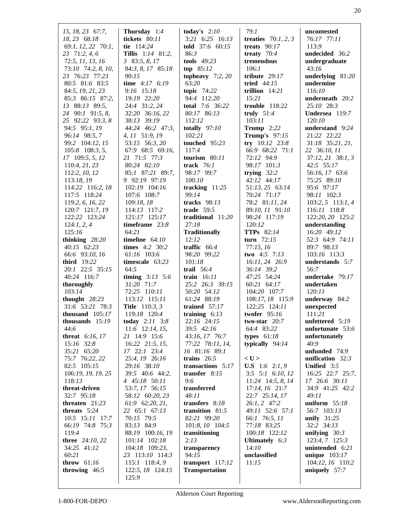| 15, 18, 23 67:7,<br>18, 23 68:18<br>69:1, 12, 22 70:1, | Thursday $1:4$<br>tickets 80:11<br>tie 114:24 | today's $2:10$<br>3:21 6:25 16:13<br>told $37:6$ 60:15 | 79:1<br>treaties $70:1, 2, 3$<br>treats $90:17$ | uncontested<br>76:17 77:11<br>113:9 |
|--------------------------------------------------------|-----------------------------------------------|--------------------------------------------------------|-------------------------------------------------|-------------------------------------|
| 23 71:2, 4, 6<br>72:5, 11, 13, 16                      | Tillis 1:14 81:2,<br>$3\,83:5, 8, 17$         | 86:3<br>tools $49:23$                                  | treaty $70:4$<br>tremendous                     | undecided 36:2<br>undergraduate     |
| 73:10 74:2, 8, 10,                                     | 84:3, 8, 17 85:18                             | top $85:12$                                            | 106:1                                           | 43:16                               |
| 23 76:23 77:23                                         | 90:15                                         | topheavy $7:2,20$                                      | tribute $29:17$                                 | underlying $81:20$                  |
| 80:5 81:6 83:5                                         | time $4:17 \quad 6:19$                        | 63:20                                                  | tried $44:15$                                   | undermine                           |
| 84:5, 19, 21, 23                                       | 9:16 15:18                                    | topic $74:22$                                          | trillion $14:21$                                | 116:10                              |
| 85:3 86:15 87:2,                                       | 19:19 22:20                                   | 94:4 112:20                                            | 15:21                                           | underneath 20:2                     |
| 13 88:13 89:5,                                         | 24:4 31:2, 24                                 | <b>total</b> 7:6 36:22                                 | trouble 118:22                                  | 25:10 28:3                          |
| 24 90:1 91:5, 8,<br>25 92:22 93:3, 8                   | 32:20 36:16, 22<br>38:13 39:19                | 80:17 86:13<br>112:12                                  | truly $51:4$<br>103:11                          | Undersea 119:7<br>120:10            |
| 94:5 95:1, 19                                          | 44:24 46:2 47:3,                              | totally $97:10$                                        | <b>Trump</b> 2:22                               | understand 9:24                     |
| 96:14 98:5, 7                                          | 4, 11 51:9, 19                                | 102:21                                                 | <b>Trump's</b> 97:15                            | 21:22 22:22                         |
| 99:2 104:12, 15                                        | 53:15 56:3, 20                                | touched $95:23$                                        | try $10:12$ 23:8                                | 31:18 35:21, 21,                    |
| $105:8$ 108:3, 5,                                      | 67:9 68:5 69:16,                              | 117:4                                                  | 66:9 68:22 71:1                                 | 22 36:10, 11                        |
| $17$ 109:5, 5, 12                                      | 21 71:5 77:3                                  | tourism $80:11$                                        | 72:12 94:9                                      | 37:12, 21 38:1, 3                   |
| 110:4, 21, 23                                          | 80:24 82:10                                   | track $76:1$                                           | 98:17 101:3                                     | 42:5 55:17                          |
| 112:2, 10, 12                                          | 85:1 87:21 89:7,                              | 98:17 99:7                                             | trying $32:2$                                   | 56:16, 17 63:6                      |
| 113:18, 19                                             | 9 92:19 97:19                                 | 100:10                                                 | 42:12 44:17                                     | 75:25 89:10                         |
| 114:22 116:2, 18                                       | 102:19 104:16                                 | tracking $11:25$<br>99:14                              | 51:13, 25 63:14                                 | 95:6 97:17                          |
| 117:5 118:24<br>119:2, 6, 16, 22                       | 107:6 108:7<br>109:18, 18                     | tracks $98:13$                                         | 70:24 71:17<br>78:2 81:11, 24                   | 98:11 102:3<br>$103:2, 5$ 113:1, 4  |
| 120:7 121:7, 19                                        | 114:13 117:2                                  | trade $59:5$                                           | 89:10, 11 91:10                                 | 116:11 118:8                        |
| 122:22 123:24                                          | 121:17 125:17                                 | traditional 11:20                                      | 98:24 117:19                                    | 122:20, 20 125:2                    |
| 124:1, 2, 4                                            | timeframe $23:8$                              | 27:18                                                  | 120:12                                          | understanding                       |
| 125:16                                                 | 64:21                                         | <b>Traditionally</b>                                   | <b>TTPs</b> 82:14                               | 16:20 49:12                         |
| thinking $28:20$                                       | timeline $64:10$                              | 12:12                                                  | turn $72:15$                                    | 52:3 64:9 74:11                     |
| $40:15$ 62:23                                          | times 4:2 30:2                                | traffic $66:4$                                         | 77:15,16                                        | 89:7 98:13                          |
| 66:6 93:10, 16                                         | 61:16 103:6                                   | 98:20 99:22                                            | <b>two</b> 4:5 7:13                             | 103:16 113:3                        |
| third 19:22                                            | timescale $63:23$                             | 101:18                                                 | 16:11, 24 26:9                                  | understands 5:7                     |
| 20:1 22:5 35:15                                        | 64:5                                          | trail 56:4                                             | 36:14 39:2                                      | 56:7                                |
| 40:24 116:7<br>thoroughly                              | timing $3:13$ 5:6<br>31:20 71:7               | train $16:11$<br>25:2 26:3 39:15                       | 47:25 54:24<br>60:21 64:17                      | undertake 79:17<br>undertaken       |
| 103:14                                                 | 72:25 110:11                                  | 50:20 54:12                                            | 104:20 107:7                                    | 120:11                              |
| thought $28:23$                                        | 113:12 115:11                                 | 61:24 88:19                                            | 108:17, 18 115:9                                | underway 84:2                       |
| 31:6 53:21 78:3                                        | <b>Title</b> 110:3, 3                         | trained $57:17$                                        | 122:25 124:11                                   | unexpected                          |
| thousand $105:17$                                      | 119:18 120:4                                  | training $6:13$                                        | twofer 95:16                                    | 111:21                              |
| thousands 15:19                                        | today $2:11$ $3:8$                            | 22:16 24:15                                            | two-star $20:7$                                 | unfettered 5:19                     |
| 44:6                                                   | $11:6$ 12:14, 15,                             | 39:5 42:16                                             | 64:4 83:22                                      | unfortunate 53:6                    |
| threat $6:16,17$                                       | 21 14:9 15:6                                  | 43:16, 17 76:7                                         | types $61:18$                                   | unfortunately                       |
| 15:16 32:8                                             | 16:22 21:5, 15,                               | 77:22 78:11, 14,                                       | typically $94:14$                               | 40:9                                |
| 35:21 65:20<br>75:7 76:22, 22                          | 17 22:1 23:4<br>25:4, 19 26:16                | 16 81:16 89:1<br>trains $26:5$                         | $<$ U $>$                                       | unfunded 74:9<br>unification 32:3   |
| 82:5 105:15                                            | 29:16 38:10                                   | transactions 5:17                                      | <b>U.S</b> 1:6 2:1, 9                           | Unified 3:5                         |
| 106:19, 19, 19, 25                                     | 39:5 40:6 44:2,                               | transfer 8:15                                          | 3:5 5:1 6:10, 12                                | 16:25 22:7 25:7,                    |
| 118:13                                                 | 4 45:18 50:11                                 | 9:6                                                    | 11:24 14:5, 8, 14                               | 17 26:6 30:11                       |
| threat-driven                                          | 53:7, 17 56:15                                | transferred                                            | $17:14, 16$ 21:7                                | 34:9 41:25 42:2                     |
| 32:7 95:18                                             | 58:12 60:20, 23                               | 48:11                                                  | 22:7 25:14, 17                                  | 49:11                               |
| threaten $21:23$                                       | 61:9 62:20, 21,                               | transfers 8:18                                         | $26:1, 2$ 47:2                                  | uniform $55:18$                     |
| threats $5:24$                                         | 22 65:1 67:13                                 | transition 81:5                                        | 49:11 52:6 57:1                                 | 56:7 103:13                         |
| $10:5$ 15:11 17:7<br>66:19 74:8 75:3                   | 70:15 79:5<br>83:13 84:9                      | 82:21 99:20                                            | 66:1 76:5, 11                                   | unify $31:25$                       |
| 119:4                                                  | 88:19 100:16, 19                              | 101:8, 10 104:5<br>transitioning                       | 77:18 83:25<br>100:18 122:12                    | 32:2 34:13<br>unifying $30:3$       |
| <b>three</b> 24:10, 22                                 | 101:14 102:18                                 | 2:13                                                   | <b>Ultimately</b> $6:3$                         | 123:4, 7 125:3                      |
| 34:25 41:12                                            | 104:18 109:23,                                | transparency                                           | 14:10                                           | unintended 6:21                     |
| 60:21                                                  | 23 113:10 114:3                               | 94:15                                                  | unclassified                                    | unique $103:17$                     |
| throw $61:16$                                          | 115:1 118:4, 9                                | transport 117:12                                       | 11:15                                           | 104:12, 16 110:2                    |
| throwing $46:5$                                        | 122:5, 18 124:15                              | <b>Transportation</b>                                  |                                                 | uniquely $57:7$                     |
|                                                        | 125:9                                         |                                                        |                                                 |                                     |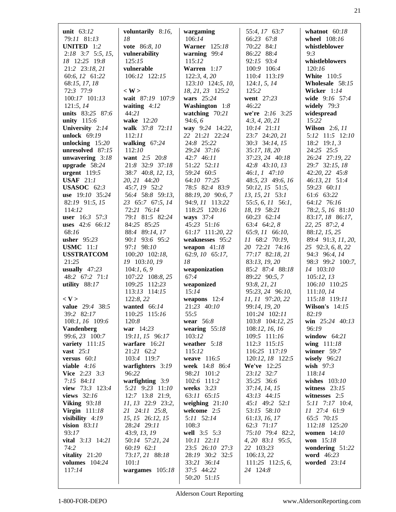| unit $63:12$                                                                                                                               | voluntarily 8:16,                                                                                                                   | wargaming                                                                                                                  | 55:4, 17 63:7                                                                                                                   | whatnot $60:18$                                                                                                               |
|--------------------------------------------------------------------------------------------------------------------------------------------|-------------------------------------------------------------------------------------------------------------------------------------|----------------------------------------------------------------------------------------------------------------------------|---------------------------------------------------------------------------------------------------------------------------------|-------------------------------------------------------------------------------------------------------------------------------|
| 79:11 81:13                                                                                                                                | 18                                                                                                                                  | 106:14                                                                                                                     | 66:23 67:8                                                                                                                      | wheel 108:16                                                                                                                  |
| UNITED 1:2                                                                                                                                 | vote 86:8, 10                                                                                                                       | <b>Warner</b> 125:18                                                                                                       | 70:22 84:1                                                                                                                      | whistleblower                                                                                                                 |
| $2:18$ 3:7 5:5, 15,                                                                                                                        | vulnerability                                                                                                                       | warning $99:4$                                                                                                             | 86:22 88:4                                                                                                                      | 9:3                                                                                                                           |
| 18 12:25 19:8                                                                                                                              | 125:15                                                                                                                              | 115:12                                                                                                                     | 92:15 93:4                                                                                                                      | whistleblowers                                                                                                                |
| 21:2 23:18, 21                                                                                                                             | vulnerable                                                                                                                          | Warren 1:17                                                                                                                | 100:9 106:4                                                                                                                     | 120:16                                                                                                                        |
| 60:6, 12 61:22                                                                                                                             | 106:12 122:15                                                                                                                       | 122:3, 4, 20                                                                                                               | 110:4 113:19                                                                                                                    | <b>White</b> 110:5                                                                                                            |
| 68:15, 17, 18<br>72:3 77:9<br>100:17 101:13<br>121:5, 14<br>units 83:25 87:6<br>unity 115:6<br>University 2:14                             | $\langle W \rangle$<br>wait 87:19 107:9<br>waiting $4:12$<br>44:21<br>wake 12:20<br>walk 37:8 72:11                                 | 123:10 124:5, 10,<br>18, 21, 23 125:2<br>wars $25:24$<br>Washington 1:8<br>watching $70:21$<br>94:6,6<br>way 9:24 14:22,   | 124:1, 5, 14<br>125:2<br>went 27:23<br>46:22<br>we're $2:16$ 3:25<br>4:3, 4, 20, 21<br>$10:14$ $21:11$                          | Wholesale 58:15<br>Wicker $1:14$<br>wide 9:16 57:4<br>widely $79:3$<br>widespread<br>15:22<br><b>Wilson</b> 2:6, 11           |
| unlock 69:19                                                                                                                               | 112:11                                                                                                                              | 22 21:21 22:24                                                                                                             | 23:7 24:20, 21                                                                                                                  | 5:12 11:5 12:10                                                                                                               |
| unlocking 15:20                                                                                                                            | walking $67:24$                                                                                                                     | 24:8 25:22                                                                                                                 | 30:3 34:14, 15                                                                                                                  | 18:2 19:1, 3                                                                                                                  |
| unresolved 87:15                                                                                                                           | 112:10                                                                                                                              | 29:24 37:16                                                                                                                | 35:17, 18, 20                                                                                                                   | 24:25 25:5                                                                                                                    |
| unwavering 3:18                                                                                                                            | want 2:5 20:8                                                                                                                       | 42:7 46:11                                                                                                                 | 37:23, 24 40:18                                                                                                                 | 26:24 27:19, 22                                                                                                               |
| upgrade $58:24$                                                                                                                            | 21:8 32:9 37:18                                                                                                                     | 51:22 52:11                                                                                                                | 42:8 43:10, 13                                                                                                                  | 29:7 32:15, 18                                                                                                                |
| urgent $119:5$                                                                                                                             | 38:7 40:8, 12, 13,                                                                                                                  | 59:24 60:5                                                                                                                 | $46:1, 1$ $47:10$                                                                                                               | 42:20, 22 45:8                                                                                                                |
| <b>USAF</b> $21:1$                                                                                                                         | 20, 21 44:20                                                                                                                        | 64:10 77:25                                                                                                                | 48:5, 23 49:6, 16                                                                                                               | 46:13, 21 51:4                                                                                                                |
| <b>USASOC</b> 62:3                                                                                                                         | 45:7, 19 52:2                                                                                                                       | 78:5 82:4 83:9                                                                                                             | 50:12, 15 51:5,                                                                                                                 | 59:23 60:11                                                                                                                   |
| use 19:10 35:24                                                                                                                            | 56:4 58:8 59:13,                                                                                                                    | 88:19, 20 90:6, 7                                                                                                          | 13, 15, 21 53:1                                                                                                                 | 61:6 63:22                                                                                                                    |
| 82:19 91:5, 15                                                                                                                             | 23 65:7 67:5, 14                                                                                                                    | 94:9, 11 113:22                                                                                                            | 55:5, 6, 11 56:1,                                                                                                               | 64:12 76:16                                                                                                                   |
| 114:12                                                                                                                                     | 72:21 76:14                                                                                                                         | 118:25 120:16                                                                                                              | 18, 19 58:21                                                                                                                    | 78:2, 5, 16 81:10                                                                                                             |
| <b>user</b> 16:3 57:3                                                                                                                      | 79:1 81:5 82:24                                                                                                                     | ways 37:4                                                                                                                  | 60:23 62:14                                                                                                                     | 83:17, 18 86:17,                                                                                                              |
| <b>uses</b> 42:6 66:12                                                                                                                     | 84:25 85:25                                                                                                                         | 45:23 51:16                                                                                                                | 63:4 64:2, 8                                                                                                                    | 22, 25 87:2, 4                                                                                                                |
| 68:16                                                                                                                                      | 88:4 89:14, 17                                                                                                                      | 61:17 111:20, 22                                                                                                           | 65:9, 11 66:10,                                                                                                                 | 88:12, 15, 25                                                                                                                 |
| usher 95:23                                                                                                                                | 90:1 93:6 95:2                                                                                                                      | weaknesses 95:2                                                                                                            | 11 68:2 70:19,                                                                                                                  | 89:4 91:3, 11, 20,                                                                                                            |
| <b>USMC</b> 11:1                                                                                                                           | 97:1 98:10                                                                                                                          | weapon $41:18$                                                                                                             | 20 72:21 74:16                                                                                                                  | 25 92:3, 6, 8, 22                                                                                                             |
| <b>USSTRATCOM</b><br>21:25<br>usually $47:23$<br>48:2 67:2 71:1<br>utility $88:17$<br>$<$ V $>$                                            | 100:20 102:18,<br>19 103:10, 19<br>104:1, 6, 9<br>107:22 108:8, 25<br>109:25 112:23<br>113:13 114:15<br>122:8, 22                   | 62:9, 10 65:17,<br>18<br>weaponization<br>67:4<br>weaponized<br>15:14<br>weapons $12:4$                                    | 77:17 82:18, 21<br>83:13, 19, 20<br>85:2 87:4 88:18<br>89:22 90:5, 7<br>93:8, 21, 21<br>95:23, 24 96:10,<br>11, 11 97:20, 22    | 94:3 96:4, 14<br>98:3 99:2 100:7,<br>14 103:10<br>105:12, 13<br>106:10 110:25<br>111:10, 14<br>115:18 119:11                  |
| value 29:4 38:5                                                                                                                            | wanted 66:14                                                                                                                        | 21:23 40:10                                                                                                                | 99:14, 19, 20                                                                                                                   | <b>Wilson's</b> 14:15                                                                                                         |
| 39:2 82:17                                                                                                                                 | 110:25 115:16                                                                                                                       | 55:5                                                                                                                       | 101:24 102:11                                                                                                                   | 82:19                                                                                                                         |
| 108:1, 16 109:6                                                                                                                            | 120:8                                                                                                                               | wear $56:8$                                                                                                                | 103:8 104:12, 25                                                                                                                | win $25:24$ 40:13                                                                                                             |
| <b>Vandenberg</b>                                                                                                                          | war 14:23                                                                                                                           | wearing $55:18$                                                                                                            | 108:12, 16, 16                                                                                                                  | 96:19                                                                                                                         |
| 99:6, 23 100:7                                                                                                                             | 19:11, 15 96:17                                                                                                                     | 103:12                                                                                                                     | 109:5 111:16                                                                                                                    | window $64:21$                                                                                                                |
| variety $111:15$                                                                                                                           | warfare 16:21                                                                                                                       | weather 5:18                                                                                                               | 112:3 115:15                                                                                                                    | wing 111:18                                                                                                                   |
| vast $25:1$                                                                                                                                | 21:21 62:2                                                                                                                          | 115:12                                                                                                                     | 116:25 117:19                                                                                                                   | winner $59:7$                                                                                                                 |
| versus $60:1$                                                                                                                              | 103:4 119:7                                                                                                                         | weave 116:5                                                                                                                | 120:12, 18 122:5                                                                                                                | wisely $96:21$                                                                                                                |
| viable $4:16$<br><b>Vice</b> 2:23 3:3<br>$7:15$ 84:11<br>view 73:3 123:4<br>views 32:16<br><b>Viking 93:18</b><br><b>Virgin</b> 111:18     | warfighters 3:19<br>96:22<br>warfighting $3:9$<br>5:21 9:23 11:10<br>12:7 13:8 21:9,<br>11, 13 22:9 23:2,<br>21 24:11 25:8,         | week 14:8 86:4<br>98:21 101:2<br>102:6 111:2<br>weeks 3:23<br>63:11 65:15<br>weighing $21:10$<br>welcome 2:5<br>5:11 52:14 | We've 12:25<br>23:12 32:7<br>35:25 36:6<br>37:14, 14, 15<br>43:13 44:15<br>45:1 49:2 52:1<br>53:15 58:10                        | wish $97:3$<br>118:14<br>wishes 103:10<br>witness $23:15$<br>witnesses $2:5$<br>5:11 7:17 10:4,<br>11 27:4 61:9<br>65:5 70:15 |
| visibility $4:19$<br>vision $83:11$<br>93:17<br><b>vital</b> $3:13$ $14:21$<br>74:2<br>vitality $21:20$<br><b>volumes</b> 104:24<br>117:14 | 15, 15 26:12, 15<br>28:24 29:11<br>43:9, 13, 19<br>50:14 57:21, 24<br>$60:19$ $62:1$<br>73:17, 21 88:18<br>101:1<br>wargames 105:18 | 108:3<br>well 3:5 5:3<br>10:11 22:11<br>23:5 26:10 27:3<br>28:19 30:2 32:5<br>33:21 36:14<br>37:5 44:22<br>50:20 51:15     | 61:13, 16, 17<br>62:3 71:17<br>75:10 79:4 82:2,<br>4, 20 83:1 95:5,<br>22 103:23<br>106:13,22<br>$111:25$ 112:5, 6,<br>24 124:8 | 112:18 125:20<br>women $14:10$<br>won 15:18<br>wondering $51:22$<br>word 46:23<br>worded 23:14                                |

Alderson Court Reporting